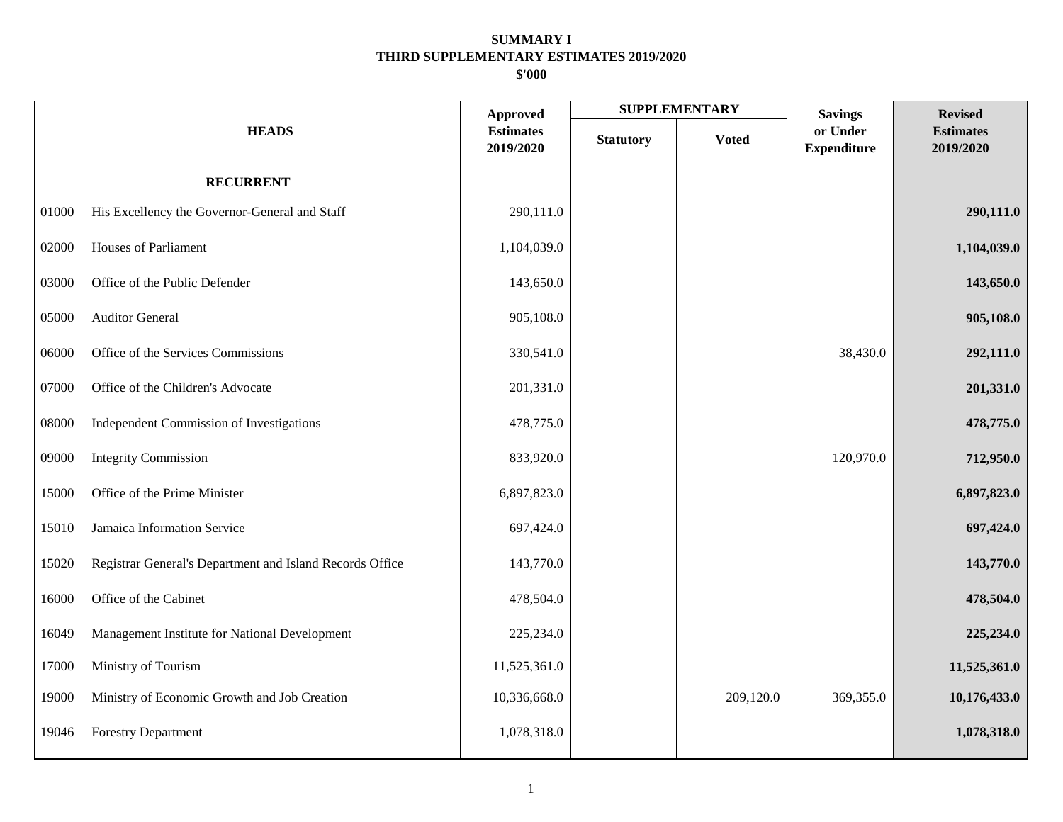|       | <b>HEADS</b>                                             |              |                  | <b>SUPPLEMENTARY</b> | <b>Savings</b>                 | <b>Revised</b>                |
|-------|----------------------------------------------------------|--------------|------------------|----------------------|--------------------------------|-------------------------------|
|       |                                                          |              | <b>Statutory</b> | <b>Voted</b>         | or Under<br><b>Expenditure</b> | <b>Estimates</b><br>2019/2020 |
|       | <b>RECURRENT</b>                                         |              |                  |                      |                                |                               |
| 01000 | His Excellency the Governor-General and Staff            | 290,111.0    |                  |                      |                                | 290,111.0                     |
| 02000 | <b>Houses of Parliament</b>                              | 1,104,039.0  |                  |                      |                                | 1,104,039.0                   |
| 03000 | Office of the Public Defender                            | 143,650.0    |                  |                      |                                | 143,650.0                     |
| 05000 | <b>Auditor General</b>                                   | 905,108.0    |                  |                      |                                | 905,108.0                     |
| 06000 | Office of the Services Commissions                       | 330,541.0    |                  |                      | 38,430.0                       | 292,111.0                     |
| 07000 | Office of the Children's Advocate                        | 201,331.0    |                  |                      |                                | 201,331.0                     |
| 08000 | Independent Commission of Investigations                 | 478,775.0    |                  |                      |                                | 478,775.0                     |
| 09000 | <b>Integrity Commission</b>                              | 833,920.0    |                  |                      | 120,970.0                      | 712,950.0                     |
| 15000 | Office of the Prime Minister                             | 6,897,823.0  |                  |                      |                                | 6,897,823.0                   |
| 15010 | Jamaica Information Service                              | 697,424.0    |                  |                      |                                | 697,424.0                     |
| 15020 | Registrar General's Department and Island Records Office | 143,770.0    |                  |                      |                                | 143,770.0                     |
| 16000 | Office of the Cabinet                                    | 478,504.0    |                  |                      |                                | 478,504.0                     |
| 16049 | Management Institute for National Development            | 225,234.0    |                  |                      |                                | 225,234.0                     |
| 17000 | Ministry of Tourism                                      | 11,525,361.0 |                  |                      |                                | 11,525,361.0                  |
| 19000 | Ministry of Economic Growth and Job Creation             | 10,336,668.0 |                  | 209,120.0            | 369,355.0                      | 10,176,433.0                  |
| 19046 | <b>Forestry Department</b>                               | 1,078,318.0  |                  |                      |                                | 1,078,318.0                   |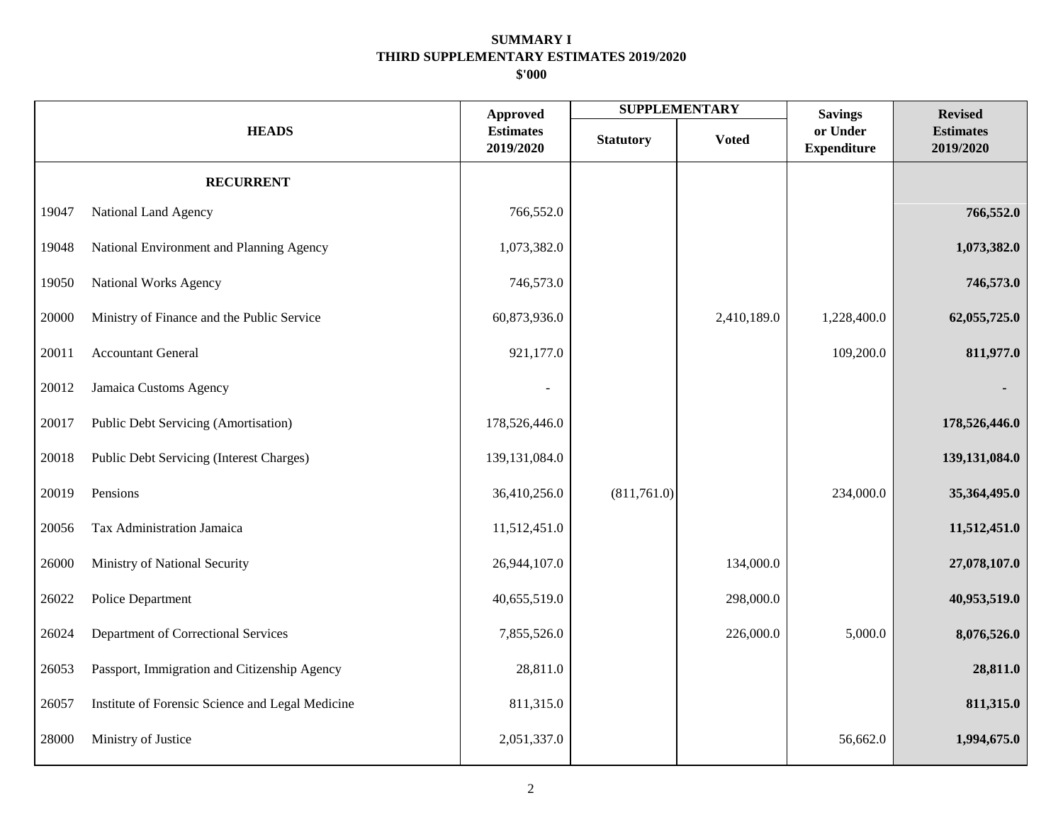| <b>HEADS</b> |                                                  | <b>Approved</b>               |                  | <b>SUPPLEMENTARY</b> | <b>Savings</b>                 | <b>Revised</b>                |
|--------------|--------------------------------------------------|-------------------------------|------------------|----------------------|--------------------------------|-------------------------------|
|              |                                                  | <b>Estimates</b><br>2019/2020 | <b>Statutory</b> | <b>Voted</b>         | or Under<br><b>Expenditure</b> | <b>Estimates</b><br>2019/2020 |
|              | <b>RECURRENT</b>                                 |                               |                  |                      |                                |                               |
| 19047        | National Land Agency                             | 766,552.0                     |                  |                      |                                | 766,552.0                     |
| 19048        | National Environment and Planning Agency         | 1,073,382.0                   |                  |                      |                                | 1,073,382.0                   |
| 19050        | <b>National Works Agency</b>                     | 746,573.0                     |                  |                      |                                | 746,573.0                     |
| 20000        | Ministry of Finance and the Public Service       | 60,873,936.0                  |                  | 2,410,189.0          | 1,228,400.0                    | 62,055,725.0                  |
| 20011        | <b>Accountant General</b>                        | 921,177.0                     |                  |                      | 109,200.0                      | 811,977.0                     |
| 20012        | Jamaica Customs Agency                           |                               |                  |                      |                                |                               |
| 20017        | Public Debt Servicing (Amortisation)             | 178,526,446.0                 |                  |                      |                                | 178,526,446.0                 |
| 20018        | Public Debt Servicing (Interest Charges)         | 139, 131, 084. 0              |                  |                      |                                | 139,131,084.0                 |
| 20019        | Pensions                                         | 36,410,256.0                  | (811,761.0)      |                      | 234,000.0                      | 35,364,495.0                  |
| 20056        | Tax Administration Jamaica                       | 11,512,451.0                  |                  |                      |                                | 11,512,451.0                  |
| 26000        | Ministry of National Security                    | 26,944,107.0                  |                  | 134,000.0            |                                | 27,078,107.0                  |
| 26022        | Police Department                                | 40,655,519.0                  |                  | 298,000.0            |                                | 40,953,519.0                  |
| 26024        | Department of Correctional Services              | 7,855,526.0                   |                  | 226,000.0            | 5,000.0                        | 8,076,526.0                   |
| 26053        | Passport, Immigration and Citizenship Agency     | 28,811.0                      |                  |                      |                                | 28,811.0                      |
| 26057        | Institute of Forensic Science and Legal Medicine | 811,315.0                     |                  |                      |                                | 811,315.0                     |
| 28000        | Ministry of Justice                              | 2,051,337.0                   |                  |                      | 56,662.0                       | 1,994,675.0                   |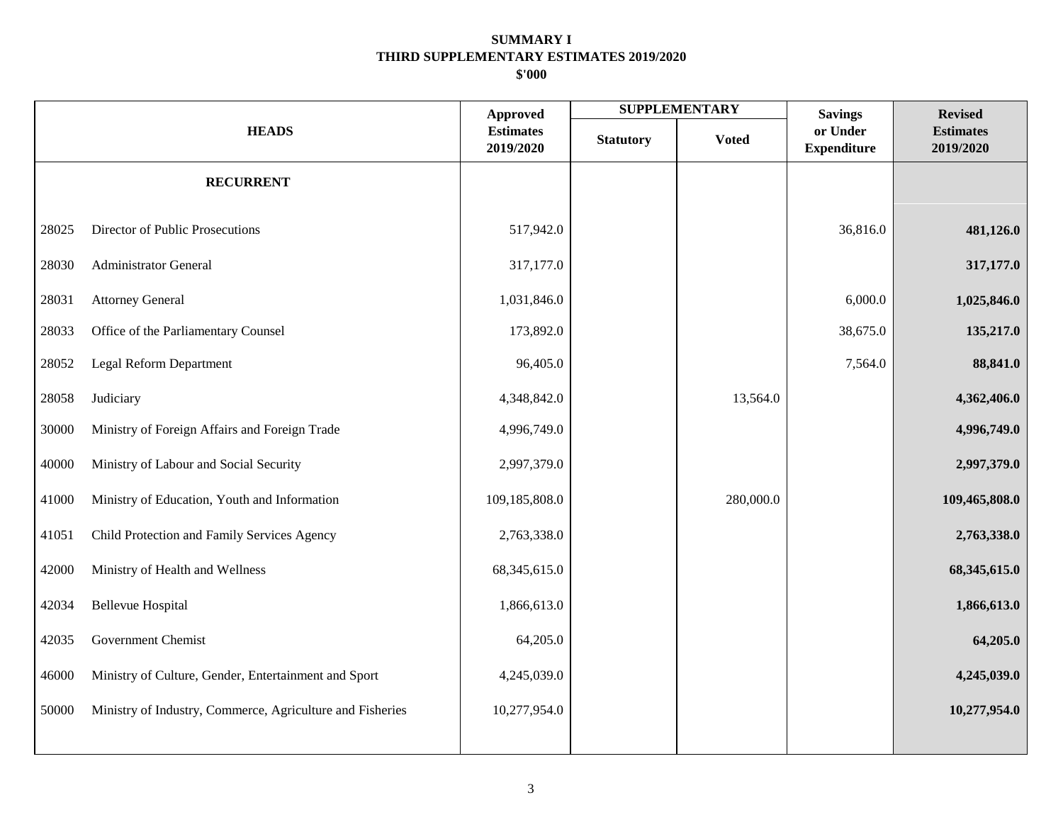|              |                                                           |                                                  |                  | <b>SUPPLEMENTARY</b> | <b>Savings</b>                 | <b>Revised</b>                |
|--------------|-----------------------------------------------------------|--------------------------------------------------|------------------|----------------------|--------------------------------|-------------------------------|
| <b>HEADS</b> |                                                           | <b>Approved</b><br><b>Estimates</b><br>2019/2020 | <b>Statutory</b> | <b>Voted</b>         | or Under<br><b>Expenditure</b> | <b>Estimates</b><br>2019/2020 |
|              | <b>RECURRENT</b>                                          |                                                  |                  |                      |                                |                               |
| 28025        | Director of Public Prosecutions                           | 517,942.0                                        |                  |                      | 36,816.0                       | 481,126.0                     |
| 28030        | <b>Administrator General</b>                              | 317,177.0                                        |                  |                      |                                | 317,177.0                     |
| 28031        | <b>Attorney General</b>                                   | 1,031,846.0                                      |                  |                      | 6,000.0                        | 1,025,846.0                   |
| 28033        | Office of the Parliamentary Counsel                       | 173,892.0                                        |                  |                      | 38,675.0                       | 135,217.0                     |
| 28052        | Legal Reform Department                                   | 96,405.0                                         |                  |                      | 7,564.0                        | 88,841.0                      |
| 28058        | Judiciary                                                 | 4,348,842.0                                      |                  | 13,564.0             |                                | 4,362,406.0                   |
| 30000        | Ministry of Foreign Affairs and Foreign Trade             | 4,996,749.0                                      |                  |                      |                                | 4,996,749.0                   |
| 40000        | Ministry of Labour and Social Security                    | 2,997,379.0                                      |                  |                      |                                | 2,997,379.0                   |
| 41000        | Ministry of Education, Youth and Information              | 109,185,808.0                                    |                  | 280,000.0            |                                | 109,465,808.0                 |
| 41051        | Child Protection and Family Services Agency               | 2,763,338.0                                      |                  |                      |                                | 2,763,338.0                   |
| 42000        | Ministry of Health and Wellness                           | 68, 345, 615.0                                   |                  |                      |                                | 68,345,615.0                  |
| 42034        | <b>Bellevue Hospital</b>                                  | 1,866,613.0                                      |                  |                      |                                | 1,866,613.0                   |
| 42035        | Government Chemist                                        | 64,205.0                                         |                  |                      |                                | 64,205.0                      |
| 46000        | Ministry of Culture, Gender, Entertainment and Sport      | 4,245,039.0                                      |                  |                      |                                | 4,245,039.0                   |
| 50000        | Ministry of Industry, Commerce, Agriculture and Fisheries | 10,277,954.0                                     |                  |                      |                                | 10,277,954.0                  |
|              |                                                           |                                                  |                  |                      |                                |                               |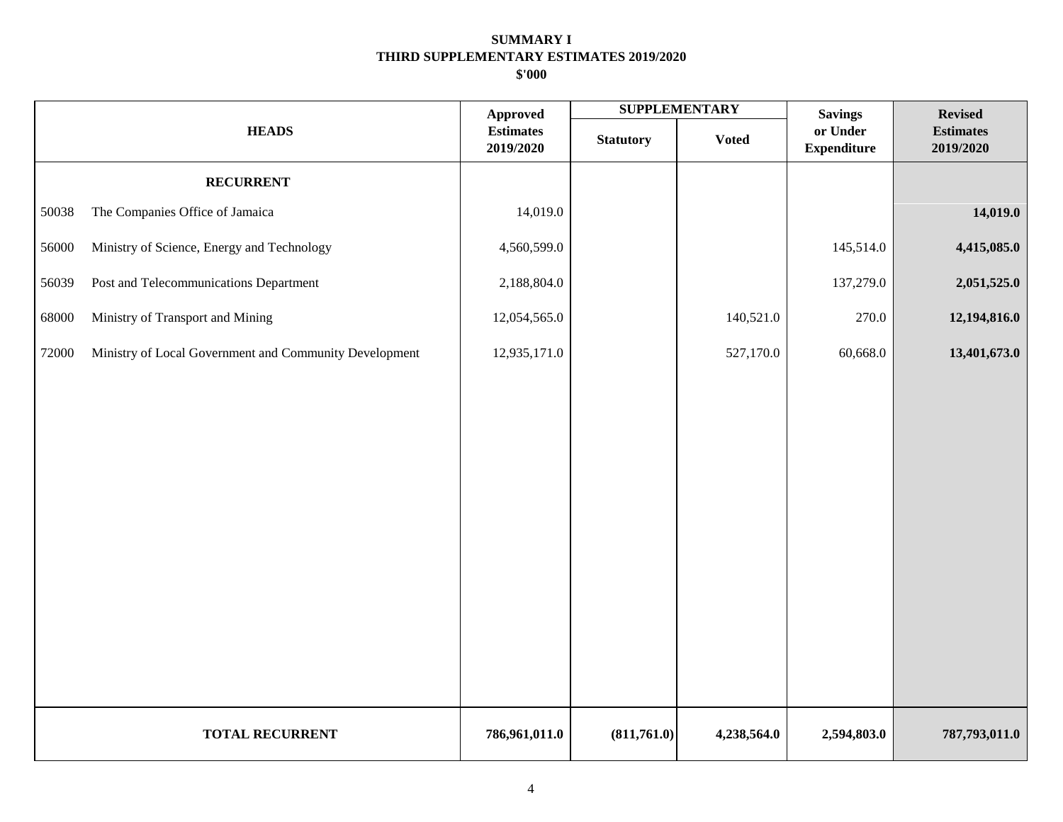|       |                                                        | <b>Approved</b>               |                  | <b>SUPPLEMENTARY</b> | <b>Savings</b>                 | <b>Revised</b>                |
|-------|--------------------------------------------------------|-------------------------------|------------------|----------------------|--------------------------------|-------------------------------|
|       | <b>HEADS</b>                                           | <b>Estimates</b><br>2019/2020 | <b>Statutory</b> | <b>Voted</b>         | or Under<br><b>Expenditure</b> | <b>Estimates</b><br>2019/2020 |
|       | <b>RECURRENT</b>                                       |                               |                  |                      |                                |                               |
| 50038 | The Companies Office of Jamaica                        | 14,019.0                      |                  |                      |                                | 14,019.0                      |
| 56000 | Ministry of Science, Energy and Technology             | 4,560,599.0                   |                  |                      | 145,514.0                      | 4,415,085.0                   |
| 56039 | Post and Telecommunications Department                 | 2,188,804.0                   |                  |                      | 137,279.0                      | 2,051,525.0                   |
| 68000 | Ministry of Transport and Mining                       | 12,054,565.0                  |                  | 140,521.0            | 270.0                          | 12,194,816.0                  |
| 72000 | Ministry of Local Government and Community Development | 12,935,171.0                  |                  | 527,170.0            | 60,668.0                       | 13,401,673.0                  |
|       |                                                        |                               |                  |                      |                                |                               |
|       |                                                        |                               |                  |                      |                                |                               |
|       |                                                        |                               |                  |                      |                                |                               |
|       |                                                        |                               |                  |                      |                                |                               |
|       |                                                        |                               |                  |                      |                                |                               |
|       |                                                        |                               |                  |                      |                                |                               |
|       |                                                        |                               |                  |                      |                                |                               |
|       |                                                        |                               |                  |                      |                                |                               |
|       |                                                        |                               |                  |                      |                                |                               |
|       |                                                        |                               |                  |                      |                                |                               |
|       | <b>TOTAL RECURRENT</b>                                 | 786,961,011.0                 | (811,761.0)      | 4,238,564.0          | 2,594,803.0                    | 787,793,011.0                 |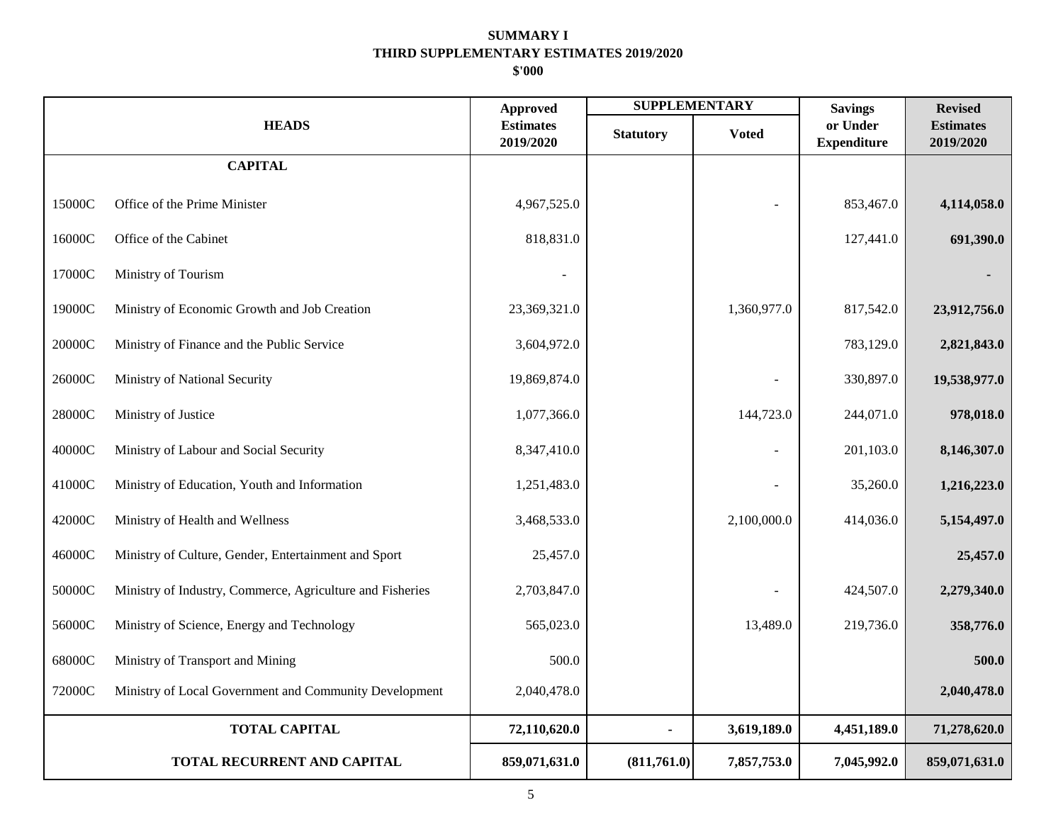|        |                                                           | <b>Approved</b>               | <b>SUPPLEMENTARY</b> |              | <b>Savings</b>                 | <b>Revised</b>                |
|--------|-----------------------------------------------------------|-------------------------------|----------------------|--------------|--------------------------------|-------------------------------|
|        | <b>HEADS</b>                                              | <b>Estimates</b><br>2019/2020 | <b>Statutory</b>     | <b>Voted</b> | or Under<br><b>Expenditure</b> | <b>Estimates</b><br>2019/2020 |
|        | <b>CAPITAL</b>                                            |                               |                      |              |                                |                               |
| 15000C | Office of the Prime Minister                              | 4,967,525.0                   |                      |              | 853,467.0                      | 4,114,058.0                   |
| 16000C | Office of the Cabinet                                     | 818,831.0                     |                      |              | 127,441.0                      | 691,390.0                     |
| 17000C | Ministry of Tourism                                       |                               |                      |              |                                |                               |
| 19000C | Ministry of Economic Growth and Job Creation              | 23,369,321.0                  |                      | 1,360,977.0  | 817,542.0                      | 23,912,756.0                  |
| 20000C | Ministry of Finance and the Public Service                | 3,604,972.0                   |                      |              | 783,129.0                      | 2,821,843.0                   |
| 26000C | Ministry of National Security                             | 19,869,874.0                  |                      |              | 330,897.0                      | 19,538,977.0                  |
| 28000C | Ministry of Justice                                       | 1,077,366.0                   |                      | 144,723.0    | 244,071.0                      | 978,018.0                     |
| 40000C | Ministry of Labour and Social Security                    | 8,347,410.0                   |                      | ÷,           | 201,103.0                      | 8,146,307.0                   |
| 41000C | Ministry of Education, Youth and Information              | 1,251,483.0                   |                      |              | 35,260.0                       | 1,216,223.0                   |
| 42000C | Ministry of Health and Wellness                           | 3,468,533.0                   |                      | 2,100,000.0  | 414,036.0                      | 5,154,497.0                   |
| 46000C | Ministry of Culture, Gender, Entertainment and Sport      | 25,457.0                      |                      |              |                                | 25,457.0                      |
| 50000C | Ministry of Industry, Commerce, Agriculture and Fisheries | 2,703,847.0                   |                      |              | 424,507.0                      | 2,279,340.0                   |
| 56000C | Ministry of Science, Energy and Technology                | 565,023.0                     |                      | 13,489.0     | 219,736.0                      | 358,776.0                     |
| 68000C | Ministry of Transport and Mining                          | 500.0                         |                      |              |                                | 500.0                         |
| 72000C | Ministry of Local Government and Community Development    | 2,040,478.0                   |                      |              |                                | 2,040,478.0                   |
|        | <b>TOTAL CAPITAL</b>                                      | 72,110,620.0                  |                      | 3,619,189.0  | 4,451,189.0                    | 71,278,620.0                  |
|        | TOTAL RECURRENT AND CAPITAL                               | 859,071,631.0                 | (811,761.0)          | 7,857,753.0  | 7,045,992.0                    | 859,071,631.0                 |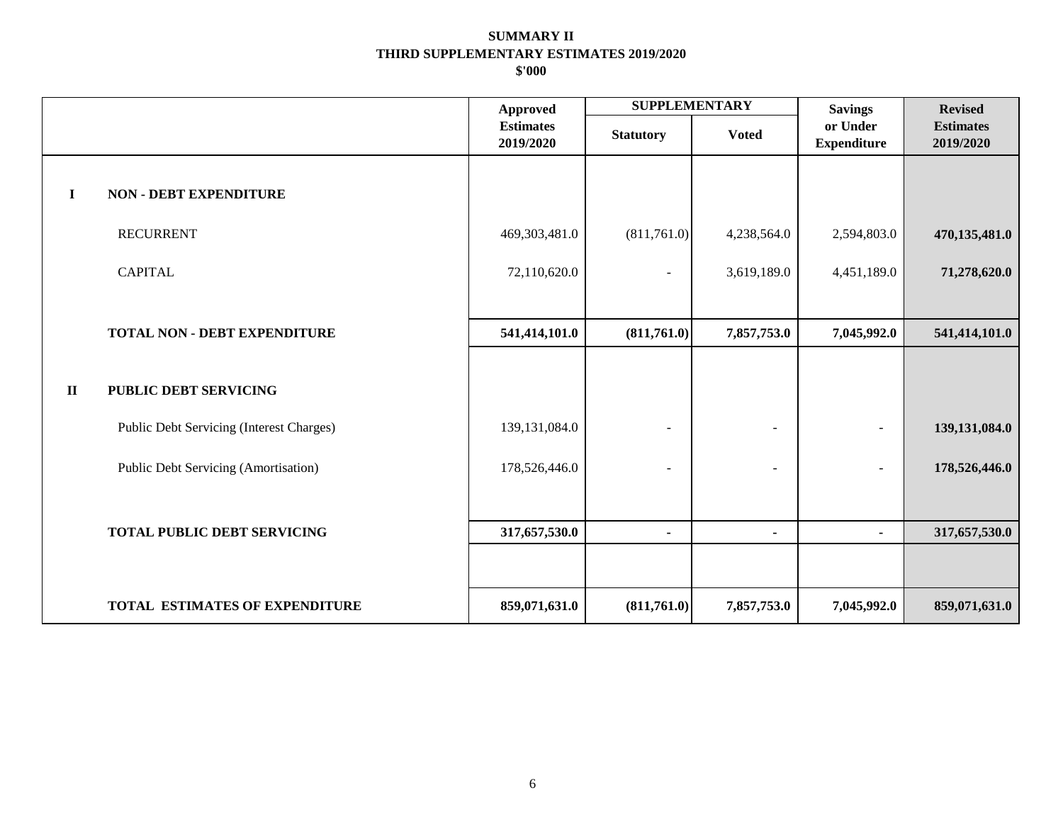|              |                                          | <b>Approved</b>               | <b>SUPPLEMENTARY</b>     |                          | <b>Savings</b>                 | <b>Revised</b>                |
|--------------|------------------------------------------|-------------------------------|--------------------------|--------------------------|--------------------------------|-------------------------------|
|              |                                          | <b>Estimates</b><br>2019/2020 | <b>Statutory</b>         | <b>Voted</b>             | or Under<br><b>Expenditure</b> | <b>Estimates</b><br>2019/2020 |
| $\mathbf I$  | <b>NON - DEBT EXPENDITURE</b>            |                               |                          |                          |                                |                               |
|              | <b>RECURRENT</b>                         | 469,303,481.0                 | (811,761.0)              | 4,238,564.0              | 2,594,803.0                    | 470,135,481.0                 |
|              | <b>CAPITAL</b>                           | 72,110,620.0                  | $\overline{\phantom{a}}$ | 3,619,189.0              | 4,451,189.0                    | 71,278,620.0                  |
|              |                                          |                               |                          |                          |                                |                               |
|              | <b>TOTAL NON - DEBT EXPENDITURE</b>      | 541,414,101.0                 | (811,761.0)              | 7,857,753.0              | 7,045,992.0                    | 541,414,101.0                 |
| $\mathbf{I}$ | <b>PUBLIC DEBT SERVICING</b>             |                               |                          |                          |                                |                               |
|              | Public Debt Servicing (Interest Charges) | 139, 131, 084. 0              |                          |                          |                                | 139, 131, 084. 0              |
|              | Public Debt Servicing (Amortisation)     | 178,526,446.0                 |                          | $\overline{\phantom{a}}$ | $\overline{\phantom{a}}$       | 178,526,446.0                 |
|              | <b>TOTAL PUBLIC DEBT SERVICING</b>       | 317,657,530.0                 | $\blacksquare$           | $\blacksquare$           | $\blacksquare$                 | 317,657,530.0                 |
|              | <b>TOTAL ESTIMATES OF EXPENDITURE</b>    | 859,071,631.0                 | (811,761.0)              | 7,857,753.0              | 7,045,992.0                    | 859,071,631.0                 |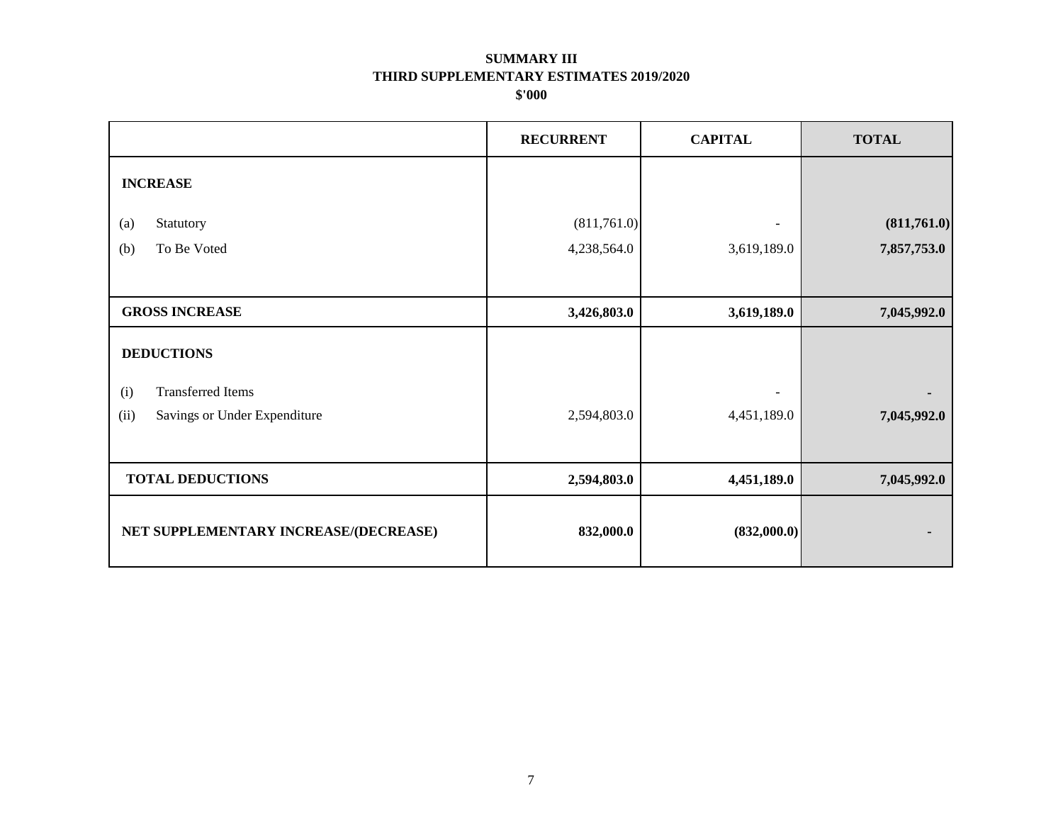|                                       | <b>RECURRENT</b> | <b>CAPITAL</b> | <b>TOTAL</b> |
|---------------------------------------|------------------|----------------|--------------|
| <b>INCREASE</b>                       |                  |                |              |
| Statutory<br>(a)                      | (811,761.0)      |                | (811,761.0)  |
| To Be Voted<br>(b)                    | 4,238,564.0      | 3,619,189.0    | 7,857,753.0  |
|                                       |                  |                |              |
| <b>GROSS INCREASE</b>                 | 3,426,803.0      | 3,619,189.0    | 7,045,992.0  |
| <b>DEDUCTIONS</b>                     |                  |                |              |
| <b>Transferred Items</b><br>(i)       |                  |                |              |
| (ii)<br>Savings or Under Expenditure  | 2,594,803.0      | 4,451,189.0    | 7,045,992.0  |
|                                       |                  |                |              |
| <b>TOTAL DEDUCTIONS</b>               | 2,594,803.0      | 4,451,189.0    | 7,045,992.0  |
| NET SUPPLEMENTARY INCREASE/(DECREASE) | 832,000.0        | (832,000.0)    | ٠            |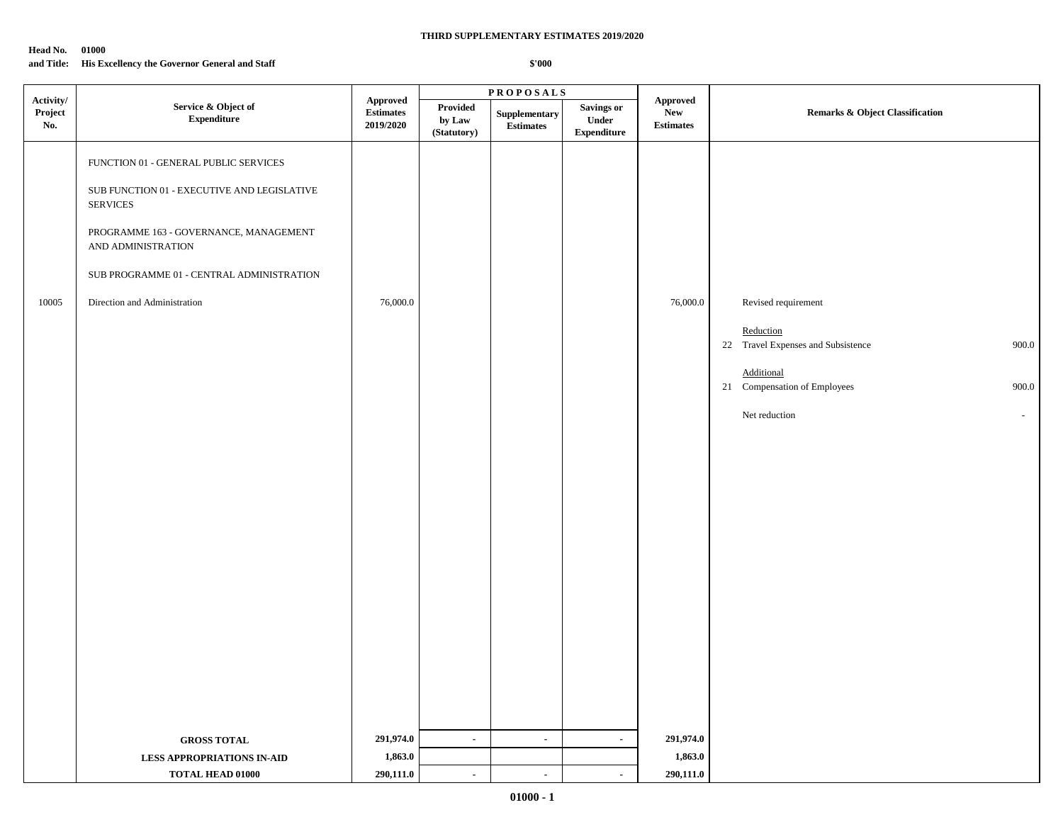#### **Head No. 01000**

#### **and Title: His Excellency the Governor General and Staff**

| Activity/      |                                                                                                                                                                                                                                                      | $\textbf{P} \, \textbf{R} \, \textbf{O} \, \textbf{P} \, \textbf{O} \, \textbf{S} \, \textbf{A} \, \textbf{L} \, \textbf{S}$ |                                   |                                   |                                                  |                                            |                                                                                                                                                                   |
|----------------|------------------------------------------------------------------------------------------------------------------------------------------------------------------------------------------------------------------------------------------------------|------------------------------------------------------------------------------------------------------------------------------|-----------------------------------|-----------------------------------|--------------------------------------------------|--------------------------------------------|-------------------------------------------------------------------------------------------------------------------------------------------------------------------|
| Project<br>No. | Service & Object of<br><b>Expenditure</b>                                                                                                                                                                                                            | <b>Approved</b><br><b>Estimates</b><br>2019/2020                                                                             | Provided<br>by Law<br>(Statutory) | Supplementary<br><b>Estimates</b> | <b>Savings or</b><br>Under<br><b>Expenditure</b> | Approved<br><b>New</b><br><b>Estimates</b> | <b>Remarks &amp; Object Classification</b>                                                                                                                        |
| 10005          | FUNCTION 01 - GENERAL PUBLIC SERVICES<br>SUB FUNCTION 01 - EXECUTIVE AND LEGISLATIVE<br><b>SERVICES</b><br>PROGRAMME 163 - GOVERNANCE, MANAGEMENT<br>AND ADMINISTRATION<br>SUB PROGRAMME 01 - CENTRAL ADMINISTRATION<br>Direction and Administration | 76,000.0                                                                                                                     |                                   |                                   |                                                  | 76,000.0                                   | Revised requirement<br>Reduction<br>22 Travel Expenses and Subsistence<br>900.0<br>Additional<br>21 Compensation of Employees<br>900.0<br>Net reduction<br>$\sim$ |
|                | <b>GROSS TOTAL</b>                                                                                                                                                                                                                                   | 291,974.0<br>1,863.0                                                                                                         | $\sim$                            | $\blacksquare$                    | $\sim$                                           | 291,974.0<br>1,863.0                       |                                                                                                                                                                   |
|                | <b>LESS APPROPRIATIONS IN-AID</b><br>TOTAL HEAD 01000                                                                                                                                                                                                | 290,111.0                                                                                                                    | $\sim$                            | $\sim$                            | $\sim$                                           | 290,111.0                                  |                                                                                                                                                                   |
|                |                                                                                                                                                                                                                                                      |                                                                                                                              |                                   |                                   |                                                  |                                            |                                                                                                                                                                   |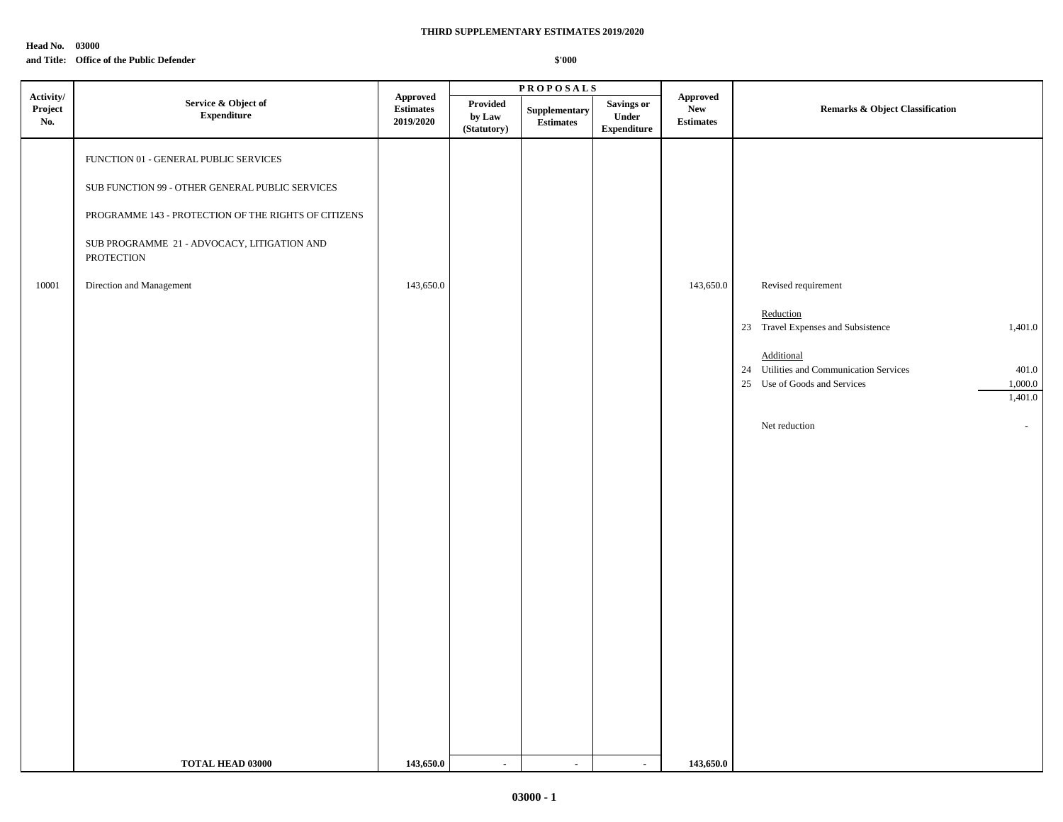**Head No. 03000**

### **and Title: Office of the Public Defender**

|                             |                                                                                                                                                                                                                                                  |                                                  |                                   | $\textbf{P}\,\textbf{R}\,\textbf{O}\,\textbf{P}\,\textbf{O}\,\textbf{S}\,\textbf{A}\,\textbf{L}\,\textbf{S}$ |                                                   |                                            |                                                                                                                                                                                                                                      |
|-----------------------------|--------------------------------------------------------------------------------------------------------------------------------------------------------------------------------------------------------------------------------------------------|--------------------------------------------------|-----------------------------------|--------------------------------------------------------------------------------------------------------------|---------------------------------------------------|--------------------------------------------|--------------------------------------------------------------------------------------------------------------------------------------------------------------------------------------------------------------------------------------|
| Activity/<br>Project<br>No. | Service & Object of<br>${\bf Expenditure}$                                                                                                                                                                                                       | <b>Approved</b><br><b>Estimates</b><br>2019/2020 | Provided<br>by Law<br>(Statutory) | Supplementary<br><b>Estimates</b>                                                                            | <b>Savings or</b><br>Under<br>${\bf Expenditure}$ | Approved<br><b>New</b><br><b>Estimates</b> | <b>Remarks &amp; Object Classification</b>                                                                                                                                                                                           |
| 10001                       | FUNCTION 01 - GENERAL PUBLIC SERVICES<br>SUB FUNCTION 99 - OTHER GENERAL PUBLIC SERVICES<br>PROGRAMME 143 - PROTECTION OF THE RIGHTS OF CITIZENS<br>SUB PROGRAMME 21 - ADVOCACY, LITIGATION AND<br><b>PROTECTION</b><br>Direction and Management | 143,650.0                                        |                                   |                                                                                                              |                                                   | 143,650.0                                  | Revised requirement<br>Reduction<br>23 Travel Expenses and Subsistence<br>1,401.0<br>Additional<br>24 Utilities and Communication Services<br>401.0<br>25 Use of Goods and Services<br>1,000.0<br>1,401.0<br>Net reduction<br>$\sim$ |
|                             | TOTAL HEAD 03000                                                                                                                                                                                                                                 | 143,650.0                                        | $\sim$                            | $\sim$                                                                                                       | $\sim$                                            | 143,650.0                                  |                                                                                                                                                                                                                                      |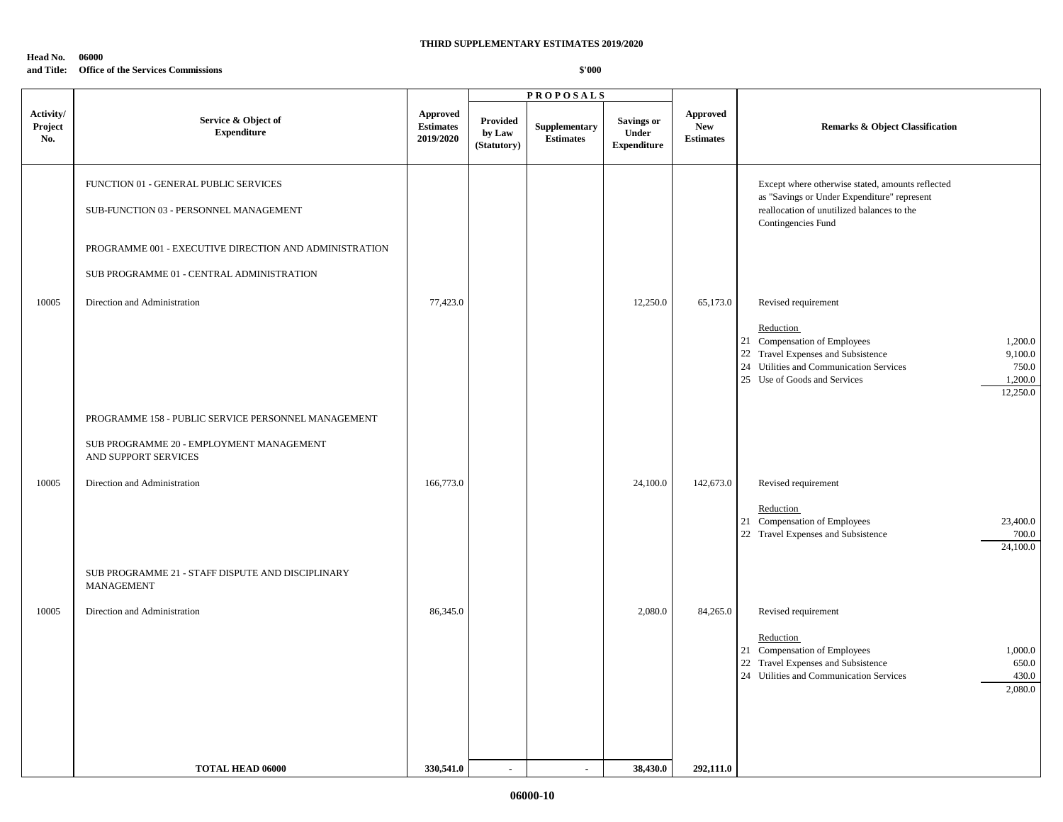### **Head No. 06000**

## **and Title: Office of the Services Commissions**

|                             |                                                                                                                                                                                                                        |                                                  |                                          | <b>PROPOSALS</b>                  |                                                         |                                                   |                                                                                                                                                                                                                                                                                                                                                                                                                |
|-----------------------------|------------------------------------------------------------------------------------------------------------------------------------------------------------------------------------------------------------------------|--------------------------------------------------|------------------------------------------|-----------------------------------|---------------------------------------------------------|---------------------------------------------------|----------------------------------------------------------------------------------------------------------------------------------------------------------------------------------------------------------------------------------------------------------------------------------------------------------------------------------------------------------------------------------------------------------------|
| Activity/<br>Project<br>No. | Service & Object of<br><b>Expenditure</b>                                                                                                                                                                              | <b>Approved</b><br><b>Estimates</b><br>2019/2020 | <b>Provided</b><br>by Law<br>(Statutory) | Supplementary<br><b>Estimates</b> | <b>Savings or</b><br><b>Under</b><br><b>Expenditure</b> | <b>Approved</b><br><b>New</b><br><b>Estimates</b> | <b>Remarks &amp; Object Classification</b>                                                                                                                                                                                                                                                                                                                                                                     |
| 10005                       | FUNCTION 01 - GENERAL PUBLIC SERVICES<br>SUB-FUNCTION 03 - PERSONNEL MANAGEMENT<br>PROGRAMME 001 - EXECUTIVE DIRECTION AND ADMINISTRATION<br>SUB PROGRAMME 01 - CENTRAL ADMINISTRATION<br>Direction and Administration | 77,423.0                                         |                                          |                                   | 12,250.0                                                | 65,173.0                                          | Except where otherwise stated, amounts reflected<br>as "Savings or Under Expenditure" represent<br>reallocation of unutilized balances to the<br>Contingencies Fund<br>Revised requirement<br>Reduction<br>21 Compensation of Employees<br>1,200.0<br>22 Travel Expenses and Subsistence<br>9,100.0<br>24 Utilities and Communication Services<br>750.0<br>25 Use of Goods and Services<br>1,200.0<br>12,250.0 |
|                             | PROGRAMME 158 - PUBLIC SERVICE PERSONNEL MANAGEMENT<br>SUB PROGRAMME 20 - EMPLOYMENT MANAGEMENT<br>AND SUPPORT SERVICES                                                                                                |                                                  |                                          |                                   |                                                         |                                                   |                                                                                                                                                                                                                                                                                                                                                                                                                |
| 10005                       | Direction and Administration                                                                                                                                                                                           | 166,773.0                                        |                                          |                                   | 24,100.0                                                | 142,673.0                                         | Revised requirement<br>Reduction<br>21 Compensation of Employees<br>23,400.0<br>22 Travel Expenses and Subsistence<br>700.0<br>24,100.0                                                                                                                                                                                                                                                                        |
|                             | SUB PROGRAMME 21 - STAFF DISPUTE AND DISCIPLINARY<br><b>MANAGEMENT</b>                                                                                                                                                 |                                                  |                                          |                                   |                                                         |                                                   |                                                                                                                                                                                                                                                                                                                                                                                                                |
| 10005                       | Direction and Administration                                                                                                                                                                                           | 86,345.0                                         |                                          |                                   | 2,080.0                                                 | 84,265.0                                          | Revised requirement<br>Reduction<br>21 Compensation of Employees<br>1,000.0<br>22 Travel Expenses and Subsistence<br>650.0<br>24 Utilities and Communication Services<br>430.0<br>2,080.0                                                                                                                                                                                                                      |
|                             | TOTAL HEAD 06000                                                                                                                                                                                                       | 330,541.0                                        | $\overline{a}$                           | $\overline{\phantom{a}}$          | 38,430.0                                                | 292,111.0                                         |                                                                                                                                                                                                                                                                                                                                                                                                                |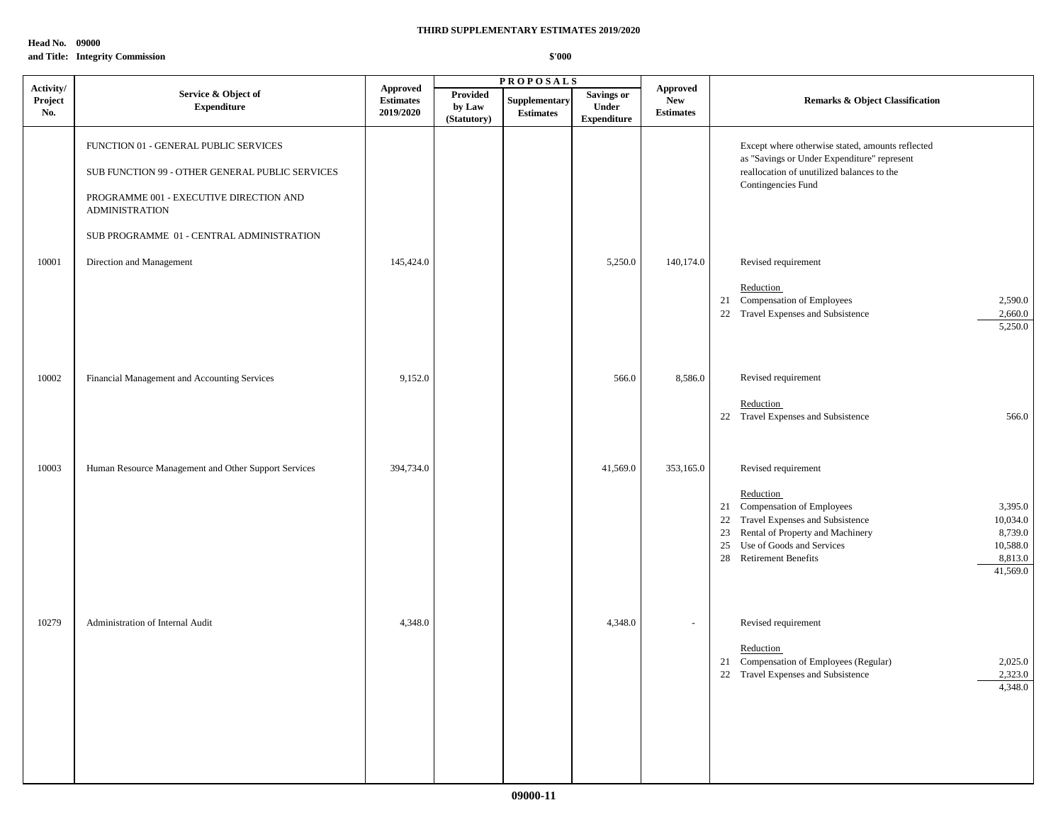**Head No. 09000 and Title: Integrity Commission**

|                             | <b>PROPOSALS</b>                                                                                                                                             |                                                  |                                   |                                   |                                                  |                                                   |                                                                                                                                                                                                                                                                              |
|-----------------------------|--------------------------------------------------------------------------------------------------------------------------------------------------------------|--------------------------------------------------|-----------------------------------|-----------------------------------|--------------------------------------------------|---------------------------------------------------|------------------------------------------------------------------------------------------------------------------------------------------------------------------------------------------------------------------------------------------------------------------------------|
| Activity/<br>Project<br>No. | Service & Object of<br><b>Expenditure</b>                                                                                                                    | <b>Approved</b><br><b>Estimates</b><br>2019/2020 | Provided<br>by Law<br>(Statutory) | Supplementary<br><b>Estimates</b> | <b>Savings or</b><br>Under<br><b>Expenditure</b> | <b>Approved</b><br><b>New</b><br><b>Estimates</b> | Remarks & Object Classification                                                                                                                                                                                                                                              |
|                             | FUNCTION 01 - GENERAL PUBLIC SERVICES<br>SUB FUNCTION 99 - OTHER GENERAL PUBLIC SERVICES<br>PROGRAMME 001 - EXECUTIVE DIRECTION AND<br><b>ADMINISTRATION</b> |                                                  |                                   |                                   |                                                  |                                                   | Except where otherwise stated, amounts reflected<br>as "Savings or Under Expenditure" represent<br>reallocation of unutilized balances to the<br>Contingencies Fund                                                                                                          |
|                             | SUB PROGRAMME 01 - CENTRAL ADMINISTRATION                                                                                                                    |                                                  |                                   |                                   |                                                  |                                                   |                                                                                                                                                                                                                                                                              |
| 10001                       | Direction and Management                                                                                                                                     | 145,424.0                                        |                                   |                                   | 5,250.0                                          | 140,174.0                                         | Revised requirement<br>Reduction<br>21 Compensation of Employees<br>2,590.0<br>22 Travel Expenses and Subsistence<br>2,660.0<br>5,250.0                                                                                                                                      |
| 10002                       | Financial Management and Accounting Services                                                                                                                 | 9,152.0                                          |                                   |                                   | 566.0                                            | 8,586.0                                           | Revised requirement                                                                                                                                                                                                                                                          |
|                             |                                                                                                                                                              |                                                  |                                   |                                   |                                                  |                                                   | Reduction<br>22 Travel Expenses and Subsistence<br>566.0                                                                                                                                                                                                                     |
| 10003                       | Human Resource Management and Other Support Services                                                                                                         | 394,734.0                                        |                                   |                                   | 41,569.0                                         | 353,165.0                                         | Revised requirement<br>Reduction<br>21 Compensation of Employees<br>3,395.0<br>22 Travel Expenses and Subsistence<br>10,034.0<br>23 Rental of Property and Machinery<br>8,739.0<br>25 Use of Goods and Services<br>10,588.0<br>28 Retirement Benefits<br>8,813.0<br>41,569.0 |
| 10279                       | Administration of Internal Audit                                                                                                                             | 4,348.0                                          |                                   |                                   | 4,348.0                                          |                                                   | Revised requirement<br>Reduction<br>21 Compensation of Employees (Regular)<br>2,025.0<br>2,323.0<br>22 Travel Expenses and Subsistence<br>4,348.0                                                                                                                            |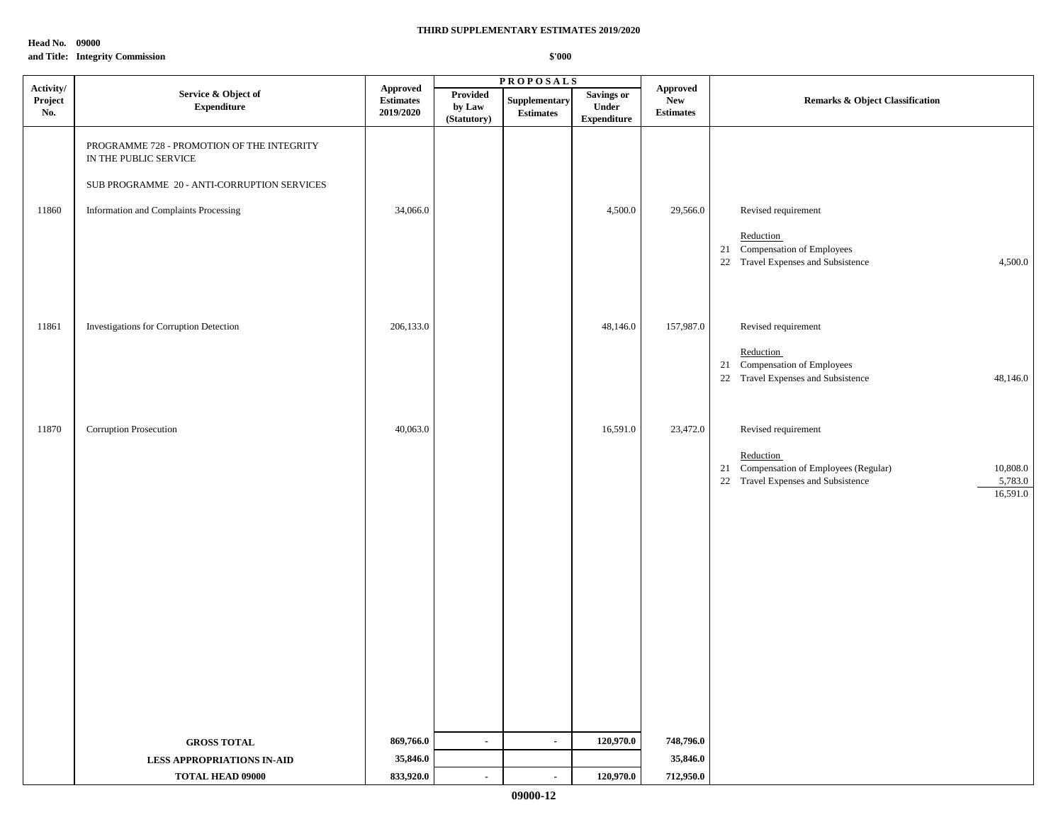**Head No. 09000 and Title: Integrity Commission**

|                             |                                                                     |                                           | <b>PROPOSALS</b>                  |                                   |                                                   |                                                   |                                                                                                                              |
|-----------------------------|---------------------------------------------------------------------|-------------------------------------------|-----------------------------------|-----------------------------------|---------------------------------------------------|---------------------------------------------------|------------------------------------------------------------------------------------------------------------------------------|
| Activity/<br>Project<br>No. | Service & Object of<br><b>Expenditure</b>                           | Approved<br><b>Estimates</b><br>2019/2020 | Provided<br>by Law<br>(Statutory) | Supplementary<br><b>Estimates</b> | <b>Savings or</b><br>Under<br>${\bf Expenditure}$ | <b>Approved</b><br><b>New</b><br><b>Estimates</b> | <b>Remarks &amp; Object Classification</b>                                                                                   |
|                             | PROGRAMME 728 - PROMOTION OF THE INTEGRITY<br>IN THE PUBLIC SERVICE |                                           |                                   |                                   |                                                   |                                                   |                                                                                                                              |
|                             | SUB PROGRAMME 20 - ANTI-CORRUPTION SERVICES                         |                                           |                                   |                                   |                                                   |                                                   |                                                                                                                              |
| 11860                       | Information and Complaints Processing                               | 34,066.0                                  |                                   |                                   | 4,500.0                                           | 29,566.0                                          | Revised requirement                                                                                                          |
|                             |                                                                     |                                           |                                   |                                   |                                                   |                                                   | Reduction<br>21 Compensation of Employees<br>22 Travel Expenses and Subsistence<br>4,500.0                                   |
| 11861                       | Investigations for Corruption Detection                             | 206,133.0                                 |                                   |                                   | 48,146.0                                          | 157,987.0                                         | Revised requirement                                                                                                          |
|                             |                                                                     |                                           |                                   |                                   |                                                   |                                                   | Reduction<br>21 Compensation of Employees<br>22 Travel Expenses and Subsistence<br>48,146.0                                  |
| 11870                       | Corruption Prosecution                                              | 40,063.0                                  |                                   |                                   | 16,591.0                                          | 23,472.0                                          | Revised requirement                                                                                                          |
|                             |                                                                     |                                           |                                   |                                   |                                                   |                                                   | Reduction<br>21 Compensation of Employees (Regular)<br>10,808.0<br>22 Travel Expenses and Subsistence<br>5,783.0<br>16,591.0 |
|                             |                                                                     |                                           |                                   |                                   |                                                   |                                                   |                                                                                                                              |
|                             |                                                                     |                                           |                                   |                                   |                                                   |                                                   |                                                                                                                              |
|                             |                                                                     |                                           |                                   |                                   |                                                   |                                                   |                                                                                                                              |
|                             |                                                                     |                                           |                                   |                                   |                                                   |                                                   |                                                                                                                              |
|                             |                                                                     |                                           |                                   |                                   |                                                   |                                                   |                                                                                                                              |
|                             |                                                                     |                                           |                                   |                                   |                                                   |                                                   |                                                                                                                              |
|                             | <b>GROSS TOTAL</b>                                                  | 869,766.0                                 | $\sim$                            | $\sim$                            | 120,970.0                                         | 748,796.0                                         |                                                                                                                              |
|                             | <b>LESS APPROPRIATIONS IN-AID</b>                                   | 35,846.0                                  |                                   |                                   |                                                   | 35,846.0                                          |                                                                                                                              |
|                             | <b>TOTAL HEAD 09000</b>                                             | 833,920.0                                 | $\sim$                            | $\blacksquare$                    | 120,970.0                                         | 712,950.0                                         |                                                                                                                              |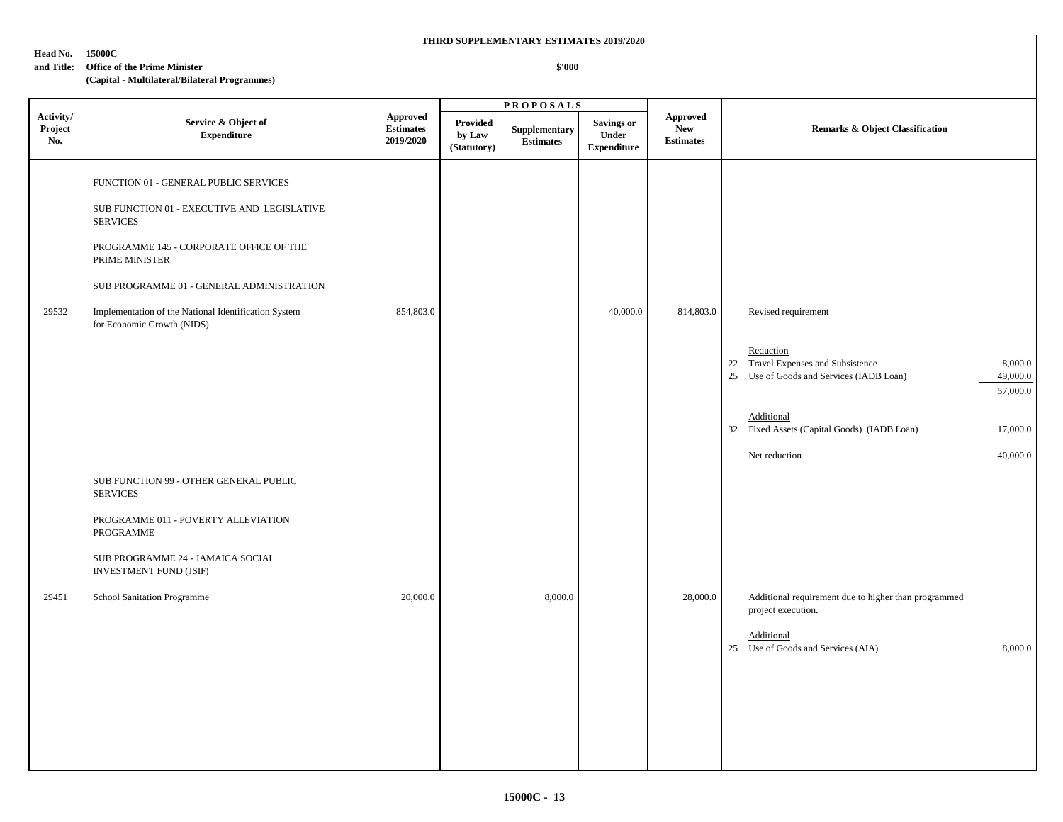**\$'000**

#### **Head No. 15000C**

#### **and Title: Office of the Prime Minister**

|                             |                                                                                                                                                                                                                                                                                                         |                                                  |                                          | <b>PROPOSALS</b>                  |                                                  |                                                   |                                                                                                                                                                                                                                                             |
|-----------------------------|---------------------------------------------------------------------------------------------------------------------------------------------------------------------------------------------------------------------------------------------------------------------------------------------------------|--------------------------------------------------|------------------------------------------|-----------------------------------|--------------------------------------------------|---------------------------------------------------|-------------------------------------------------------------------------------------------------------------------------------------------------------------------------------------------------------------------------------------------------------------|
| Activity/<br>Project<br>No. | Service & Object of<br><b>Expenditure</b>                                                                                                                                                                                                                                                               | <b>Approved</b><br><b>Estimates</b><br>2019/2020 | <b>Provided</b><br>by Law<br>(Statutory) | Supplementary<br><b>Estimates</b> | <b>Savings or</b><br>Under<br><b>Expenditure</b> | <b>Approved</b><br><b>New</b><br><b>Estimates</b> | Remarks & Object Classification                                                                                                                                                                                                                             |
| 29532                       | FUNCTION 01 - GENERAL PUBLIC SERVICES<br>SUB FUNCTION 01 - EXECUTIVE AND LEGISLATIVE<br><b>SERVICES</b><br>PROGRAMME 145 - CORPORATE OFFICE OF THE<br>PRIME MINISTER<br>SUB PROGRAMME 01 - GENERAL ADMINISTRATION<br>Implementation of the National Identification System<br>for Economic Growth (NIDS) | 854,803.0                                        |                                          |                                   | 40,000.0                                         | 814,803.0                                         | Revised requirement<br>Reduction<br>22 Travel Expenses and Subsistence<br>8,000.0<br>49,000.0<br>25 Use of Goods and Services (IADB Loan)<br>57,000.0<br>Additional<br>32 Fixed Assets (Capital Goods) (IADB Loan)<br>17,000.0<br>Net reduction<br>40,000.0 |
| 29451                       | SUB FUNCTION 99 - OTHER GENERAL PUBLIC<br><b>SERVICES</b><br>PROGRAMME 011 - POVERTY ALLEVIATION<br>PROGRAMME<br>SUB PROGRAMME 24 - JAMAICA SOCIAL<br><b>INVESTMENT FUND (JSIF)</b><br>School Sanitation Programme                                                                                      | 20,000.0                                         |                                          | 8,000.0                           |                                                  | 28,000.0                                          | Additional requirement due to higher than programmed<br>project execution.<br>Additional<br>25 Use of Goods and Services (AIA)<br>8,000.0                                                                                                                   |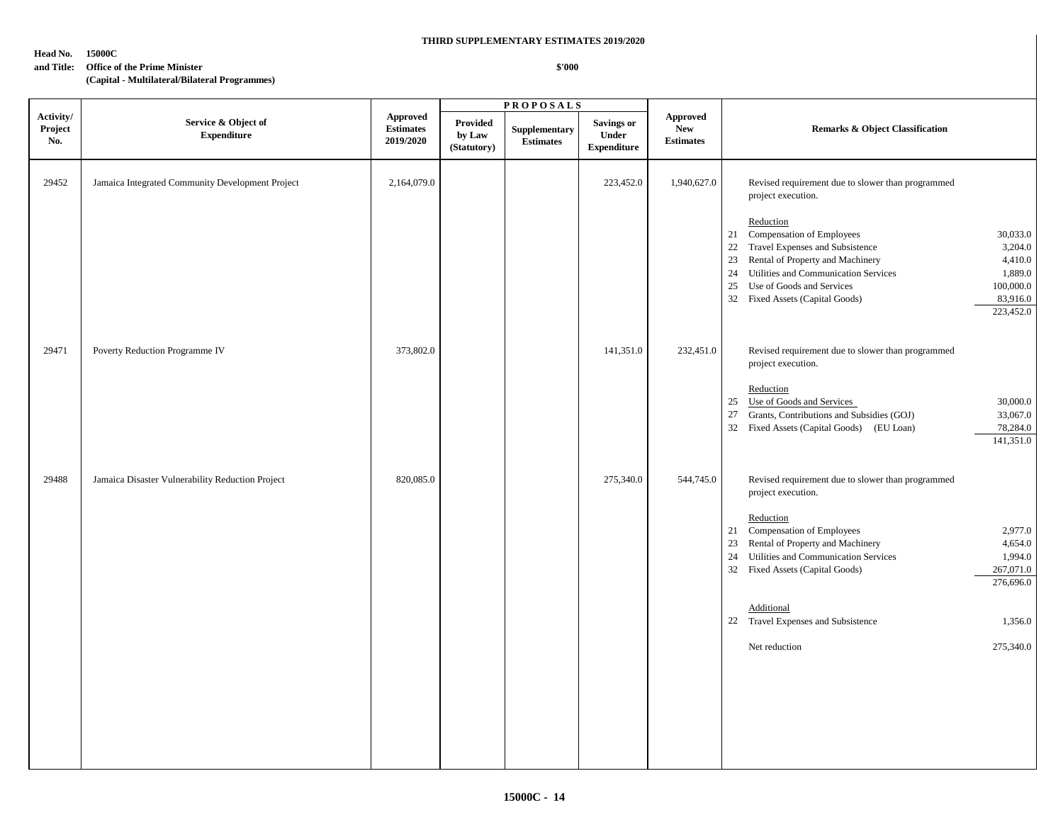**\$'000**

#### **Head No. 15000C**

#### **and Title: Office of the Prime Minister**

|                             |                                                  |                                                  |                                   | <b>PROPOSALS</b>                  |                                                         |                                                   |                                                                                                                                                                                                                                                                                                                         |
|-----------------------------|--------------------------------------------------|--------------------------------------------------|-----------------------------------|-----------------------------------|---------------------------------------------------------|---------------------------------------------------|-------------------------------------------------------------------------------------------------------------------------------------------------------------------------------------------------------------------------------------------------------------------------------------------------------------------------|
| Activity/<br>Project<br>No. | Service & Object of<br><b>Expenditure</b>        | <b>Approved</b><br><b>Estimates</b><br>2019/2020 | Provided<br>by Law<br>(Statutory) | Supplementary<br><b>Estimates</b> | <b>Savings or</b><br><b>Under</b><br><b>Expenditure</b> | <b>Approved</b><br><b>New</b><br><b>Estimates</b> | Remarks & Object Classification                                                                                                                                                                                                                                                                                         |
| 29452                       | Jamaica Integrated Community Development Project | 2,164,079.0                                      |                                   |                                   | 223,452.0                                               | 1,940,627.0                                       | Revised requirement due to slower than programmed<br>project execution.                                                                                                                                                                                                                                                 |
|                             |                                                  |                                                  |                                   |                                   |                                                         |                                                   | Reduction<br>21 Compensation of Employees<br>30,033.0<br>22 Travel Expenses and Subsistence<br>3,204.0<br>23 Rental of Property and Machinery<br>4,410.0<br>1,889.0<br>24 Utilities and Communication Services<br>25 Use of Goods and Services<br>100,000.0<br>32 Fixed Assets (Capital Goods)<br>83,916.0<br>223,452.0 |
| 29471                       | Poverty Reduction Programme IV                   | 373,802.0                                        |                                   |                                   | 141,351.0                                               | 232,451.0                                         | Revised requirement due to slower than programmed<br>project execution.                                                                                                                                                                                                                                                 |
|                             |                                                  |                                                  |                                   |                                   |                                                         |                                                   | Reduction<br>25 Use of Goods and Services<br>30,000.0<br>27 Grants, Contributions and Subsidies (GOJ)<br>33,067.0<br>32 Fixed Assets (Capital Goods) (EU Loan)<br>78,284.0<br>141,351.0                                                                                                                                 |
| 29488                       | Jamaica Disaster Vulnerability Reduction Project | 820,085.0                                        |                                   |                                   | 275,340.0                                               | 544,745.0                                         | Revised requirement due to slower than programmed<br>project execution.                                                                                                                                                                                                                                                 |
|                             |                                                  |                                                  |                                   |                                   |                                                         |                                                   | Reduction<br>21 Compensation of Employees<br>2,977.0<br>23 Rental of Property and Machinery<br>4,654.0<br>24 Utilities and Communication Services<br>1,994.0<br>32 Fixed Assets (Capital Goods)<br>267,071.0<br>276,696.0                                                                                               |
|                             |                                                  |                                                  |                                   |                                   |                                                         |                                                   | Additional<br>22 Travel Expenses and Subsistence<br>1,356.0                                                                                                                                                                                                                                                             |
|                             |                                                  |                                                  |                                   |                                   |                                                         |                                                   | 275,340.0<br>Net reduction                                                                                                                                                                                                                                                                                              |
|                             |                                                  |                                                  |                                   |                                   |                                                         |                                                   |                                                                                                                                                                                                                                                                                                                         |
|                             |                                                  |                                                  |                                   |                                   |                                                         |                                                   |                                                                                                                                                                                                                                                                                                                         |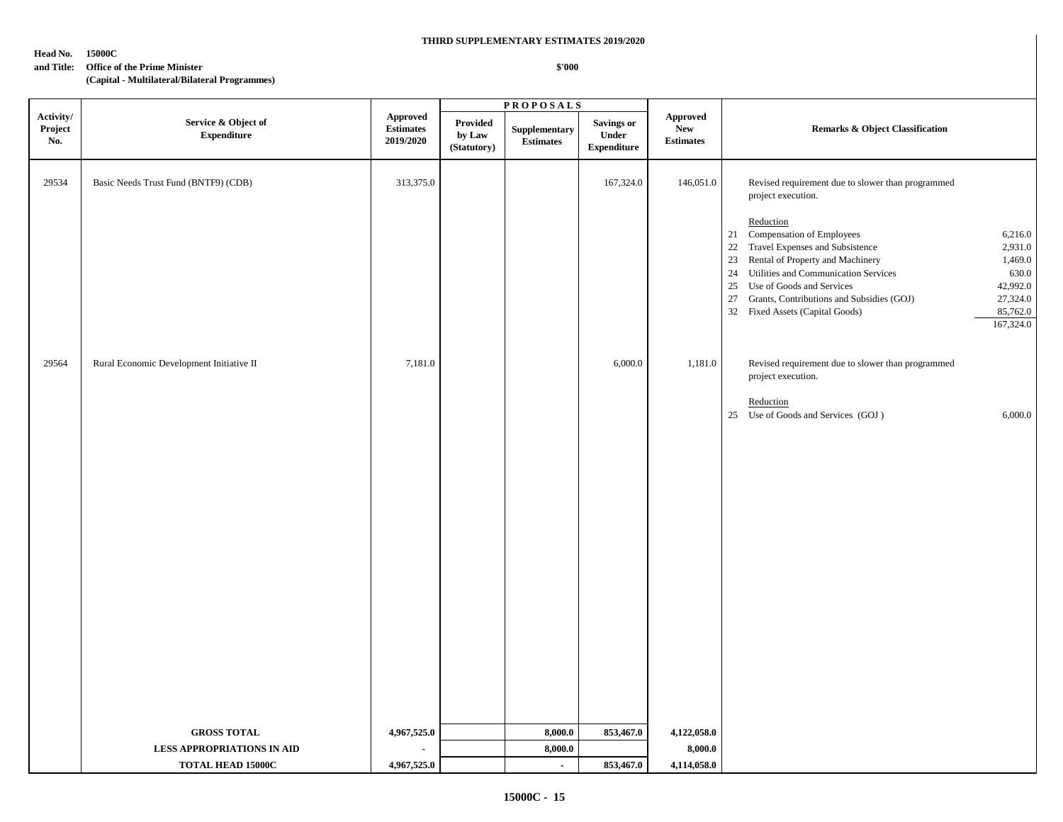**\$'000**

#### **Head No. 15000C**

#### **and Title: Office of the Prime Minister**

|                             |                                           |                                                  |                                          | <b>PROPOSALS</b>                  |                                                         |                                                   |                                                                                                                                                                                                                                                                                                                                                                                 |
|-----------------------------|-------------------------------------------|--------------------------------------------------|------------------------------------------|-----------------------------------|---------------------------------------------------------|---------------------------------------------------|---------------------------------------------------------------------------------------------------------------------------------------------------------------------------------------------------------------------------------------------------------------------------------------------------------------------------------------------------------------------------------|
| Activity/<br>Project<br>No. | Service & Object of<br><b>Expenditure</b> | <b>Approved</b><br><b>Estimates</b><br>2019/2020 | <b>Provided</b><br>by Law<br>(Statutory) | Supplementary<br><b>Estimates</b> | <b>Savings or</b><br><b>Under</b><br><b>Expenditure</b> | <b>Approved</b><br><b>New</b><br><b>Estimates</b> | <b>Remarks &amp; Object Classification</b>                                                                                                                                                                                                                                                                                                                                      |
| 29534                       | Basic Needs Trust Fund (BNTF9) (CDB)      | 313,375.0                                        |                                          |                                   | 167,324.0                                               | 146,051.0                                         | Revised requirement due to slower than programmed<br>project execution.                                                                                                                                                                                                                                                                                                         |
|                             |                                           |                                                  |                                          |                                   |                                                         |                                                   | Reduction<br>21 Compensation of Employees<br>6,216.0<br>22 Travel Expenses and Subsistence<br>2,931.0<br>23 Rental of Property and Machinery<br>1,469.0<br>24 Utilities and Communication Services<br>630.0<br>25 Use of Goods and Services<br>42,992.0<br>27,324.0<br>27 Grants, Contributions and Subsidies (GOJ)<br>32 Fixed Assets (Capital Goods)<br>85,762.0<br>167,324.0 |
| 29564                       | Rural Economic Development Initiative II  | 7,181.0                                          |                                          |                                   | 6,000.0                                                 | 1,181.0                                           | Revised requirement due to slower than programmed<br>project execution.                                                                                                                                                                                                                                                                                                         |
|                             |                                           |                                                  |                                          |                                   |                                                         |                                                   | Reduction<br>25 Use of Goods and Services (GOJ)<br>6,000.0                                                                                                                                                                                                                                                                                                                      |
|                             |                                           |                                                  |                                          |                                   |                                                         |                                                   |                                                                                                                                                                                                                                                                                                                                                                                 |
|                             | <b>GROSS TOTAL</b>                        | 4,967,525.0                                      |                                          | 8,000.0                           | 853,467.0                                               | 4,122,058.0                                       |                                                                                                                                                                                                                                                                                                                                                                                 |
|                             | <b>LESS APPROPRIATIONS IN AID</b>         | ÷.                                               |                                          | 8,000.0                           |                                                         | 8,000.0                                           |                                                                                                                                                                                                                                                                                                                                                                                 |
|                             | <b>TOTAL HEAD 15000C</b>                  | 4,967,525.0                                      |                                          | $\blacksquare$                    | 853,467.0                                               | 4,114,058.0                                       |                                                                                                                                                                                                                                                                                                                                                                                 |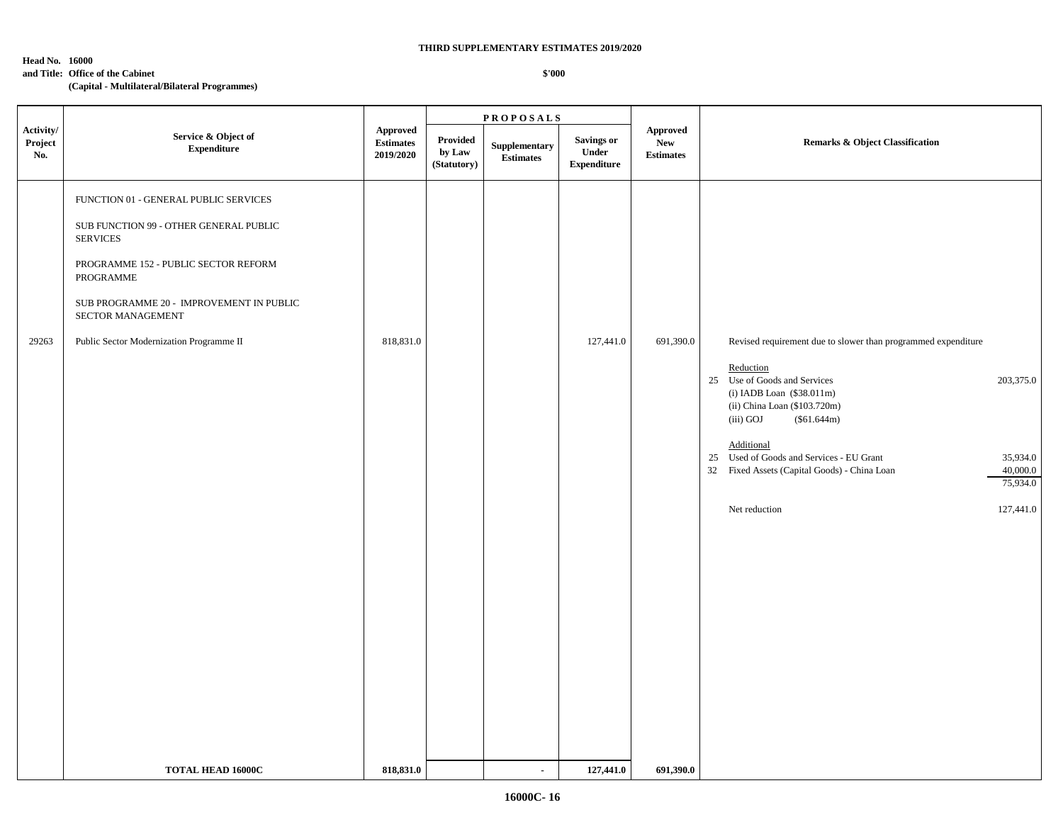#### **Head No. 16000**

**and Title: Office of the Cabinet**

#### **\$'000**

**(Capital - Multilateral/Bilateral Programmes)**

**P R O P O S A L S** FUNCTION 01 - GENERAL PUBLIC SERVICES SUB FUNCTION 99 - OTHER GENERAL PUBLIC SERVICES PROGRAMME 152 - PUBLIC SECTOR REFORM PROGRAMME SUB PROGRAMME 20 - IMPROVEMENT IN PUBLIC SECTOR MANAGEMENT 29263 Public Sector Modernization Programme II 818,831.0 818,831.0 818,831.0 827,441.0 691,390.0 Revised requirement due to slower than programmed expenditure Reduction 25 Use of Goods and Services 203,375.0 (i) IADB Loan (\$38.011m) (ii) China Loan (\$103.720m) (iii) GOJ (\$61.644m) Additional 25 Used of Goods and Services - EU Grant 35,934.0 32 Fixed Assets (Capital Goods) - China Loan 40,000.0 75,934.0 Net reduction 127,441.0 **TOTAL HEAD 16000C** 818,831.0 **818,831.0** - 127,441.0 691,390.0 **Activity/ Project No. Service & Object of Expenditure Approved Estimates 2019/2020 Approved New Estimates Provided** Supplementary Savings or New New Remarks & Object Classification **by Law (Statutory) Supplementary Estimates Savings or Under Expenditure**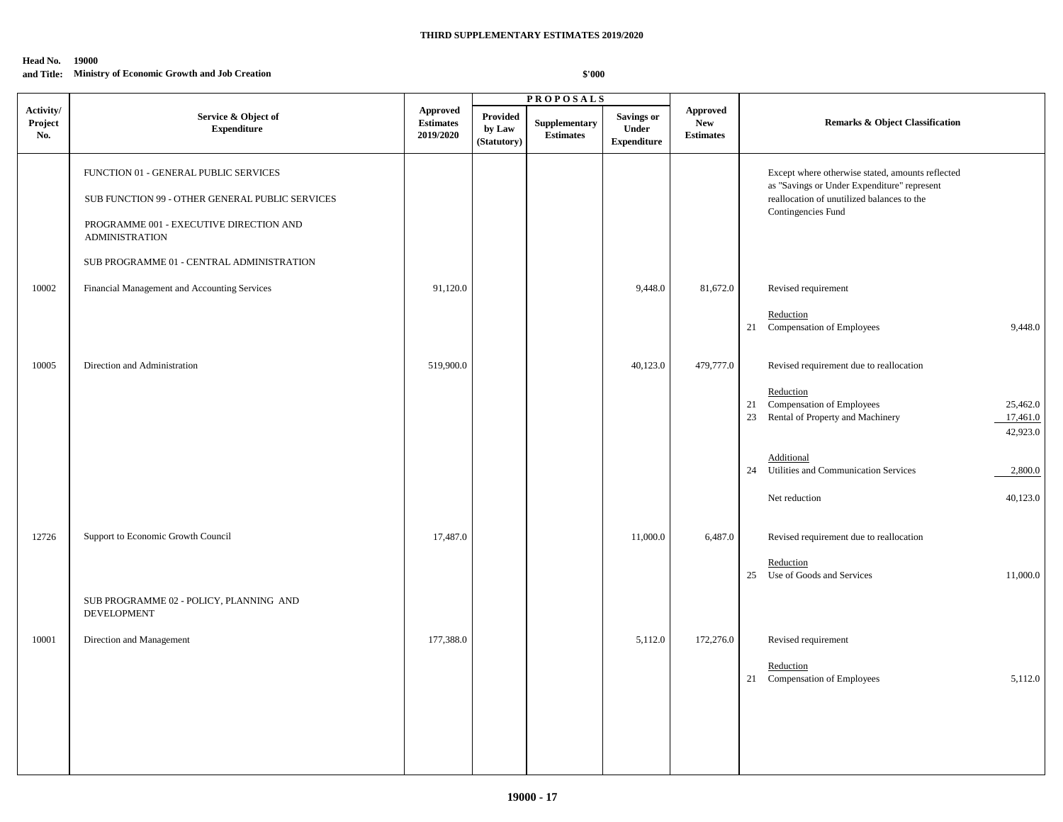## **and Title: Ministry of Economic Growth and Job Creation**

|                             |                                                                                                                                                                                                           |                                                  |                                   | <b>PROPOSALS</b>                  |                                                  |                                                   |                                                                                                                                                                     |
|-----------------------------|-----------------------------------------------------------------------------------------------------------------------------------------------------------------------------------------------------------|--------------------------------------------------|-----------------------------------|-----------------------------------|--------------------------------------------------|---------------------------------------------------|---------------------------------------------------------------------------------------------------------------------------------------------------------------------|
| Activity/<br>Project<br>No. | Service & Object of<br><b>Expenditure</b>                                                                                                                                                                 | <b>Approved</b><br><b>Estimates</b><br>2019/2020 | Provided<br>by Law<br>(Statutory) | Supplementary<br><b>Estimates</b> | <b>Savings or</b><br>Under<br><b>Expenditure</b> | <b>Approved</b><br><b>New</b><br><b>Estimates</b> | Remarks & Object Classification                                                                                                                                     |
|                             | FUNCTION 01 - GENERAL PUBLIC SERVICES<br>SUB FUNCTION 99 - OTHER GENERAL PUBLIC SERVICES<br>PROGRAMME 001 - EXECUTIVE DIRECTION AND<br><b>ADMINISTRATION</b><br>SUB PROGRAMME 01 - CENTRAL ADMINISTRATION |                                                  |                                   |                                   |                                                  |                                                   | Except where otherwise stated, amounts reflected<br>as "Savings or Under Expenditure" represent<br>reallocation of unutilized balances to the<br>Contingencies Fund |
|                             |                                                                                                                                                                                                           |                                                  |                                   |                                   |                                                  |                                                   |                                                                                                                                                                     |
| 10002                       | Financial Management and Accounting Services                                                                                                                                                              | 91,120.0                                         |                                   |                                   | 9,448.0                                          | 81,672.0                                          | Revised requirement                                                                                                                                                 |
|                             |                                                                                                                                                                                                           |                                                  |                                   |                                   |                                                  |                                                   | Reduction<br>21<br>Compensation of Employees<br>9,448.0                                                                                                             |
| 10005                       | Direction and Administration                                                                                                                                                                              | 519,900.0                                        |                                   |                                   | 40,123.0                                         | 479,777.0                                         | Revised requirement due to reallocation                                                                                                                             |
|                             |                                                                                                                                                                                                           |                                                  |                                   |                                   |                                                  |                                                   | Reduction<br>Compensation of Employees<br>25,462.0<br>21<br>Rental of Property and Machinery<br>23<br>17,461.0<br>42,923.0                                          |
|                             |                                                                                                                                                                                                           |                                                  |                                   |                                   |                                                  |                                                   | Additional<br>24 Utilities and Communication Services<br>2,800.0                                                                                                    |
|                             |                                                                                                                                                                                                           |                                                  |                                   |                                   |                                                  |                                                   | 40,123.0<br>Net reduction                                                                                                                                           |
| 12726                       | Support to Economic Growth Council                                                                                                                                                                        | 17,487.0                                         |                                   |                                   | 11,000.0                                         | 6,487.0                                           | Revised requirement due to reallocation                                                                                                                             |
|                             |                                                                                                                                                                                                           |                                                  |                                   |                                   |                                                  |                                                   | Reduction<br>25 Use of Goods and Services<br>11,000.0                                                                                                               |
|                             | SUB PROGRAMME 02 - POLICY, PLANNING AND<br>DEVELOPMENT                                                                                                                                                    |                                                  |                                   |                                   |                                                  |                                                   |                                                                                                                                                                     |
| 10001                       | Direction and Management                                                                                                                                                                                  | 177,388.0                                        |                                   |                                   | 5,112.0                                          | 172,276.0                                         | Revised requirement                                                                                                                                                 |
|                             |                                                                                                                                                                                                           |                                                  |                                   |                                   |                                                  |                                                   | Reduction<br>21 Compensation of Employees<br>5,112.0                                                                                                                |
|                             |                                                                                                                                                                                                           |                                                  |                                   |                                   |                                                  |                                                   |                                                                                                                                                                     |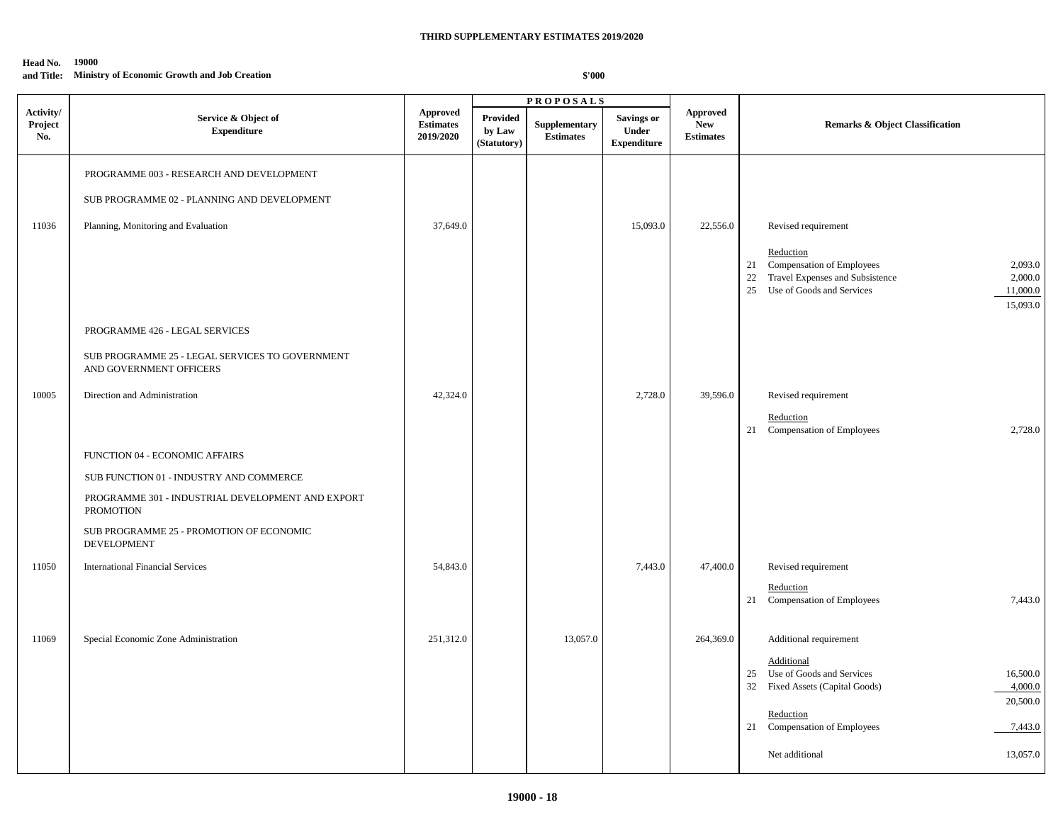#### **Head No. 19000 and Title: Ministry of Economic Growth and Job Creation**

|                             |                                                                            |                                           |                                   | <b>PROPOSALS</b>                  |                                                  |                                            |                                                                                                                                                                        |
|-----------------------------|----------------------------------------------------------------------------|-------------------------------------------|-----------------------------------|-----------------------------------|--------------------------------------------------|--------------------------------------------|------------------------------------------------------------------------------------------------------------------------------------------------------------------------|
| Activity/<br>Project<br>No. | Service & Object of<br><b>Expenditure</b>                                  | Approved<br><b>Estimates</b><br>2019/2020 | Provided<br>by Law<br>(Statutory) | Supplementary<br><b>Estimates</b> | <b>Savings or</b><br>Under<br><b>Expenditure</b> | Approved<br><b>New</b><br><b>Estimates</b> | <b>Remarks &amp; Object Classification</b>                                                                                                                             |
|                             | PROGRAMME 003 - RESEARCH AND DEVELOPMENT                                   |                                           |                                   |                                   |                                                  |                                            |                                                                                                                                                                        |
|                             | SUB PROGRAMME 02 - PLANNING AND DEVELOPMENT                                |                                           |                                   |                                   |                                                  |                                            |                                                                                                                                                                        |
| 11036                       | Planning, Monitoring and Evaluation                                        | 37,649.0                                  |                                   |                                   | 15,093.0                                         | 22,556.0                                   | Revised requirement                                                                                                                                                    |
|                             |                                                                            |                                           |                                   |                                   |                                                  |                                            | Reduction<br>Compensation of Employees<br>2,093.0<br>21<br>Travel Expenses and Subsistence<br>22<br>2,000.0<br>Use of Goods and Services<br>11,000.0<br>25<br>15,093.0 |
|                             | PROGRAMME 426 - LEGAL SERVICES                                             |                                           |                                   |                                   |                                                  |                                            |                                                                                                                                                                        |
|                             | SUB PROGRAMME 25 - LEGAL SERVICES TO GOVERNMENT<br>AND GOVERNMENT OFFICERS |                                           |                                   |                                   |                                                  |                                            |                                                                                                                                                                        |
| 10005                       | Direction and Administration                                               | 42,324.0                                  |                                   |                                   | 2,728.0                                          | 39,596.0                                   | Revised requirement                                                                                                                                                    |
|                             |                                                                            |                                           |                                   |                                   |                                                  |                                            | Reduction<br>Compensation of Employees<br>21<br>2,728.0                                                                                                                |
|                             | FUNCTION 04 - ECONOMIC AFFAIRS                                             |                                           |                                   |                                   |                                                  |                                            |                                                                                                                                                                        |
|                             | SUB FUNCTION 01 - INDUSTRY AND COMMERCE                                    |                                           |                                   |                                   |                                                  |                                            |                                                                                                                                                                        |
|                             | PROGRAMME 301 - INDUSTRIAL DEVELOPMENT AND EXPORT<br><b>PROMOTION</b>      |                                           |                                   |                                   |                                                  |                                            |                                                                                                                                                                        |
|                             | SUB PROGRAMME 25 - PROMOTION OF ECONOMIC<br><b>DEVELOPMENT</b>             |                                           |                                   |                                   |                                                  |                                            |                                                                                                                                                                        |
| 11050                       | <b>International Financial Services</b>                                    | 54,843.0                                  |                                   |                                   | 7,443.0                                          | 47,400.0                                   | Revised requirement                                                                                                                                                    |
|                             |                                                                            |                                           |                                   |                                   |                                                  |                                            | Reduction<br>7,443.0<br>Compensation of Employees<br>21                                                                                                                |
| 11069                       | Special Economic Zone Administration                                       | 251,312.0                                 |                                   | 13,057.0                          |                                                  | 264,369.0                                  | Additional requirement                                                                                                                                                 |
|                             |                                                                            |                                           |                                   |                                   |                                                  |                                            | Additional<br>Use of Goods and Services<br>25<br>16,500.0<br>32<br>Fixed Assets (Capital Goods)<br>4,000.0                                                             |
|                             |                                                                            |                                           |                                   |                                   |                                                  |                                            | 20,500.0<br>Reduction                                                                                                                                                  |
|                             |                                                                            |                                           |                                   |                                   |                                                  |                                            | 21 Compensation of Employees<br>7,443.0                                                                                                                                |
|                             |                                                                            |                                           |                                   |                                   |                                                  |                                            | Net additional<br>13,057.0                                                                                                                                             |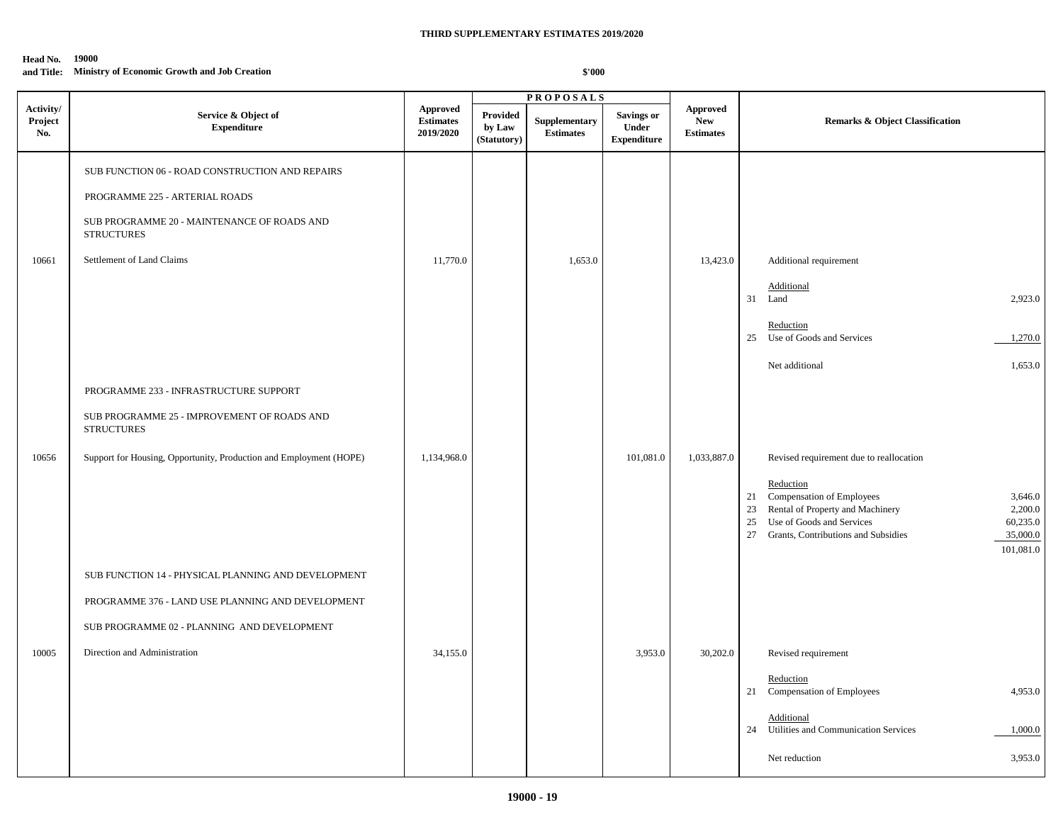#### **and Title: Ministry of Economic Growth and Job Creation**

|                             |                                                                                                                                                                                         |                                                  |                                          | <b>PROPOSALS</b>                  |                                                  |                                            |                                                                                                                                                                                                                                                                              |
|-----------------------------|-----------------------------------------------------------------------------------------------------------------------------------------------------------------------------------------|--------------------------------------------------|------------------------------------------|-----------------------------------|--------------------------------------------------|--------------------------------------------|------------------------------------------------------------------------------------------------------------------------------------------------------------------------------------------------------------------------------------------------------------------------------|
| Activity/<br>Project<br>No. | Service & Object of<br><b>Expenditure</b>                                                                                                                                               | <b>Approved</b><br><b>Estimates</b><br>2019/2020 | <b>Provided</b><br>by Law<br>(Statutory) | Supplementary<br><b>Estimates</b> | <b>Savings or</b><br>Under<br><b>Expenditure</b> | Approved<br><b>New</b><br><b>Estimates</b> | <b>Remarks &amp; Object Classification</b>                                                                                                                                                                                                                                   |
| 10661                       | SUB FUNCTION 06 - ROAD CONSTRUCTION AND REPAIRS<br>PROGRAMME 225 - ARTERIAL ROADS<br>SUB PROGRAMME 20 - MAINTENANCE OF ROADS AND<br><b>STRUCTURES</b><br>Settlement of Land Claims      | 11,770.0                                         |                                          | 1,653.0                           |                                                  | 13,423.0                                   | Additional requirement<br>Additional<br>31<br>2,923.0<br>Land                                                                                                                                                                                                                |
|                             |                                                                                                                                                                                         |                                                  |                                          |                                   |                                                  |                                            | Reduction<br>25<br>Use of Goods and Services<br>1,270.0<br>Net additional<br>1,653.0                                                                                                                                                                                         |
| 10656                       | PROGRAMME 233 - INFRASTRUCTURE SUPPORT<br>SUB PROGRAMME 25 - IMPROVEMENT OF ROADS AND<br><b>STRUCTURES</b><br>Support for Housing, Opportunity, Production and Employment (HOPE)        | 1,134,968.0                                      |                                          |                                   | 101,081.0                                        | 1,033,887.0                                | Revised requirement due to reallocation<br>Reduction<br>Compensation of Employees<br>3,646.0<br>21<br>2,200.0<br>Rental of Property and Machinery<br>23<br>Use of Goods and Services<br>60,235.0<br>25<br>35,000.0<br>27<br>Grants, Contributions and Subsidies<br>101,081.0 |
| 10005                       | SUB FUNCTION 14 - PHYSICAL PLANNING AND DEVELOPMENT<br>PROGRAMME 376 - LAND USE PLANNING AND DEVELOPMENT<br>SUB PROGRAMME 02 - PLANNING AND DEVELOPMENT<br>Direction and Administration | 34,155.0                                         |                                          |                                   | 3,953.0                                          | 30,202.0                                   | Revised requirement<br>Reduction<br>4,953.0<br>21 Compensation of Employees                                                                                                                                                                                                  |
|                             |                                                                                                                                                                                         |                                                  |                                          |                                   |                                                  |                                            | Additional<br>Utilities and Communication Services<br>1,000.0<br>24<br>3,953.0<br>Net reduction                                                                                                                                                                              |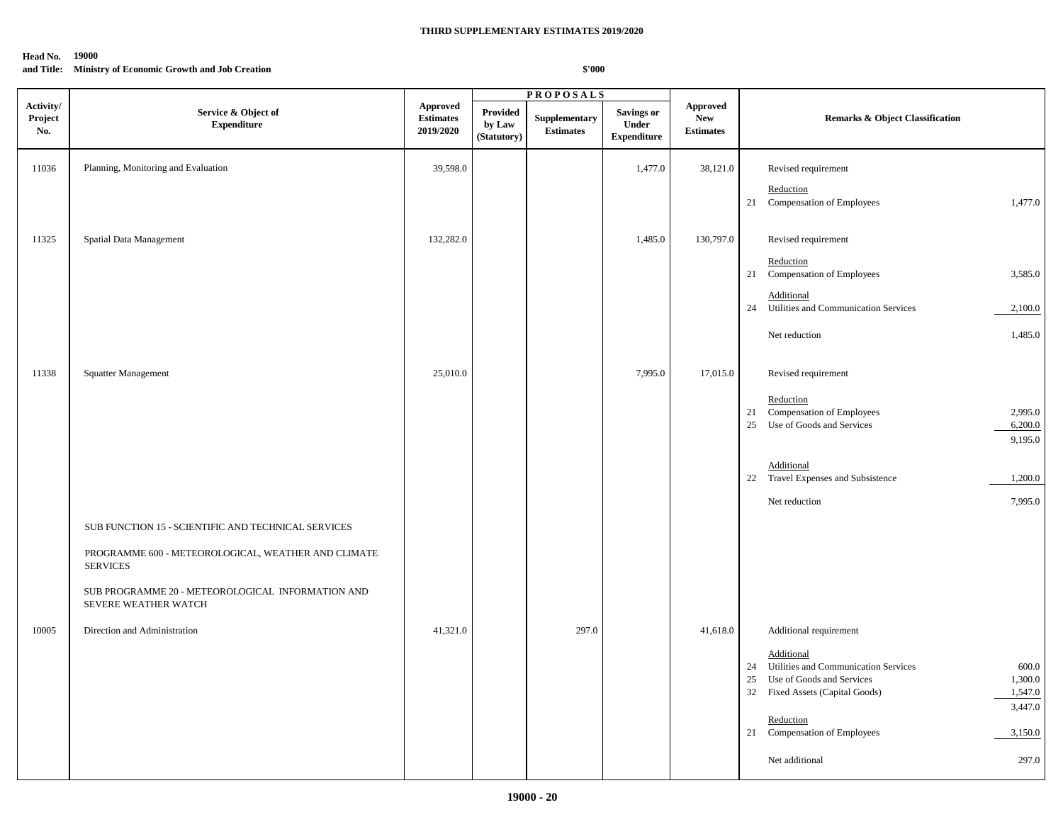#### **and Title: Ministry of Economic Growth and Job Creation**

|                             |                                                                           |                                                  |                                          | <b>PROPOSALS</b>                  |                                                  |                                                   |                                                                                                   |
|-----------------------------|---------------------------------------------------------------------------|--------------------------------------------------|------------------------------------------|-----------------------------------|--------------------------------------------------|---------------------------------------------------|---------------------------------------------------------------------------------------------------|
| Activity/<br>Project<br>No. | Service & Object of<br><b>Expenditure</b>                                 | <b>Approved</b><br><b>Estimates</b><br>2019/2020 | <b>Provided</b><br>by Law<br>(Statutory) | Supplementary<br><b>Estimates</b> | Savings or<br><b>Under</b><br><b>Expenditure</b> | <b>Approved</b><br><b>New</b><br><b>Estimates</b> | <b>Remarks &amp; Object Classification</b>                                                        |
| 11036                       | Planning, Monitoring and Evaluation                                       | 39,598.0                                         |                                          |                                   | 1,477.0                                          | 38,121.0                                          | Revised requirement                                                                               |
|                             |                                                                           |                                                  |                                          |                                   |                                                  |                                                   | Reduction<br>21<br>Compensation of Employees<br>1,477.0                                           |
| 11325                       | Spatial Data Management                                                   | 132,282.0                                        |                                          |                                   | 1,485.0                                          | 130,797.0                                         | Revised requirement                                                                               |
|                             |                                                                           |                                                  |                                          |                                   |                                                  |                                                   | Reduction<br>Compensation of Employees<br>3,585.0<br>21                                           |
|                             |                                                                           |                                                  |                                          |                                   |                                                  |                                                   | Additional<br>Utilities and Communication Services<br>24<br>2,100.0                               |
|                             |                                                                           |                                                  |                                          |                                   |                                                  |                                                   | 1,485.0<br>Net reduction                                                                          |
| 11338                       | Squatter Management                                                       | 25,010.0                                         |                                          |                                   | 7,995.0                                          | 17,015.0                                          | Revised requirement                                                                               |
|                             |                                                                           |                                                  |                                          |                                   |                                                  |                                                   | Reduction<br>Compensation of Employees<br>2,995.0<br>21                                           |
|                             |                                                                           |                                                  |                                          |                                   |                                                  |                                                   | Use of Goods and Services<br>25<br>6,200.0<br>9,195.0                                             |
|                             |                                                                           |                                                  |                                          |                                   |                                                  |                                                   | Additional<br>22 Travel Expenses and Subsistence<br>1,200.0                                       |
|                             |                                                                           |                                                  |                                          |                                   |                                                  |                                                   | 7,995.0<br>Net reduction                                                                          |
|                             | SUB FUNCTION 15 - SCIENTIFIC AND TECHNICAL SERVICES                       |                                                  |                                          |                                   |                                                  |                                                   |                                                                                                   |
|                             | PROGRAMME 600 - METEOROLOGICAL, WEATHER AND CLIMATE<br><b>SERVICES</b>    |                                                  |                                          |                                   |                                                  |                                                   |                                                                                                   |
|                             | SUB PROGRAMME 20 - METEOROLOGICAL INFORMATION AND<br>SEVERE WEATHER WATCH |                                                  |                                          |                                   |                                                  |                                                   |                                                                                                   |
| 10005                       | Direction and Administration                                              | 41,321.0                                         |                                          | 297.0                             |                                                  | 41,618.0                                          | Additional requirement                                                                            |
|                             |                                                                           |                                                  |                                          |                                   |                                                  |                                                   | Additional                                                                                        |
|                             |                                                                           |                                                  |                                          |                                   |                                                  |                                                   | Utilities and Communication Services<br>600.0<br>24<br>1,300.0<br>25<br>Use of Goods and Services |
|                             |                                                                           |                                                  |                                          |                                   |                                                  |                                                   | 32<br>Fixed Assets (Capital Goods)<br>1,547.0                                                     |
|                             |                                                                           |                                                  |                                          |                                   |                                                  |                                                   | 3,447.0                                                                                           |
|                             |                                                                           |                                                  |                                          |                                   |                                                  |                                                   | Reduction<br>Compensation of Employees<br>3,150.0<br>21                                           |
|                             |                                                                           |                                                  |                                          |                                   |                                                  |                                                   | Net additional<br>297.0                                                                           |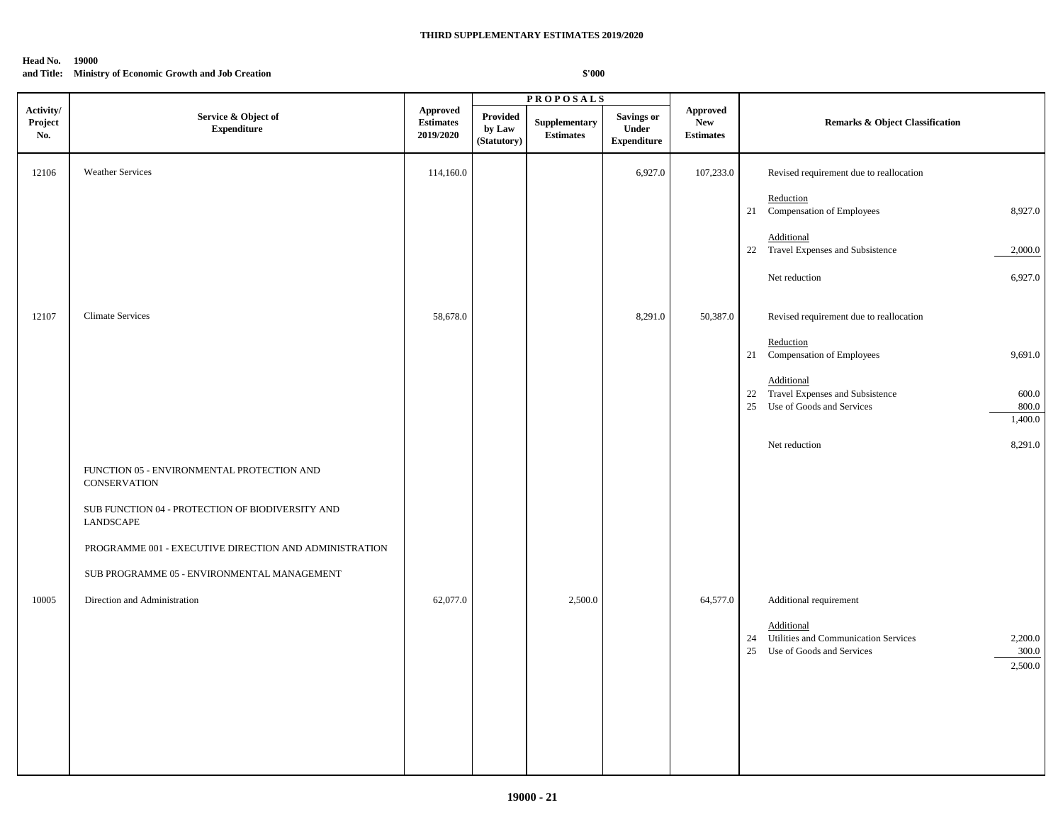## **and Title: Ministry of Economic Growth and Job Creation**

|                             |                                                                   |                                                  |                                          | <b>PROPOSALS</b>                  |                                                  |                                            |                                                                                                                         |
|-----------------------------|-------------------------------------------------------------------|--------------------------------------------------|------------------------------------------|-----------------------------------|--------------------------------------------------|--------------------------------------------|-------------------------------------------------------------------------------------------------------------------------|
| Activity/<br>Project<br>No. | Service & Object of<br>${\bf Expenditure}$                        | <b>Approved</b><br><b>Estimates</b><br>2019/2020 | <b>Provided</b><br>by Law<br>(Statutory) | Supplementary<br><b>Estimates</b> | <b>Savings or</b><br>Under<br><b>Expenditure</b> | Approved<br><b>New</b><br><b>Estimates</b> | <b>Remarks &amp; Object Classification</b>                                                                              |
| 12106                       | <b>Weather Services</b>                                           | 114,160.0                                        |                                          |                                   | 6,927.0                                          | 107,233.0                                  | Revised requirement due to reallocation                                                                                 |
|                             |                                                                   |                                                  |                                          |                                   |                                                  |                                            | Reduction<br>21 Compensation of Employees<br>8,927.0                                                                    |
|                             |                                                                   |                                                  |                                          |                                   |                                                  |                                            | Additional<br>22 Travel Expenses and Subsistence<br>2,000.0                                                             |
|                             |                                                                   |                                                  |                                          |                                   |                                                  |                                            | Net reduction<br>6,927.0                                                                                                |
| 12107                       | <b>Climate Services</b>                                           | 58,678.0                                         |                                          |                                   | 8,291.0                                          | 50,387.0                                   | Revised requirement due to reallocation                                                                                 |
|                             |                                                                   |                                                  |                                          |                                   |                                                  |                                            | Reduction<br>21 Compensation of Employees<br>9,691.0                                                                    |
|                             |                                                                   |                                                  |                                          |                                   |                                                  |                                            | Additional<br>22 Travel Expenses and Subsistence<br>$600.0\,$<br>25 Use of Goods and Services<br>800.0<br>1,400.0       |
|                             |                                                                   |                                                  |                                          |                                   |                                                  |                                            | Net reduction<br>8,291.0                                                                                                |
|                             | FUNCTION 05 - ENVIRONMENTAL PROTECTION AND<br><b>CONSERVATION</b> |                                                  |                                          |                                   |                                                  |                                            |                                                                                                                         |
|                             | SUB FUNCTION 04 - PROTECTION OF BIODIVERSITY AND<br>LANDSCAPE     |                                                  |                                          |                                   |                                                  |                                            |                                                                                                                         |
|                             | PROGRAMME 001 - EXECUTIVE DIRECTION AND ADMINISTRATION            |                                                  |                                          |                                   |                                                  |                                            |                                                                                                                         |
|                             | SUB PROGRAMME 05 - ENVIRONMENTAL MANAGEMENT                       |                                                  |                                          |                                   |                                                  |                                            |                                                                                                                         |
| 10005                       | Direction and Administration                                      | 62,077.0                                         |                                          | 2,500.0                           |                                                  | 64,577.0                                   | Additional requirement                                                                                                  |
|                             |                                                                   |                                                  |                                          |                                   |                                                  |                                            | Additional<br>24 Utilities and Communication Services<br>2,200.0<br>25<br>Use of Goods and Services<br>300.0<br>2,500.0 |
|                             |                                                                   |                                                  |                                          |                                   |                                                  |                                            |                                                                                                                         |
|                             |                                                                   |                                                  |                                          |                                   |                                                  |                                            |                                                                                                                         |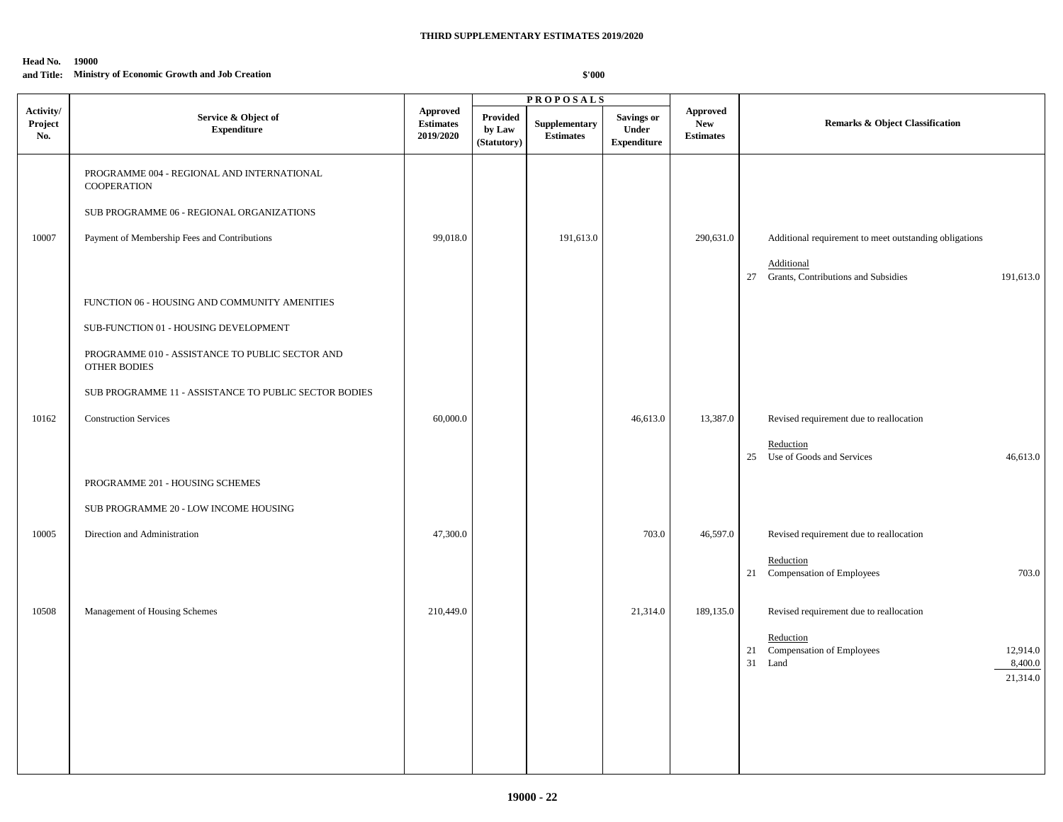#### **and Title: Ministry of Economic Growth and Job Creation**

|                             |                                                                        |                                                  |                                          | <b>PROPOSALS</b>                  |                                           |                                                   |                                                                                               |
|-----------------------------|------------------------------------------------------------------------|--------------------------------------------------|------------------------------------------|-----------------------------------|-------------------------------------------|---------------------------------------------------|-----------------------------------------------------------------------------------------------|
| Activity/<br>Project<br>No. | Service & Object of<br><b>Expenditure</b>                              | <b>Approved</b><br><b>Estimates</b><br>2019/2020 | <b>Provided</b><br>by Law<br>(Statutory) | Supplementary<br><b>Estimates</b> | Savings or<br>Under<br><b>Expenditure</b> | <b>Approved</b><br><b>New</b><br><b>Estimates</b> | Remarks & Object Classification                                                               |
|                             | PROGRAMME 004 - REGIONAL AND INTERNATIONAL<br><b>COOPERATION</b>       |                                                  |                                          |                                   |                                           |                                                   |                                                                                               |
|                             | SUB PROGRAMME 06 - REGIONAL ORGANIZATIONS                              |                                                  |                                          |                                   |                                           |                                                   |                                                                                               |
| 10007                       | Payment of Membership Fees and Contributions                           | 99,018.0                                         |                                          | 191,613.0                         |                                           | 290,631.0                                         | Additional requirement to meet outstanding obligations                                        |
|                             |                                                                        |                                                  |                                          |                                   |                                           |                                                   | Additional<br>27<br>Grants, Contributions and Subsidies<br>191,613.0                          |
|                             | FUNCTION 06 - HOUSING AND COMMUNITY AMENITIES                          |                                                  |                                          |                                   |                                           |                                                   |                                                                                               |
|                             | SUB-FUNCTION 01 - HOUSING DEVELOPMENT                                  |                                                  |                                          |                                   |                                           |                                                   |                                                                                               |
|                             | PROGRAMME 010 - ASSISTANCE TO PUBLIC SECTOR AND<br><b>OTHER BODIES</b> |                                                  |                                          |                                   |                                           |                                                   |                                                                                               |
|                             | SUB PROGRAMME 11 - ASSISTANCE TO PUBLIC SECTOR BODIES                  |                                                  |                                          |                                   |                                           |                                                   |                                                                                               |
| 10162                       | <b>Construction Services</b>                                           | 60,000.0                                         |                                          |                                   | 46,613.0                                  | 13,387.0                                          | Revised requirement due to reallocation                                                       |
|                             |                                                                        |                                                  |                                          |                                   |                                           |                                                   | Reduction<br>25 Use of Goods and Services<br>46,613.0                                         |
|                             | PROGRAMME 201 - HOUSING SCHEMES                                        |                                                  |                                          |                                   |                                           |                                                   |                                                                                               |
|                             | SUB PROGRAMME 20 - LOW INCOME HOUSING                                  |                                                  |                                          |                                   |                                           |                                                   |                                                                                               |
| 10005                       | Direction and Administration                                           | 47,300.0                                         |                                          |                                   | 703.0                                     | 46,597.0                                          | Revised requirement due to reallocation                                                       |
|                             |                                                                        |                                                  |                                          |                                   |                                           |                                                   | Reduction<br>21<br>Compensation of Employees<br>703.0                                         |
| 10508                       | Management of Housing Schemes                                          | 210,449.0                                        |                                          |                                   | 21,314.0                                  | 189,135.0                                         | Revised requirement due to reallocation                                                       |
|                             |                                                                        |                                                  |                                          |                                   |                                           |                                                   | Reduction<br>21<br>Compensation of Employees<br>12,914.0<br>31<br>8,400.0<br>Land<br>21,314.0 |
|                             |                                                                        |                                                  |                                          |                                   |                                           |                                                   |                                                                                               |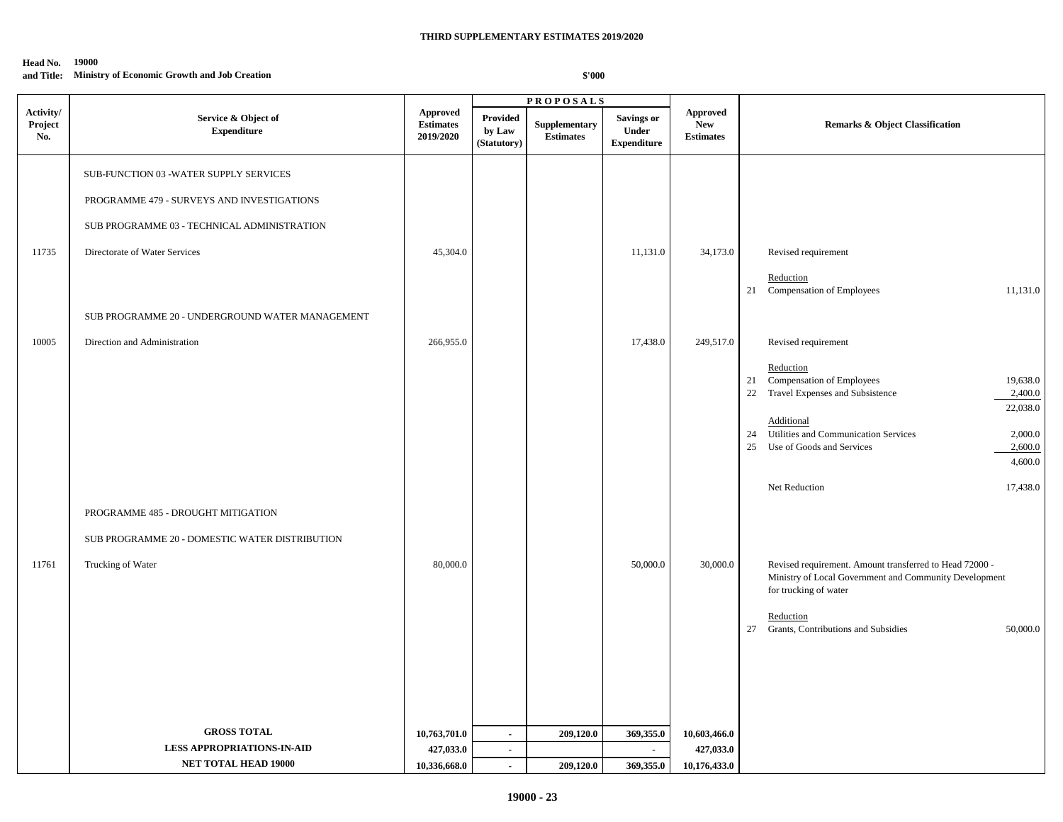#### **Head No. 19000 and Title: Ministry of Economic Growth and Job Creation**

|                             |                                                                                      |                                                  |                                          | <b>PROPOSALS</b>                  |                                                  |                                                   |                                                                                                                                            |
|-----------------------------|--------------------------------------------------------------------------------------|--------------------------------------------------|------------------------------------------|-----------------------------------|--------------------------------------------------|---------------------------------------------------|--------------------------------------------------------------------------------------------------------------------------------------------|
| Activity/<br>Project<br>No. | Service & Object of<br>${\bf Expenditure}$                                           | <b>Approved</b><br><b>Estimates</b><br>2019/2020 | <b>Provided</b><br>by Law<br>(Statutory) | Supplementary<br><b>Estimates</b> | <b>Savings or</b><br>Under<br><b>Expenditure</b> | <b>Approved</b><br><b>New</b><br><b>Estimates</b> | <b>Remarks &amp; Object Classification</b>                                                                                                 |
|                             | SUB-FUNCTION 03 -WATER SUPPLY SERVICES<br>PROGRAMME 479 - SURVEYS AND INVESTIGATIONS |                                                  |                                          |                                   |                                                  |                                                   |                                                                                                                                            |
|                             |                                                                                      |                                                  |                                          |                                   |                                                  |                                                   |                                                                                                                                            |
|                             | SUB PROGRAMME 03 - TECHNICAL ADMINISTRATION                                          |                                                  |                                          |                                   |                                                  |                                                   |                                                                                                                                            |
| 11735                       | Directorate of Water Services                                                        | 45,304.0                                         |                                          |                                   | 11,131.0                                         | 34,173.0                                          | Revised requirement                                                                                                                        |
|                             |                                                                                      |                                                  |                                          |                                   |                                                  |                                                   | Reduction<br>21 Compensation of Employees<br>11,131.0                                                                                      |
|                             | SUB PROGRAMME 20 - UNDERGROUND WATER MANAGEMENT                                      |                                                  |                                          |                                   |                                                  |                                                   |                                                                                                                                            |
| 10005                       | Direction and Administration                                                         | 266,955.0                                        |                                          |                                   | 17,438.0                                         | 249,517.0                                         | Revised requirement                                                                                                                        |
|                             |                                                                                      |                                                  |                                          |                                   |                                                  |                                                   | Reduction<br>21 Compensation of Employees<br>19,638.0<br>Travel Expenses and Subsistence<br>2,400.0<br>22                                  |
|                             |                                                                                      |                                                  |                                          |                                   |                                                  |                                                   | 22,038.0<br>Additional                                                                                                                     |
|                             |                                                                                      |                                                  |                                          |                                   |                                                  |                                                   | 24 Utilities and Communication Services<br>2,000.0<br>Use of Goods and Services<br>2,600.0<br>25                                           |
|                             |                                                                                      |                                                  |                                          |                                   |                                                  |                                                   | 4,600.0                                                                                                                                    |
|                             |                                                                                      |                                                  |                                          |                                   |                                                  |                                                   | Net Reduction<br>17,438.0                                                                                                                  |
|                             | PROGRAMME 485 - DROUGHT MITIGATION                                                   |                                                  |                                          |                                   |                                                  |                                                   |                                                                                                                                            |
|                             | SUB PROGRAMME 20 - DOMESTIC WATER DISTRIBUTION                                       |                                                  |                                          |                                   |                                                  |                                                   |                                                                                                                                            |
| 11761                       | Trucking of Water                                                                    | 80,000.0                                         |                                          |                                   | 50,000.0                                         | 30,000.0                                          | Revised requirement. Amount transferred to Head 72000 -<br>Ministry of Local Government and Community Development<br>for trucking of water |
|                             |                                                                                      |                                                  |                                          |                                   |                                                  |                                                   | Reduction<br>Grants, Contributions and Subsidies<br>27<br>50,000.0                                                                         |
|                             |                                                                                      |                                                  |                                          |                                   |                                                  |                                                   |                                                                                                                                            |
|                             | <b>GROSS TOTAL</b>                                                                   | 10,763,701.0                                     | $\sim$                                   | 209,120.0                         | 369,355.0                                        | 10,603,466.0                                      |                                                                                                                                            |
|                             | <b>LESS APPROPRIATIONS-IN-AID</b><br>NET TOTAL HEAD 19000                            | 427,033.0                                        | $\sim$                                   |                                   | $\sim$                                           | 427,033.0                                         |                                                                                                                                            |
|                             |                                                                                      | 10,336,668.0                                     | $\mathcal{L}^{\mathcal{L}}$              | 209,120.0                         | 369,355.0                                        | 10,176,433.0                                      |                                                                                                                                            |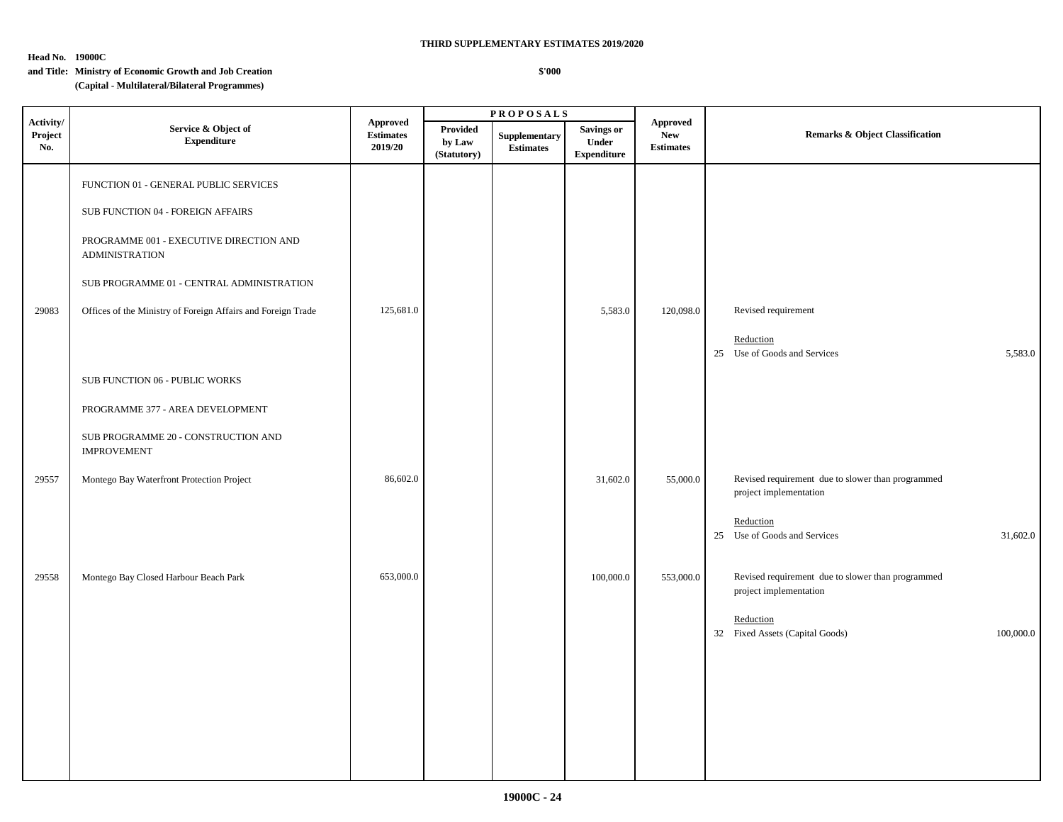**Head No. 19000C**

#### **\$'000**

|                             |                                                                            |                                                |                                   | $\overline{\text{PR}}$ O POSALS   |                                                  |                                            |                                                                             |  |
|-----------------------------|----------------------------------------------------------------------------|------------------------------------------------|-----------------------------------|-----------------------------------|--------------------------------------------------|--------------------------------------------|-----------------------------------------------------------------------------|--|
| Activity/<br>Project<br>No. | Service & Object of<br><b>Expenditure</b>                                  | <b>Approved</b><br><b>Estimates</b><br>2019/20 | Provided<br>by Law<br>(Statutory) | Supplementary<br><b>Estimates</b> | <b>Savings or</b><br>Under<br><b>Expenditure</b> | Approved<br><b>New</b><br><b>Estimates</b> | Remarks & Object Classification                                             |  |
|                             | FUNCTION 01 - GENERAL PUBLIC SERVICES<br>SUB FUNCTION 04 - FOREIGN AFFAIRS |                                                |                                   |                                   |                                                  |                                            |                                                                             |  |
|                             | PROGRAMME 001 - EXECUTIVE DIRECTION AND<br><b>ADMINISTRATION</b>           |                                                |                                   |                                   |                                                  |                                            |                                                                             |  |
|                             | SUB PROGRAMME 01 - CENTRAL ADMINISTRATION                                  |                                                |                                   |                                   |                                                  |                                            |                                                                             |  |
| 29083                       | Offices of the Ministry of Foreign Affairs and Foreign Trade               | 125,681.0                                      |                                   |                                   | 5,583.0                                          | 120,098.0                                  | Revised requirement                                                         |  |
|                             |                                                                            |                                                |                                   |                                   |                                                  |                                            | Reduction<br>25 Use of Goods and Services<br>5,583.0                        |  |
|                             | SUB FUNCTION 06 - PUBLIC WORKS                                             |                                                |                                   |                                   |                                                  |                                            |                                                                             |  |
|                             | PROGRAMME 377 - AREA DEVELOPMENT                                           |                                                |                                   |                                   |                                                  |                                            |                                                                             |  |
|                             | SUB PROGRAMME 20 - CONSTRUCTION AND<br><b>IMPROVEMENT</b>                  |                                                |                                   |                                   |                                                  |                                            |                                                                             |  |
| 29557                       | Montego Bay Waterfront Protection Project                                  | 86,602.0                                       |                                   |                                   | 31,602.0                                         | 55,000.0                                   | Revised requirement due to slower than programmed<br>project implementation |  |
|                             |                                                                            |                                                |                                   |                                   |                                                  |                                            | Reduction<br>31,602.0<br>25 Use of Goods and Services                       |  |
| 29558                       | Montego Bay Closed Harbour Beach Park                                      | 653,000.0                                      |                                   |                                   | 100,000.0                                        | 553,000.0                                  | Revised requirement due to slower than programmed<br>project implementation |  |
|                             |                                                                            |                                                |                                   |                                   |                                                  |                                            | Reduction<br>32 Fixed Assets (Capital Goods)<br>100,000.0                   |  |
|                             |                                                                            |                                                |                                   |                                   |                                                  |                                            |                                                                             |  |
|                             |                                                                            |                                                |                                   |                                   |                                                  |                                            |                                                                             |  |
|                             |                                                                            |                                                |                                   |                                   |                                                  |                                            |                                                                             |  |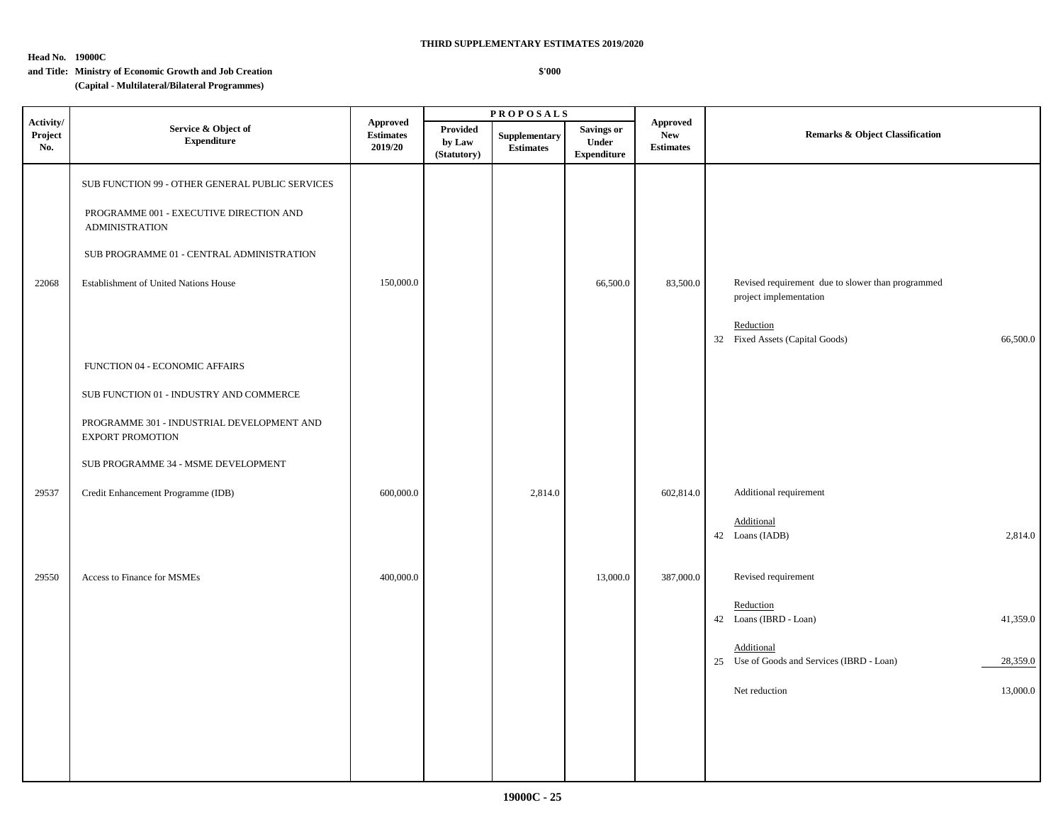**\$'000**

**Head No. 19000C**

|                             |                                                                                                                                                                                                                                                                                                                                                                 |                                                |                                   | <b>PROPOSALS</b>                  |                                                  |                                                   |                                                                                                                                         |  |
|-----------------------------|-----------------------------------------------------------------------------------------------------------------------------------------------------------------------------------------------------------------------------------------------------------------------------------------------------------------------------------------------------------------|------------------------------------------------|-----------------------------------|-----------------------------------|--------------------------------------------------|---------------------------------------------------|-----------------------------------------------------------------------------------------------------------------------------------------|--|
| Activity/<br>Project<br>No. | Service & Object of<br><b>Expenditure</b>                                                                                                                                                                                                                                                                                                                       | <b>Approved</b><br><b>Estimates</b><br>2019/20 | Provided<br>by Law<br>(Statutory) | Supplementary<br><b>Estimates</b> | <b>Savings or</b><br>Under<br><b>Expenditure</b> | <b>Approved</b><br><b>New</b><br><b>Estimates</b> | <b>Remarks &amp; Object Classification</b>                                                                                              |  |
| 22068                       | SUB FUNCTION 99 - OTHER GENERAL PUBLIC SERVICES<br>PROGRAMME 001 - EXECUTIVE DIRECTION AND<br><b>ADMINISTRATION</b><br>SUB PROGRAMME 01 - CENTRAL ADMINISTRATION<br>Establishment of United Nations House<br>FUNCTION 04 - ECONOMIC AFFAIRS<br>SUB FUNCTION 01 - INDUSTRY AND COMMERCE<br>PROGRAMME 301 - INDUSTRIAL DEVELOPMENT AND<br><b>EXPORT PROMOTION</b> | 150,000.0                                      |                                   |                                   | 66,500.0                                         | 83,500.0                                          | Revised requirement due to slower than programmed<br>project implementation<br>Reduction<br>32 Fixed Assets (Capital Goods)<br>66,500.0 |  |
|                             | SUB PROGRAMME 34 - MSME DEVELOPMENT                                                                                                                                                                                                                                                                                                                             |                                                |                                   |                                   |                                                  |                                                   |                                                                                                                                         |  |
| 29537                       | Credit Enhancement Programme (IDB)                                                                                                                                                                                                                                                                                                                              | 600,000.0                                      |                                   | 2,814.0                           |                                                  | 602,814.0                                         | Additional requirement<br>Additional<br>42 Loans (IADB)<br>2,814.0                                                                      |  |
| 29550                       | Access to Finance for MSMEs                                                                                                                                                                                                                                                                                                                                     | 400,000.0                                      |                                   |                                   | 13,000.0                                         | 387,000.0                                         | Revised requirement<br>Reduction                                                                                                        |  |
|                             |                                                                                                                                                                                                                                                                                                                                                                 |                                                |                                   |                                   |                                                  |                                                   | 42 Loans (IBRD - Loan)<br>41,359.0<br>Additional                                                                                        |  |
|                             |                                                                                                                                                                                                                                                                                                                                                                 |                                                |                                   |                                   |                                                  |                                                   | 25 Use of Goods and Services (IBRD - Loan)<br>28,359.0                                                                                  |  |
|                             |                                                                                                                                                                                                                                                                                                                                                                 |                                                |                                   |                                   |                                                  |                                                   | 13,000.0<br>Net reduction                                                                                                               |  |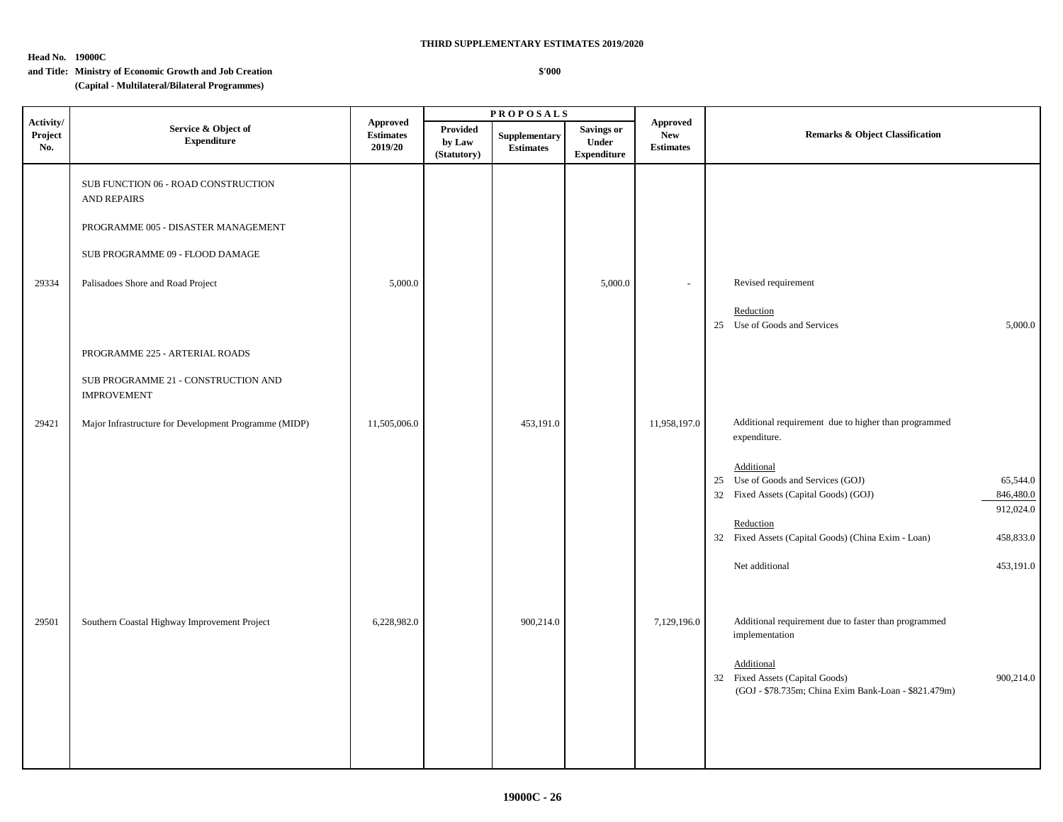**Head No. 19000C**

#### **\$'000**

|                             |                                                                                                                                                                                                                                                   | <b>PROPOSALS</b>                               |                                   |                                   |                                                  |                                                   |                                                                                                                                                                                                                                                                                                                         |
|-----------------------------|---------------------------------------------------------------------------------------------------------------------------------------------------------------------------------------------------------------------------------------------------|------------------------------------------------|-----------------------------------|-----------------------------------|--------------------------------------------------|---------------------------------------------------|-------------------------------------------------------------------------------------------------------------------------------------------------------------------------------------------------------------------------------------------------------------------------------------------------------------------------|
| Activity/<br>Project<br>No. | Service & Object of<br><b>Expenditure</b>                                                                                                                                                                                                         | <b>Approved</b><br><b>Estimates</b><br>2019/20 | Provided<br>by Law<br>(Statutory) | Supplementary<br><b>Estimates</b> | <b>Savings or</b><br>Under<br><b>Expenditure</b> | <b>Approved</b><br><b>New</b><br><b>Estimates</b> | <b>Remarks &amp; Object Classification</b>                                                                                                                                                                                                                                                                              |
| 29334                       | SUB FUNCTION 06 - ROAD CONSTRUCTION<br><b>AND REPAIRS</b><br>PROGRAMME 005 - DISASTER MANAGEMENT<br>SUB PROGRAMME 09 - FLOOD DAMAGE<br>Palisadoes Shore and Road Project<br>PROGRAMME 225 - ARTERIAL ROADS<br>SUB PROGRAMME 21 - CONSTRUCTION AND | 5,000.0                                        |                                   |                                   | 5,000.0                                          |                                                   | Revised requirement<br>Reduction<br>25 Use of Goods and Services<br>5,000.0                                                                                                                                                                                                                                             |
| 29421                       | <b>IMPROVEMENT</b><br>Major Infrastructure for Development Programme (MIDP)                                                                                                                                                                       | 11,505,006.0                                   |                                   | 453,191.0                         |                                                  | 11,958,197.0                                      | Additional requirement due to higher than programmed<br>expenditure.<br>Additional<br>25 Use of Goods and Services (GOJ)<br>65,544.0<br>32 Fixed Assets (Capital Goods) (GOJ)<br>846,480.0<br>912,024.0<br>Reduction<br>32 Fixed Assets (Capital Goods) (China Exim - Loan)<br>458,833.0<br>Net additional<br>453,191.0 |
| 29501                       | Southern Coastal Highway Improvement Project                                                                                                                                                                                                      | 6,228,982.0                                    |                                   | 900,214.0                         |                                                  | 7,129,196.0                                       | Additional requirement due to faster than programmed<br>implementation<br>Additional<br>32 Fixed Assets (Capital Goods)<br>900,214.0<br>(GOJ - \$78.735m; China Exim Bank-Loan - \$821.479m)                                                                                                                            |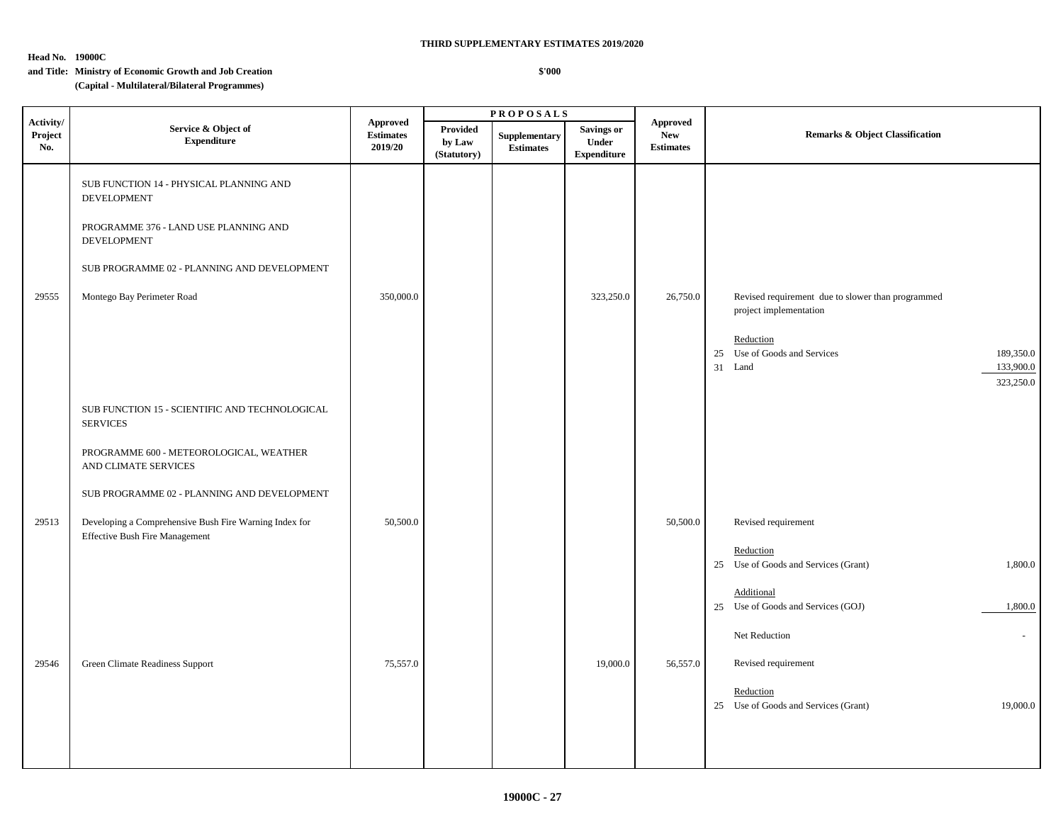**Head No. 19000C**

# **and Title: Ministry of Economic Growth and Job Creation**

 **\$'000**

|                             |                                                                                          |                                                |                                          | <b>PROPOSALS</b>                  |                                                         |                                                   | <b>Remarks &amp; Object Classification</b>                                                                                                                    |  |
|-----------------------------|------------------------------------------------------------------------------------------|------------------------------------------------|------------------------------------------|-----------------------------------|---------------------------------------------------------|---------------------------------------------------|---------------------------------------------------------------------------------------------------------------------------------------------------------------|--|
| Activity/<br>Project<br>No. | Service & Object of<br><b>Expenditure</b>                                                | <b>Approved</b><br><b>Estimates</b><br>2019/20 | <b>Provided</b><br>by Law<br>(Statutory) | Supplementary<br><b>Estimates</b> | <b>Savings or</b><br><b>Under</b><br><b>Expenditure</b> | <b>Approved</b><br><b>New</b><br><b>Estimates</b> |                                                                                                                                                               |  |
|                             | SUB FUNCTION 14 - PHYSICAL PLANNING AND<br><b>DEVELOPMENT</b>                            |                                                |                                          |                                   |                                                         |                                                   |                                                                                                                                                               |  |
|                             | PROGRAMME 376 - LAND USE PLANNING AND<br>DEVELOPMENT                                     |                                                |                                          |                                   |                                                         |                                                   |                                                                                                                                                               |  |
|                             | SUB PROGRAMME 02 - PLANNING AND DEVELOPMENT                                              |                                                |                                          |                                   |                                                         |                                                   |                                                                                                                                                               |  |
| 29555                       | Montego Bay Perimeter Road                                                               | 350,000.0                                      |                                          |                                   | 323,250.0                                               | 26,750.0                                          | Revised requirement due to slower than programmed<br>project implementation<br>Reduction<br>25 Use of Goods and Services<br>189,350.0<br>31 Land<br>133,900.0 |  |
|                             |                                                                                          |                                                |                                          |                                   |                                                         |                                                   | 323,250.0                                                                                                                                                     |  |
|                             | SUB FUNCTION 15 - SCIENTIFIC AND TECHNOLOGICAL<br><b>SERVICES</b>                        |                                                |                                          |                                   |                                                         |                                                   |                                                                                                                                                               |  |
|                             | PROGRAMME 600 - METEOROLOGICAL, WEATHER<br>AND CLIMATE SERVICES                          |                                                |                                          |                                   |                                                         |                                                   |                                                                                                                                                               |  |
|                             | SUB PROGRAMME 02 - PLANNING AND DEVELOPMENT                                              |                                                |                                          |                                   |                                                         |                                                   |                                                                                                                                                               |  |
| 29513                       | Developing a Comprehensive Bush Fire Warning Index for<br>Effective Bush Fire Management | 50,500.0                                       |                                          |                                   |                                                         | 50,500.0                                          | Revised requirement                                                                                                                                           |  |
|                             |                                                                                          |                                                |                                          |                                   |                                                         |                                                   | Reduction<br>25 Use of Goods and Services (Grant)<br>1,800.0                                                                                                  |  |
|                             |                                                                                          |                                                |                                          |                                   |                                                         |                                                   | <b>Additional</b><br>25 Use of Goods and Services (GOJ)<br>1,800.0                                                                                            |  |
|                             |                                                                                          |                                                |                                          |                                   |                                                         |                                                   | Net Reduction<br>$\sim$                                                                                                                                       |  |
| 29546                       | Green Climate Readiness Support                                                          | 75,557.0                                       |                                          |                                   | 19,000.0                                                | 56,557.0                                          | Revised requirement                                                                                                                                           |  |
|                             |                                                                                          |                                                |                                          |                                   |                                                         |                                                   | Reduction<br>25 Use of Goods and Services (Grant)<br>19,000.0                                                                                                 |  |
|                             |                                                                                          |                                                |                                          |                                   |                                                         |                                                   |                                                                                                                                                               |  |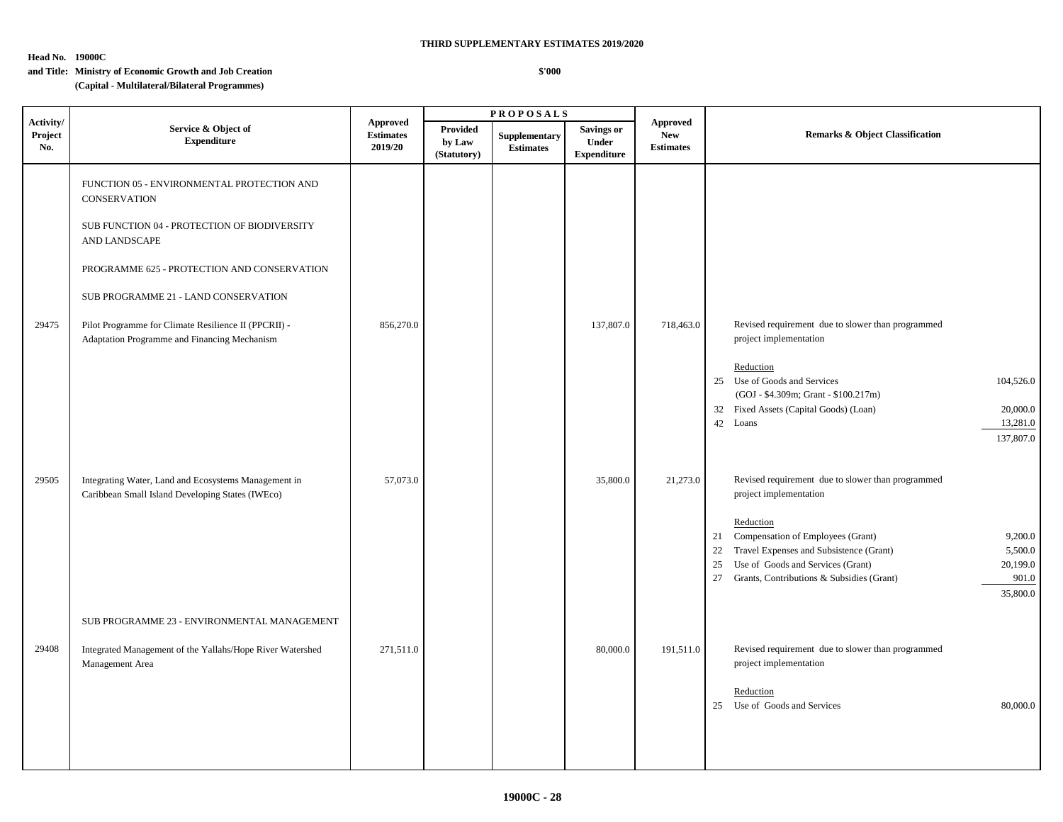**Head No. 19000C**

# **and Title: Ministry of Economic Growth and Job Creation**

 **\$'000**

|                             |                                                                                                          |                                                | <b>PROPOSALS</b>                         |                                   |                                                  |                                                   |                                                                                                                                                                                                                                                         |  |  |
|-----------------------------|----------------------------------------------------------------------------------------------------------|------------------------------------------------|------------------------------------------|-----------------------------------|--------------------------------------------------|---------------------------------------------------|---------------------------------------------------------------------------------------------------------------------------------------------------------------------------------------------------------------------------------------------------------|--|--|
| Activity/<br>Project<br>No. | Service & Object of<br><b>Expenditure</b>                                                                | <b>Approved</b><br><b>Estimates</b><br>2019/20 | <b>Provided</b><br>by Law<br>(Statutory) | Supplementary<br><b>Estimates</b> | <b>Savings or</b><br>Under<br><b>Expenditure</b> | <b>Approved</b><br><b>New</b><br><b>Estimates</b> | <b>Remarks &amp; Object Classification</b>                                                                                                                                                                                                              |  |  |
|                             | FUNCTION 05 - ENVIRONMENTAL PROTECTION AND<br><b>CONSERVATION</b>                                        |                                                |                                          |                                   |                                                  |                                                   |                                                                                                                                                                                                                                                         |  |  |
|                             | SUB FUNCTION 04 - PROTECTION OF BIODIVERSITY<br>AND LANDSCAPE                                            |                                                |                                          |                                   |                                                  |                                                   |                                                                                                                                                                                                                                                         |  |  |
|                             | PROGRAMME 625 - PROTECTION AND CONSERVATION                                                              |                                                |                                          |                                   |                                                  |                                                   |                                                                                                                                                                                                                                                         |  |  |
|                             | SUB PROGRAMME 21 - LAND CONSERVATION                                                                     |                                                |                                          |                                   |                                                  |                                                   |                                                                                                                                                                                                                                                         |  |  |
| 29475                       | Pilot Programme for Climate Resilience II (PPCRII) -<br>Adaptation Programme and Financing Mechanism     | 856,270.0                                      |                                          |                                   | 137,807.0                                        | 718,463.0                                         | Revised requirement due to slower than programmed<br>project implementation                                                                                                                                                                             |  |  |
|                             |                                                                                                          |                                                |                                          |                                   |                                                  |                                                   | Reduction<br>25 Use of Goods and Services<br>104,526.0<br>(GOJ - \$4.309m; Grant - \$100.217m)<br>32 Fixed Assets (Capital Goods) (Loan)<br>20,000.0<br>42 Loans<br>13,281.0                                                                            |  |  |
| 29505                       | Integrating Water, Land and Ecosystems Management in<br>Caribbean Small Island Developing States (IWEco) | 57,073.0                                       |                                          |                                   | 35,800.0                                         | 21,273.0                                          | 137,807.0<br>Revised requirement due to slower than programmed<br>project implementation                                                                                                                                                                |  |  |
|                             |                                                                                                          |                                                |                                          |                                   |                                                  |                                                   | Reduction<br>21 Compensation of Employees (Grant)<br>9,200.0<br>Travel Expenses and Subsistence (Grant)<br>5,500.0<br>22<br>20,199.0<br>Use of Goods and Services (Grant)<br>25<br>Grants, Contributions & Subsidies (Grant)<br>901.0<br>27<br>35,800.0 |  |  |
|                             | SUB PROGRAMME 23 - ENVIRONMENTAL MANAGEMENT                                                              |                                                |                                          |                                   |                                                  |                                                   |                                                                                                                                                                                                                                                         |  |  |
| 29408                       | Integrated Management of the Yallahs/Hope River Watershed<br>Management Area                             | 271,511.0                                      |                                          |                                   | 80,000.0                                         | 191,511.0                                         | Revised requirement due to slower than programmed<br>project implementation<br>Reduction<br>25 Use of Goods and Services<br>80,000.0                                                                                                                    |  |  |
|                             |                                                                                                          |                                                |                                          |                                   |                                                  |                                                   |                                                                                                                                                                                                                                                         |  |  |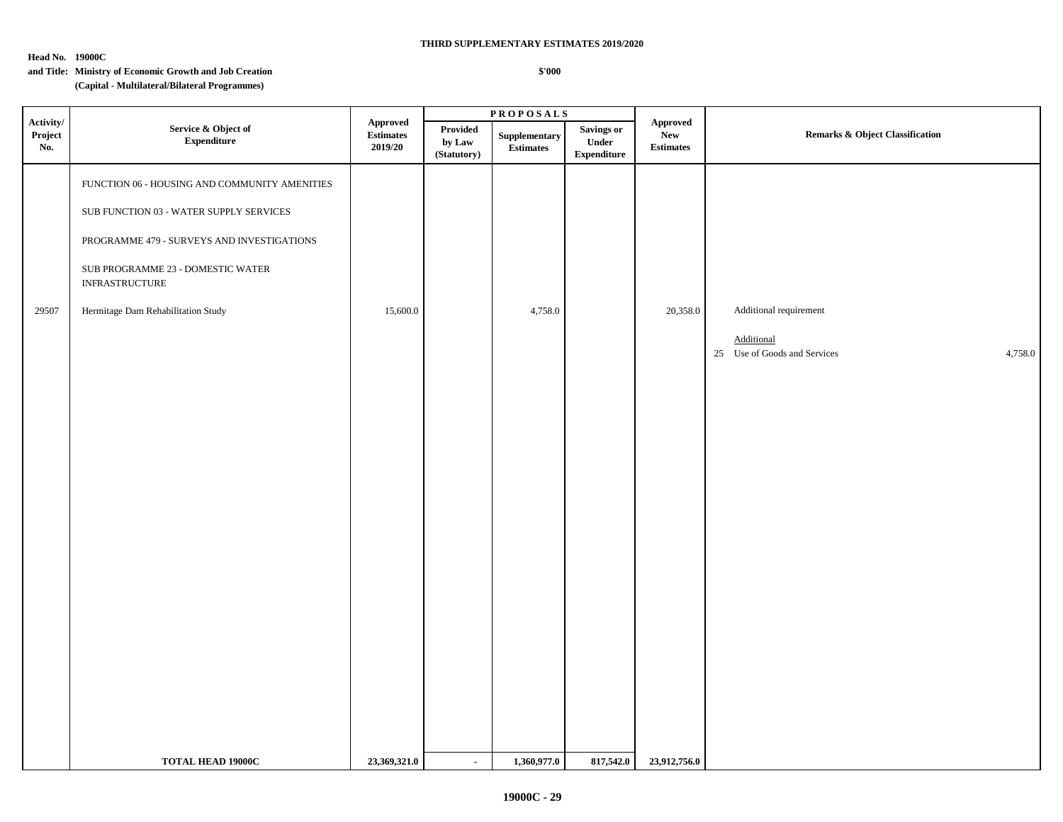**Head No. 19000C**

#### **\$'000**

|                             |                                                            |                                                                                       |                                   | <b>PROPOSALS</b>                                  |                                                           |                                                         |                                                       |  |
|-----------------------------|------------------------------------------------------------|---------------------------------------------------------------------------------------|-----------------------------------|---------------------------------------------------|-----------------------------------------------------------|---------------------------------------------------------|-------------------------------------------------------|--|
| Activity/<br>Project<br>No. | Service & Object of<br>${\bf Expenditure}$                 | Approved<br>$\label{1.1} \begin{array}{ll} \textbf{Estimates} \end{array}$<br>2019/20 | Provided<br>by Law<br>(Statutory) | Supplementary<br>$\label{1.1} \textbf{Estimates}$ | <b>Savings or</b><br>${\bf Under}$<br>${\bf Expenditure}$ | ${\Large\bf\large A}$<br><b>New</b><br><b>Estimates</b> | <b>Remarks &amp; Object Classification</b>            |  |
|                             | FUNCTION 06 - HOUSING AND COMMUNITY AMENITIES              |                                                                                       |                                   |                                                   |                                                           |                                                         |                                                       |  |
|                             | ${\rm SUB}$ FUNCTION 03 - WATER SUPPLY SERVICES            |                                                                                       |                                   |                                                   |                                                           |                                                         |                                                       |  |
|                             | PROGRAMME 479 - SURVEYS AND INVESTIGATIONS                 |                                                                                       |                                   |                                                   |                                                           |                                                         |                                                       |  |
|                             | SUB PROGRAMME 23 - DOMESTIC WATER<br><b>INFRASTRUCTURE</b> |                                                                                       |                                   |                                                   |                                                           |                                                         |                                                       |  |
| 29507                       | Hermitage Dam Rehabilitation Study                         | 15,600.0                                                                              |                                   | 4,758.0                                           |                                                           | 20,358.0                                                | Additional requirement                                |  |
|                             |                                                            |                                                                                       |                                   |                                                   |                                                           |                                                         | Additional<br>25 Use of Goods and Services<br>4,758.0 |  |
|                             |                                                            |                                                                                       |                                   |                                                   |                                                           |                                                         |                                                       |  |
|                             |                                                            |                                                                                       |                                   |                                                   |                                                           |                                                         |                                                       |  |
|                             |                                                            |                                                                                       |                                   |                                                   |                                                           |                                                         |                                                       |  |
|                             |                                                            |                                                                                       |                                   |                                                   |                                                           |                                                         |                                                       |  |
|                             |                                                            |                                                                                       |                                   |                                                   |                                                           |                                                         |                                                       |  |
|                             |                                                            |                                                                                       |                                   |                                                   |                                                           |                                                         |                                                       |  |
|                             |                                                            |                                                                                       |                                   |                                                   |                                                           |                                                         |                                                       |  |
|                             |                                                            |                                                                                       |                                   |                                                   |                                                           |                                                         |                                                       |  |
|                             |                                                            |                                                                                       |                                   |                                                   |                                                           |                                                         |                                                       |  |
|                             |                                                            |                                                                                       |                                   |                                                   |                                                           |                                                         |                                                       |  |
|                             |                                                            |                                                                                       |                                   |                                                   |                                                           |                                                         |                                                       |  |
|                             |                                                            |                                                                                       |                                   |                                                   |                                                           |                                                         |                                                       |  |
|                             | TOTAL HEAD 19000C                                          | 23,369,321.0                                                                          | $\sim$                            | 1,360,977.0                                       | 817,542.0                                                 | 23,912,756.0                                            |                                                       |  |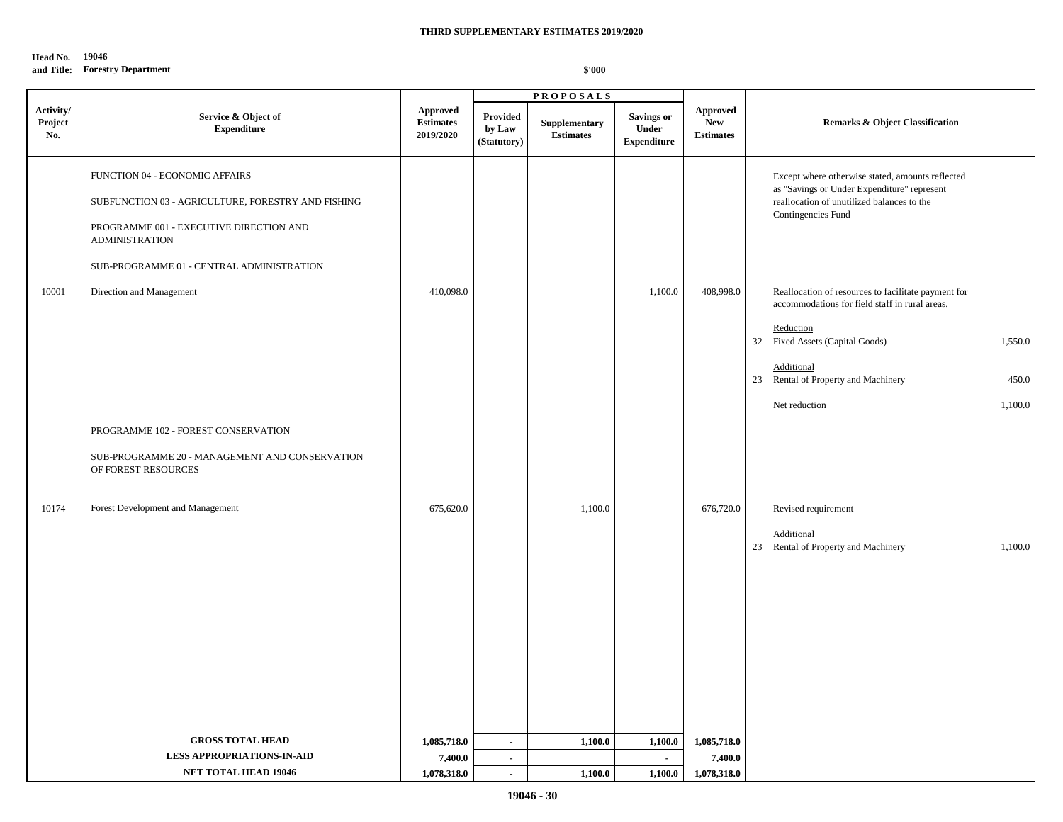#### **Head No. 19046**

## **and Title: Forestry Department**

|                             |                                                                                                                                                                                                       |                                                  |                                          | <b>PROPOSALS</b>                  |                                                  |                                                   |                                                                                                                                                                     |
|-----------------------------|-------------------------------------------------------------------------------------------------------------------------------------------------------------------------------------------------------|--------------------------------------------------|------------------------------------------|-----------------------------------|--------------------------------------------------|---------------------------------------------------|---------------------------------------------------------------------------------------------------------------------------------------------------------------------|
| Activity/<br>Project<br>No. | Service & Object of<br><b>Expenditure</b>                                                                                                                                                             | <b>Approved</b><br><b>Estimates</b><br>2019/2020 | <b>Provided</b><br>by Law<br>(Statutory) | Supplementary<br><b>Estimates</b> | <b>Savings or</b><br>Under<br><b>Expenditure</b> | <b>Approved</b><br><b>New</b><br><b>Estimates</b> | <b>Remarks &amp; Object Classification</b>                                                                                                                          |
|                             | FUNCTION 04 - ECONOMIC AFFAIRS<br>SUBFUNCTION 03 - AGRICULTURE, FORESTRY AND FISHING<br>PROGRAMME 001 - EXECUTIVE DIRECTION AND<br><b>ADMINISTRATION</b><br>SUB-PROGRAMME 01 - CENTRAL ADMINISTRATION |                                                  |                                          |                                   |                                                  |                                                   | Except where otherwise stated, amounts reflected<br>as "Savings or Under Expenditure" represent<br>reallocation of unutilized balances to the<br>Contingencies Fund |
| 10001                       | Direction and Management                                                                                                                                                                              | 410,098.0                                        |                                          |                                   | 1,100.0                                          | 408,998.0                                         | Reallocation of resources to facilitate payment for<br>accommodations for field staff in rural areas.<br>Reduction                                                  |
|                             |                                                                                                                                                                                                       |                                                  |                                          |                                   |                                                  |                                                   | 32 Fixed Assets (Capital Goods)<br>1,550.0                                                                                                                          |
|                             |                                                                                                                                                                                                       |                                                  |                                          |                                   |                                                  |                                                   | Additional<br>23 Rental of Property and Machinery<br>450.0                                                                                                          |
|                             |                                                                                                                                                                                                       |                                                  |                                          |                                   |                                                  |                                                   | Net reduction<br>1,100.0                                                                                                                                            |
|                             | PROGRAMME 102 - FOREST CONSERVATION                                                                                                                                                                   |                                                  |                                          |                                   |                                                  |                                                   |                                                                                                                                                                     |
|                             | SUB-PROGRAMME 20 - MANAGEMENT AND CONSERVATION<br>OF FOREST RESOURCES                                                                                                                                 |                                                  |                                          |                                   |                                                  |                                                   |                                                                                                                                                                     |
| 10174                       | Forest Development and Management                                                                                                                                                                     | 675,620.0                                        |                                          | 1,100.0                           |                                                  | 676,720.0                                         | Revised requirement                                                                                                                                                 |
|                             |                                                                                                                                                                                                       |                                                  |                                          |                                   |                                                  |                                                   | Additional<br>23 Rental of Property and Machinery<br>1,100.0                                                                                                        |
|                             |                                                                                                                                                                                                       |                                                  |                                          |                                   |                                                  |                                                   |                                                                                                                                                                     |
|                             | <b>GROSS TOTAL HEAD</b>                                                                                                                                                                               |                                                  | $\mathcal{L}_{\mathcal{A}}$              | 1,100.0                           |                                                  |                                                   |                                                                                                                                                                     |
|                             | <b>LESS APPROPRIATIONS-IN-AID</b>                                                                                                                                                                     | 1,085,718.0<br>7,400.0                           | $\blacksquare$                           |                                   | 1,100.0<br>$\blacksquare$                        | 1,085,718.0<br>7,400.0                            |                                                                                                                                                                     |
|                             | <b>NET TOTAL HEAD 19046</b>                                                                                                                                                                           | 1,078,318.0                                      | $\sim$                                   | 1,100.0                           | 1,100.0                                          | 1,078,318.0                                       |                                                                                                                                                                     |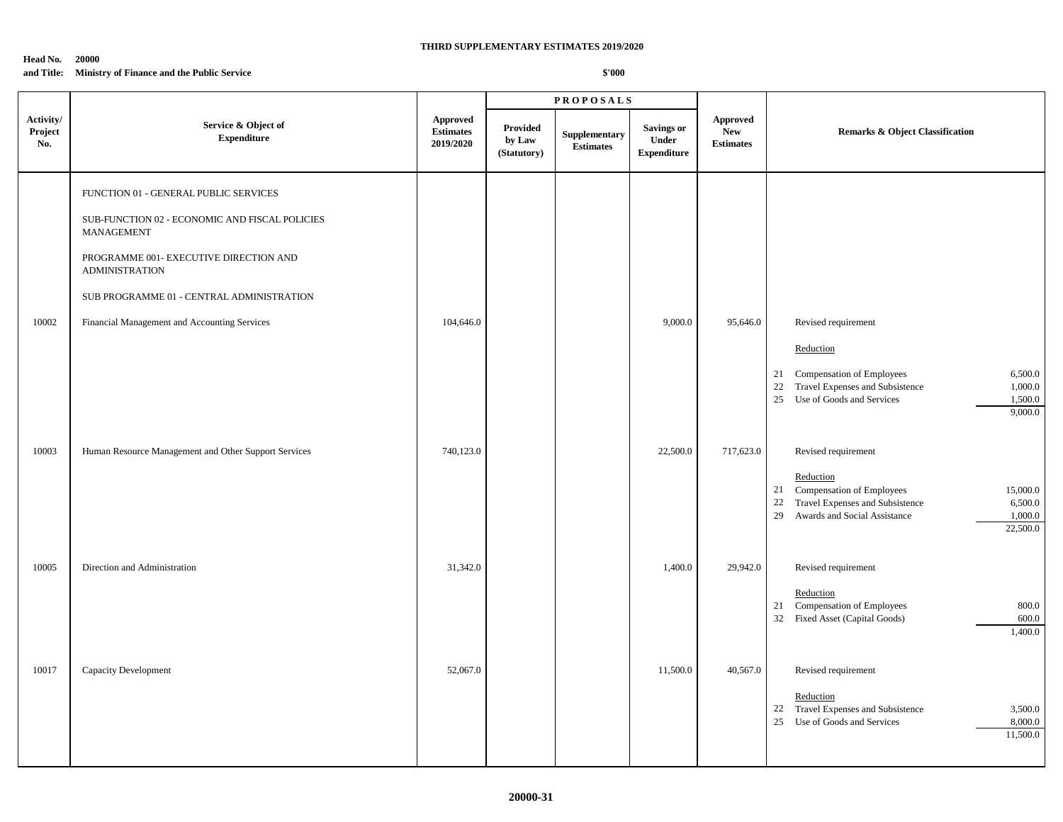#### **Head No. 20000 and Title: Ministry of Finance and the Public Service**

|                             |                                                                                                                                                                                                                                                                              |                                                  | <b>PROPOSALS</b>                  |                                   |                                                  |                                                   |                                                                                                                                                                                               |
|-----------------------------|------------------------------------------------------------------------------------------------------------------------------------------------------------------------------------------------------------------------------------------------------------------------------|--------------------------------------------------|-----------------------------------|-----------------------------------|--------------------------------------------------|---------------------------------------------------|-----------------------------------------------------------------------------------------------------------------------------------------------------------------------------------------------|
| Activity/<br>Project<br>No. | Service & Object of<br><b>Expenditure</b>                                                                                                                                                                                                                                    | <b>Approved</b><br><b>Estimates</b><br>2019/2020 | Provided<br>by Law<br>(Statutory) | Supplementary<br><b>Estimates</b> | <b>Savings or</b><br>Under<br><b>Expenditure</b> | <b>Approved</b><br><b>New</b><br><b>Estimates</b> | <b>Remarks &amp; Object Classification</b>                                                                                                                                                    |
| 10002                       | FUNCTION 01 - GENERAL PUBLIC SERVICES<br>SUB-FUNCTION 02 - ECONOMIC AND FISCAL POLICIES<br><b>MANAGEMENT</b><br>PROGRAMME 001- EXECUTIVE DIRECTION AND<br><b>ADMINISTRATION</b><br>SUB PROGRAMME 01 - CENTRAL ADMINISTRATION<br>Financial Management and Accounting Services | 104,646.0                                        |                                   |                                   | 9,000.0                                          | 95,646.0                                          | Revised requirement<br>Reduction                                                                                                                                                              |
|                             |                                                                                                                                                                                                                                                                              |                                                  |                                   |                                   |                                                  |                                                   | 21 Compensation of Employees<br>6,500.0<br>Travel Expenses and Subsistence<br>22<br>1,000.0<br>25<br>Use of Goods and Services<br>1,500.0<br>9,000.0                                          |
| 10003                       | Human Resource Management and Other Support Services                                                                                                                                                                                                                         | 740,123.0                                        |                                   |                                   | 22,500.0                                         | 717,623.0                                         | Revised requirement<br>Reduction<br>21 Compensation of Employees<br>15,000.0<br>22<br>Travel Expenses and Subsistence<br>6,500.0<br>Awards and Social Assistance<br>29<br>1,000.0<br>22,500.0 |
| 10005                       | Direction and Administration                                                                                                                                                                                                                                                 | 31,342.0                                         |                                   |                                   | 1,400.0                                          | 29,942.0                                          | Revised requirement<br>Reduction<br>Compensation of Employees<br>800.0<br>21<br>32 Fixed Asset (Capital Goods)<br>600.0<br>1,400.0                                                            |
| 10017                       | Capacity Development                                                                                                                                                                                                                                                         | 52,067.0                                         |                                   |                                   | 11,500.0                                         | 40,567.0                                          | Revised requirement<br>Reduction<br>22 Travel Expenses and Subsistence<br>3,500.0<br>25<br>Use of Goods and Services<br>8,000.0<br>11,500.0                                                   |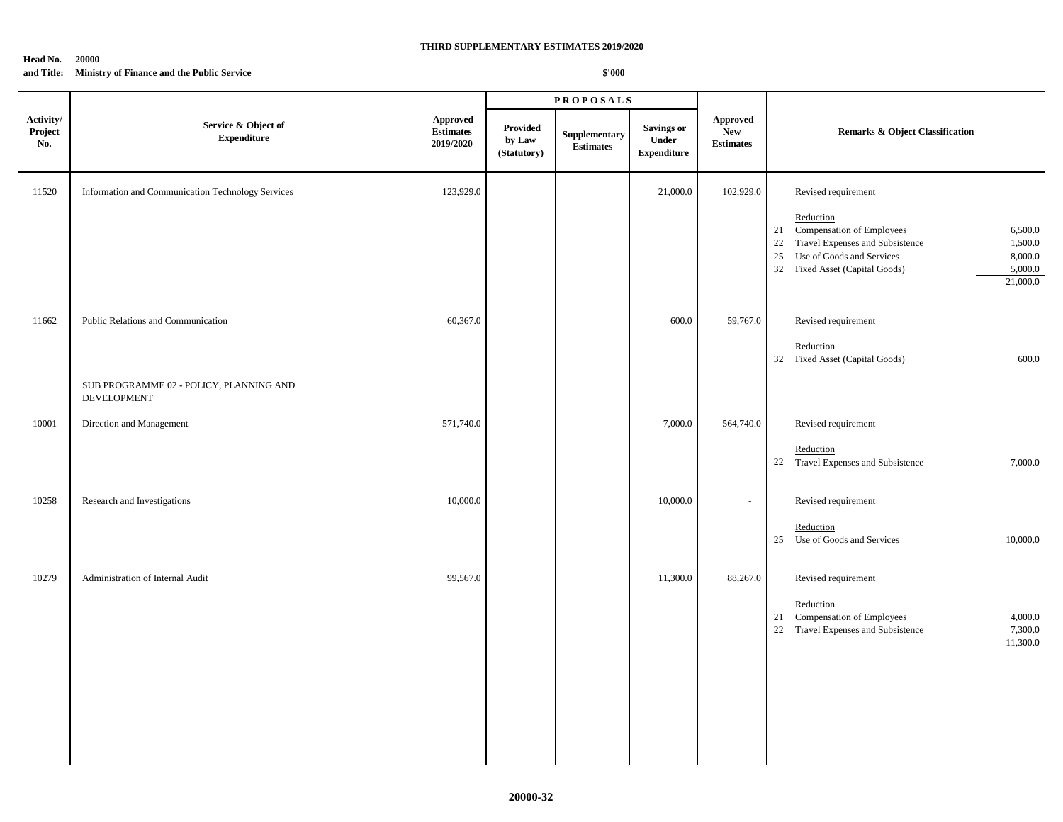#### **Head No. 20000 and Title: Ministry of Finance and the Public Service**

|                             |                                                                                              |                                                  |                                   | <b>PROPOSALS</b>                  |                                                  |                                                   |                                                                                                                                                                                                                                           |
|-----------------------------|----------------------------------------------------------------------------------------------|--------------------------------------------------|-----------------------------------|-----------------------------------|--------------------------------------------------|---------------------------------------------------|-------------------------------------------------------------------------------------------------------------------------------------------------------------------------------------------------------------------------------------------|
| Activity/<br>Project<br>No. | Service & Object of<br><b>Expenditure</b>                                                    | <b>Approved</b><br><b>Estimates</b><br>2019/2020 | Provided<br>by Law<br>(Statutory) | Supplementary<br><b>Estimates</b> | <b>Savings or</b><br>Under<br><b>Expenditure</b> | <b>Approved</b><br><b>New</b><br><b>Estimates</b> | <b>Remarks &amp; Object Classification</b>                                                                                                                                                                                                |
| 11520                       | Information and Communication Technology Services                                            | 123,929.0                                        |                                   |                                   | 21,000.0                                         | 102,929.0                                         | Revised requirement<br>Reduction<br>Compensation of Employees<br>6,500.0<br>21<br>Travel Expenses and Subsistence<br>22<br>1,500.0<br>Use of Goods and Services<br>25<br>8,000.0<br>32 Fixed Asset (Capital Goods)<br>5,000.0<br>21,000.0 |
| 11662                       | Public Relations and Communication<br>SUB PROGRAMME 02 - POLICY, PLANNING AND<br>DEVELOPMENT | 60,367.0                                         |                                   |                                   | 600.0                                            | 59,767.0                                          | Revised requirement<br>Reduction<br>32 Fixed Asset (Capital Goods)<br>600.0                                                                                                                                                               |
| 10001                       | Direction and Management                                                                     | 571,740.0                                        |                                   |                                   | 7,000.0                                          | 564,740.0                                         | Revised requirement<br>Reduction<br>22 Travel Expenses and Subsistence<br>7,000.0                                                                                                                                                         |
| 10258                       | Research and Investigations                                                                  | 10,000.0                                         |                                   |                                   | 10,000.0                                         |                                                   | Revised requirement<br>Reduction<br>25 Use of Goods and Services<br>10,000.0                                                                                                                                                              |
| 10279                       | Administration of Internal Audit                                                             | 99,567.0                                         |                                   |                                   | 11,300.0                                         | 88,267.0                                          | Revised requirement<br>Reduction<br>Compensation of Employees<br>21<br>4,000.0<br>22 Travel Expenses and Subsistence<br>7,300.0<br>11,300.0                                                                                               |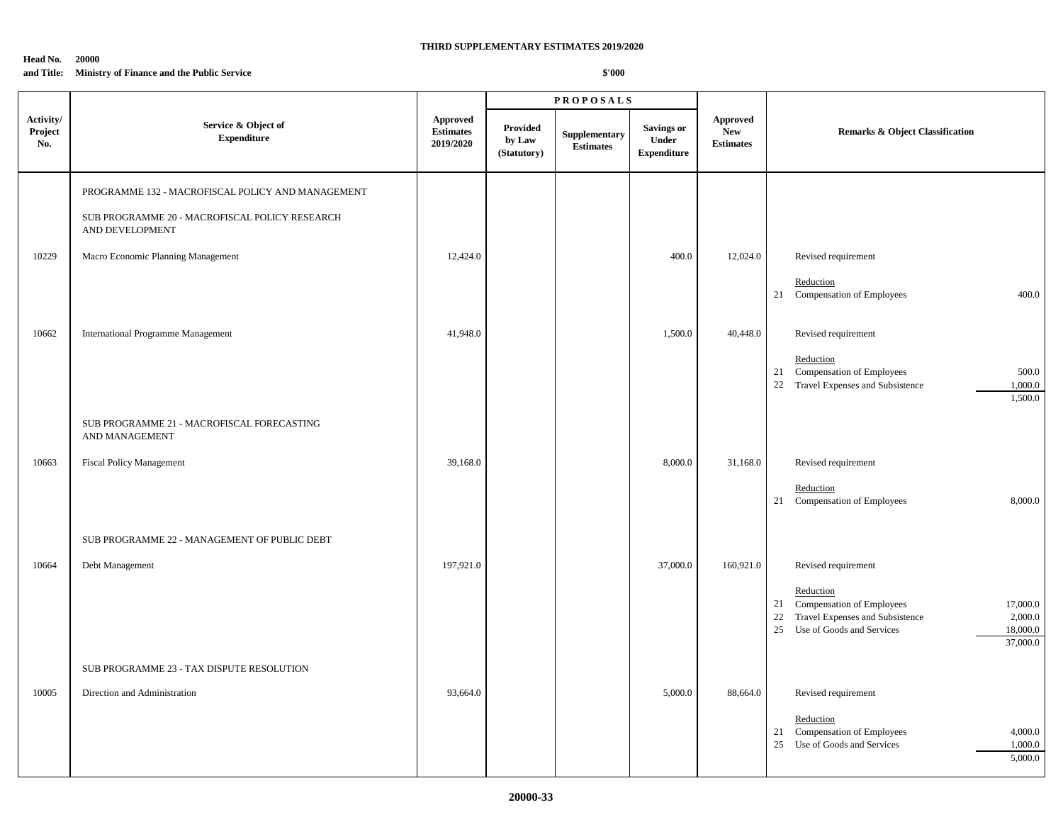#### **Head No. 20000 and Title: Ministry of Finance and the Public Service**

|                             |                                                                                                                        |                                           | <b>PROPOSALS</b>                         |                                   |                                            |                                                   |                                                                                                                                                                                             |
|-----------------------------|------------------------------------------------------------------------------------------------------------------------|-------------------------------------------|------------------------------------------|-----------------------------------|--------------------------------------------|---------------------------------------------------|---------------------------------------------------------------------------------------------------------------------------------------------------------------------------------------------|
| Activity/<br>Project<br>No. | Service & Object of<br><b>Expenditure</b>                                                                              | Approved<br><b>Estimates</b><br>2019/2020 | <b>Provided</b><br>by Law<br>(Statutory) | Supplementary<br><b>Estimates</b> | Savings or<br>Under<br>${\bf Expenditure}$ | <b>Approved</b><br><b>New</b><br><b>Estimates</b> | <b>Remarks &amp; Object Classification</b>                                                                                                                                                  |
|                             | PROGRAMME 132 - MACROFISCAL POLICY AND MANAGEMENT<br>SUB PROGRAMME 20 - MACROFISCAL POLICY RESEARCH<br>AND DEVELOPMENT |                                           |                                          |                                   |                                            |                                                   |                                                                                                                                                                                             |
| 10229                       | Macro Economic Planning Management                                                                                     | 12,424.0                                  |                                          |                                   | 400.0                                      | 12,024.0                                          | Revised requirement<br>Reduction<br>21 Compensation of Employees<br>400.0                                                                                                                   |
| 10662                       | <b>International Programme Management</b>                                                                              | 41,948.0                                  |                                          |                                   | 1,500.0                                    | 40,448.0                                          | Revised requirement<br>Reduction<br>Compensation of Employees<br>500.0<br>21<br>22 Travel Expenses and Subsistence<br>1,000.0<br>1,500.0                                                    |
| 10663                       | SUB PROGRAMME 21 - MACROFISCAL FORECASTING<br>AND MANAGEMENT<br>Fiscal Policy Management                               | 39,168.0                                  |                                          |                                   | 8,000.0                                    | 31,168.0                                          | Revised requirement<br>Reduction<br>21 Compensation of Employees<br>8,000.0                                                                                                                 |
| 10664                       | SUB PROGRAMME 22 - MANAGEMENT OF PUBLIC DEBT<br>Debt Management                                                        | 197,921.0                                 |                                          |                                   | 37,000.0                                   | 160,921.0                                         | Revised requirement<br>Reduction<br>21 Compensation of Employees<br>17,000.0<br>22<br>Travel Expenses and Subsistence<br>2,000.0<br>25<br>Use of Goods and Services<br>18,000.0<br>37,000.0 |
| 10005                       | SUB PROGRAMME 23 - TAX DISPUTE RESOLUTION<br>Direction and Administration                                              | 93,664.0                                  |                                          |                                   | 5,000.0                                    | 88,664.0                                          | Revised requirement<br>Reduction<br>21 Compensation of Employees<br>4,000.0<br>25 Use of Goods and Services<br>1,000.0<br>5,000.0                                                           |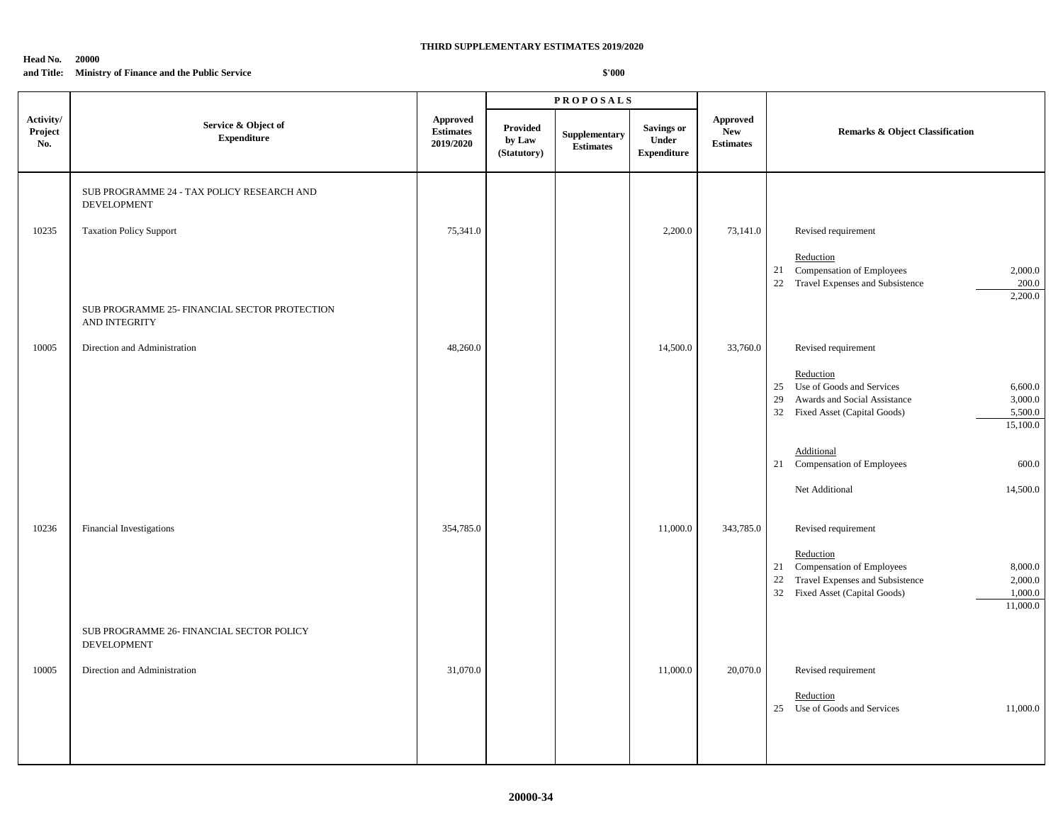# **Head No. 20000**

## **and Title: Ministry of Finance and the Public Service**

|                             |                                                                                             |                                                  |                                   | <b>PROPOSALS</b>                                  |                                           |                                                   |                                                                                                                                                                                                |
|-----------------------------|---------------------------------------------------------------------------------------------|--------------------------------------------------|-----------------------------------|---------------------------------------------------|-------------------------------------------|---------------------------------------------------|------------------------------------------------------------------------------------------------------------------------------------------------------------------------------------------------|
| Activity/<br>Project<br>No. | Service & Object of<br><b>Expenditure</b>                                                   | <b>Approved</b><br><b>Estimates</b><br>2019/2020 | Provided<br>by Law<br>(Statutory) | Supplementary<br>$\label{1.1} \textbf{Estimates}$ | Savings or<br>Under<br><b>Expenditure</b> | <b>Approved</b><br><b>New</b><br><b>Estimates</b> | <b>Remarks &amp; Object Classification</b>                                                                                                                                                     |
| 10235                       | SUB PROGRAMME 24 - TAX POLICY RESEARCH AND<br>DEVELOPMENT<br><b>Taxation Policy Support</b> | 75,341.0                                         |                                   |                                                   | 2,200.0                                   | 73,141.0                                          | Revised requirement                                                                                                                                                                            |
|                             |                                                                                             |                                                  |                                   |                                                   |                                           |                                                   | Reduction<br>Compensation of Employees<br>2,000.0<br>21<br>22 Travel Expenses and Subsistence<br>200.0<br>2,200.0                                                                              |
|                             | SUB PROGRAMME 25- FINANCIAL SECTOR PROTECTION<br>AND INTEGRITY                              |                                                  |                                   |                                                   |                                           |                                                   |                                                                                                                                                                                                |
| 10005                       | Direction and Administration                                                                | 48,260.0                                         |                                   |                                                   | 14,500.0                                  | 33,760.0                                          | Revised requirement<br>Reduction<br>Use of Goods and Services<br>6,600.0<br>25<br>29<br>Awards and Social Assistance<br>3,000.0<br>32 Fixed Asset (Capital Goods)<br>5,500.0<br>15,100.0       |
|                             |                                                                                             |                                                  |                                   |                                                   |                                           |                                                   | Additional<br>21 Compensation of Employees<br>600.0<br>Net Additional<br>14,500.0                                                                                                              |
| 10236                       | Financial Investigations                                                                    | 354,785.0                                        |                                   |                                                   | 11,000.0                                  | 343,785.0                                         | Revised requirement<br>Reduction<br>Compensation of Employees<br>8,000.0<br>21<br>Travel Expenses and Subsistence<br>22<br>2,000.0<br>32<br>Fixed Asset (Capital Goods)<br>1,000.0<br>11,000.0 |
|                             | SUB PROGRAMME 26- FINANCIAL SECTOR POLICY<br>DEVELOPMENT                                    |                                                  |                                   |                                                   |                                           |                                                   |                                                                                                                                                                                                |
| 10005                       | Direction and Administration                                                                | 31,070.0                                         |                                   |                                                   | 11,000.0                                  | 20,070.0                                          | Revised requirement<br>Reduction<br>Use of Goods and Services<br>11,000.0<br>25                                                                                                                |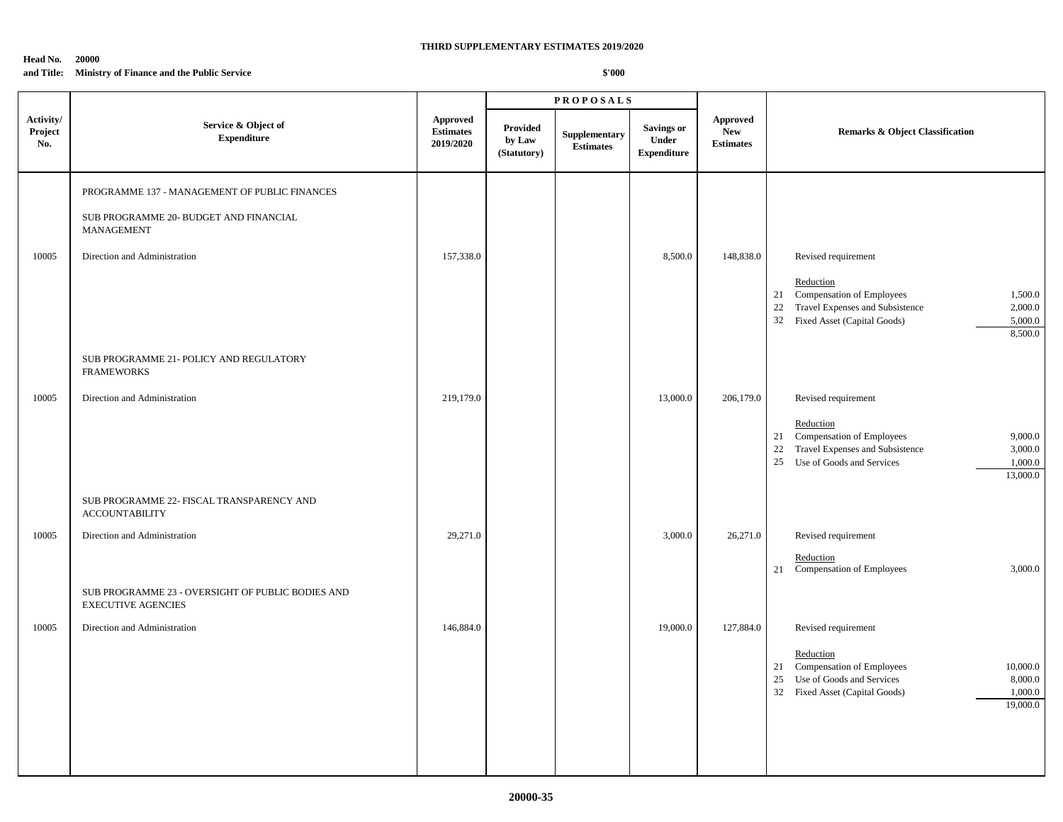#### **Head No. 20000 and Title: Ministry of Finance and the Public Service**

|                             |                                                                                                                                           | <b>PROPOSALS</b>                                 |                                   |                                   |                                           |                                                   |                                                                                                                                                                                            |
|-----------------------------|-------------------------------------------------------------------------------------------------------------------------------------------|--------------------------------------------------|-----------------------------------|-----------------------------------|-------------------------------------------|---------------------------------------------------|--------------------------------------------------------------------------------------------------------------------------------------------------------------------------------------------|
| Activity/<br>Project<br>No. | Service & Object of<br><b>Expenditure</b>                                                                                                 | <b>Approved</b><br><b>Estimates</b><br>2019/2020 | Provided<br>by Law<br>(Statutory) | Supplementary<br><b>Estimates</b> | Savings or<br>Under<br><b>Expenditure</b> | <b>Approved</b><br><b>New</b><br><b>Estimates</b> | Remarks & Object Classification                                                                                                                                                            |
| 10005                       | PROGRAMME 137 - MANAGEMENT OF PUBLIC FINANCES<br>SUB PROGRAMME 20- BUDGET AND FINANCIAL<br>MANAGEMENT<br>Direction and Administration     | 157,338.0                                        |                                   |                                   | 8,500.0                                   | 148,838.0                                         | Revised requirement<br>Reduction<br>Compensation of Employees<br>1,500.0<br>21<br>Travel Expenses and Subsistence<br>2,000.0<br>22<br>32 Fixed Asset (Capital Goods)<br>5,000.0<br>8,500.0 |
| 10005                       | SUB PROGRAMME 21- POLICY AND REGULATORY<br><b>FRAMEWORKS</b><br>Direction and Administration<br>SUB PROGRAMME 22- FISCAL TRANSPARENCY AND | 219,179.0                                        |                                   |                                   | 13,000.0                                  | 206,179.0                                         | Revised requirement<br>Reduction<br>21 Compensation of Employees<br>9,000.0<br>Travel Expenses and Subsistence<br>22<br>3,000.0<br>Use of Goods and Services<br>25<br>1,000.0<br>13,000.0  |
| 10005                       | <b>ACCOUNTABILITY</b><br>Direction and Administration<br>SUB PROGRAMME 23 - OVERSIGHT OF PUBLIC BODIES AND<br><b>EXECUTIVE AGENCIES</b>   | 29,271.0                                         |                                   |                                   | 3,000.0                                   | 26,271.0                                          | Revised requirement<br>Reduction<br>21 Compensation of Employees<br>3,000.0                                                                                                                |
| 10005                       | Direction and Administration                                                                                                              | 146,884.0                                        |                                   |                                   | 19,000.0                                  | 127,884.0                                         | Revised requirement<br>Reduction<br>21 Compensation of Employees<br>10,000.0<br>Use of Goods and Services<br>25<br>8,000.0<br>1,000.0<br>32 Fixed Asset (Capital Goods)<br>19,000.0        |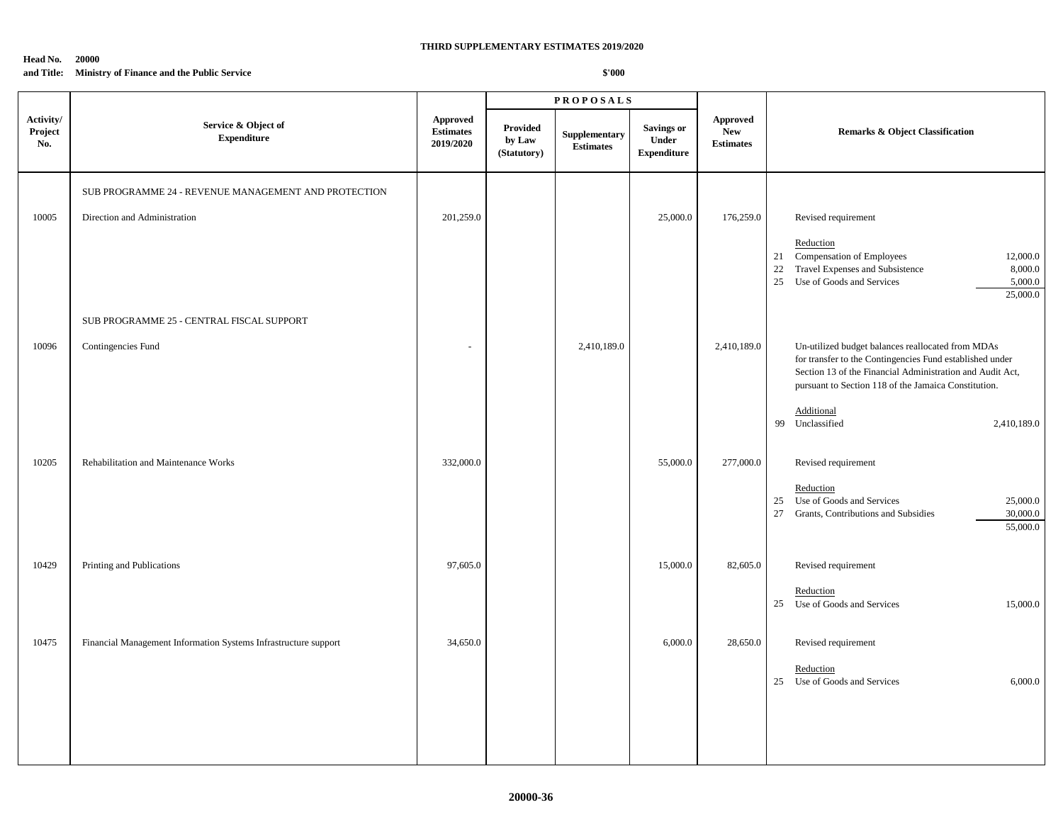#### **Head No. 20000 and Title: Ministry of Finance and the Public Service**

|                             |                                                                 |                                                  |                                          | <b>PROPOSALS</b>                  |                                                  |                                                   |                                                                                                                                                                                                                                    |  |
|-----------------------------|-----------------------------------------------------------------|--------------------------------------------------|------------------------------------------|-----------------------------------|--------------------------------------------------|---------------------------------------------------|------------------------------------------------------------------------------------------------------------------------------------------------------------------------------------------------------------------------------------|--|
| Activity/<br>Project<br>No. | Service & Object of<br><b>Expenditure</b>                       | <b>Approved</b><br><b>Estimates</b><br>2019/2020 | <b>Provided</b><br>by Law<br>(Statutory) | Supplementary<br><b>Estimates</b> | <b>Savings or</b><br>Under<br><b>Expenditure</b> | <b>Approved</b><br><b>New</b><br><b>Estimates</b> | <b>Remarks &amp; Object Classification</b>                                                                                                                                                                                         |  |
|                             | SUB PROGRAMME 24 - REVENUE MANAGEMENT AND PROTECTION            |                                                  |                                          |                                   |                                                  |                                                   |                                                                                                                                                                                                                                    |  |
| 10005                       | Direction and Administration                                    | 201,259.0                                        |                                          |                                   | 25,000.0                                         | 176,259.0                                         | Revised requirement                                                                                                                                                                                                                |  |
|                             |                                                                 |                                                  |                                          |                                   |                                                  |                                                   | Reduction<br>Compensation of Employees<br>21<br>12,000.0<br>Travel Expenses and Subsistence<br>8,000.0<br>$22\,$<br>25<br>Use of Goods and Services<br>5,000.0<br>25,000.0                                                         |  |
|                             | SUB PROGRAMME 25 - CENTRAL FISCAL SUPPORT                       |                                                  |                                          |                                   |                                                  |                                                   |                                                                                                                                                                                                                                    |  |
| 10096                       | Contingencies Fund                                              |                                                  |                                          | 2,410,189.0                       |                                                  | 2,410,189.0                                       | Un-utilized budget balances reallocated from MDAs<br>for transfer to the Contingencies Fund established under<br>Section 13 of the Financial Administration and Audit Act,<br>pursuant to Section 118 of the Jamaica Constitution. |  |
|                             |                                                                 |                                                  |                                          |                                   |                                                  |                                                   | Additional<br>Unclassified<br>99<br>2,410,189.0                                                                                                                                                                                    |  |
| 10205                       | Rehabilitation and Maintenance Works                            | 332,000.0                                        |                                          |                                   | 55,000.0                                         | 277,000.0                                         | Revised requirement                                                                                                                                                                                                                |  |
|                             |                                                                 |                                                  |                                          |                                   |                                                  |                                                   | Reduction<br>Use of Goods and Services<br>25<br>25,000.0<br>27<br>Grants, Contributions and Subsidies<br>30,000.0<br>55,000.0                                                                                                      |  |
| 10429                       | Printing and Publications                                       | 97,605.0                                         |                                          |                                   | 15,000.0                                         | 82,605.0                                          | Revised requirement                                                                                                                                                                                                                |  |
|                             |                                                                 |                                                  |                                          |                                   |                                                  |                                                   | Reduction<br>25 Use of Goods and Services<br>15,000.0                                                                                                                                                                              |  |
| 10475                       | Financial Management Information Systems Infrastructure support | 34,650.0                                         |                                          |                                   | 6,000.0                                          | 28,650.0                                          | Revised requirement                                                                                                                                                                                                                |  |
|                             |                                                                 |                                                  |                                          |                                   |                                                  |                                                   | Reduction<br>Use of Goods and Services<br>6,000.0<br>25                                                                                                                                                                            |  |
|                             |                                                                 |                                                  |                                          |                                   |                                                  |                                                   |                                                                                                                                                                                                                                    |  |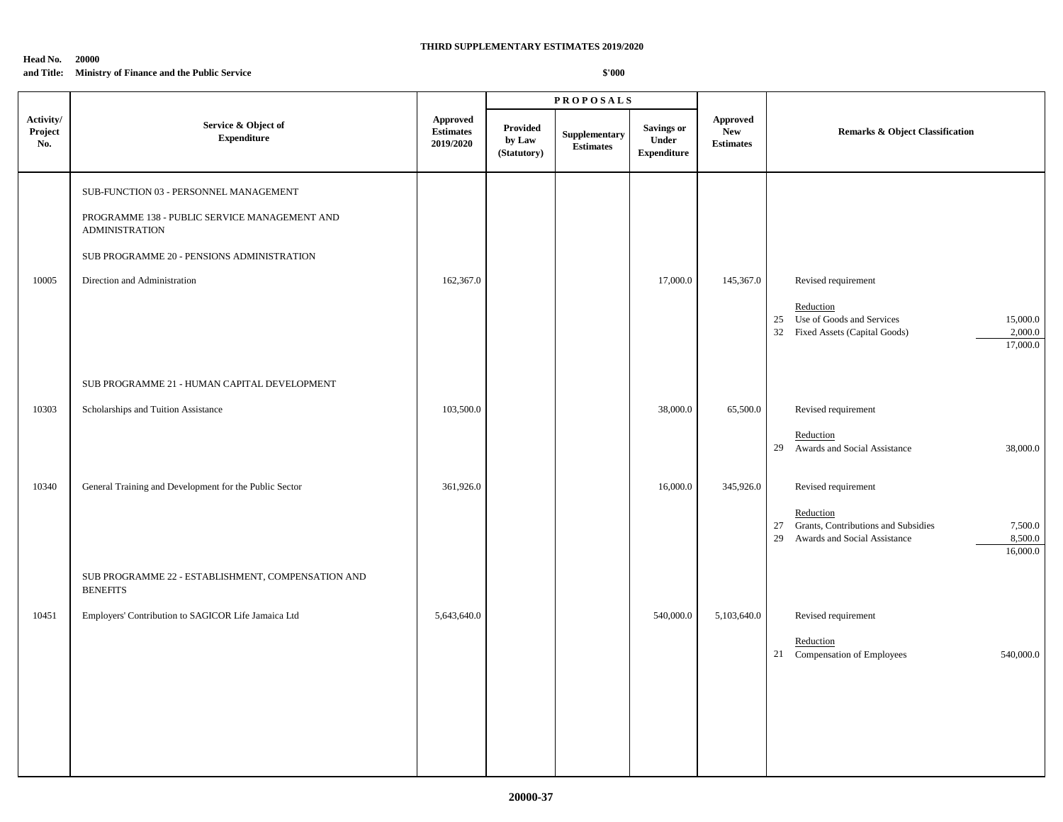#### **Head No. 20000 and Title: Ministry of Finance and the Public Service**

|                             |                                                                                                                                                                                                |                                                  |                                   | <b>PROPOSALS</b>                  |                                           |                                                   |                                                                                                                                                       |  |
|-----------------------------|------------------------------------------------------------------------------------------------------------------------------------------------------------------------------------------------|--------------------------------------------------|-----------------------------------|-----------------------------------|-------------------------------------------|---------------------------------------------------|-------------------------------------------------------------------------------------------------------------------------------------------------------|--|
| Activity/<br>Project<br>No. | Service & Object of<br><b>Expenditure</b>                                                                                                                                                      | <b>Approved</b><br><b>Estimates</b><br>2019/2020 | Provided<br>by Law<br>(Statutory) | Supplementary<br><b>Estimates</b> | Savings or<br>Under<br><b>Expenditure</b> | <b>Approved</b><br><b>New</b><br><b>Estimates</b> | <b>Remarks &amp; Object Classification</b>                                                                                                            |  |
| 10005                       | SUB-FUNCTION 03 - PERSONNEL MANAGEMENT<br>PROGRAMME 138 - PUBLIC SERVICE MANAGEMENT AND<br><b>ADMINISTRATION</b><br>SUB PROGRAMME 20 - PENSIONS ADMINISTRATION<br>Direction and Administration | 162,367.0                                        |                                   |                                   | 17,000.0                                  | 145,367.0                                         | Revised requirement<br>Reduction<br>25 Use of Goods and Services<br>15,000.0<br>32 Fixed Assets (Capital Goods)<br>2,000.0<br>17,000.0                |  |
|                             | SUB PROGRAMME 21 - HUMAN CAPITAL DEVELOPMENT                                                                                                                                                   |                                                  |                                   |                                   |                                           |                                                   |                                                                                                                                                       |  |
| 10303                       | Scholarships and Tuition Assistance                                                                                                                                                            | 103,500.0                                        |                                   |                                   | 38,000.0                                  | 65,500.0                                          | Revised requirement<br>Reduction<br>29 Awards and Social Assistance<br>38,000.0                                                                       |  |
| 10340                       | General Training and Development for the Public Sector                                                                                                                                         | 361,926.0                                        |                                   |                                   | 16,000.0                                  | 345,926.0                                         | Revised requirement<br>Reduction<br>Grants, Contributions and Subsidies<br>27<br>7,500.0<br>8,500.0<br>29<br>Awards and Social Assistance<br>16,000.0 |  |
| 10451                       | SUB PROGRAMME 22 - ESTABLISHMENT, COMPENSATION AND<br><b>BENEFITS</b><br>Employers' Contribution to SAGICOR Life Jamaica Ltd                                                                   | 5,643,640.0                                      |                                   |                                   | 540,000.0                                 | 5,103,640.0                                       | Revised requirement<br>Reduction<br>Compensation of Employees<br>540,000.0<br>21                                                                      |  |
|                             |                                                                                                                                                                                                |                                                  |                                   |                                   |                                           |                                                   |                                                                                                                                                       |  |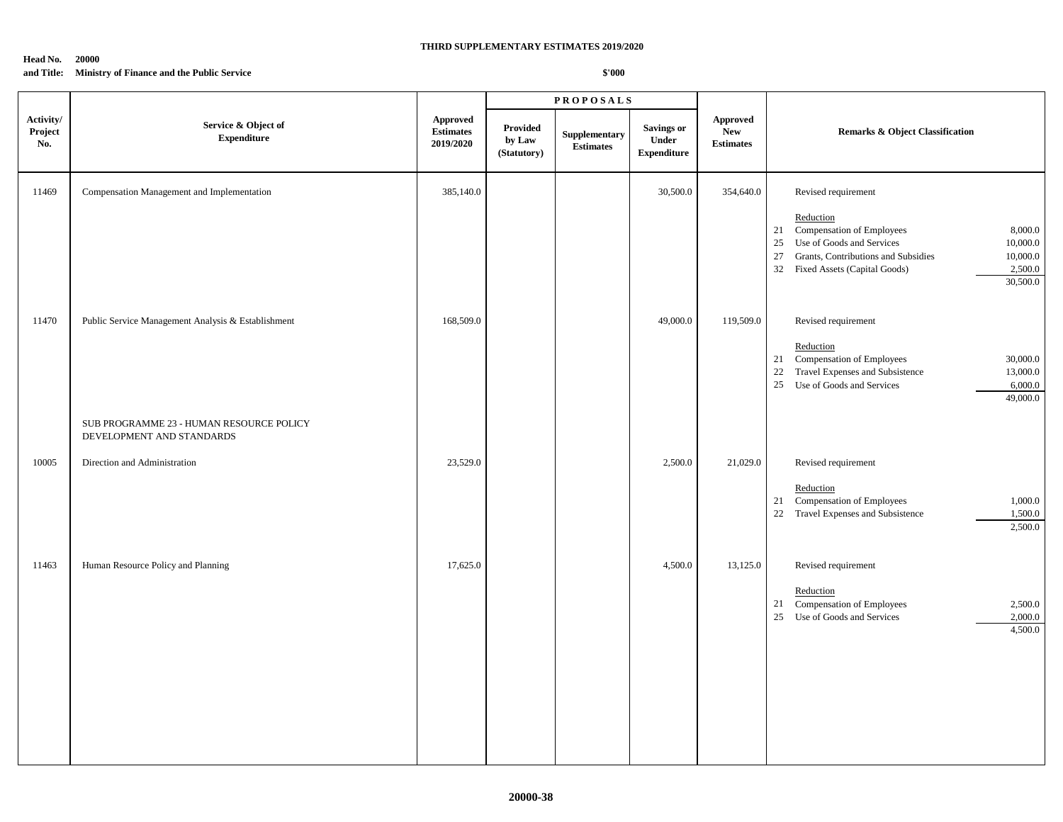#### **Head No. 20000 and Title: Ministry of Finance and the Public Service**

|                             |                                                                                                |                                           |                                   | <b>PROPOSALS</b>                  |                                                  |                                                   |                                                                                                                                                                                                                                                     |  |
|-----------------------------|------------------------------------------------------------------------------------------------|-------------------------------------------|-----------------------------------|-----------------------------------|--------------------------------------------------|---------------------------------------------------|-----------------------------------------------------------------------------------------------------------------------------------------------------------------------------------------------------------------------------------------------------|--|
| Activity/<br>Project<br>No. | Service & Object of<br><b>Expenditure</b>                                                      | Approved<br><b>Estimates</b><br>2019/2020 | Provided<br>by Law<br>(Statutory) | Supplementary<br><b>Estimates</b> | <b>Savings or</b><br>Under<br><b>Expenditure</b> | <b>Approved</b><br><b>New</b><br><b>Estimates</b> | <b>Remarks &amp; Object Classification</b>                                                                                                                                                                                                          |  |
| 11469                       | Compensation Management and Implementation                                                     | 385,140.0                                 |                                   |                                   | 30,500.0                                         | 354,640.0                                         | Revised requirement<br>Reduction<br>Compensation of Employees<br>8,000.0<br>21<br>Use of Goods and Services<br>10,000.0<br>25<br>Grants, Contributions and Subsidies<br>27<br>10,000.0<br>Fixed Assets (Capital Goods)<br>2,500.0<br>32<br>30,500.0 |  |
| 11470                       | Public Service Management Analysis & Establishment<br>SUB PROGRAMME 23 - HUMAN RESOURCE POLICY | 168,509.0                                 |                                   |                                   | 49,000.0                                         | 119,509.0                                         | Revised requirement<br>Reduction<br>Compensation of Employees<br>30,000.0<br>21<br>22<br>Travel Expenses and Subsistence<br>13,000.0<br>Use of Goods and Services<br>6,000.0<br>25<br>49,000.0                                                      |  |
| 10005                       | DEVELOPMENT AND STANDARDS<br>Direction and Administration                                      | 23,529.0                                  |                                   |                                   | 2,500.0                                          | 21,029.0                                          | Revised requirement<br>Reduction<br>Compensation of Employees<br>21<br>1,000.0<br>22 Travel Expenses and Subsistence<br>1,500.0<br>2,500.0                                                                                                          |  |
| 11463                       | Human Resource Policy and Planning                                                             | 17,625.0                                  |                                   |                                   | 4,500.0                                          | 13,125.0                                          | Revised requirement<br>Reduction<br>Compensation of Employees<br>21<br>2,500.0<br>Use of Goods and Services<br>25<br>2,000.0<br>4,500.0                                                                                                             |  |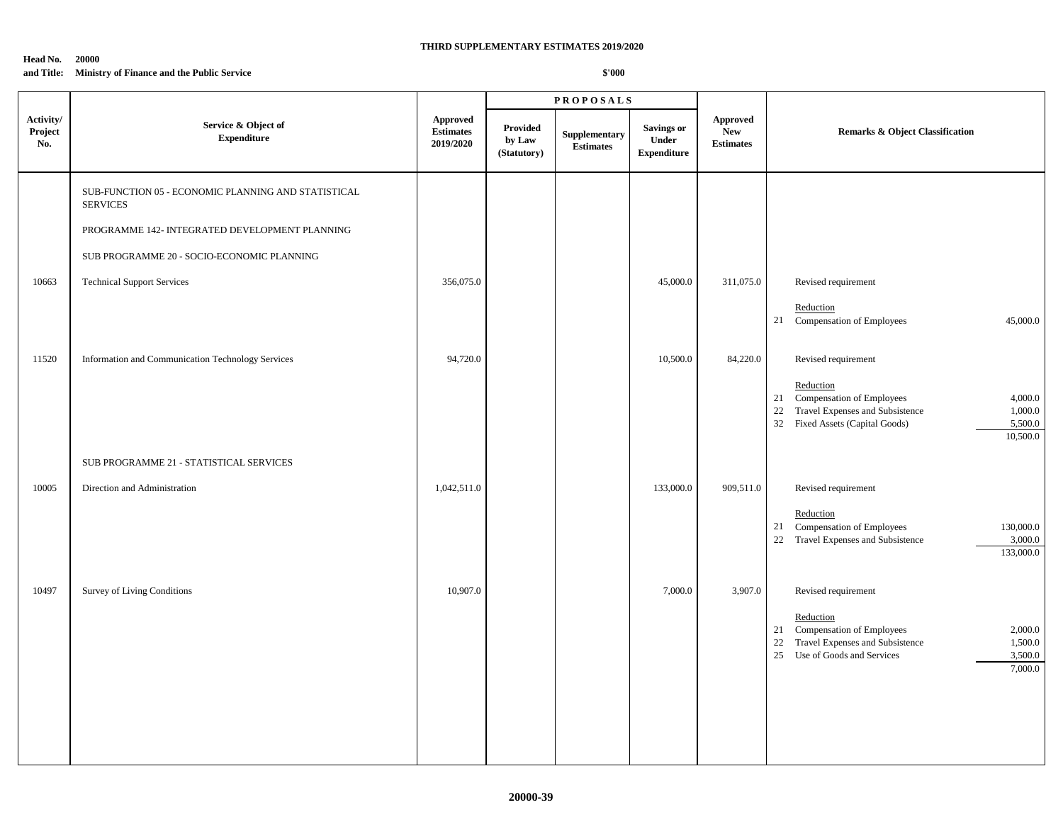#### **Head No. 20000 and Title: Ministry of Finance and the Public Service**

|                             |                                                                        |                                           |                                          | <b>PROPOSALS</b>                  |                                                  |                                                   |                                                                                                                                                                                          |  |
|-----------------------------|------------------------------------------------------------------------|-------------------------------------------|------------------------------------------|-----------------------------------|--------------------------------------------------|---------------------------------------------------|------------------------------------------------------------------------------------------------------------------------------------------------------------------------------------------|--|
| Activity/<br>Project<br>No. | Service & Object of<br><b>Expenditure</b>                              | Approved<br><b>Estimates</b><br>2019/2020 | <b>Provided</b><br>by Law<br>(Statutory) | Supplementary<br><b>Estimates</b> | <b>Savings or</b><br>Under<br><b>Expenditure</b> | <b>Approved</b><br><b>New</b><br><b>Estimates</b> | <b>Remarks &amp; Object Classification</b>                                                                                                                                               |  |
|                             | SUB-FUNCTION 05 - ECONOMIC PLANNING AND STATISTICAL<br><b>SERVICES</b> |                                           |                                          |                                   |                                                  |                                                   |                                                                                                                                                                                          |  |
|                             | PROGRAMME 142- INTEGRATED DEVELOPMENT PLANNING                         |                                           |                                          |                                   |                                                  |                                                   |                                                                                                                                                                                          |  |
|                             | SUB PROGRAMME 20 - SOCIO-ECONOMIC PLANNING                             |                                           |                                          |                                   |                                                  |                                                   |                                                                                                                                                                                          |  |
| 10663                       | <b>Technical Support Services</b>                                      | 356,075.0                                 |                                          |                                   | 45,000.0                                         | 311,075.0                                         | Revised requirement                                                                                                                                                                      |  |
|                             |                                                                        |                                           |                                          |                                   |                                                  |                                                   | Reduction<br>21 Compensation of Employees<br>45,000.0                                                                                                                                    |  |
| 11520                       | Information and Communication Technology Services                      | 94,720.0                                  |                                          |                                   | 10,500.0                                         | 84,220.0                                          | Revised requirement                                                                                                                                                                      |  |
|                             |                                                                        |                                           |                                          |                                   |                                                  |                                                   | Reduction<br>Compensation of Employees<br>4,000.0<br>21<br>Travel Expenses and Subsistence<br>22<br>1,000.0<br>32 Fixed Assets (Capital Goods)<br>5,500.0<br>10,500.0                    |  |
|                             | SUB PROGRAMME 21 - STATISTICAL SERVICES                                |                                           |                                          |                                   |                                                  |                                                   |                                                                                                                                                                                          |  |
| 10005                       | Direction and Administration                                           | 1,042,511.0                               |                                          |                                   | 133,000.0                                        | 909,511.0                                         | Revised requirement<br>Reduction<br>Compensation of Employees<br>130,000.0<br>21<br>Travel Expenses and Subsistence<br>22<br>3,000.0<br>133,000.0                                        |  |
| 10497                       | <b>Survey of Living Conditions</b>                                     | 10,907.0                                  |                                          |                                   | 7,000.0                                          | 3,907.0                                           | Revised requirement<br>Reduction<br>Compensation of Employees<br>2,000.0<br>21<br>22<br>Travel Expenses and Subsistence<br>1,500.0<br>25 Use of Goods and Services<br>3,500.0<br>7,000.0 |  |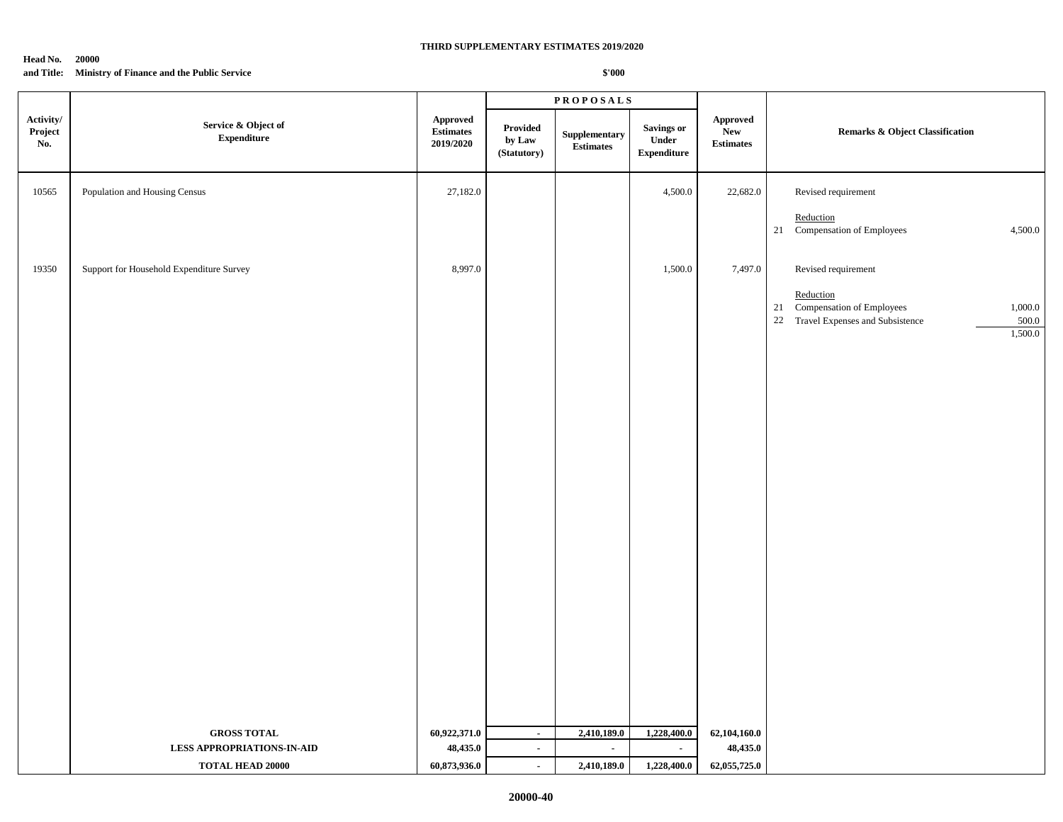#### **Head No. 20000 and Title: Ministry of Finance and the Public Service**

|                             |                                                                                    |                                                                          |                                    | <b>PROPOSALS</b>                                 |                                                   |                                                   |                                                                                                                                          |  |
|-----------------------------|------------------------------------------------------------------------------------|--------------------------------------------------------------------------|------------------------------------|--------------------------------------------------|---------------------------------------------------|---------------------------------------------------|------------------------------------------------------------------------------------------------------------------------------------------|--|
| Activity/<br>Project<br>No. | Service & Object of<br>${\bf Expenditure}$                                         | <b>Approved</b><br>$\label{p:estimates} \textbf{Estimates}$<br>2019/2020 | Provided<br>by Law<br>(Statutory)  | ${\large \bf Supplementary}$<br><b>Estimates</b> | <b>Savings or</b><br>Under<br>${\bf Expenditure}$ | <b>Approved</b><br><b>New</b><br><b>Estimates</b> | <b>Remarks &amp; Object Classification</b>                                                                                               |  |
| 10565                       | Population and Housing Census                                                      | 27,182.0                                                                 |                                    |                                                  | 4,500.0                                           | 22,682.0                                          | Revised requirement<br>Reduction<br>21 Compensation of Employees<br>4,500.0                                                              |  |
| 19350                       | Support for Household Expenditure Survey                                           | 8,997.0                                                                  |                                    |                                                  | 1,500.0                                           | 7,497.0                                           | Revised requirement<br>Reduction<br>Compensation of Employees<br>1,000.0<br>21<br>22 Travel Expenses and Subsistence<br>500.0<br>1,500.0 |  |
|                             | <b>GROSS TOTAL</b><br><b>LESS APPROPRIATIONS-IN-AID</b><br><b>TOTAL HEAD 20000</b> | 60,922,371.0<br>48,435.0<br>60,873,936.0                                 | $\sim$<br>$\sim$<br>$\blacksquare$ | 2,410,189.0<br>$\blacksquare$<br>2,410,189.0     | 1,228,400.0<br>$\sim$<br>1,228,400.0              | 62,104,160.0<br>48,435.0<br>62,055,725.0          |                                                                                                                                          |  |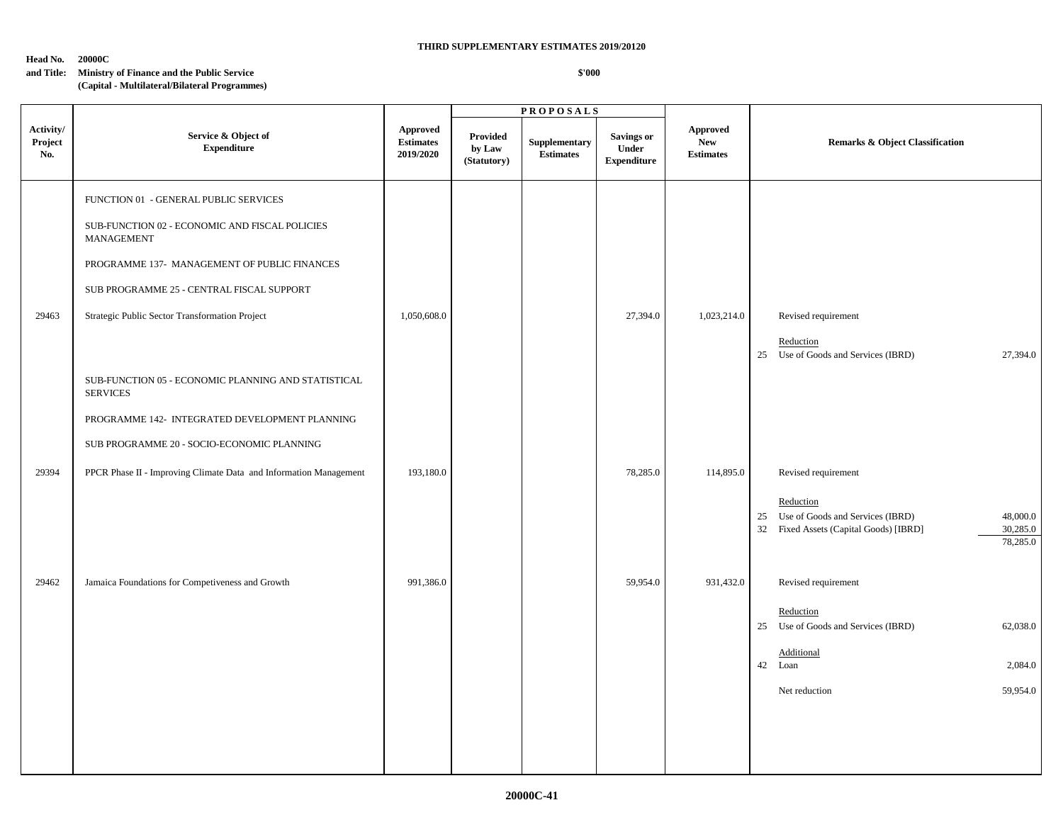## **Head No. 20000C**

## **and Title: Ministry of Finance and the Public Service**

## **\$'000**

**(Capital - Multilateral/Bilateral Programmes)**

|                             |                                                                                    |                                           |                                          | <b>PROPOSALS</b>                  |                                                         |                                                   |                                                                                                                                |
|-----------------------------|------------------------------------------------------------------------------------|-------------------------------------------|------------------------------------------|-----------------------------------|---------------------------------------------------------|---------------------------------------------------|--------------------------------------------------------------------------------------------------------------------------------|
| Activity/<br>Project<br>No. | Service & Object of<br><b>Expenditure</b>                                          | Approved<br><b>Estimates</b><br>2019/2020 | <b>Provided</b><br>by Law<br>(Statutory) | Supplementary<br><b>Estimates</b> | <b>Savings or</b><br><b>Under</b><br><b>Expenditure</b> | <b>Approved</b><br><b>New</b><br><b>Estimates</b> | <b>Remarks &amp; Object Classification</b>                                                                                     |
|                             | FUNCTION 01 - GENERAL PUBLIC SERVICES                                              |                                           |                                          |                                   |                                                         |                                                   |                                                                                                                                |
|                             | ${\sf SUB\text{-}FUNCTION}$ 02 - ECONOMIC AND FISCAL POLICIES<br><b>MANAGEMENT</b> |                                           |                                          |                                   |                                                         |                                                   |                                                                                                                                |
|                             | PROGRAMME 137- MANAGEMENT OF PUBLIC FINANCES                                       |                                           |                                          |                                   |                                                         |                                                   |                                                                                                                                |
|                             | SUB PROGRAMME 25 - CENTRAL FISCAL SUPPORT                                          |                                           |                                          |                                   |                                                         |                                                   |                                                                                                                                |
| 29463                       | Strategic Public Sector Transformation Project                                     | 1,050,608.0                               |                                          |                                   | 27,394.0                                                | 1,023,214.0                                       | Revised requirement                                                                                                            |
|                             |                                                                                    |                                           |                                          |                                   |                                                         |                                                   | Reduction<br>25 Use of Goods and Services (IBRD)<br>27,394.0                                                                   |
|                             | SUB-FUNCTION 05 - ECONOMIC PLANNING AND STATISTICAL<br><b>SERVICES</b>             |                                           |                                          |                                   |                                                         |                                                   |                                                                                                                                |
|                             | PROGRAMME 142- INTEGRATED DEVELOPMENT PLANNING                                     |                                           |                                          |                                   |                                                         |                                                   |                                                                                                                                |
|                             | SUB PROGRAMME 20 - SOCIO-ECONOMIC PLANNING                                         |                                           |                                          |                                   |                                                         |                                                   |                                                                                                                                |
| 29394                       | PPCR Phase II - Improving Climate Data and Information Management                  | 193,180.0                                 |                                          |                                   | 78,285.0                                                | 114,895.0                                         | Revised requirement                                                                                                            |
|                             |                                                                                    |                                           |                                          |                                   |                                                         |                                                   | Reduction<br>25 Use of Goods and Services (IBRD)<br>48,000.0<br>30,285.0<br>32 Fixed Assets (Capital Goods) [IBRD]<br>78,285.0 |
| 29462                       | Jamaica Foundations for Competiveness and Growth                                   | 991,386.0                                 |                                          |                                   | 59,954.0                                                | 931,432.0                                         | Revised requirement                                                                                                            |
|                             |                                                                                    |                                           |                                          |                                   |                                                         |                                                   | Reduction<br>25 Use of Goods and Services (IBRD)<br>62,038.0                                                                   |
|                             |                                                                                    |                                           |                                          |                                   |                                                         |                                                   | Additional<br>42 Loan<br>2,084.0                                                                                               |
|                             |                                                                                    |                                           |                                          |                                   |                                                         |                                                   | 59,954.0<br>Net reduction                                                                                                      |
|                             |                                                                                    |                                           |                                          |                                   |                                                         |                                                   |                                                                                                                                |
|                             |                                                                                    |                                           |                                          |                                   |                                                         |                                                   |                                                                                                                                |
|                             |                                                                                    |                                           |                                          |                                   |                                                         |                                                   |                                                                                                                                |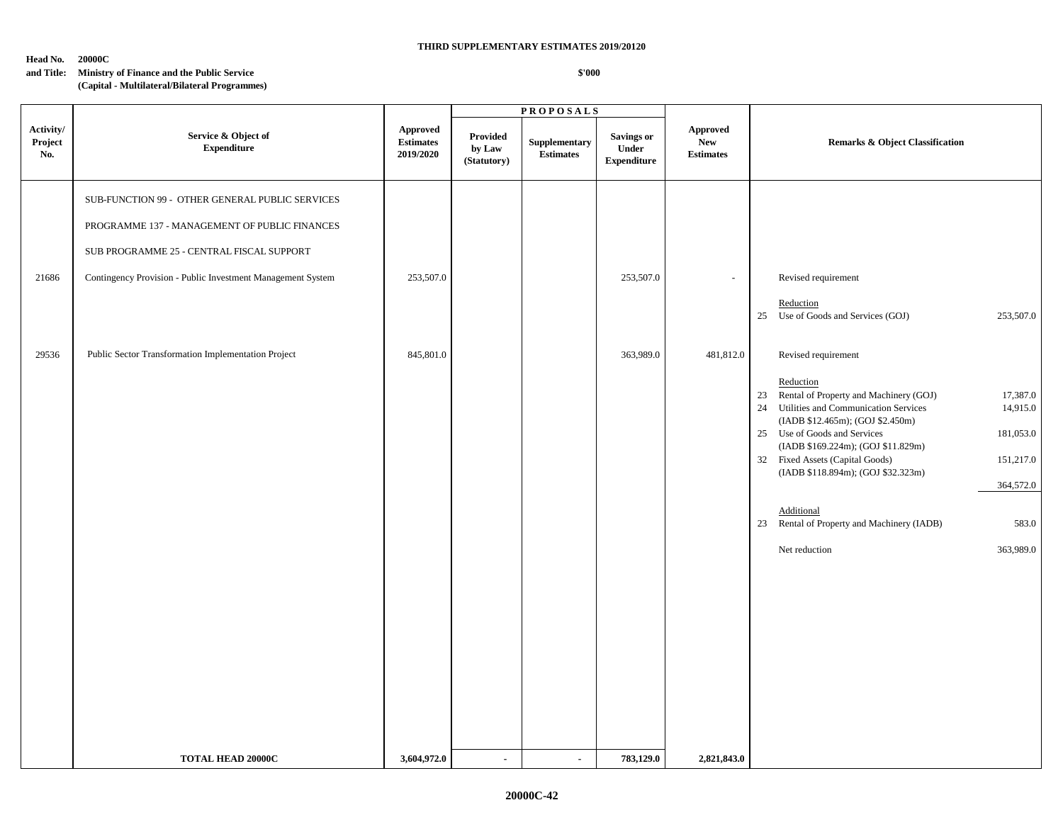**Head No. 20000C**

## **and Title: Ministry of Finance and the Public Service**

**(Capital - Multilateral/Bilateral Programmes)**

|                             |                                                             |                                                  |                                   | <b>PROPOSALS</b>                  |                                           |                                                   |                                                                                                                                                                                                                                                                                                                                                                                                                                                        |
|-----------------------------|-------------------------------------------------------------|--------------------------------------------------|-----------------------------------|-----------------------------------|-------------------------------------------|---------------------------------------------------|--------------------------------------------------------------------------------------------------------------------------------------------------------------------------------------------------------------------------------------------------------------------------------------------------------------------------------------------------------------------------------------------------------------------------------------------------------|
| Activity/<br>Project<br>No. | Service & Object of<br><b>Expenditure</b>                   | <b>Approved</b><br><b>Estimates</b><br>2019/2020 | Provided<br>by Law<br>(Statutory) | Supplementary<br><b>Estimates</b> | Savings or<br>Under<br><b>Expenditure</b> | <b>Approved</b><br><b>New</b><br><b>Estimates</b> | <b>Remarks &amp; Object Classification</b>                                                                                                                                                                                                                                                                                                                                                                                                             |
|                             | SUB-FUNCTION 99 - OTHER GENERAL PUBLIC SERVICES             |                                                  |                                   |                                   |                                           |                                                   |                                                                                                                                                                                                                                                                                                                                                                                                                                                        |
|                             | PROGRAMME 137 - MANAGEMENT OF PUBLIC FINANCES               |                                                  |                                   |                                   |                                           |                                                   |                                                                                                                                                                                                                                                                                                                                                                                                                                                        |
|                             | SUB PROGRAMME 25 - CENTRAL FISCAL SUPPORT                   |                                                  |                                   |                                   |                                           |                                                   |                                                                                                                                                                                                                                                                                                                                                                                                                                                        |
| 21686                       | Contingency Provision - Public Investment Management System | 253,507.0                                        |                                   |                                   | 253,507.0                                 |                                                   | Revised requirement                                                                                                                                                                                                                                                                                                                                                                                                                                    |
|                             |                                                             |                                                  |                                   |                                   |                                           |                                                   | Reduction<br>25 Use of Goods and Services (GOJ)<br>253,507.0                                                                                                                                                                                                                                                                                                                                                                                           |
| 29536                       | Public Sector Transformation Implementation Project         | 845,801.0                                        |                                   |                                   | 363,989.0                                 | 481,812.0                                         | Revised requirement                                                                                                                                                                                                                                                                                                                                                                                                                                    |
|                             |                                                             |                                                  |                                   |                                   |                                           |                                                   | Reduction<br>23 Rental of Property and Machinery (GOJ)<br>17,387.0<br>14,915.0<br>24 Utilities and Communication Services<br>(IADB \$12.465m); (GOJ \$2.450m)<br>25 Use of Goods and Services<br>181,053.0<br>(IADB \$169.224m); (GOJ \$11.829m)<br>32 Fixed Assets (Capital Goods)<br>151,217.0<br>(IADB \$118.894m); (GOJ \$32.323m)<br>364,572.0<br>Additional<br>23 Rental of Property and Machinery (IADB)<br>583.0<br>Net reduction<br>363,989.0 |
|                             | <b>TOTAL HEAD 20000C</b>                                    | 3,604,972.0                                      | $\sim$                            | $\blacksquare$                    | 783,129.0                                 | 2,821,843.0                                       |                                                                                                                                                                                                                                                                                                                                                                                                                                                        |
|                             |                                                             |                                                  |                                   |                                   |                                           |                                                   |                                                                                                                                                                                                                                                                                                                                                                                                                                                        |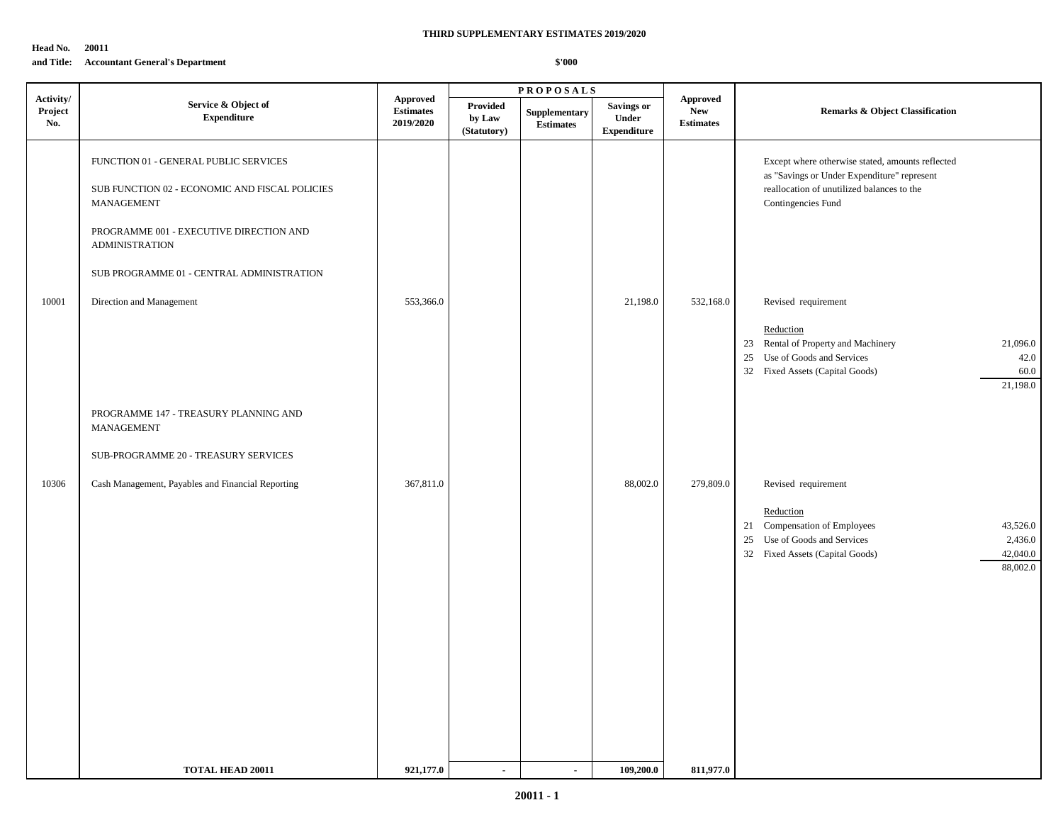**Head No. 20011**

## **and Title: Accountant General's Department**

## **THIRD SUPPLEMENTARY ESTIMATES 2019/2020**

|                             |                                                                                                                                                                                                                        |                                                  |                                   | <b>PROPOSALS</b>                  |                                                  |                                                          |                                                                                                                                                                                    |  |
|-----------------------------|------------------------------------------------------------------------------------------------------------------------------------------------------------------------------------------------------------------------|--------------------------------------------------|-----------------------------------|-----------------------------------|--------------------------------------------------|----------------------------------------------------------|------------------------------------------------------------------------------------------------------------------------------------------------------------------------------------|--|
| Activity/<br>Project<br>No. | Service & Object of<br><b>Expenditure</b>                                                                                                                                                                              | <b>Approved</b><br><b>Estimates</b><br>2019/2020 | Provided<br>by Law<br>(Statutory) | Supplementary<br><b>Estimates</b> | <b>Savings or</b><br>Under<br><b>Expenditure</b> | ${\Large\bf Approved}$<br><b>New</b><br><b>Estimates</b> | <b>Remarks &amp; Object Classification</b>                                                                                                                                         |  |
|                             | FUNCTION 01 - GENERAL PUBLIC SERVICES<br>SUB FUNCTION 02 - ECONOMIC AND FISCAL POLICIES<br>MANAGEMENT<br>PROGRAMME 001 - EXECUTIVE DIRECTION AND<br><b>ADMINISTRATION</b><br>SUB PROGRAMME 01 - CENTRAL ADMINISTRATION |                                                  |                                   |                                   |                                                  |                                                          | Except where otherwise stated, amounts reflected<br>as "Savings or Under Expenditure" represent<br>reallocation of unutilized balances to the<br>Contingencies Fund                |  |
| 10001                       | Direction and Management<br>PROGRAMME 147 - TREASURY PLANNING AND<br><b>MANAGEMENT</b>                                                                                                                                 | 553,366.0                                        |                                   |                                   | 21,198.0                                         | 532,168.0                                                | Revised requirement<br>Reduction<br>23 Rental of Property and Machinery<br>21,096.0<br>25 Use of Goods and Services<br>42.0<br>32 Fixed Assets (Capital Goods)<br>60.0<br>21,198.0 |  |
| 10306                       | SUB-PROGRAMME 20 - TREASURY SERVICES<br>Cash Management, Payables and Financial Reporting                                                                                                                              | 367,811.0                                        |                                   |                                   | 88,002.0                                         | 279,809.0                                                | Revised requirement                                                                                                                                                                |  |
|                             |                                                                                                                                                                                                                        |                                                  |                                   |                                   |                                                  |                                                          | Reduction<br>21 Compensation of Employees<br>43,526.0<br>25 Use of Goods and Services<br>2,436.0<br>42,040.0<br>32 Fixed Assets (Capital Goods)<br>88,002.0                        |  |
|                             | <b>TOTAL HEAD 20011</b>                                                                                                                                                                                                | 921,177.0                                        | $\sim$                            | $\sim$                            | 109,200.0                                        | 811,977.0                                                |                                                                                                                                                                                    |  |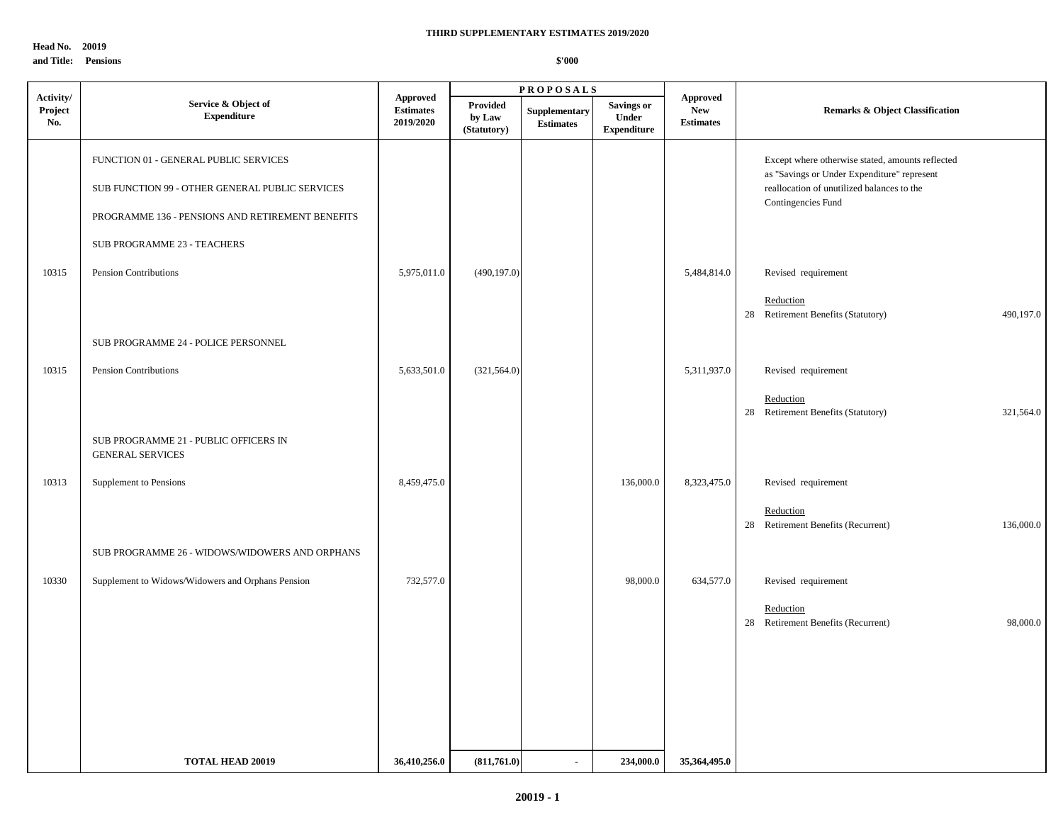**Head No. 20019 and Title: Pensions**

|                             |                                                                                                                                              |                                                  |                                   | <b>PROPOSALS</b>                  |                                                  |                                                   |                                                                                                                                                                     |  |
|-----------------------------|----------------------------------------------------------------------------------------------------------------------------------------------|--------------------------------------------------|-----------------------------------|-----------------------------------|--------------------------------------------------|---------------------------------------------------|---------------------------------------------------------------------------------------------------------------------------------------------------------------------|--|
| Activity/<br>Project<br>No. | Service & Object of<br>${\bf Expenditure}$                                                                                                   | <b>Approved</b><br><b>Estimates</b><br>2019/2020 | Provided<br>by Law<br>(Statutory) | Supplementary<br><b>Estimates</b> | <b>Savings or</b><br>Under<br><b>Expenditure</b> | <b>Approved</b><br><b>New</b><br><b>Estimates</b> | <b>Remarks &amp; Object Classification</b>                                                                                                                          |  |
|                             | FUNCTION 01 - GENERAL PUBLIC SERVICES<br>SUB FUNCTION 99 - OTHER GENERAL PUBLIC SERVICES<br>PROGRAMME 136 - PENSIONS AND RETIREMENT BENEFITS |                                                  |                                   |                                   |                                                  |                                                   | Except where otherwise stated, amounts reflected<br>as "Savings or Under Expenditure" represent<br>reallocation of unutilized balances to the<br>Contingencies Fund |  |
| 10315                       | SUB PROGRAMME 23 - TEACHERS<br>Pension Contributions                                                                                         | 5,975,011.0                                      | (490, 197.0)                      |                                   |                                                  | 5,484,814.0                                       | Revised requirement<br>Reduction<br>28 Retirement Benefits (Statutory)<br>490,197.0                                                                                 |  |
|                             | SUB PROGRAMME 24 - POLICE PERSONNEL                                                                                                          |                                                  |                                   |                                   |                                                  |                                                   |                                                                                                                                                                     |  |
| 10315                       | Pension Contributions                                                                                                                        | 5,633,501.0                                      | (321, 564.0)                      |                                   |                                                  | 5,311,937.0                                       | Revised requirement<br>Reduction<br>28 Retirement Benefits (Statutory)<br>321,564.0                                                                                 |  |
|                             | SUB PROGRAMME 21 - PUBLIC OFFICERS IN<br><b>GENERAL SERVICES</b>                                                                             |                                                  |                                   |                                   |                                                  |                                                   |                                                                                                                                                                     |  |
| 10313                       | Supplement to Pensions                                                                                                                       | 8,459,475.0                                      |                                   |                                   | 136,000.0                                        | 8,323,475.0                                       | Revised requirement<br>Reduction<br>28 Retirement Benefits (Recurrent)<br>136,000.0                                                                                 |  |
|                             | SUB PROGRAMME 26 - WIDOWS/WIDOWERS AND ORPHANS                                                                                               |                                                  |                                   |                                   |                                                  |                                                   |                                                                                                                                                                     |  |
| 10330                       | Supplement to Widows/Widowers and Orphans Pension                                                                                            | 732,577.0                                        |                                   |                                   | 98,000.0                                         | 634,577.0                                         | Revised requirement<br>Reduction<br>28 Retirement Benefits (Recurrent)<br>98,000.0                                                                                  |  |
|                             |                                                                                                                                              |                                                  |                                   |                                   |                                                  |                                                   |                                                                                                                                                                     |  |
|                             | <b>TOTAL HEAD 20019</b>                                                                                                                      | 36,410,256.0                                     | (811,761.0)                       | $\blacksquare$                    | 234,000.0                                        | 35,364,495.0                                      |                                                                                                                                                                     |  |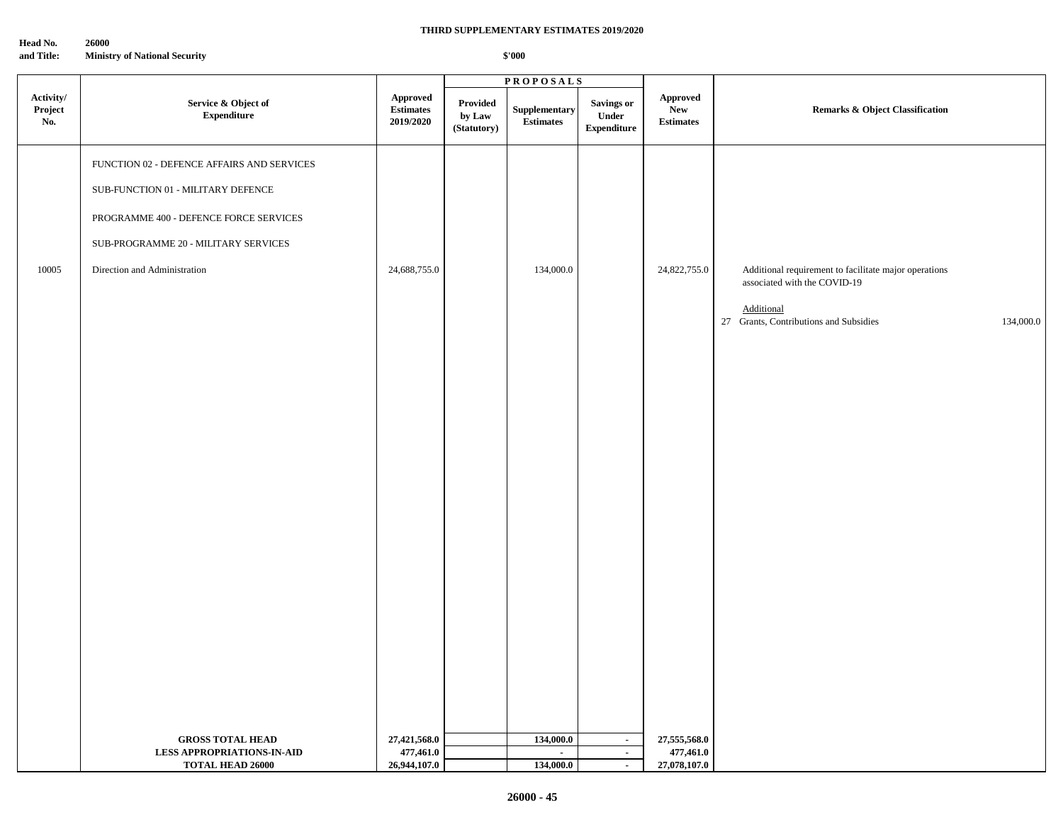**Head No. 26000**

**and Title: Ministry of National Security**

#### **THIRD SUPPLEMENTARY ESTIMATES 2019/2020**

|                             |                                                                                                                                                                                                    |                                           |                                   | <b>PROPOSALS</b>                  |                                                   |                                            |                                                                                                                                                            |  |
|-----------------------------|----------------------------------------------------------------------------------------------------------------------------------------------------------------------------------------------------|-------------------------------------------|-----------------------------------|-----------------------------------|---------------------------------------------------|--------------------------------------------|------------------------------------------------------------------------------------------------------------------------------------------------------------|--|
| Activity/<br>Project<br>No. | Service & Object of<br>${\bf Expenditure}$                                                                                                                                                         | Approved<br>Estimates<br>2019/2020        | Provided<br>by Law<br>(Statutory) | Supplementary<br><b>Estimates</b> | <b>Savings or</b><br>Under<br>${\bf Expenditure}$ | Approved<br><b>New</b><br><b>Estimates</b> | Remarks & Object Classification                                                                                                                            |  |
| 10005                       | FUNCTION 02 - DEFENCE AFFAIRS AND SERVICES<br>SUB-FUNCTION 01 - MILITARY DEFENCE<br>PROGRAMME 400 - DEFENCE FORCE SERVICES<br>SUB-PROGRAMME 20 - MILITARY SERVICES<br>Direction and Administration | 24,688,755.0                              |                                   | 134,000.0                         |                                                   | 24,822,755.0                               | Additional requirement to facilitate major operations<br>associated with the COVID-19<br>Additional<br>27 Grants, Contributions and Subsidies<br>134,000.0 |  |
|                             |                                                                                                                                                                                                    |                                           |                                   |                                   |                                                   |                                            |                                                                                                                                                            |  |
|                             |                                                                                                                                                                                                    |                                           |                                   |                                   |                                                   |                                            |                                                                                                                                                            |  |
|                             | <b>GROSS TOTAL HEAD</b><br><b>LESS APPROPRIATIONS-IN-AID</b><br><b>TOTAL HEAD 26000</b>                                                                                                            | 27,421,568.0<br>477,461.0<br>26,944,107.0 |                                   | 134,000.0<br>$\sim$<br>134,000.0  | $\sim$<br>$\sim$<br>$\mathbf{r}$                  | 27,555,568.0<br>477,461.0<br>27,078,107.0  |                                                                                                                                                            |  |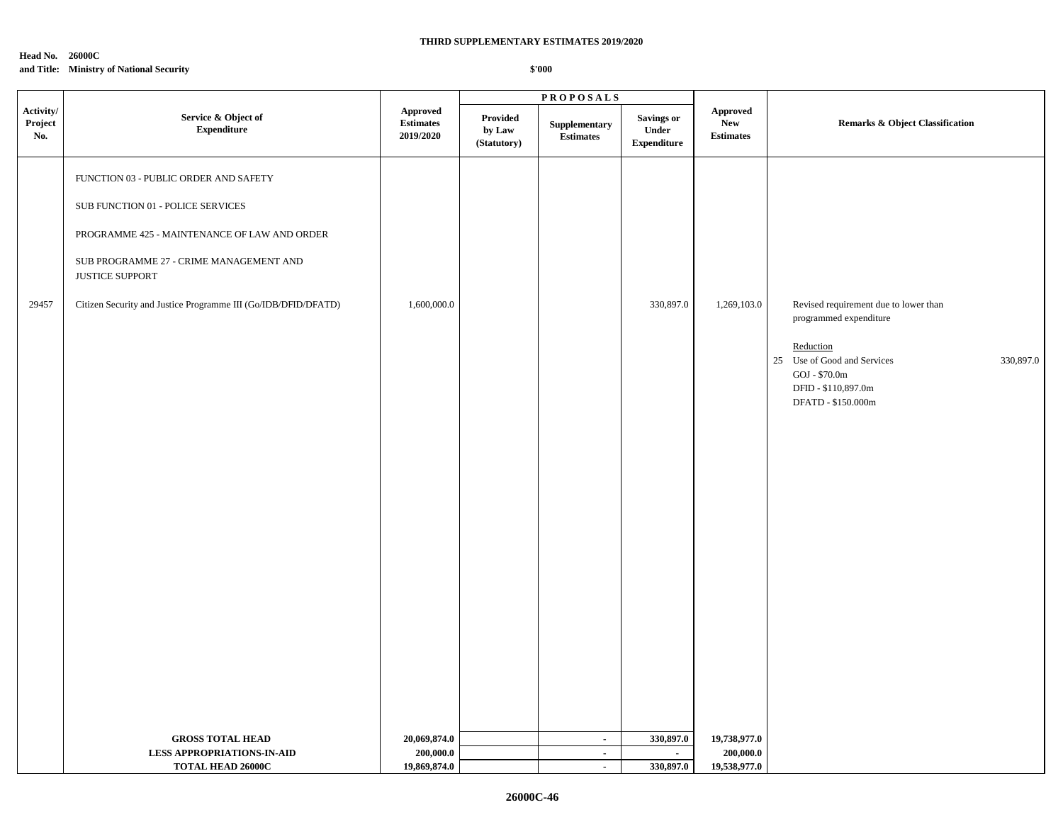#### **Head No. 26000C**

## **and Title: Ministry of National Security**

|                             |                                                                                                                                                                                                                                                            |                                                  |                                   | <b>PROPOSALS</b>                  |                                                  |                                                   |                                                                                                                                                                                           |  |
|-----------------------------|------------------------------------------------------------------------------------------------------------------------------------------------------------------------------------------------------------------------------------------------------------|--------------------------------------------------|-----------------------------------|-----------------------------------|--------------------------------------------------|---------------------------------------------------|-------------------------------------------------------------------------------------------------------------------------------------------------------------------------------------------|--|
| Activity/<br>Project<br>No. | Service & Object of<br><b>Expenditure</b>                                                                                                                                                                                                                  | <b>Approved</b><br><b>Estimates</b><br>2019/2020 | Provided<br>by Law<br>(Statutory) | Supplementary<br><b>Estimates</b> | Savings or<br><b>Under</b><br><b>Expenditure</b> | <b>Approved</b><br><b>New</b><br><b>Estimates</b> | Remarks & Object Classification                                                                                                                                                           |  |
| 29457                       | FUNCTION 03 - PUBLIC ORDER AND SAFETY<br>SUB FUNCTION 01 - POLICE SERVICES<br>PROGRAMME 425 - MAINTENANCE OF LAW AND ORDER<br>SUB PROGRAMME 27 - CRIME MANAGEMENT AND<br>JUSTICE SUPPORT<br>Citizen Security and Justice Programme III (Go/IDB/DFID/DFATD) | 1,600,000.0                                      |                                   |                                   | 330,897.0                                        | 1,269,103.0                                       | Revised requirement due to lower than<br>programmed expenditure<br>Reduction<br>25<br>Use of Good and Services<br>330,897.0<br>GOJ - \$70.0m<br>DFID - \$110,897.0m<br>DFATD - \$150.000m |  |
|                             | <b>GROSS TOTAL HEAD</b>                                                                                                                                                                                                                                    | 20,069,874.0                                     |                                   | $\sim$                            | 330,897.0                                        | 19,738,977.0                                      |                                                                                                                                                                                           |  |
|                             | <b>LESS APPROPRIATIONS-IN-AID</b>                                                                                                                                                                                                                          | 200,000.0                                        |                                   | $\sim$                            | $\sim$                                           | 200,000.0                                         |                                                                                                                                                                                           |  |
|                             | TOTAL HEAD 26000C                                                                                                                                                                                                                                          | 19,869,874.0                                     |                                   | $\blacksquare$                    | 330,897.0                                        | 19,538,977.0                                      |                                                                                                                                                                                           |  |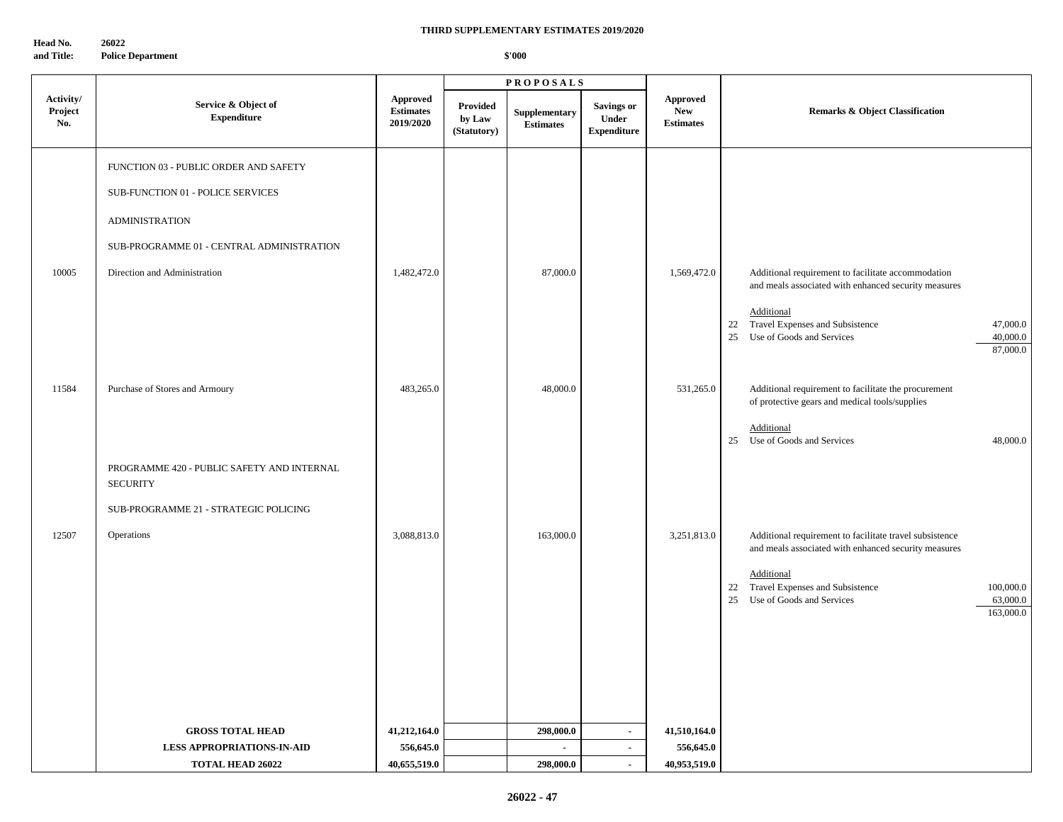**Head No. 26022 and Title: Police Department**

|                             |                                                               |                                           |                                          | <b>PROPOSALS</b>                  |                                                         |                                                   |                                                                                                                         |
|-----------------------------|---------------------------------------------------------------|-------------------------------------------|------------------------------------------|-----------------------------------|---------------------------------------------------------|---------------------------------------------------|-------------------------------------------------------------------------------------------------------------------------|
| Activity/<br>Project<br>No. | Service & Object of<br><b>Expenditure</b>                     | Approved<br><b>Estimates</b><br>2019/2020 | <b>Provided</b><br>by Law<br>(Statutory) | Supplementary<br><b>Estimates</b> | <b>Savings or</b><br><b>Under</b><br><b>Expenditure</b> | <b>Approved</b><br><b>New</b><br><b>Estimates</b> | <b>Remarks &amp; Object Classification</b>                                                                              |
|                             | FUNCTION 03 - PUBLIC ORDER AND SAFETY                         |                                           |                                          |                                   |                                                         |                                                   |                                                                                                                         |
|                             | SUB-FUNCTION 01 - POLICE SERVICES                             |                                           |                                          |                                   |                                                         |                                                   |                                                                                                                         |
|                             | <b>ADMINISTRATION</b>                                         |                                           |                                          |                                   |                                                         |                                                   |                                                                                                                         |
|                             | SUB-PROGRAMME 01 - CENTRAL ADMINISTRATION                     |                                           |                                          |                                   |                                                         |                                                   |                                                                                                                         |
| 10005                       | Direction and Administration                                  | 1,482,472.0                               |                                          | 87,000.0                          |                                                         | 1,569,472.0                                       | Additional requirement to facilitate accommodation<br>and meals associated with enhanced security measures              |
|                             |                                                               |                                           |                                          |                                   |                                                         |                                                   | Additional<br>Travel Expenses and Subsistence<br>47,000.0<br>22<br>25 Use of Goods and Services<br>40,000.0<br>87,000.0 |
| 11584                       | Purchase of Stores and Armoury                                | 483,265.0                                 |                                          | 48,000.0                          |                                                         | 531,265.0                                         | Additional requirement to facilitate the procurement                                                                    |
|                             |                                                               |                                           |                                          |                                   |                                                         |                                                   | of protective gears and medical tools/supplies<br>Additional                                                            |
|                             |                                                               |                                           |                                          |                                   |                                                         |                                                   | 25 Use of Goods and Services<br>48,000.0                                                                                |
|                             | PROGRAMME 420 - PUBLIC SAFETY AND INTERNAL<br><b>SECURITY</b> |                                           |                                          |                                   |                                                         |                                                   |                                                                                                                         |
|                             | SUB-PROGRAMME 21 - STRATEGIC POLICING                         |                                           |                                          |                                   |                                                         |                                                   |                                                                                                                         |
| 12507                       | Operations                                                    | 3,088,813.0                               |                                          | 163,000.0                         |                                                         | 3,251,813.0                                       | Additional requirement to facilitate travel subsistence<br>and meals associated with enhanced security measures         |
|                             |                                                               |                                           |                                          |                                   |                                                         |                                                   | Additional                                                                                                              |
|                             |                                                               |                                           |                                          |                                   |                                                         |                                                   | 22 Travel Expenses and Subsistence<br>100,000.0<br>Use of Goods and Services<br>63,000.0<br>25                          |
|                             |                                                               |                                           |                                          |                                   |                                                         |                                                   | 163,000.0                                                                                                               |
|                             |                                                               |                                           |                                          |                                   |                                                         |                                                   |                                                                                                                         |
|                             |                                                               |                                           |                                          |                                   |                                                         |                                                   |                                                                                                                         |
|                             |                                                               |                                           |                                          |                                   |                                                         |                                                   |                                                                                                                         |
|                             | <b>GROSS TOTAL HEAD</b>                                       | 41,212,164.0                              |                                          | 298,000.0                         | $\sim$                                                  | 41,510,164.0                                      |                                                                                                                         |
|                             | <b>LESS APPROPRIATIONS-IN-AID</b>                             | 556,645.0                                 |                                          | $\sim$                            | $\sim$                                                  | 556,645.0                                         |                                                                                                                         |
|                             | <b>TOTAL HEAD 26022</b>                                       | 40,655,519.0                              |                                          | 298,000.0                         | $\blacksquare$                                          | 40,953,519.0                                      |                                                                                                                         |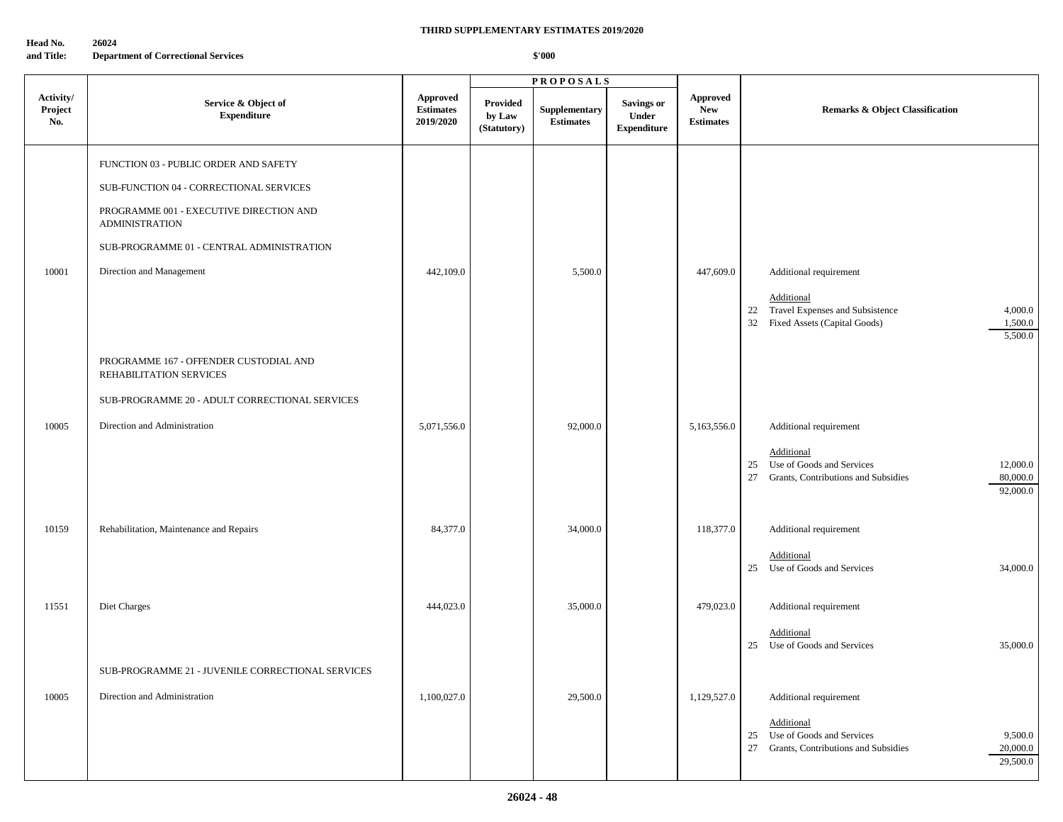| Head No.   | 26024                                      |
|------------|--------------------------------------------|
| and Title: | <b>Department of Correctional Services</b> |

|                             |                                                                   |                                                  |                                          | <b>PROPOSALS</b>                  |                                                  |                                                   |                                                                                                                                |
|-----------------------------|-------------------------------------------------------------------|--------------------------------------------------|------------------------------------------|-----------------------------------|--------------------------------------------------|---------------------------------------------------|--------------------------------------------------------------------------------------------------------------------------------|
| Activity/<br>Project<br>No. | Service & Object of<br><b>Expenditure</b>                         | <b>Approved</b><br><b>Estimates</b><br>2019/2020 | <b>Provided</b><br>by Law<br>(Statutory) | Supplementary<br><b>Estimates</b> | <b>Savings or</b><br>Under<br><b>Expenditure</b> | <b>Approved</b><br><b>New</b><br><b>Estimates</b> | <b>Remarks &amp; Object Classification</b>                                                                                     |
|                             | FUNCTION 03 - PUBLIC ORDER AND SAFETY                             |                                                  |                                          |                                   |                                                  |                                                   |                                                                                                                                |
|                             | SUB-FUNCTION 04 - CORRECTIONAL SERVICES                           |                                                  |                                          |                                   |                                                  |                                                   |                                                                                                                                |
|                             | PROGRAMME 001 - EXECUTIVE DIRECTION AND<br><b>ADMINISTRATION</b>  |                                                  |                                          |                                   |                                                  |                                                   |                                                                                                                                |
|                             | SUB-PROGRAMME 01 - CENTRAL ADMINISTRATION                         |                                                  |                                          |                                   |                                                  |                                                   |                                                                                                                                |
| 10001                       | Direction and Management                                          | 442,109.0                                        |                                          | 5,500.0                           |                                                  | 447,609.0                                         | Additional requirement                                                                                                         |
|                             |                                                                   |                                                  |                                          |                                   |                                                  |                                                   | Additional<br>22 Travel Expenses and Subsistence<br>4,000.0<br>32 Fixed Assets (Capital Goods)<br>1,500.0<br>5,500.0           |
|                             | PROGRAMME 167 - OFFENDER CUSTODIAL AND<br>REHABILITATION SERVICES |                                                  |                                          |                                   |                                                  |                                                   |                                                                                                                                |
|                             | SUB-PROGRAMME 20 - ADULT CORRECTIONAL SERVICES                    |                                                  |                                          |                                   |                                                  |                                                   |                                                                                                                                |
| 10005                       | Direction and Administration                                      | 5,071,556.0                                      |                                          | 92,000.0                          |                                                  | 5,163,556.0                                       | Additional requirement                                                                                                         |
|                             |                                                                   |                                                  |                                          |                                   |                                                  |                                                   | Additional<br>Use of Goods and Services<br>12,000.0<br>25<br>80,000.0<br>27<br>Grants, Contributions and Subsidies<br>92,000.0 |
| 10159                       | Rehabilitation, Maintenance and Repairs                           | 84,377.0                                         |                                          | 34,000.0                          |                                                  | 118,377.0                                         | Additional requirement                                                                                                         |
|                             |                                                                   |                                                  |                                          |                                   |                                                  |                                                   | Additional<br>34,000.0<br>25 Use of Goods and Services                                                                         |
| 11551                       | Diet Charges                                                      | 444,023.0                                        |                                          | 35,000.0                          |                                                  | 479,023.0                                         | Additional requirement                                                                                                         |
|                             |                                                                   |                                                  |                                          |                                   |                                                  |                                                   | Additional<br>25 Use of Goods and Services<br>35,000.0                                                                         |
|                             | SUB-PROGRAMME 21 - JUVENILE CORRECTIONAL SERVICES                 |                                                  |                                          |                                   |                                                  |                                                   |                                                                                                                                |
| 10005                       | Direction and Administration                                      | 1,100,027.0                                      |                                          | 29,500.0                          |                                                  | 1,129,527.0                                       | Additional requirement                                                                                                         |
|                             |                                                                   |                                                  |                                          |                                   |                                                  |                                                   | Additional<br>25 Use of Goods and Services<br>9,500.0<br>27 Grants, Contributions and Subsidies<br>20,000.0<br>29,500.0        |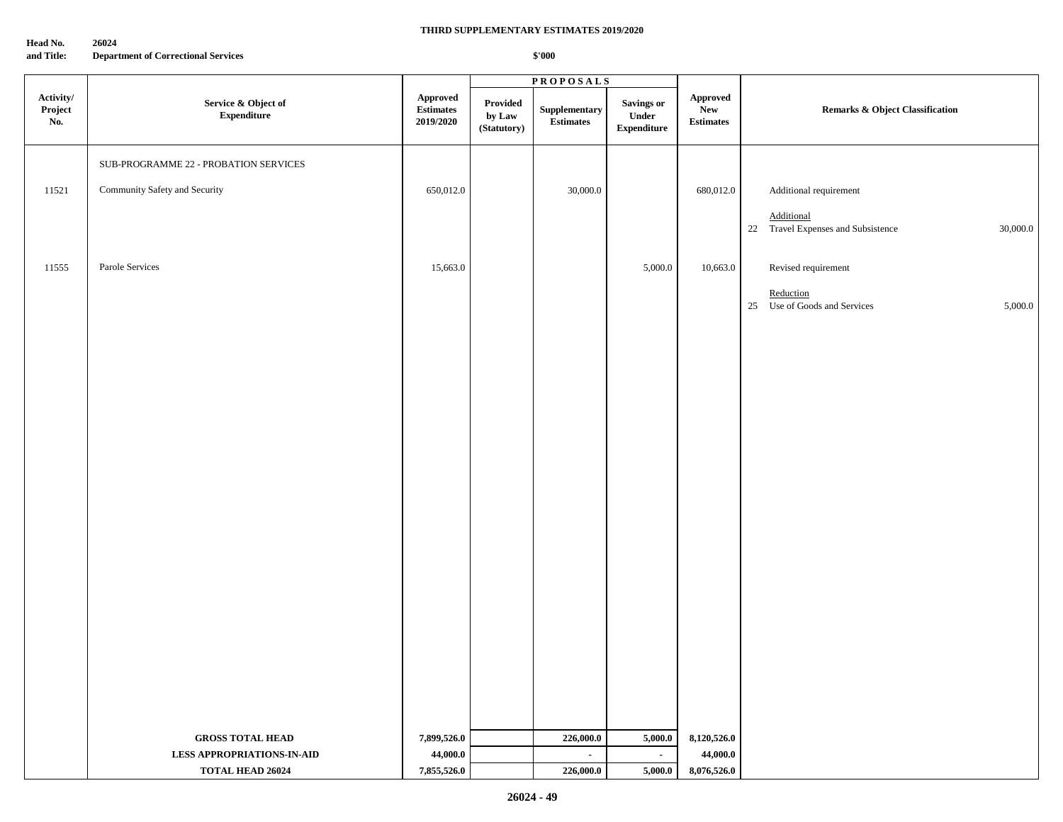**Head No. 26024**

**and Title: Department of Correctional Services**

## **THIRD SUPPLEMENTARY ESTIMATES 2019/2020**

|                             |                                           |                                                         |                                   | <b>PROPOSALS</b>                                   |                                           |                                     |                                                              |
|-----------------------------|-------------------------------------------|---------------------------------------------------------|-----------------------------------|----------------------------------------------------|-------------------------------------------|-------------------------------------|--------------------------------------------------------------|
| Activity/<br>Project<br>No. | Service & Object of<br><b>Expenditure</b> | ${\Large\bf Approved}$<br><b>Estimates</b><br>2019/2020 | Provided<br>by Law<br>(Statutory) | ${\Large \bf Supplementary}\\$<br><b>Estimates</b> | Savings or<br>Under<br><b>Expenditure</b> | Approved<br>New<br><b>Estimates</b> | <b>Remarks &amp; Object Classification</b>                   |
|                             | SUB-PROGRAMME 22 - PROBATION SERVICES     |                                                         |                                   |                                                    |                                           |                                     |                                                              |
| 11521                       | Community Safety and Security             | 650,012.0                                               |                                   | 30,000.0                                           |                                           | 680,012.0                           | Additional requirement                                       |
|                             |                                           |                                                         |                                   |                                                    |                                           |                                     |                                                              |
|                             |                                           |                                                         |                                   |                                                    |                                           |                                     | Additional<br>22 Travel Expenses and Subsistence<br>30,000.0 |
|                             |                                           |                                                         |                                   |                                                    |                                           |                                     |                                                              |
| 11555                       | Parole Services                           | 15,663.0                                                |                                   |                                                    | 5,000.0                                   | 10,663.0                            | Revised requirement                                          |
|                             |                                           |                                                         |                                   |                                                    |                                           |                                     | Reduction<br>25 Use of Goods and Services<br>5,000.0         |
|                             |                                           |                                                         |                                   |                                                    |                                           |                                     |                                                              |
|                             |                                           |                                                         |                                   |                                                    |                                           |                                     |                                                              |
|                             |                                           |                                                         |                                   |                                                    |                                           |                                     |                                                              |
|                             |                                           |                                                         |                                   |                                                    |                                           |                                     |                                                              |
|                             |                                           |                                                         |                                   |                                                    |                                           |                                     |                                                              |
|                             |                                           |                                                         |                                   |                                                    |                                           |                                     |                                                              |
|                             |                                           |                                                         |                                   |                                                    |                                           |                                     |                                                              |
|                             |                                           |                                                         |                                   |                                                    |                                           |                                     |                                                              |
|                             |                                           |                                                         |                                   |                                                    |                                           |                                     |                                                              |
|                             |                                           |                                                         |                                   |                                                    |                                           |                                     |                                                              |
|                             |                                           |                                                         |                                   |                                                    |                                           |                                     |                                                              |
|                             |                                           |                                                         |                                   |                                                    |                                           |                                     |                                                              |
|                             |                                           |                                                         |                                   |                                                    |                                           |                                     |                                                              |
|                             |                                           |                                                         |                                   |                                                    |                                           |                                     |                                                              |
|                             |                                           |                                                         |                                   |                                                    |                                           |                                     |                                                              |
|                             |                                           |                                                         |                                   |                                                    |                                           |                                     |                                                              |
|                             |                                           |                                                         |                                   |                                                    |                                           |                                     |                                                              |
|                             |                                           |                                                         |                                   |                                                    |                                           |                                     |                                                              |
|                             |                                           |                                                         |                                   |                                                    |                                           |                                     |                                                              |
|                             | <b>GROSS TOTAL HEAD</b>                   | 7,899,526.0                                             |                                   | 226,000.0                                          | 5,000.0                                   | 8,120,526.0                         |                                                              |
|                             | <b>LESS APPROPRIATIONS-IN-AID</b>         | 44,000.0                                                |                                   | $\sim$                                             | $\sim$                                    | 44,000.0                            |                                                              |
|                             | <b>TOTAL HEAD 26024</b>                   | 7,855,526.0                                             |                                   | 226,000.0                                          | 5,000.0                                   | 8,076,526.0                         |                                                              |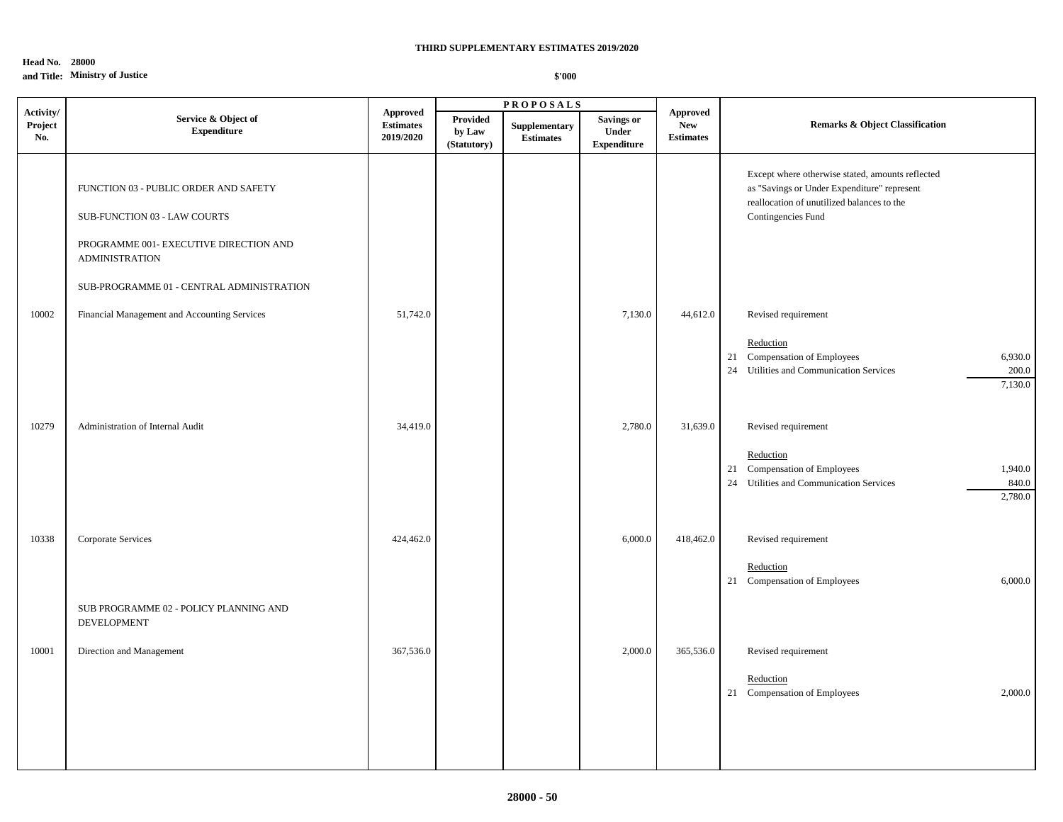## **Head No. 28000 and Title: Ministry of Justice**

|                             |                                                                                                                                          |                                                  |                                          | <b>PROPOSALS</b>                  |                                                         |                                                   |                                                                                                                                                                     |  |
|-----------------------------|------------------------------------------------------------------------------------------------------------------------------------------|--------------------------------------------------|------------------------------------------|-----------------------------------|---------------------------------------------------------|---------------------------------------------------|---------------------------------------------------------------------------------------------------------------------------------------------------------------------|--|
| Activity/<br>Project<br>No. | Service & Object of<br><b>Expenditure</b>                                                                                                | <b>Approved</b><br><b>Estimates</b><br>2019/2020 | <b>Provided</b><br>by Law<br>(Statutory) | Supplementary<br><b>Estimates</b> | <b>Savings or</b><br><b>Under</b><br><b>Expenditure</b> | <b>Approved</b><br><b>New</b><br><b>Estimates</b> | <b>Remarks &amp; Object Classification</b>                                                                                                                          |  |
|                             | FUNCTION 03 - PUBLIC ORDER AND SAFETY<br>SUB-FUNCTION 03 - LAW COURTS<br>PROGRAMME 001- EXECUTIVE DIRECTION AND<br><b>ADMINISTRATION</b> |                                                  |                                          |                                   |                                                         |                                                   | Except where otherwise stated, amounts reflected<br>as "Savings or Under Expenditure" represent<br>reallocation of unutilized balances to the<br>Contingencies Fund |  |
| 10002                       | SUB-PROGRAMME 01 - CENTRAL ADMINISTRATION<br>Financial Management and Accounting Services                                                | 51,742.0                                         |                                          |                                   | 7,130.0                                                 | 44,612.0                                          | Revised requirement<br>Reduction<br>21 Compensation of Employees<br>6,930.0<br>24 Utilities and Communication Services<br>200.0<br>7,130.0                          |  |
| 10279                       | Administration of Internal Audit                                                                                                         | 34,419.0                                         |                                          |                                   | 2,780.0                                                 | 31,639.0                                          | Revised requirement<br>Reduction<br>21 Compensation of Employees<br>1,940.0<br>24 Utilities and Communication Services<br>840.0<br>2,780.0                          |  |
| 10338                       | Corporate Services<br>SUB PROGRAMME 02 - POLICY PLANNING AND<br>DEVELOPMENT                                                              | 424,462.0                                        |                                          |                                   | 6,000.0                                                 | 418,462.0                                         | Revised requirement<br>Reduction<br>21 Compensation of Employees<br>6,000.0                                                                                         |  |
| 10001                       | Direction and Management                                                                                                                 | 367,536.0                                        |                                          |                                   | 2,000.0                                                 | 365,536.0                                         | Revised requirement<br>Reduction<br>21 Compensation of Employees<br>2,000.0                                                                                         |  |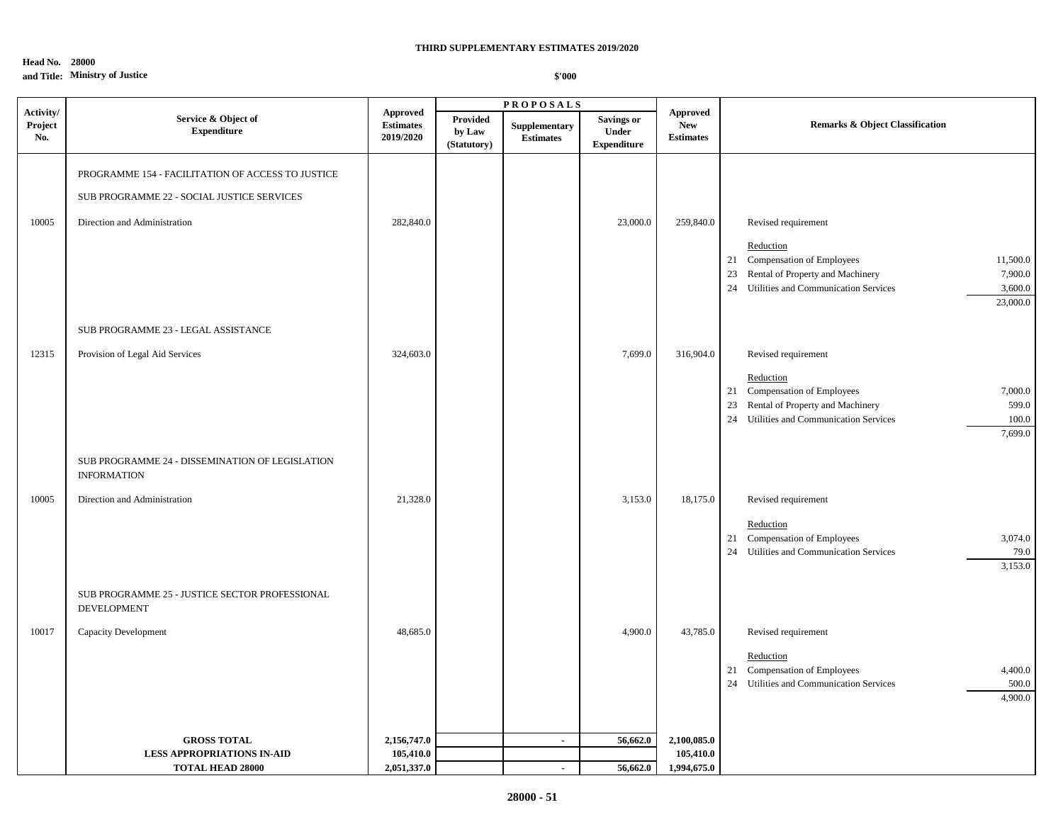## **Head No. 28000 and Title: Ministry of Justice**

|                             |                                                                                                                                 |                                                  |                                   | <b>PROPOSALS</b>                  |                                                  |                                                   |                                                                                                                                                                                                        |  |
|-----------------------------|---------------------------------------------------------------------------------------------------------------------------------|--------------------------------------------------|-----------------------------------|-----------------------------------|--------------------------------------------------|---------------------------------------------------|--------------------------------------------------------------------------------------------------------------------------------------------------------------------------------------------------------|--|
| Activity/<br>Project<br>No. | Service & Object of<br><b>Expenditure</b>                                                                                       | <b>Approved</b><br><b>Estimates</b><br>2019/2020 | Provided<br>by Law<br>(Statutory) | Supplementary<br><b>Estimates</b> | <b>Savings or</b><br>Under<br><b>Expenditure</b> | <b>Approved</b><br><b>New</b><br><b>Estimates</b> | <b>Remarks &amp; Object Classification</b>                                                                                                                                                             |  |
| 10005                       | PROGRAMME 154 - FACILITATION OF ACCESS TO JUSTICE<br>SUB PROGRAMME 22 - SOCIAL JUSTICE SERVICES<br>Direction and Administration | 282,840.0                                        |                                   |                                   | 23,000.0                                         | 259,840.0                                         | Revised requirement<br>Reduction<br>21 Compensation of Employees<br>11,500.0<br>Rental of Property and Machinery<br>7,900.0<br>23<br>Utilities and Communication Services<br>3,600.0<br>24<br>23,000.0 |  |
| 12315                       | SUB PROGRAMME 23 - LEGAL ASSISTANCE<br>Provision of Legal Aid Services                                                          | 324,603.0                                        |                                   |                                   | 7,699.0                                          | 316,904.0                                         | Revised requirement<br>Reduction<br>21 Compensation of Employees<br>7,000.0<br>Rental of Property and Machinery<br>599.0<br>23<br>24 Utilities and Communication Services<br>100.0<br>7,699.0          |  |
| 10005                       | SUB PROGRAMME 24 - DISSEMINATION OF LEGISLATION<br><b>INFORMATION</b><br>Direction and Administration                           | 21,328.0                                         |                                   |                                   | 3,153.0                                          | 18,175.0                                          | Revised requirement<br>Reduction<br>21 Compensation of Employees<br>3,074.0<br>24 Utilities and Communication Services<br>79.0<br>3,153.0                                                              |  |
| 10017                       | SUB PROGRAMME 25 - JUSTICE SECTOR PROFESSIONAL<br>DEVELOPMENT<br>Capacity Development                                           | 48,685.0                                         |                                   |                                   | 4,900.0                                          | 43,785.0                                          | Revised requirement<br>Reduction<br>21 Compensation of Employees<br>4,400.0<br>24 Utilities and Communication Services<br>500.0<br>4,900.0                                                             |  |
|                             | <b>GROSS TOTAL</b><br><b>LESS APPROPRIATIONS IN-AID</b><br><b>TOTAL HEAD 28000</b>                                              | 2,156,747.0<br>105,410.0<br>2,051,337.0          |                                   | $\sim$<br>$\blacksquare$          | 56,662.0<br>56,662.0                             | 2,100,085.0<br>105,410.0<br>1,994,675.0           |                                                                                                                                                                                                        |  |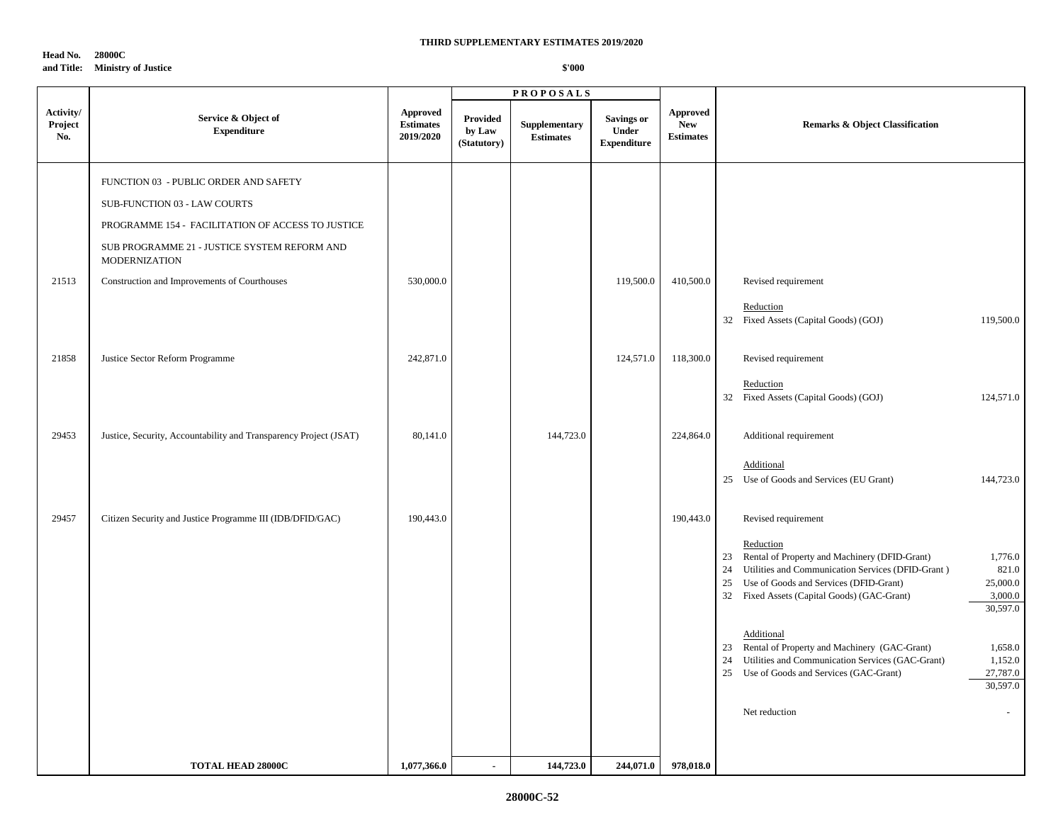**Head No. 28000C and Title: Ministry of Justice**

|                             |                                                                      |                                                  |                                          | <b>PROPOSALS</b>                  |                                                         |                                            |                                                                                                                                                                                                                         |                                                     |
|-----------------------------|----------------------------------------------------------------------|--------------------------------------------------|------------------------------------------|-----------------------------------|---------------------------------------------------------|--------------------------------------------|-------------------------------------------------------------------------------------------------------------------------------------------------------------------------------------------------------------------------|-----------------------------------------------------|
| Activity/<br>Project<br>No. | Service & Object of<br><b>Expenditure</b>                            | <b>Approved</b><br><b>Estimates</b><br>2019/2020 | <b>Provided</b><br>by Law<br>(Statutory) | Supplementary<br><b>Estimates</b> | <b>Savings or</b><br><b>Under</b><br><b>Expenditure</b> | Approved<br><b>New</b><br><b>Estimates</b> | <b>Remarks &amp; Object Classification</b>                                                                                                                                                                              |                                                     |
|                             | FUNCTION 03 - PUBLIC ORDER AND SAFETY                                |                                                  |                                          |                                   |                                                         |                                            |                                                                                                                                                                                                                         |                                                     |
|                             | SUB-FUNCTION 03 - LAW COURTS                                         |                                                  |                                          |                                   |                                                         |                                            |                                                                                                                                                                                                                         |                                                     |
|                             | PROGRAMME 154 - FACILITATION OF ACCESS TO JUSTICE                    |                                                  |                                          |                                   |                                                         |                                            |                                                                                                                                                                                                                         |                                                     |
|                             | SUB PROGRAMME 21 - JUSTICE SYSTEM REFORM AND<br><b>MODERNIZATION</b> |                                                  |                                          |                                   |                                                         |                                            |                                                                                                                                                                                                                         |                                                     |
| 21513                       | Construction and Improvements of Courthouses                         | 530,000.0                                        |                                          |                                   | 119,500.0                                               | 410,500.0                                  | Revised requirement                                                                                                                                                                                                     |                                                     |
|                             |                                                                      |                                                  |                                          |                                   |                                                         |                                            | Reduction<br>32 Fixed Assets (Capital Goods) (GOJ)                                                                                                                                                                      | 119,500.0                                           |
| 21858                       | Justice Sector Reform Programme                                      | 242,871.0                                        |                                          |                                   | 124,571.0                                               | 118,300.0                                  | Revised requirement                                                                                                                                                                                                     |                                                     |
|                             |                                                                      |                                                  |                                          |                                   |                                                         |                                            | Reduction<br>32 Fixed Assets (Capital Goods) (GOJ)                                                                                                                                                                      | 124,571.0                                           |
| 29453                       | Justice, Security, Accountability and Transparency Project (JSAT)    | 80,141.0                                         |                                          | 144,723.0                         |                                                         | 224,864.0                                  | Additional requirement                                                                                                                                                                                                  |                                                     |
|                             |                                                                      |                                                  |                                          |                                   |                                                         |                                            | Additional<br>25 Use of Goods and Services (EU Grant)                                                                                                                                                                   | 144,723.0                                           |
| 29457                       | Citizen Security and Justice Programme III (IDB/DFID/GAC)            | 190,443.0                                        |                                          |                                   |                                                         | 190,443.0                                  | Revised requirement                                                                                                                                                                                                     |                                                     |
|                             |                                                                      |                                                  |                                          |                                   |                                                         |                                            | Reduction<br>23 Rental of Property and Machinery (DFID-Grant)<br>Utilities and Communication Services (DFID-Grant)<br>24<br>25<br>Use of Goods and Services (DFID-Grant)<br>32 Fixed Assets (Capital Goods) (GAC-Grant) | 1,776.0<br>821.0<br>25,000.0<br>3,000.0<br>30,597.0 |
|                             |                                                                      |                                                  |                                          |                                   |                                                         |                                            | Additional<br>Rental of Property and Machinery (GAC-Grant)<br>23<br>Utilities and Communication Services (GAC-Grant)<br>24<br>Use of Goods and Services (GAC-Grant)<br>25                                               | 1,658.0<br>1,152.0<br>27,787.0<br>30,597.0          |
|                             |                                                                      |                                                  |                                          |                                   |                                                         |                                            | Net reduction                                                                                                                                                                                                           |                                                     |
|                             | TOTAL HEAD 28000C                                                    | 1,077,366.0                                      | $\sim$                                   | 144,723.0                         | 244,071.0                                               | 978,018.0                                  |                                                                                                                                                                                                                         |                                                     |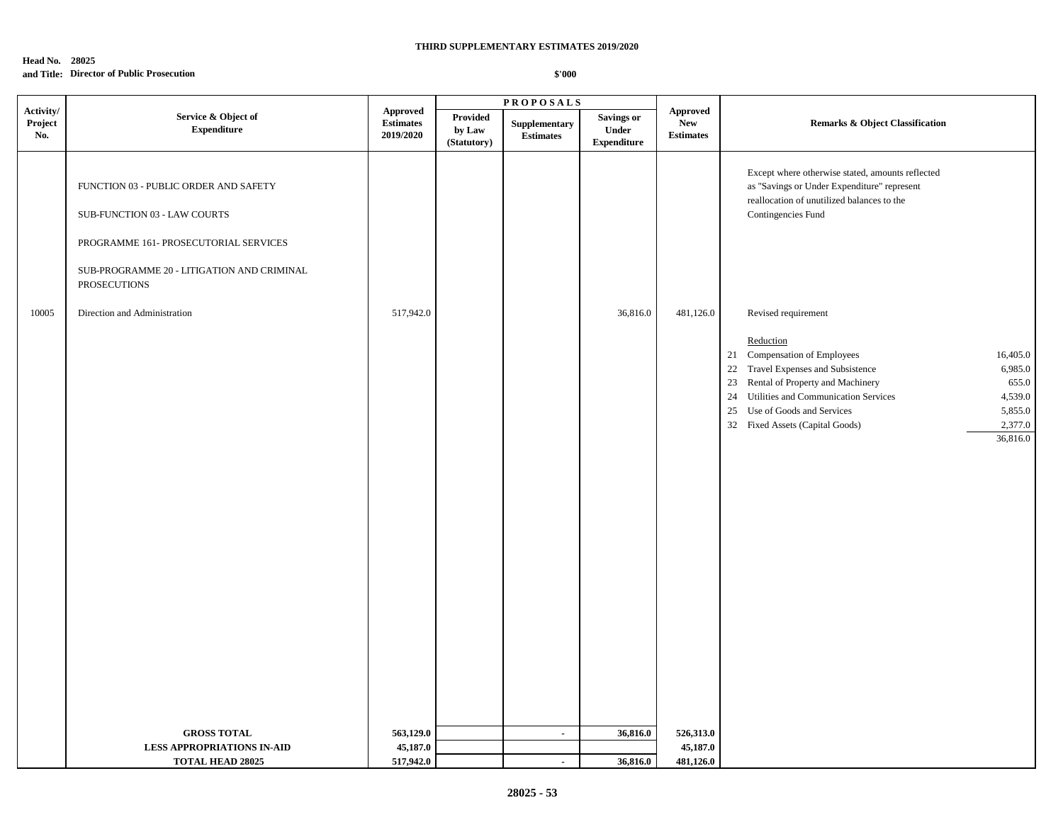## **Head No. 28025 and Title: Director of Public Prosecution**

|                             |                                                                                                                                                                                     |                                                                          |                                   | <b>PROPOSALS</b>                  |                                           |                                                                      |                                                                                                                                                                                                                                                                                                                                                   |  |
|-----------------------------|-------------------------------------------------------------------------------------------------------------------------------------------------------------------------------------|--------------------------------------------------------------------------|-----------------------------------|-----------------------------------|-------------------------------------------|----------------------------------------------------------------------|---------------------------------------------------------------------------------------------------------------------------------------------------------------------------------------------------------------------------------------------------------------------------------------------------------------------------------------------------|--|
| Activity/<br>Project<br>No. | Service & Object of<br><b>Expenditure</b>                                                                                                                                           | <b>Approved</b><br>$\label{p:estimates} \textbf{Estimates}$<br>2019/2020 | Provided<br>by Law<br>(Statutory) | Supplementary<br><b>Estimates</b> | Savings or<br>Under<br><b>Expenditure</b> | ${\Large\bf\large A} {\bf proved}$<br><b>New</b><br><b>Estimates</b> | Remarks & Object Classification                                                                                                                                                                                                                                                                                                                   |  |
|                             | FUNCTION 03 - PUBLIC ORDER AND SAFETY<br>SUB-FUNCTION 03 - LAW COURTS<br>PROGRAMME 161- PROSECUTORIAL SERVICES<br>SUB-PROGRAMME 20 - LITIGATION AND CRIMINAL<br><b>PROSECUTIONS</b> |                                                                          |                                   |                                   |                                           |                                                                      | Except where otherwise stated, amounts reflected<br>as "Savings or Under Expenditure" represent<br>reallocation of unutilized balances to the<br>Contingencies Fund                                                                                                                                                                               |  |
| 10005                       | Direction and Administration                                                                                                                                                        | 517,942.0                                                                |                                   |                                   | 36,816.0                                  | 481,126.0                                                            | Revised requirement<br>Reduction<br>Compensation of Employees<br>16,405.0<br>21<br>22 Travel Expenses and Subsistence<br>6,985.0<br>Rental of Property and Machinery<br>655.0<br>23<br>24 Utilities and Communication Services<br>4,539.0<br>Use of Goods and Services<br>5,855.0<br>25<br>32 Fixed Assets (Capital Goods)<br>2,377.0<br>36,816.0 |  |
|                             | <b>GROSS TOTAL</b>                                                                                                                                                                  | 563,129.0                                                                |                                   | $\sim$                            | 36,816.0                                  | 526,313.0                                                            |                                                                                                                                                                                                                                                                                                                                                   |  |
|                             | LESS APPROPRIATIONS IN-AID                                                                                                                                                          | 45,187.0                                                                 |                                   |                                   |                                           | 45,187.0                                                             |                                                                                                                                                                                                                                                                                                                                                   |  |
|                             | <b>TOTAL HEAD 28025</b>                                                                                                                                                             | 517,942.0                                                                |                                   | $\sim$                            | 36,816.0                                  | 481,126.0                                                            |                                                                                                                                                                                                                                                                                                                                                   |  |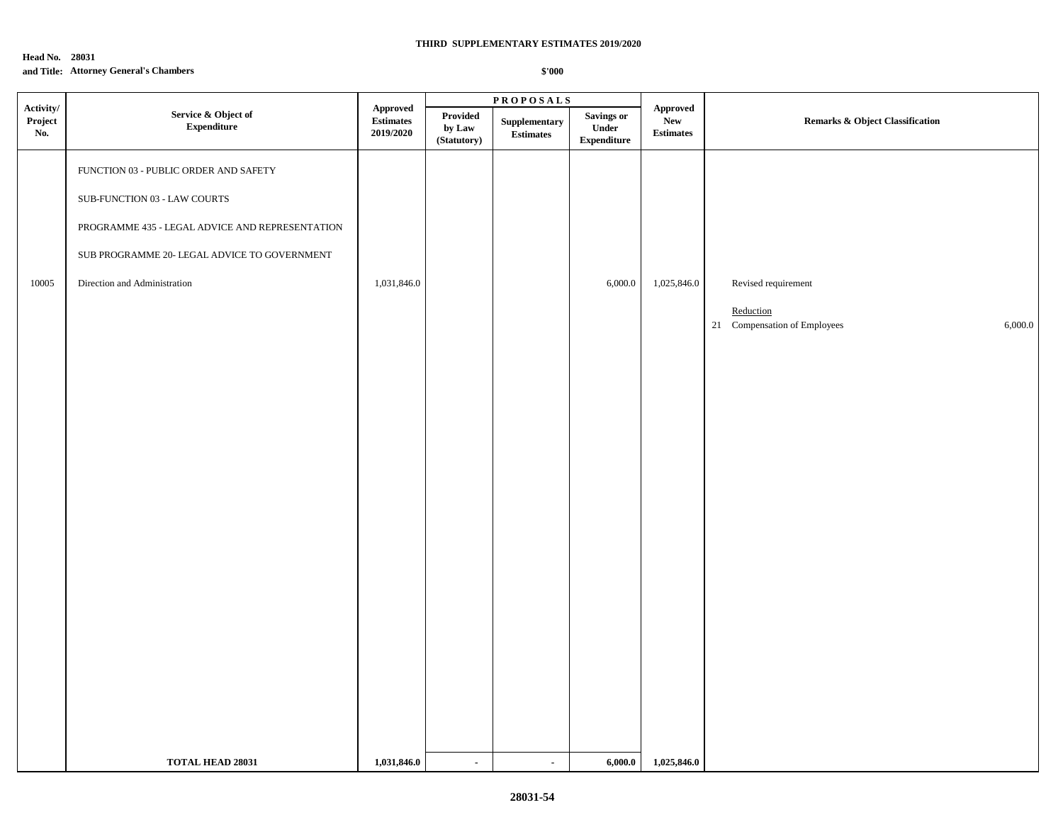## **Head No. 28031 and Title: Attorney General's Chambers**

|                             |                                                 |                                           |                                   | $\textbf{PROPOSALS}$              |                                           |                                             |                                         |  |
|-----------------------------|-------------------------------------------------|-------------------------------------------|-----------------------------------|-----------------------------------|-------------------------------------------|---------------------------------------------|-----------------------------------------|--|
| Activity/<br>Project<br>No. | Service & Object of<br>${\bf Expenditure}$      | Approved<br><b>Estimates</b><br>2019/2020 | Provided<br>by Law<br>(Statutory) | Supplementary<br><b>Estimates</b> | Savings or<br>Under<br><b>Expenditure</b> | Approved<br>${\bf New}$<br><b>Estimates</b> | Remarks & Object Classification         |  |
|                             | FUNCTION 03 - PUBLIC ORDER AND SAFETY           |                                           |                                   |                                   |                                           |                                             |                                         |  |
|                             | SUB-FUNCTION 03 - LAW COURTS                    |                                           |                                   |                                   |                                           |                                             |                                         |  |
|                             | PROGRAMME 435 - LEGAL ADVICE AND REPRESENTATION |                                           |                                   |                                   |                                           |                                             |                                         |  |
|                             | SUB PROGRAMME 20- LEGAL ADVICE TO GOVERNMENT    |                                           |                                   |                                   |                                           |                                             |                                         |  |
| $10005\,$                   | Direction and Administration                    | 1,031,846.0                               |                                   |                                   | 6,000.0                                   | 1,025,846.0                                 | Revised requirement                     |  |
|                             |                                                 |                                           |                                   |                                   |                                           |                                             | Reduction                               |  |
|                             |                                                 |                                           |                                   |                                   |                                           |                                             | 21 Compensation of Employees<br>6,000.0 |  |
|                             |                                                 |                                           |                                   |                                   |                                           |                                             |                                         |  |
|                             |                                                 |                                           |                                   |                                   |                                           |                                             |                                         |  |
|                             |                                                 |                                           |                                   |                                   |                                           |                                             |                                         |  |
|                             |                                                 |                                           |                                   |                                   |                                           |                                             |                                         |  |
|                             |                                                 |                                           |                                   |                                   |                                           |                                             |                                         |  |
|                             |                                                 |                                           |                                   |                                   |                                           |                                             |                                         |  |
|                             |                                                 |                                           |                                   |                                   |                                           |                                             |                                         |  |
|                             |                                                 |                                           |                                   |                                   |                                           |                                             |                                         |  |
|                             |                                                 |                                           |                                   |                                   |                                           |                                             |                                         |  |
|                             |                                                 |                                           |                                   |                                   |                                           |                                             |                                         |  |
|                             |                                                 |                                           |                                   |                                   |                                           |                                             |                                         |  |
|                             |                                                 |                                           |                                   |                                   |                                           |                                             |                                         |  |
|                             |                                                 |                                           |                                   |                                   |                                           |                                             |                                         |  |
|                             |                                                 |                                           |                                   |                                   |                                           |                                             |                                         |  |
|                             | TOTAL HEAD 28031                                | 1,031,846.0                               | $\blacksquare$                    | $\blacksquare$                    | 6,000.0                                   | 1,025,846.0                                 |                                         |  |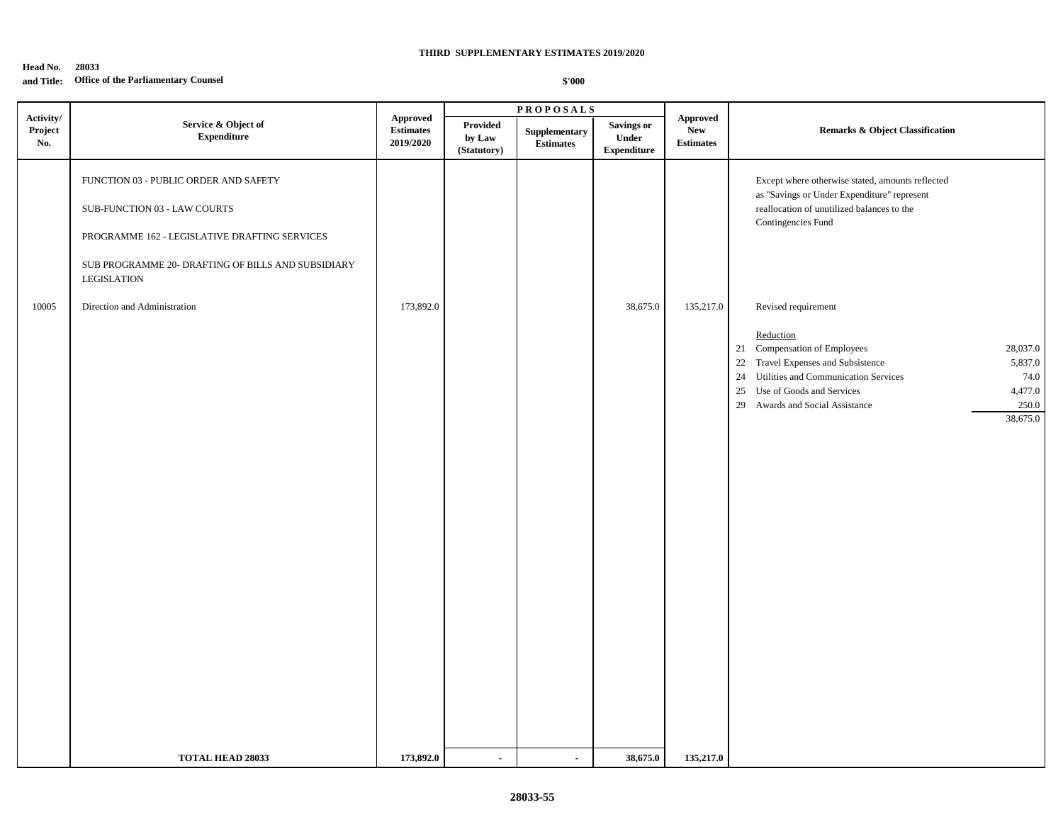## **Head No. 28033 and Title: Office of the Parliamentary Counsel**

|                             |                                                                                                                                                                                                    |                                                  |                                   | <b>PROPOSALS</b>                  |                                                  |                                                   |                                                                                                                                                                                                                                                                                           |
|-----------------------------|----------------------------------------------------------------------------------------------------------------------------------------------------------------------------------------------------|--------------------------------------------------|-----------------------------------|-----------------------------------|--------------------------------------------------|---------------------------------------------------|-------------------------------------------------------------------------------------------------------------------------------------------------------------------------------------------------------------------------------------------------------------------------------------------|
| Activity/<br>Project<br>No. | Service & Object of<br><b>Expenditure</b>                                                                                                                                                          | <b>Approved</b><br><b>Estimates</b><br>2019/2020 | Provided<br>by Law<br>(Statutory) | Supplementary<br><b>Estimates</b> | <b>Savings or</b><br>Under<br><b>Expenditure</b> | <b>Approved</b><br><b>New</b><br><b>Estimates</b> | <b>Remarks &amp; Object Classification</b>                                                                                                                                                                                                                                                |
|                             | FUNCTION 03 - PUBLIC ORDER AND SAFETY<br>SUB-FUNCTION 03 - LAW COURTS<br>PROGRAMME 162 - LEGISLATIVE DRAFTING SERVICES<br>SUB PROGRAMME 20- DRAFTING OF BILLS AND SUBSIDIARY<br><b>LEGISLATION</b> |                                                  |                                   |                                   |                                                  |                                                   | Except where otherwise stated, amounts reflected<br>as "Savings or Under Expenditure" represent<br>reallocation of unutilized balances to the<br>Contingencies Fund                                                                                                                       |
| 10005                       | Direction and Administration                                                                                                                                                                       | 173,892.0                                        |                                   |                                   | 38,675.0                                         | 135,217.0                                         | Revised requirement<br>Reduction<br>21 Compensation of Employees<br>28,037.0<br>22 Travel Expenses and Subsistence<br>5,837.0<br>Utilities and Communication Services<br>74.0<br>24<br>Use of Goods and Services<br>4,477.0<br>25<br>250.0<br>29 Awards and Social Assistance<br>38,675.0 |
|                             | <b>TOTAL HEAD 28033</b>                                                                                                                                                                            | 173,892.0                                        | $\blacksquare$                    | $\blacksquare$                    | 38,675.0                                         | 135,217.0                                         |                                                                                                                                                                                                                                                                                           |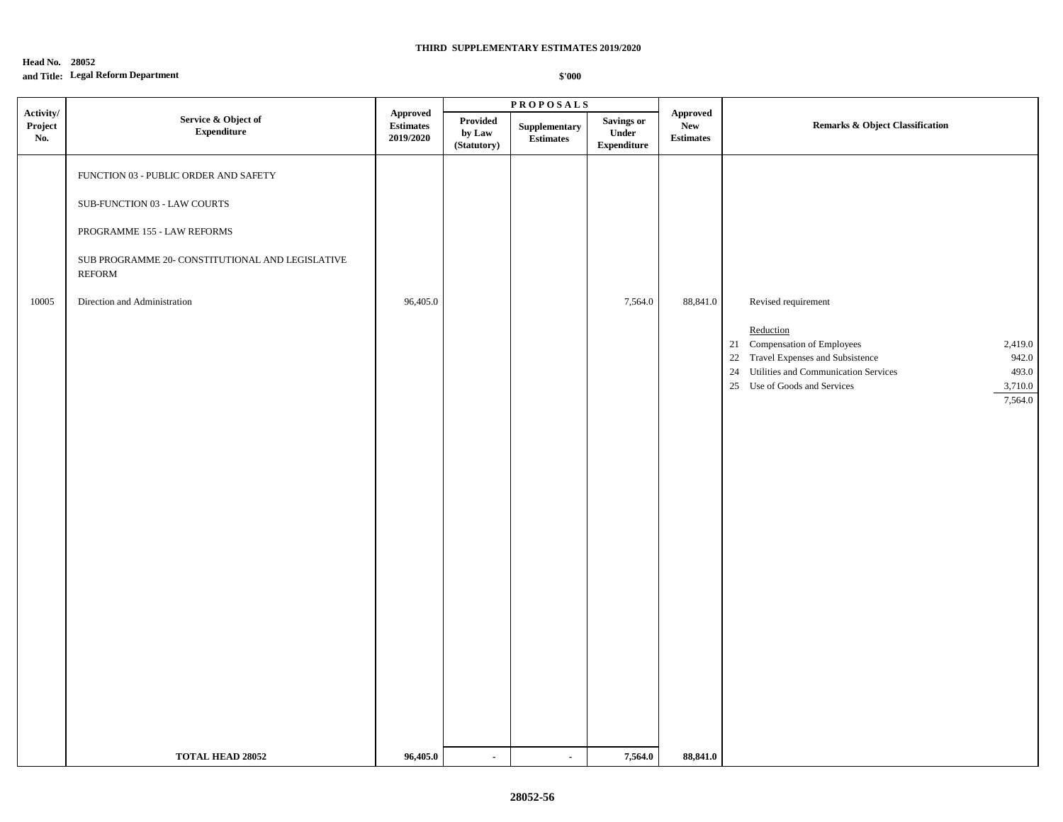## **Head No. 28052 and Title: Legal Reform Department**

|                             |                                                                                                                                                                                                                   |                                                                           |                                   | $\textbf{P} \, \textbf{R} \, \textbf{O} \, \textbf{P} \, \textbf{O} \, \textbf{S} \, \textbf{A} \, \textbf{L} \, \textbf{S}$ |                                                   |                                                   |                                                                                                                                                                                                                                         |  |
|-----------------------------|-------------------------------------------------------------------------------------------------------------------------------------------------------------------------------------------------------------------|---------------------------------------------------------------------------|-----------------------------------|------------------------------------------------------------------------------------------------------------------------------|---------------------------------------------------|---------------------------------------------------|-----------------------------------------------------------------------------------------------------------------------------------------------------------------------------------------------------------------------------------------|--|
| Activity/<br>Project<br>No. | Service & Object of<br>${\bf Expenditure}$                                                                                                                                                                        | <b>Approved</b><br>$\label{eq:estimates} \textbf{Estimates}$<br>2019/2020 | Provided<br>by Law<br>(Statutory) | Supplementary<br>$\label{1.1} \begin{array}{ll} \textbf{Estimates} \end{array}$                                              | <b>Savings or</b><br>Under<br>${\bf Expenditure}$ | <b>Approved</b><br><b>New</b><br><b>Estimates</b> | Remarks & Object Classification                                                                                                                                                                                                         |  |
| 10005                       | FUNCTION 03 - PUBLIC ORDER AND SAFETY<br>SUB-FUNCTION 03 - LAW COURTS<br>PROGRAMME 155 - LAW REFORMS<br>${\rm SUB}$ PROGRAMME 20- CONSTITUTIONAL AND LEGISLATIVE<br><b>REFORM</b><br>Direction and Administration | 96,405.0                                                                  |                                   |                                                                                                                              | 7,564.0                                           | 88,841.0                                          | Revised requirement<br>Reduction<br>21 Compensation of Employees<br>2,419.0<br>22 Travel Expenses and Subsistence<br>942.0<br>493.0<br>Utilities and Communication Services<br>24<br>25 Use of Goods and Services<br>3,710.0<br>7,564.0 |  |
|                             | <b>TOTAL HEAD 28052</b>                                                                                                                                                                                           | 96,405.0                                                                  | $\blacksquare$                    | $\overline{a}$                                                                                                               | 7,564.0                                           | 88,841.0                                          |                                                                                                                                                                                                                                         |  |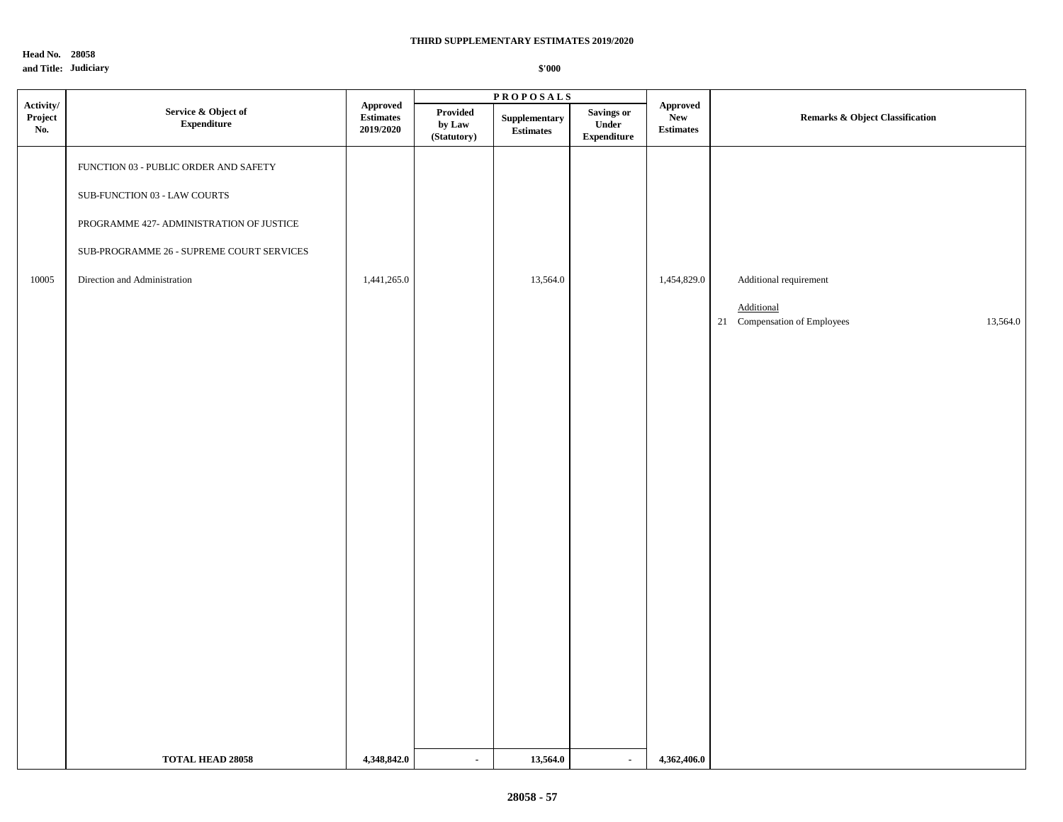**Head No. 28058 and Title: Judiciary** 

|                                   |                                            |                                                                    |                                          | <b>PROPOSALS</b>                                 |                                                   |                                            |                                          |  |
|-----------------------------------|--------------------------------------------|--------------------------------------------------------------------|------------------------------------------|--------------------------------------------------|---------------------------------------------------|--------------------------------------------|------------------------------------------|--|
| $\bf Activity/$<br>Project<br>No. | Service & Object of<br>${\bf Expenditure}$ | Approved<br>$\label{eq:estimates} \textbf{Estimates}$<br>2019/2020 | <b>Provided</b><br>by Law<br>(Statutory) | ${\Large \bf Supplementary}$<br><b>Estimates</b> | <b>Savings or</b><br>Under<br>${\bf Expenditure}$ | Approved<br><b>New</b><br><b>Estimates</b> | Remarks & Object Classification          |  |
|                                   | FUNCTION 03 - PUBLIC ORDER AND SAFETY      |                                                                    |                                          |                                                  |                                                   |                                            |                                          |  |
|                                   | SUB-FUNCTION 03 - LAW COURTS               |                                                                    |                                          |                                                  |                                                   |                                            |                                          |  |
|                                   | PROGRAMME 427- ADMINISTRATION OF JUSTICE   |                                                                    |                                          |                                                  |                                                   |                                            |                                          |  |
|                                   | SUB-PROGRAMME 26 - SUPREME COURT SERVICES  |                                                                    |                                          |                                                  |                                                   |                                            |                                          |  |
| 10005                             | Direction and Administration               | 1,441,265.0                                                        |                                          | 13,564.0                                         |                                                   | 1,454,829.0                                | Additional requirement                   |  |
|                                   |                                            |                                                                    |                                          |                                                  |                                                   |                                            | Additional                               |  |
|                                   |                                            |                                                                    |                                          |                                                  |                                                   |                                            | 21 Compensation of Employees<br>13,564.0 |  |
|                                   |                                            |                                                                    |                                          |                                                  |                                                   |                                            |                                          |  |
|                                   |                                            |                                                                    |                                          |                                                  |                                                   |                                            |                                          |  |
|                                   |                                            |                                                                    |                                          |                                                  |                                                   |                                            |                                          |  |
|                                   |                                            |                                                                    |                                          |                                                  |                                                   |                                            |                                          |  |
|                                   |                                            |                                                                    |                                          |                                                  |                                                   |                                            |                                          |  |
|                                   |                                            |                                                                    |                                          |                                                  |                                                   |                                            |                                          |  |
|                                   |                                            |                                                                    |                                          |                                                  |                                                   |                                            |                                          |  |
|                                   |                                            |                                                                    |                                          |                                                  |                                                   |                                            |                                          |  |
|                                   |                                            |                                                                    |                                          |                                                  |                                                   |                                            |                                          |  |
|                                   |                                            |                                                                    |                                          |                                                  |                                                   |                                            |                                          |  |
|                                   |                                            |                                                                    |                                          |                                                  |                                                   |                                            |                                          |  |
|                                   |                                            |                                                                    |                                          |                                                  |                                                   |                                            |                                          |  |
|                                   |                                            |                                                                    |                                          |                                                  |                                                   |                                            |                                          |  |
|                                   |                                            |                                                                    |                                          |                                                  |                                                   |                                            |                                          |  |
|                                   | <b>TOTAL HEAD 28058</b>                    | 4,348,842.0                                                        | $\sim$                                   | 13,564.0                                         | $\blacksquare$                                    | 4,362,406.0                                |                                          |  |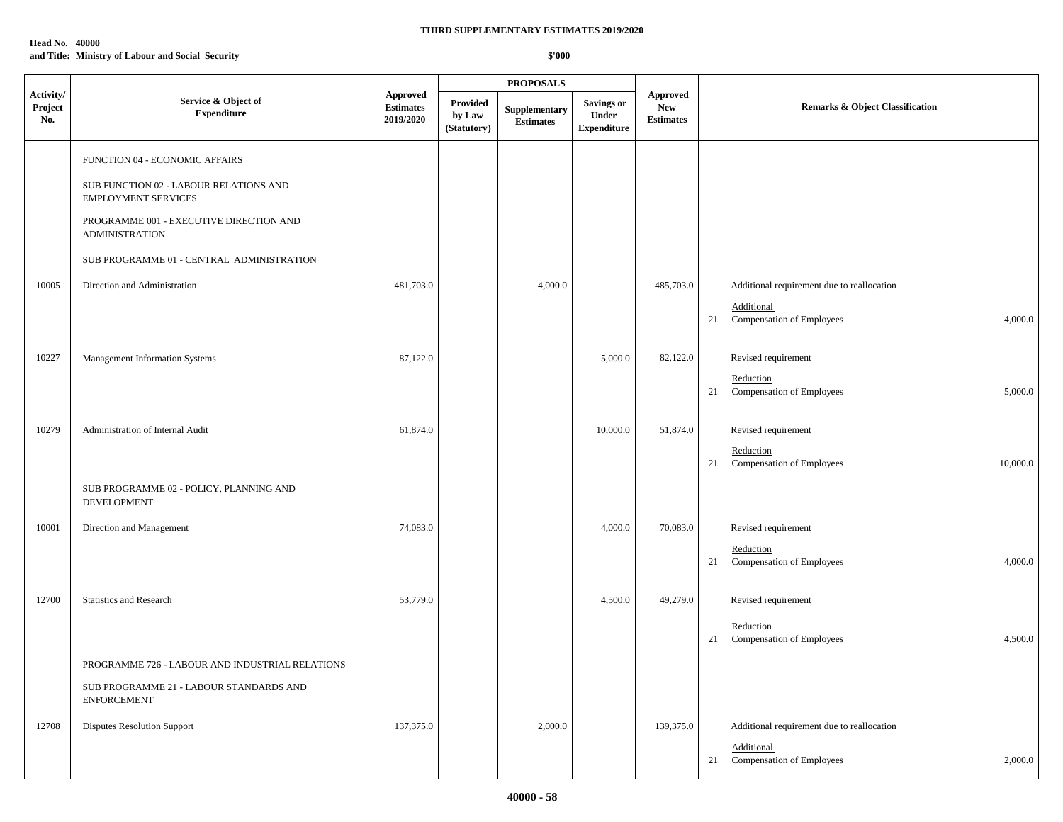## **Head No. 40000 and Title: Ministry of Labour and Social Security**

|                                     |                                                                      |                                                  |                                   | <b>PROPOSALS</b>                  |                                                  |                                                   |                                                          |
|-------------------------------------|----------------------------------------------------------------------|--------------------------------------------------|-----------------------------------|-----------------------------------|--------------------------------------------------|---------------------------------------------------|----------------------------------------------------------|
| Activity/<br>${\bf Project}$<br>No. | Service & Object of<br><b>Expenditure</b>                            | <b>Approved</b><br><b>Estimates</b><br>2019/2020 | Provided<br>by Law<br>(Statutory) | Supplementary<br><b>Estimates</b> | <b>Savings or</b><br>Under<br><b>Expenditure</b> | <b>Approved</b><br><b>New</b><br><b>Estimates</b> | <b>Remarks &amp; Object Classification</b>               |
|                                     | FUNCTION 04 - ECONOMIC AFFAIRS                                       |                                                  |                                   |                                   |                                                  |                                                   |                                                          |
|                                     | SUB FUNCTION 02 - LABOUR RELATIONS AND<br><b>EMPLOYMENT SERVICES</b> |                                                  |                                   |                                   |                                                  |                                                   |                                                          |
|                                     | PROGRAMME 001 - EXECUTIVE DIRECTION AND<br><b>ADMINISTRATION</b>     |                                                  |                                   |                                   |                                                  |                                                   |                                                          |
|                                     | SUB PROGRAMME 01 - CENTRAL ADMINISTRATION                            |                                                  |                                   |                                   |                                                  |                                                   |                                                          |
| 10005                               | Direction and Administration                                         | 481,703.0                                        |                                   | 4,000.0                           |                                                  | 485,703.0                                         | Additional requirement due to reallocation               |
|                                     |                                                                      |                                                  |                                   |                                   |                                                  |                                                   | Additional<br>21 Compensation of Employees<br>4,000.0    |
| 10227                               | Management Information Systems                                       | 87,122.0                                         |                                   |                                   | 5,000.0                                          | 82,122.0                                          | Revised requirement                                      |
|                                     |                                                                      |                                                  |                                   |                                   |                                                  |                                                   | Reduction<br>21<br>Compensation of Employees<br>5,000.0  |
| 10279                               | Administration of Internal Audit                                     | 61,874.0                                         |                                   |                                   | 10,000.0                                         | 51,874.0                                          | Revised requirement                                      |
|                                     |                                                                      |                                                  |                                   |                                   |                                                  |                                                   | Reduction<br>Compensation of Employees<br>10,000.0<br>21 |
|                                     | SUB PROGRAMME 02 - POLICY, PLANNING AND<br>DEVELOPMENT               |                                                  |                                   |                                   |                                                  |                                                   |                                                          |
| 10001                               | Direction and Management                                             | 74,083.0                                         |                                   |                                   | 4,000.0                                          | 70,083.0                                          | Revised requirement                                      |
|                                     |                                                                      |                                                  |                                   |                                   |                                                  |                                                   | Reduction<br>21 Compensation of Employees<br>4,000.0     |
| 12700                               | <b>Statistics and Research</b>                                       | 53,779.0                                         |                                   |                                   | 4,500.0                                          | 49,279.0                                          | Revised requirement                                      |
|                                     |                                                                      |                                                  |                                   |                                   |                                                  |                                                   | Reduction<br>Compensation of Employees<br>4,500.0<br>21  |
|                                     | PROGRAMME 726 - LABOUR AND INDUSTRIAL RELATIONS                      |                                                  |                                   |                                   |                                                  |                                                   |                                                          |
|                                     | SUB PROGRAMME 21 - LABOUR STANDARDS AND<br><b>ENFORCEMENT</b>        |                                                  |                                   |                                   |                                                  |                                                   |                                                          |
| 12708                               | <b>Disputes Resolution Support</b>                                   | 137,375.0                                        |                                   | 2,000.0                           |                                                  | 139,375.0                                         | Additional requirement due to reallocation               |
|                                     |                                                                      |                                                  |                                   |                                   |                                                  |                                                   | Additional<br>Compensation of Employees<br>2,000.0<br>21 |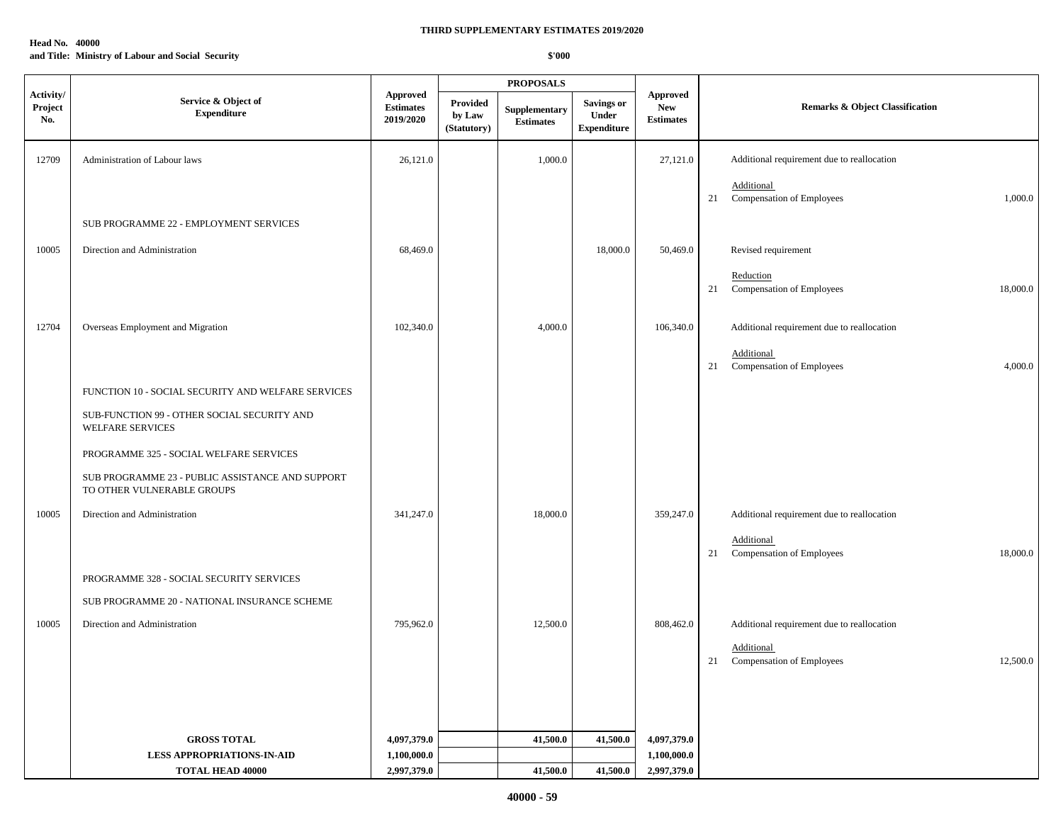## **Head No. 40000 and Title: Ministry of Labour and Social Security**

|                                     |                                                                                |                                                  |                                   | <b>PROPOSALS</b>                  |                                                  |                                                   |    |                                                     |
|-------------------------------------|--------------------------------------------------------------------------------|--------------------------------------------------|-----------------------------------|-----------------------------------|--------------------------------------------------|---------------------------------------------------|----|-----------------------------------------------------|
| Activity/<br>${\bf Project}$<br>No. | Service & Object of<br><b>Expenditure</b>                                      | <b>Approved</b><br><b>Estimates</b><br>2019/2020 | Provided<br>by Law<br>(Statutory) | Supplementary<br><b>Estimates</b> | <b>Savings or</b><br>Under<br><b>Expenditure</b> | <b>Approved</b><br><b>New</b><br><b>Estimates</b> |    | Remarks & Object Classification                     |
| 12709                               | Administration of Labour laws                                                  | 26,121.0                                         |                                   | 1,000.0                           |                                                  | 27,121.0                                          |    | Additional requirement due to reallocation          |
|                                     |                                                                                |                                                  |                                   |                                   |                                                  |                                                   |    | Additional                                          |
|                                     | SUB PROGRAMME 22 - EMPLOYMENT SERVICES                                         |                                                  |                                   |                                   |                                                  |                                                   | 21 | Compensation of Employees<br>1,000.0                |
|                                     |                                                                                |                                                  |                                   |                                   |                                                  |                                                   |    |                                                     |
| 10005                               | Direction and Administration                                                   | 68,469.0                                         |                                   |                                   | 18,000.0                                         | 50,469.0                                          |    | Revised requirement                                 |
|                                     |                                                                                |                                                  |                                   |                                   |                                                  |                                                   | 21 | Reduction<br>Compensation of Employees<br>18,000.0  |
|                                     |                                                                                |                                                  |                                   |                                   |                                                  |                                                   |    |                                                     |
| 12704                               | Overseas Employment and Migration                                              | 102,340.0                                        |                                   | 4,000.0                           |                                                  | 106,340.0                                         |    | Additional requirement due to reallocation          |
|                                     |                                                                                |                                                  |                                   |                                   |                                                  |                                                   | 21 | Additional<br>Compensation of Employees<br>4,000.0  |
|                                     | FUNCTION 10 - SOCIAL SECURITY AND WELFARE SERVICES                             |                                                  |                                   |                                   |                                                  |                                                   |    |                                                     |
|                                     | SUB-FUNCTION 99 - OTHER SOCIAL SECURITY AND<br>WELFARE SERVICES                |                                                  |                                   |                                   |                                                  |                                                   |    |                                                     |
|                                     | PROGRAMME 325 - SOCIAL WELFARE SERVICES                                        |                                                  |                                   |                                   |                                                  |                                                   |    |                                                     |
|                                     | SUB PROGRAMME 23 - PUBLIC ASSISTANCE AND SUPPORT<br>TO OTHER VULNERABLE GROUPS |                                                  |                                   |                                   |                                                  |                                                   |    |                                                     |
| 10005                               | Direction and Administration                                                   | 341,247.0                                        |                                   | 18,000.0                          |                                                  | 359,247.0                                         |    | Additional requirement due to reallocation          |
|                                     |                                                                                |                                                  |                                   |                                   |                                                  |                                                   | 21 | Additional<br>Compensation of Employees<br>18,000.0 |
|                                     | PROGRAMME 328 - SOCIAL SECURITY SERVICES                                       |                                                  |                                   |                                   |                                                  |                                                   |    |                                                     |
|                                     | SUB PROGRAMME 20 - NATIONAL INSURANCE SCHEME                                   |                                                  |                                   |                                   |                                                  |                                                   |    |                                                     |
|                                     |                                                                                |                                                  |                                   |                                   |                                                  |                                                   |    |                                                     |
| 10005                               | Direction and Administration                                                   | 795,962.0                                        |                                   | 12,500.0                          |                                                  | 808,462.0                                         |    | Additional requirement due to reallocation          |
|                                     |                                                                                |                                                  |                                   |                                   |                                                  |                                                   | 21 | Additional<br>Compensation of Employees<br>12,500.0 |
|                                     |                                                                                |                                                  |                                   |                                   |                                                  |                                                   |    |                                                     |
|                                     |                                                                                |                                                  |                                   |                                   |                                                  |                                                   |    |                                                     |
|                                     |                                                                                |                                                  |                                   |                                   |                                                  |                                                   |    |                                                     |
|                                     | <b>GROSS TOTAL</b><br><b>LESS APPROPRIATIONS-IN-AID</b>                        | 4,097,379.0<br>1,100,000.0                       |                                   | 41,500.0                          | 41,500.0                                         | 4,097,379.0<br>1,100,000.0                        |    |                                                     |
|                                     | <b>TOTAL HEAD 40000</b>                                                        | 2,997,379.0                                      |                                   | 41,500.0                          | 41,500.0                                         | 2,997,379.0                                       |    |                                                     |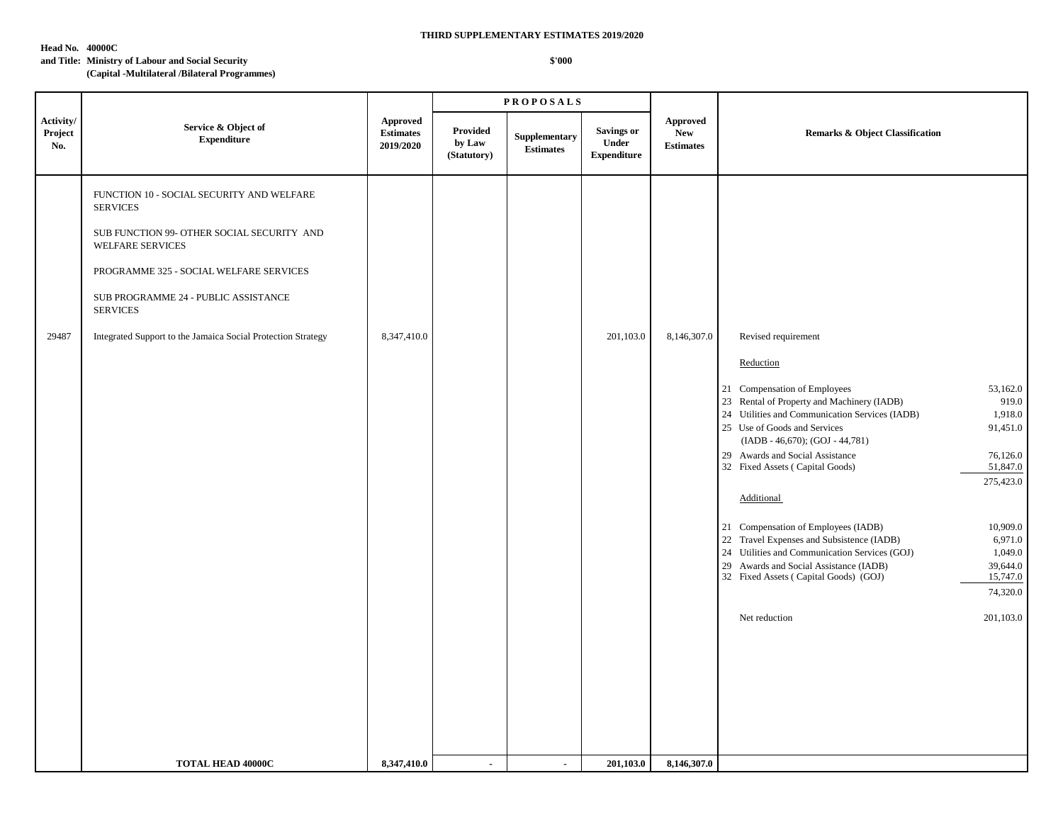**Head No. 40000C**

#### **and Title: Ministry of Labour and Social Security**

**(Capital -Multilateral /Bilateral Programmes)**

|                             |                                                                                                                                                                                                                                      |                                                  |                                   | <b>PROPOSALS</b>                  |                                                  |                                                   |                                                                                                                                                                                                                                                                                                                                                                                                                                                                                                                                                                  |                                                                                                                                                                  |
|-----------------------------|--------------------------------------------------------------------------------------------------------------------------------------------------------------------------------------------------------------------------------------|--------------------------------------------------|-----------------------------------|-----------------------------------|--------------------------------------------------|---------------------------------------------------|------------------------------------------------------------------------------------------------------------------------------------------------------------------------------------------------------------------------------------------------------------------------------------------------------------------------------------------------------------------------------------------------------------------------------------------------------------------------------------------------------------------------------------------------------------------|------------------------------------------------------------------------------------------------------------------------------------------------------------------|
| Activity/<br>Project<br>No. | Service & Object of<br><b>Expenditure</b>                                                                                                                                                                                            | <b>Approved</b><br><b>Estimates</b><br>2019/2020 | Provided<br>by Law<br>(Statutory) | Supplementary<br><b>Estimates</b> | <b>Savings or</b><br>Under<br><b>Expenditure</b> | <b>Approved</b><br><b>New</b><br><b>Estimates</b> | <b>Remarks &amp; Object Classification</b>                                                                                                                                                                                                                                                                                                                                                                                                                                                                                                                       |                                                                                                                                                                  |
|                             | FUNCTION 10 - SOCIAL SECURITY AND WELFARE<br><b>SERVICES</b><br>SUB FUNCTION 99- OTHER SOCIAL SECURITY AND<br>WELFARE SERVICES<br>PROGRAMME 325 - SOCIAL WELFARE SERVICES<br>SUB PROGRAMME 24 - PUBLIC ASSISTANCE<br><b>SERVICES</b> |                                                  |                                   |                                   |                                                  |                                                   |                                                                                                                                                                                                                                                                                                                                                                                                                                                                                                                                                                  |                                                                                                                                                                  |
| 29487                       | Integrated Support to the Jamaica Social Protection Strategy                                                                                                                                                                         | 8,347,410.0                                      |                                   |                                   | 201,103.0                                        | 8,146,307.0                                       | Revised requirement<br>Reduction<br>21 Compensation of Employees<br>23 Rental of Property and Machinery (IADB)<br>24 Utilities and Communication Services (IADB)<br>25 Use of Goods and Services<br>(IADB - 46,670); (GOJ - 44,781)<br>29 Awards and Social Assistance<br>32 Fixed Assets (Capital Goods)<br>Additional<br>21 Compensation of Employees (IADB)<br>22 Travel Expenses and Subsistence (IADB)<br>24 Utilities and Communication Services (GOJ)<br>29 Awards and Social Assistance (IADB)<br>32 Fixed Assets (Capital Goods) (GOJ)<br>Net reduction | 53,162.0<br>919.0<br>1,918.0<br>91,451.0<br>76,126.0<br>51,847.0<br>275,423.0<br>10,909.0<br>6,971.0<br>1,049.0<br>39,644.0<br>15,747.0<br>74,320.0<br>201,103.0 |
|                             | <b>TOTAL HEAD 40000C</b>                                                                                                                                                                                                             | 8,347,410.0                                      | $\blacksquare$                    | $\blacksquare$                    | 201,103.0                                        | 8,146,307.0                                       |                                                                                                                                                                                                                                                                                                                                                                                                                                                                                                                                                                  |                                                                                                                                                                  |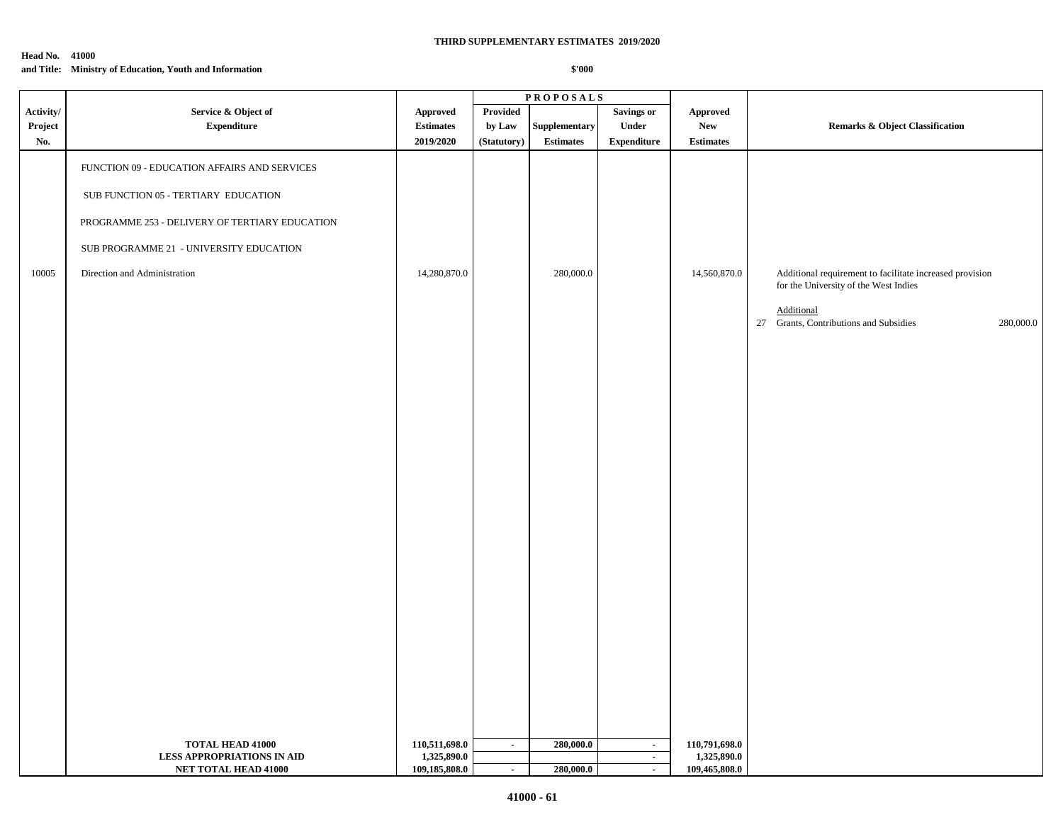#### **Head No. 41000**

## **and Title: Ministry of Education, Youth and Information**

|                      |                                                                                                                                                                                                                           |                                     |                    | <b>PROPOSALS</b>              |                            |                                  |                                                                                                                                                                        |
|----------------------|---------------------------------------------------------------------------------------------------------------------------------------------------------------------------------------------------------------------------|-------------------------------------|--------------------|-------------------------------|----------------------------|----------------------------------|------------------------------------------------------------------------------------------------------------------------------------------------------------------------|
| Activity/<br>Project | Service & Object of<br><b>Expenditure</b>                                                                                                                                                                                 | <b>Approved</b><br><b>Estimates</b> | Provided<br>by Law | Supplementary                 | <b>Savings or</b><br>Under | Approved<br>${\bf New}$          | <b>Remarks &amp; Object Classification</b>                                                                                                                             |
| No.<br>10005         | FUNCTION 09 - EDUCATION AFFAIRS AND SERVICES<br>${\rm SUB}$ FUNCTION 05 - TERTIARY EDUCATION<br>PROGRAMME 253 - DELIVERY OF TERTIARY EDUCATION<br>SUB PROGRAMME 21 - UNIVERSITY EDUCATION<br>Direction and Administration | 2019/2020<br>14,280,870.0           | (Statutory)        | <b>Estimates</b><br>280,000.0 | <b>Expenditure</b>         | <b>Estimates</b><br>14,560,870.0 | Additional requirement to facilitate increased provision<br>for the University of the West Indies<br>Additional<br>27 Grants, Contributions and Subsidies<br>280,000.0 |
|                      | <b>TOTAL HEAD 41000</b><br><b>LESS APPROPRIATIONS IN AID</b>                                                                                                                                                              | 110,511,698.0<br>1,325,890.0        | $\sim$             | 280,000.0                     | $\sim$<br>$\sim$           | 110,791,698.0<br>1,325,890.0     |                                                                                                                                                                        |
|                      | NET TOTAL HEAD 41000                                                                                                                                                                                                      | 109,185,808.0                       | $\sim$             | 280,000.0                     | $\sim$                     | 109,465,808.0                    |                                                                                                                                                                        |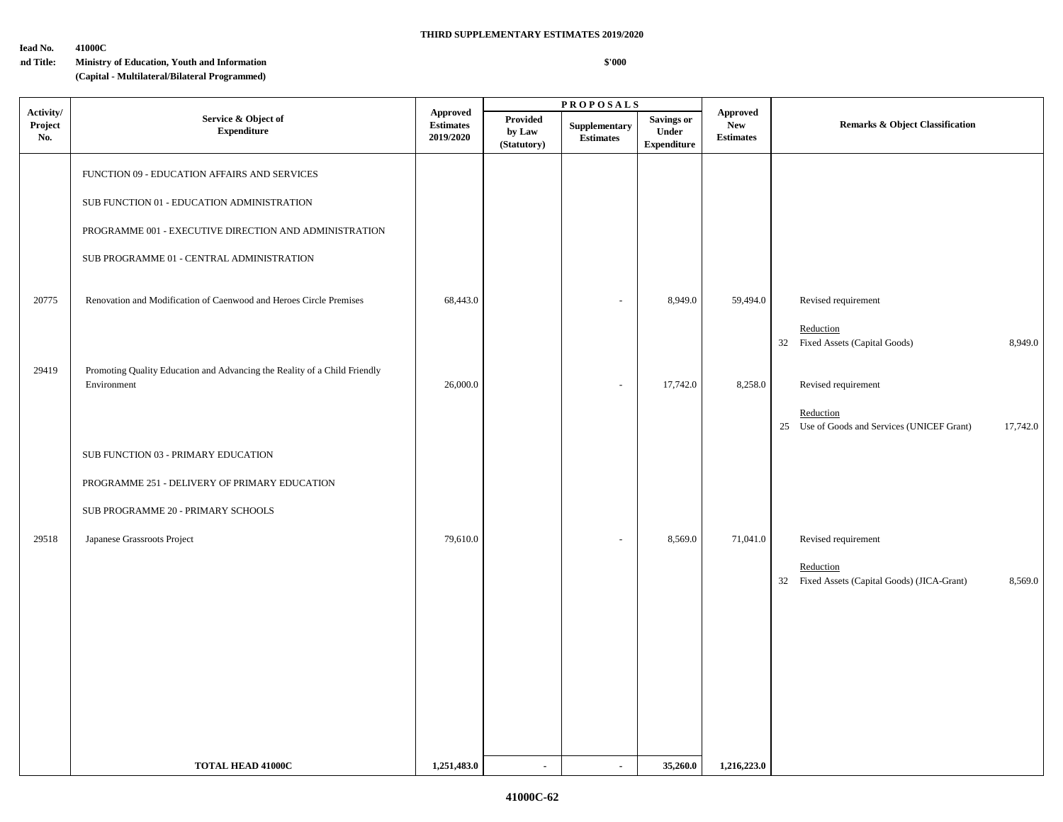#### **Head No. 41000C**

## **and Title: Ministry of Education, Youth and Information**

**(Capital - Multilateral/Bilateral Programmed)**

|                             |                                                                                          |                                                  |                                   | <b>PROPOSALS</b>                  |                                           |                                                   |                                                                      |
|-----------------------------|------------------------------------------------------------------------------------------|--------------------------------------------------|-----------------------------------|-----------------------------------|-------------------------------------------|---------------------------------------------------|----------------------------------------------------------------------|
| Activity/<br>Project<br>No. | Service & Object of<br><b>Expenditure</b>                                                | <b>Approved</b><br><b>Estimates</b><br>2019/2020 | Provided<br>by Law<br>(Statutory) | Supplementary<br><b>Estimates</b> | Savings or<br>Under<br><b>Expenditure</b> | <b>Approved</b><br><b>New</b><br><b>Estimates</b> | <b>Remarks &amp; Object Classification</b>                           |
|                             | FUNCTION 09 - EDUCATION AFFAIRS AND SERVICES                                             |                                                  |                                   |                                   |                                           |                                                   |                                                                      |
|                             | SUB FUNCTION 01 - EDUCATION ADMINISTRATION                                               |                                                  |                                   |                                   |                                           |                                                   |                                                                      |
|                             | PROGRAMME 001 - EXECUTIVE DIRECTION AND ADMINISTRATION                                   |                                                  |                                   |                                   |                                           |                                                   |                                                                      |
|                             | SUB PROGRAMME 01 - CENTRAL ADMINISTRATION                                                |                                                  |                                   |                                   |                                           |                                                   |                                                                      |
| 20775                       | Renovation and Modification of Caenwood and Heroes Circle Premises                       | 68,443.0                                         |                                   | $\overline{a}$                    | 8,949.0                                   | 59,494.0                                          | Revised requirement                                                  |
|                             |                                                                                          |                                                  |                                   |                                   |                                           |                                                   | Reduction<br>32 Fixed Assets (Capital Goods)<br>8,949.0              |
| 29419                       | Promoting Quality Education and Advancing the Reality of a Child Friendly<br>Environment | 26,000.0                                         |                                   | $\overline{\phantom{a}}$          | 17,742.0                                  | 8,258.0                                           | Revised requirement                                                  |
|                             |                                                                                          |                                                  |                                   |                                   |                                           |                                                   | Reduction<br>25 Use of Goods and Services (UNICEF Grant)<br>17,742.0 |
|                             | SUB FUNCTION 03 - PRIMARY EDUCATION                                                      |                                                  |                                   |                                   |                                           |                                                   |                                                                      |
|                             | PROGRAMME 251 - DELIVERY OF PRIMARY EDUCATION                                            |                                                  |                                   |                                   |                                           |                                                   |                                                                      |
|                             | SUB PROGRAMME 20 - PRIMARY SCHOOLS                                                       |                                                  |                                   |                                   |                                           |                                                   |                                                                      |
| 29518                       | Japanese Grassroots Project                                                              | 79,610.0                                         |                                   | $\sim$                            | 8,569.0                                   | 71,041.0                                          | Revised requirement                                                  |
|                             |                                                                                          |                                                  |                                   |                                   |                                           |                                                   | Reduction<br>32 Fixed Assets (Capital Goods) (JICA-Grant)<br>8,569.0 |
|                             |                                                                                          |                                                  |                                   |                                   |                                           |                                                   |                                                                      |
|                             |                                                                                          |                                                  |                                   |                                   |                                           |                                                   |                                                                      |
|                             |                                                                                          |                                                  |                                   |                                   |                                           |                                                   |                                                                      |
|                             |                                                                                          |                                                  |                                   |                                   |                                           |                                                   |                                                                      |
|                             | <b>TOTAL HEAD 41000C</b>                                                                 | 1,251,483.0                                      | $\mathbf{r}$                      | $\mathbf{r}$                      | 35,260.0                                  | 1,216,223.0                                       |                                                                      |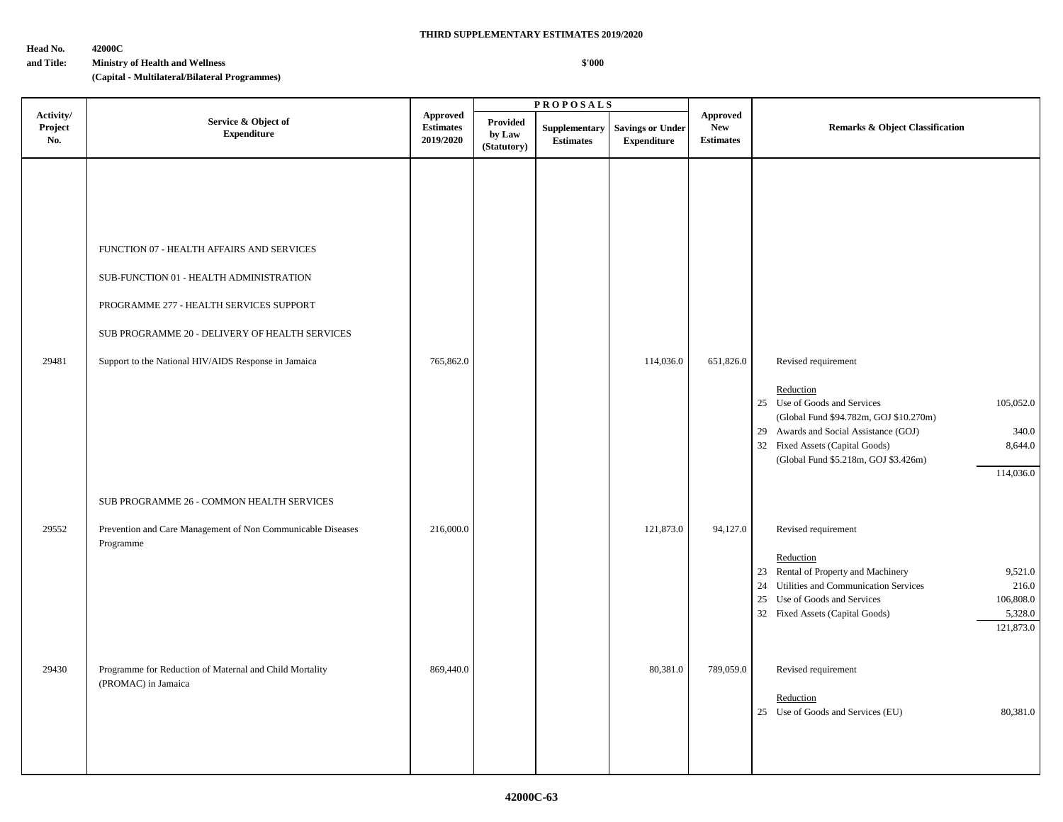**Head No. 42000C**

#### **and Title: Ministry of Health and Wellness**

**(Capital - Multilateral/Bilateral Programmes)**

|                             |                                                                                                                                                                                                                                           |                                                  |                                          | <b>PROPOSALS</b>                  |                                               |                                                   |                                                                                                                                                                                                                                                                              |
|-----------------------------|-------------------------------------------------------------------------------------------------------------------------------------------------------------------------------------------------------------------------------------------|--------------------------------------------------|------------------------------------------|-----------------------------------|-----------------------------------------------|---------------------------------------------------|------------------------------------------------------------------------------------------------------------------------------------------------------------------------------------------------------------------------------------------------------------------------------|
| Activity/<br>Project<br>No. | Service & Object of<br><b>Expenditure</b>                                                                                                                                                                                                 | <b>Approved</b><br><b>Estimates</b><br>2019/2020 | <b>Provided</b><br>by Law<br>(Statutory) | Supplementary<br><b>Estimates</b> | <b>Savings or Under</b><br><b>Expenditure</b> | <b>Approved</b><br><b>New</b><br><b>Estimates</b> | <b>Remarks &amp; Object Classification</b>                                                                                                                                                                                                                                   |
| 29481                       | FUNCTION 07 - HEALTH AFFAIRS AND SERVICES<br>SUB-FUNCTION 01 - HEALTH ADMINISTRATION<br>PROGRAMME 277 - HEALTH SERVICES SUPPORT<br>SUB PROGRAMME 20 - DELIVERY OF HEALTH SERVICES<br>Support to the National HIV/AIDS Response in Jamaica | 765,862.0                                        |                                          |                                   | 114,036.0                                     | 651,826.0                                         | Revised requirement<br>Reduction<br>25 Use of Goods and Services<br>105,052.0<br>(Global Fund \$94.782m, GOJ \$10.270m)<br>29 Awards and Social Assistance (GOJ)<br>340.0<br>32 Fixed Assets (Capital Goods)<br>8,644.0<br>(Global Fund \$5.218m, GOJ \$3.426m)<br>114,036.0 |
|                             | SUB PROGRAMME 26 - COMMON HEALTH SERVICES                                                                                                                                                                                                 |                                                  |                                          |                                   |                                               |                                                   |                                                                                                                                                                                                                                                                              |
| 29552                       | Prevention and Care Management of Non Communicable Diseases<br>Programme                                                                                                                                                                  | 216,000.0                                        |                                          |                                   | 121,873.0                                     | 94,127.0                                          | Revised requirement<br>Reduction<br>23 Rental of Property and Machinery<br>9,521.0<br>24 Utilities and Communication Services<br>216.0<br>25 Use of Goods and Services<br>106,808.0<br>32 Fixed Assets (Capital Goods)<br>5,328.0<br>121,873.0                               |
| 29430                       | Programme for Reduction of Maternal and Child Mortality<br>(PROMAC) in Jamaica                                                                                                                                                            | 869,440.0                                        |                                          |                                   | 80,381.0                                      | 789,059.0                                         | Revised requirement<br>Reduction<br>25 Use of Goods and Services (EU)<br>80,381.0                                                                                                                                                                                            |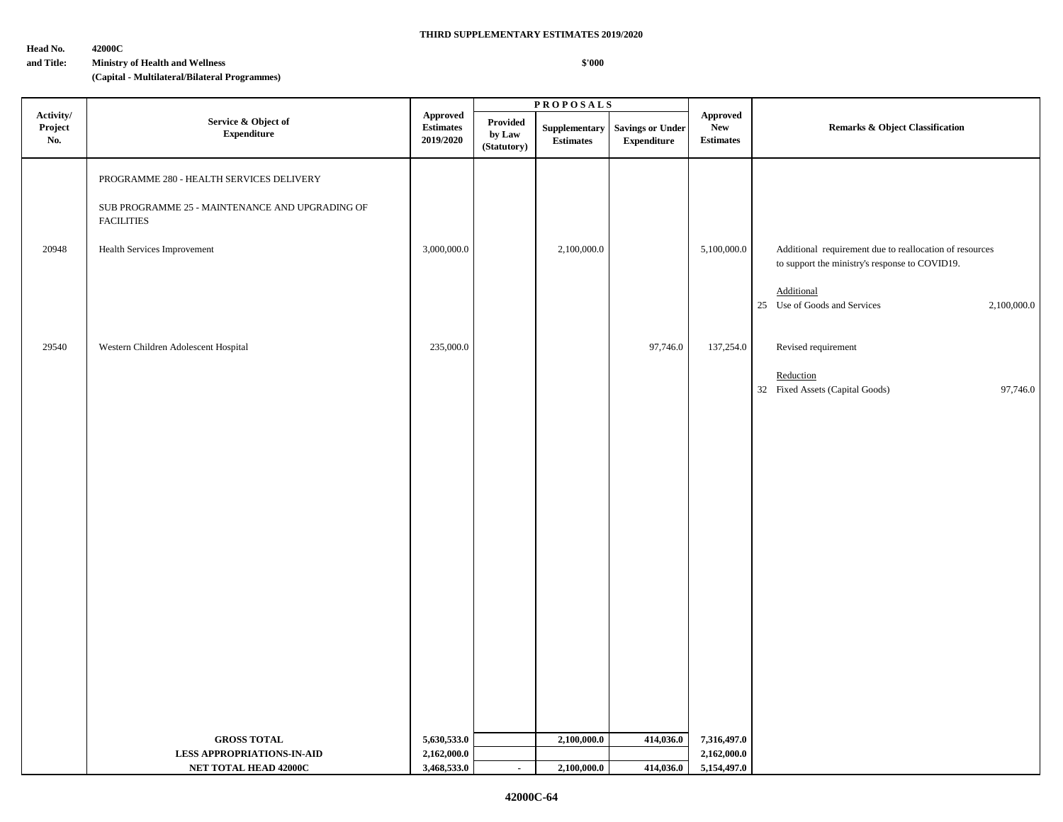**Head No. 42000C**

### **and Title: Ministry of Health and Wellness**

**(Capital - Multilateral/Bilateral Programmes)**

|                             |                                                                                                                                                 |                                                  |                                   | <b>PROPOSALS</b>                  |                                               |                                            |                                                                                                                                                                        |  |
|-----------------------------|-------------------------------------------------------------------------------------------------------------------------------------------------|--------------------------------------------------|-----------------------------------|-----------------------------------|-----------------------------------------------|--------------------------------------------|------------------------------------------------------------------------------------------------------------------------------------------------------------------------|--|
| Activity/<br>Project<br>No. | Service & Object of<br>${\bf Expenditure}$                                                                                                      | <b>Approved</b><br><b>Estimates</b><br>2019/2020 | Provided<br>by Law<br>(Statutory) | Supplementary<br><b>Estimates</b> | <b>Savings or Under</b><br><b>Expenditure</b> | Approved<br><b>New</b><br><b>Estimates</b> | <b>Remarks &amp; Object Classification</b>                                                                                                                             |  |
| 20948                       | PROGRAMME 280 - HEALTH SERVICES DELIVERY<br>SUB PROGRAMME 25 - MAINTENANCE AND UPGRADING OF<br><b>FACILITIES</b><br>Health Services Improvement | 3,000,000.0                                      |                                   | 2,100,000.0                       |                                               | 5,100,000.0                                | Additional requirement due to reallocation of resources<br>to support the ministry's response to COVID19.<br>Additional<br>25 Use of Goods and Services<br>2,100,000.0 |  |
| 29540                       | Western Children Adolescent Hospital                                                                                                            | 235,000.0                                        |                                   |                                   | 97,746.0                                      | 137,254.0                                  | Revised requirement<br>Reduction<br>32 Fixed Assets (Capital Goods)<br>97,746.0                                                                                        |  |
|                             |                                                                                                                                                 |                                                  |                                   |                                   |                                               |                                            |                                                                                                                                                                        |  |
|                             |                                                                                                                                                 |                                                  |                                   |                                   |                                               |                                            |                                                                                                                                                                        |  |
|                             |                                                                                                                                                 |                                                  |                                   |                                   |                                               |                                            |                                                                                                                                                                        |  |
|                             |                                                                                                                                                 |                                                  |                                   |                                   |                                               |                                            |                                                                                                                                                                        |  |
|                             | <b>GROSS TOTAL</b><br><b>LESS APPROPRIATIONS-IN-AID</b>                                                                                         | 5,630,533.0<br>2,162,000.0                       |                                   | 2,100,000.0                       | 414,036.0                                     | 7,316,497.0<br>2,162,000.0                 |                                                                                                                                                                        |  |
|                             | NET TOTAL HEAD 42000C                                                                                                                           | 3,468,533.0                                      | $\sim$                            | 2,100,000.0                       | 414,036.0                                     | 5,154,497.0                                |                                                                                                                                                                        |  |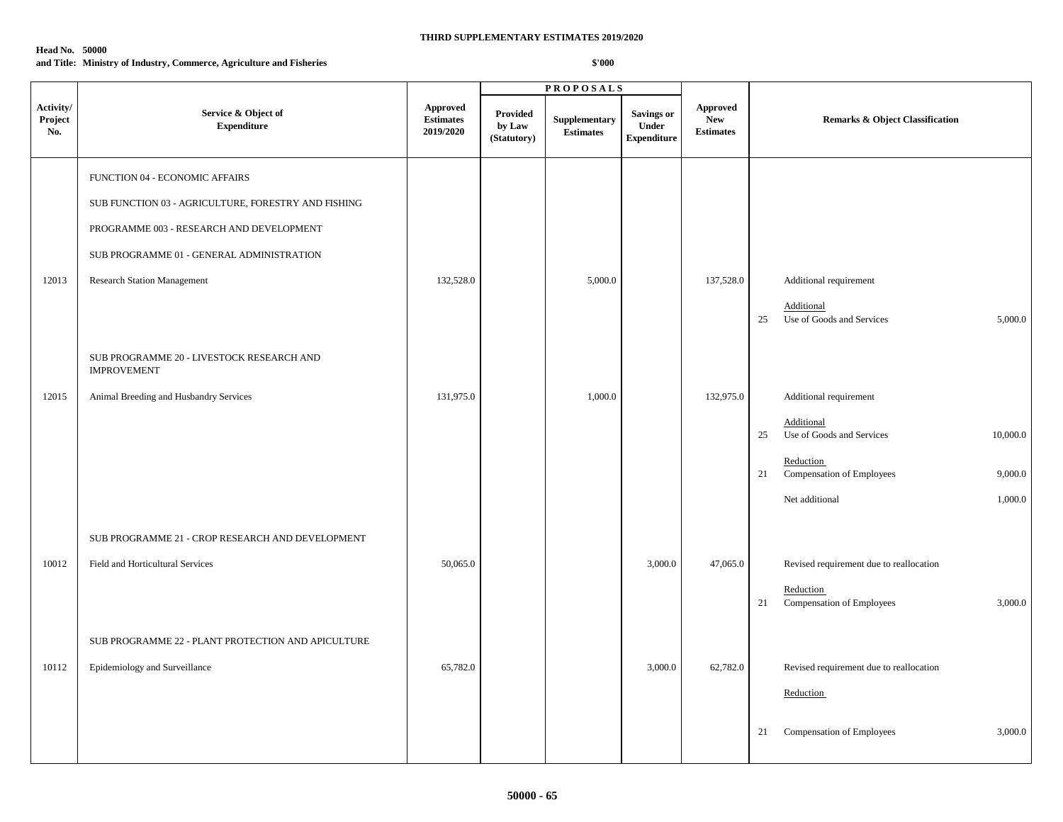#### **Head No. 50000**

**and Title: Ministry of Industry, Commerce, Agriculture and Fisheries**

|                                     |                                                                 |                                                  |                                          | <b>PROPOSALS</b>                  |                                                  |                                                   |                                                           |
|-------------------------------------|-----------------------------------------------------------------|--------------------------------------------------|------------------------------------------|-----------------------------------|--------------------------------------------------|---------------------------------------------------|-----------------------------------------------------------|
| Activity/<br>${\bf Project}$<br>No. | Service & Object of<br><b>Expenditure</b>                       | <b>Approved</b><br><b>Estimates</b><br>2019/2020 | <b>Provided</b><br>by Law<br>(Statutory) | Supplementary<br><b>Estimates</b> | <b>Savings or</b><br>Under<br><b>Expenditure</b> | <b>Approved</b><br><b>New</b><br><b>Estimates</b> | Remarks & Object Classification                           |
|                                     | FUNCTION 04 - ECONOMIC AFFAIRS                                  |                                                  |                                          |                                   |                                                  |                                                   |                                                           |
|                                     | SUB FUNCTION 03 - AGRICULTURE, FORESTRY AND FISHING             |                                                  |                                          |                                   |                                                  |                                                   |                                                           |
|                                     | PROGRAMME 003 - RESEARCH AND DEVELOPMENT                        |                                                  |                                          |                                   |                                                  |                                                   |                                                           |
|                                     | SUB PROGRAMME 01 - GENERAL ADMINISTRATION                       |                                                  |                                          |                                   |                                                  |                                                   |                                                           |
| 12013                               | <b>Research Station Management</b>                              | 132,528.0                                        |                                          | 5,000.0                           |                                                  | 137,528.0                                         | Additional requirement                                    |
|                                     |                                                                 |                                                  |                                          |                                   |                                                  |                                                   | Additional<br>Use of Goods and Services<br>5,000.0<br>25  |
|                                     | SUB PROGRAMME 20 - LIVESTOCK RESEARCH AND<br><b>IMPROVEMENT</b> |                                                  |                                          |                                   |                                                  |                                                   |                                                           |
| 12015                               | Animal Breeding and Husbandry Services                          | 131,975.0                                        |                                          | 1,000.0                           |                                                  | 132,975.0                                         | Additional requirement                                    |
|                                     |                                                                 |                                                  |                                          |                                   |                                                  |                                                   | Additional<br>Use of Goods and Services<br>10,000.0<br>25 |
|                                     |                                                                 |                                                  |                                          |                                   |                                                  |                                                   | Reduction<br>Compensation of Employees<br>21<br>9,000.0   |
|                                     |                                                                 |                                                  |                                          |                                   |                                                  |                                                   | 1,000.0<br>Net additional                                 |
|                                     | SUB PROGRAMME 21 - CROP RESEARCH AND DEVELOPMENT                |                                                  |                                          |                                   |                                                  |                                                   |                                                           |
| 10012                               | Field and Horticultural Services                                | 50,065.0                                         |                                          |                                   | 3,000.0                                          | 47,065.0                                          | Revised requirement due to reallocation                   |
|                                     |                                                                 |                                                  |                                          |                                   |                                                  |                                                   | Reduction<br>Compensation of Employees<br>3,000.0<br>21   |
|                                     | SUB PROGRAMME 22 - PLANT PROTECTION AND APICULTURE              |                                                  |                                          |                                   |                                                  |                                                   |                                                           |
| 10112                               | Epidemiology and Surveillance                                   | 65,782.0                                         |                                          |                                   | 3,000.0                                          | 62,782.0                                          | Revised requirement due to reallocation                   |
|                                     |                                                                 |                                                  |                                          |                                   |                                                  |                                                   | Reduction                                                 |
|                                     |                                                                 |                                                  |                                          |                                   |                                                  |                                                   | 3,000.0<br>Compensation of Employees<br>21                |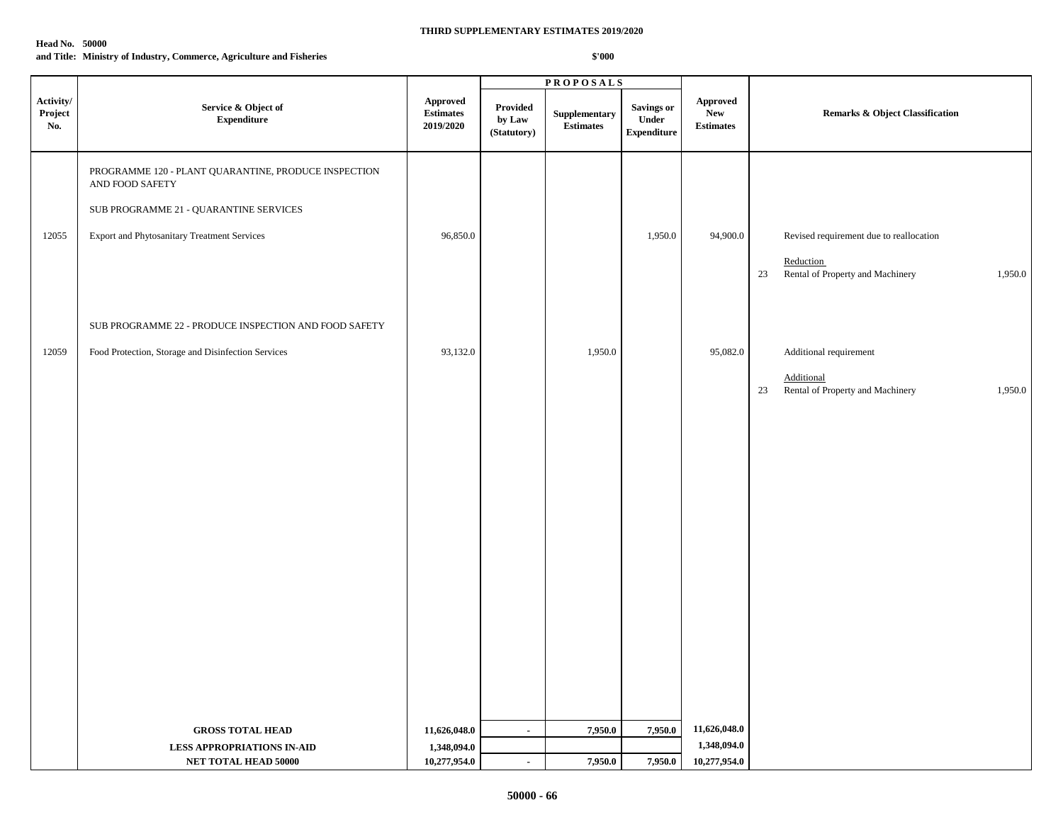#### **Head No. 50000**

**and Title: Ministry of Industry, Commerce, Agriculture and Fisheries**

|                             |                                                                                                                                                                  |                                                                          |                                          | <b>PROPOSALS</b>                  |                                                   |                                     |                                                                                                           |
|-----------------------------|------------------------------------------------------------------------------------------------------------------------------------------------------------------|--------------------------------------------------------------------------|------------------------------------------|-----------------------------------|---------------------------------------------------|-------------------------------------|-----------------------------------------------------------------------------------------------------------|
| Activity/<br>Project<br>No. | Service & Object of<br><b>Expenditure</b>                                                                                                                        | <b>Approved</b><br>$\label{p:estimates} \textbf{Estimates}$<br>2019/2020 | <b>Provided</b><br>by Law<br>(Statutory) | Supplementary<br><b>Estimates</b> | <b>Savings or</b><br>Under<br>${\bf Expenditure}$ | Approved<br>New<br><b>Estimates</b> | <b>Remarks &amp; Object Classification</b>                                                                |
| 12055                       | PROGRAMME 120 - PLANT QUARANTINE, PRODUCE INSPECTION<br>AND FOOD SAFETY<br>SUB PROGRAMME 21 - QUARANTINE SERVICES<br>Export and Phytosanitary Treatment Services | 96,850.0                                                                 |                                          |                                   | 1,950.0                                           | 94,900.0                            | Revised requirement due to reallocation<br>Reduction<br>Rental of Property and Machinery<br>1,950.0<br>23 |
| 12059                       | SUB PROGRAMME 22 - PRODUCE INSPECTION AND FOOD SAFETY<br>Food Protection, Storage and Disinfection Services                                                      | 93,132.0                                                                 |                                          | 1,950.0                           |                                                   | 95,082.0                            | Additional requirement                                                                                    |
|                             |                                                                                                                                                                  |                                                                          |                                          |                                   |                                                   |                                     | Additional<br>23<br>Rental of Property and Machinery<br>1,950.0                                           |
|                             | <b>GROSS TOTAL HEAD</b>                                                                                                                                          | 11,626,048.0                                                             | $\mathbf{r}$                             | 7,950.0                           | 7,950.0                                           | 11,626,048.0                        |                                                                                                           |
|                             | <b>LESS APPROPRIATIONS IN-AID</b><br>NET TOTAL HEAD 50000                                                                                                        | 1,348,094.0<br>10,277,954.0                                              | $\blacksquare$                           | 7,950.0                           | 7,950.0                                           | 1,348,094.0<br>10,277,954.0         |                                                                                                           |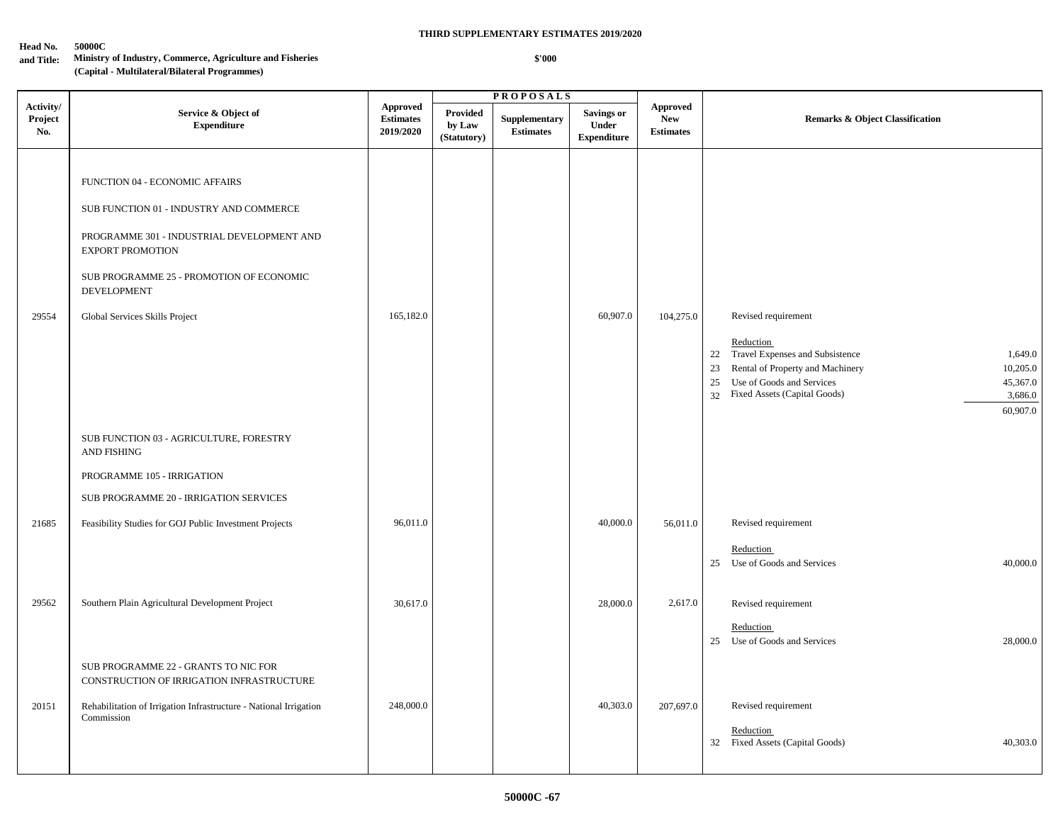#### **Head No. 50000C**

# **and Title: Ministry of Industry, Commerce, Agriculture and Fisheries**

## **(Capital - Multilateral/Bilateral Programmes)**

 **\$'000**

|                             |                                                                                                                                                                                                                                                 |                                                  |                                          | <b>PROPOSALS</b>                  |                                                  |                                                   |                                                                                                                                                                                                                                                  |
|-----------------------------|-------------------------------------------------------------------------------------------------------------------------------------------------------------------------------------------------------------------------------------------------|--------------------------------------------------|------------------------------------------|-----------------------------------|--------------------------------------------------|---------------------------------------------------|--------------------------------------------------------------------------------------------------------------------------------------------------------------------------------------------------------------------------------------------------|
| Activity/<br>Project<br>No. | Service & Object of<br><b>Expenditure</b>                                                                                                                                                                                                       | <b>Approved</b><br><b>Estimates</b><br>2019/2020 | <b>Provided</b><br>by Law<br>(Statutory) | Supplementary<br><b>Estimates</b> | <b>Savings or</b><br>Under<br><b>Expenditure</b> | <b>Approved</b><br><b>New</b><br><b>Estimates</b> | <b>Remarks &amp; Object Classification</b>                                                                                                                                                                                                       |
| 29554                       | FUNCTION 04 - ECONOMIC AFFAIRS<br>SUB FUNCTION 01 - INDUSTRY AND COMMERCE<br>PROGRAMME 301 - INDUSTRIAL DEVELOPMENT AND<br><b>EXPORT PROMOTION</b><br>SUB PROGRAMME 25 - PROMOTION OF ECONOMIC<br>DEVELOPMENT<br>Global Services Skills Project | 165,182.0                                        |                                          |                                   | 60,907.0                                         | 104,275.0                                         | Revised requirement<br>Reduction<br>22 Travel Expenses and Subsistence<br>1,649.0<br>Rental of Property and Machinery<br>23<br>10,205.0<br>Use of Goods and Services<br>25<br>45,367.0<br>32 Fixed Assets (Capital Goods)<br>3,686.0<br>60,907.0 |
|                             | SUB FUNCTION 03 - AGRICULTURE, FORESTRY<br><b>AND FISHING</b><br>PROGRAMME 105 - IRRIGATION<br>SUB PROGRAMME 20 - IRRIGATION SERVICES                                                                                                           |                                                  |                                          |                                   |                                                  |                                                   |                                                                                                                                                                                                                                                  |
| 21685                       | Feasibility Studies for GOJ Public Investment Projects                                                                                                                                                                                          | 96,011.0                                         |                                          |                                   | 40,000.0                                         | 56,011.0                                          | Revised requirement<br>Reduction<br>25 Use of Goods and Services<br>40,000.0                                                                                                                                                                     |
| 29562                       | Southern Plain Agricultural Development Project                                                                                                                                                                                                 | 30,617.0                                         |                                          |                                   | 28,000.0                                         | 2,617.0                                           | Revised requirement<br>Reduction<br>25 Use of Goods and Services<br>28,000.0                                                                                                                                                                     |
| 20151                       | SUB PROGRAMME 22 - GRANTS TO NIC FOR<br>CONSTRUCTION OF IRRIGATION INFRASTRUCTURE<br>Rehabilitation of Irrigation Infrastructure - National Irrigation<br>Commission                                                                            | 248,000.0                                        |                                          |                                   | 40,303.0                                         | 207,697.0                                         | Revised requirement<br>Reduction<br>32 Fixed Assets (Capital Goods)<br>40,303.0                                                                                                                                                                  |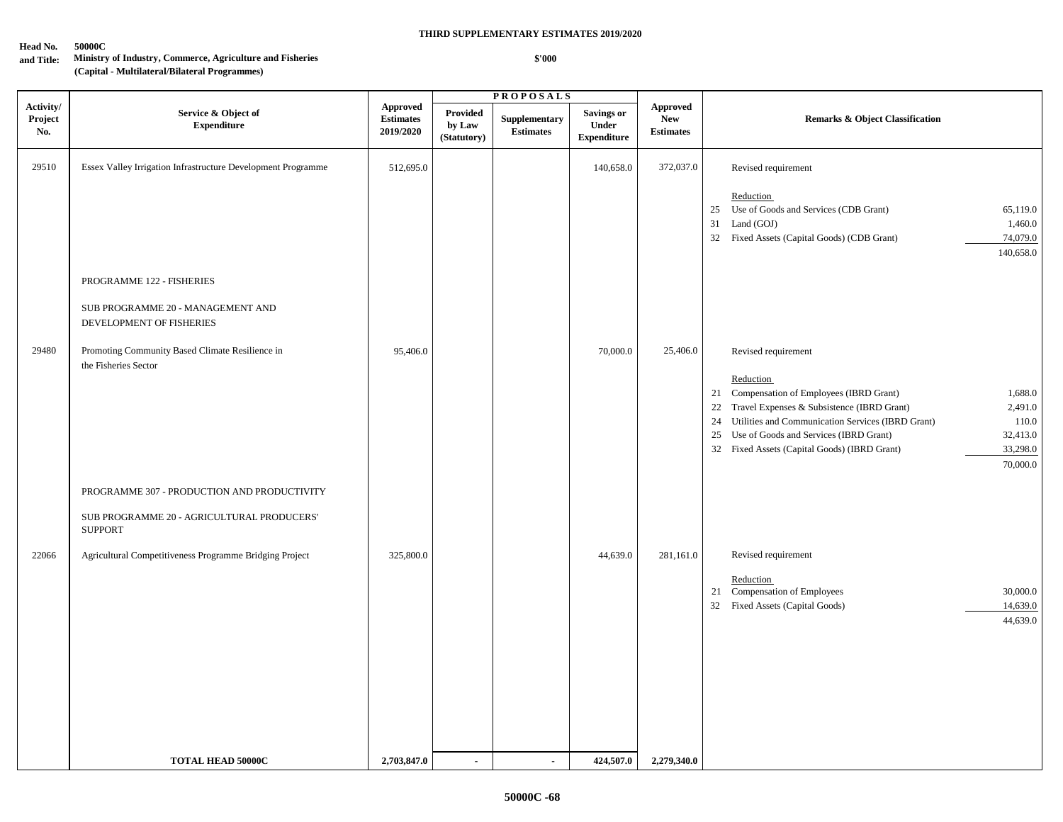#### **Head No. 50000C**

# **and Title: Ministry of Industry, Commerce, Agriculture and Fisheries**

**(Capital - Multilateral/Bilateral Programmes)**

## **THIRD SUPPLEMENTARY ESTIMATES 2019/2020**

 **\$'000**

**P R O P O S A L S**

| Activity/<br>Project<br>No. | Service & Object of<br><b>Expenditure</b>                                                                   | <b>Approved</b><br><b>Estimates</b><br>2019/2020 | Provided<br>by Law<br>(Statutory) | Supplementary<br><b>Estimates</b> | <b>Savings or</b><br>Under<br><b>Expenditure</b> | <b>Approved</b><br><b>New</b><br><b>Estimates</b> | <b>Remarks &amp; Object Classification</b>                                                                                                                                                                                                                                                                                                                |
|-----------------------------|-------------------------------------------------------------------------------------------------------------|--------------------------------------------------|-----------------------------------|-----------------------------------|--------------------------------------------------|---------------------------------------------------|-----------------------------------------------------------------------------------------------------------------------------------------------------------------------------------------------------------------------------------------------------------------------------------------------------------------------------------------------------------|
| 29510                       | Essex Valley Irrigation Infrastructure Development Programme                                                | 512,695.0                                        |                                   |                                   | 140,658.0                                        | 372,037.0                                         | Revised requirement<br>Reduction<br>Use of Goods and Services (CDB Grant)<br>65,119.0<br>25<br>31<br>Land (GOJ)<br>1,460.0<br>32 Fixed Assets (Capital Goods) (CDB Grant)<br>74,079.0<br>140,658.0                                                                                                                                                        |
|                             | PROGRAMME 122 - FISHERIES<br>SUB PROGRAMME 20 - MANAGEMENT AND<br>DEVELOPMENT OF FISHERIES                  |                                                  |                                   |                                   |                                                  |                                                   |                                                                                                                                                                                                                                                                                                                                                           |
| 29480                       | Promoting Community Based Climate Resilience in<br>the Fisheries Sector                                     | 95,406.0                                         |                                   |                                   | 70,000.0                                         | 25,406.0                                          | Revised requirement<br>Reduction<br>21 Compensation of Employees (IBRD Grant)<br>1,688.0<br>22 Travel Expenses & Subsistence (IBRD Grant)<br>2,491.0<br>Utilities and Communication Services (IBRD Grant)<br>110.0<br>24<br>25 Use of Goods and Services (IBRD Grant)<br>32,413.0<br>32 Fixed Assets (Capital Goods) (IBRD Grant)<br>33,298.0<br>70,000.0 |
|                             | PROGRAMME 307 - PRODUCTION AND PRODUCTIVITY<br>SUB PROGRAMME 20 - AGRICULTURAL PRODUCERS'<br><b>SUPPORT</b> |                                                  |                                   |                                   |                                                  |                                                   |                                                                                                                                                                                                                                                                                                                                                           |
| 22066                       | Agricultural Competitiveness Programme Bridging Project                                                     | 325,800.0                                        |                                   |                                   | 44,639.0                                         | 281,161.0                                         | Revised requirement<br>Reduction<br>21 Compensation of Employees<br>30,000.0<br>32 Fixed Assets (Capital Goods)<br>14,639.0<br>44,639.0                                                                                                                                                                                                                   |
|                             | <b>TOTAL HEAD 50000C</b>                                                                                    | 2,703,847.0                                      | $\blacksquare$                    |                                   | 424,507.0                                        | 2,279,340.0                                       |                                                                                                                                                                                                                                                                                                                                                           |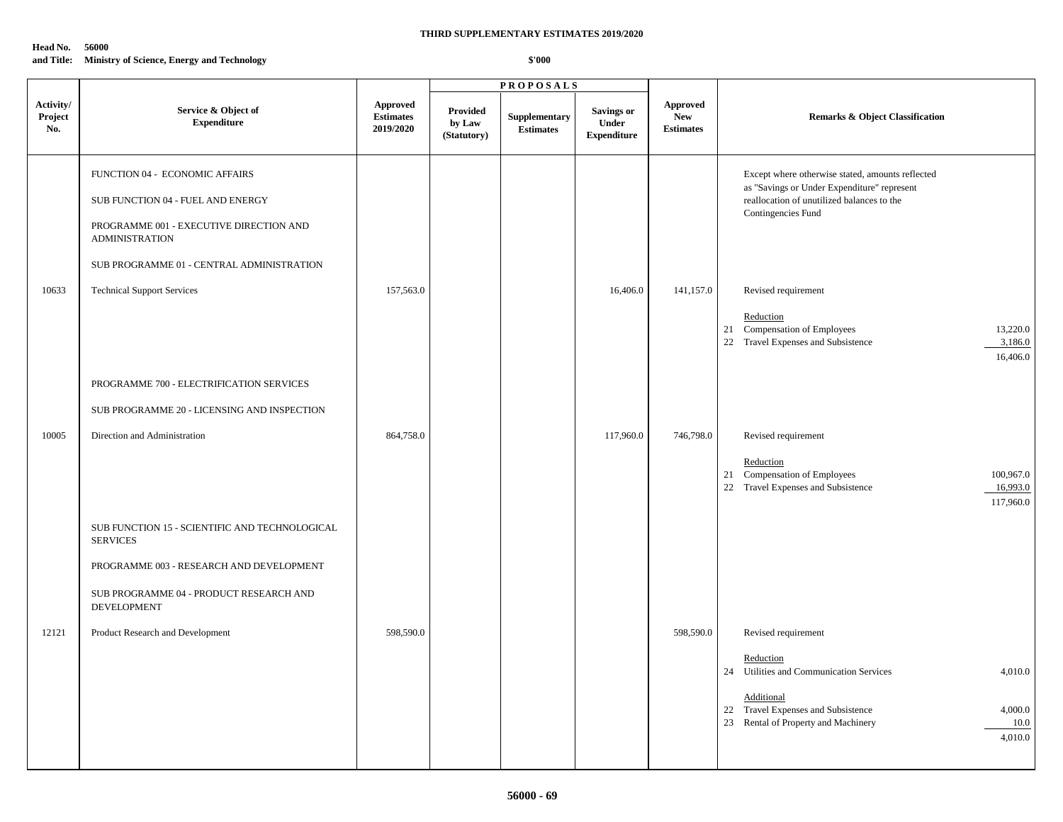#### **Head No. 56000**

**and Title: Ministry of Science, Energy and Technology**

|                             |                                                                   |                                           |                                          | <b>PROPOSALS</b>                  |                                            |                                                   |                                                                                                                       |
|-----------------------------|-------------------------------------------------------------------|-------------------------------------------|------------------------------------------|-----------------------------------|--------------------------------------------|---------------------------------------------------|-----------------------------------------------------------------------------------------------------------------------|
| Activity/<br>Project<br>No. | Service & Object of<br><b>Expenditure</b>                         | Approved<br><b>Estimates</b><br>2019/2020 | <b>Provided</b><br>by Law<br>(Statutory) | Supplementary<br><b>Estimates</b> | Savings or<br>Under<br>${\bf Expenditure}$ | <b>Approved</b><br><b>New</b><br><b>Estimates</b> | <b>Remarks &amp; Object Classification</b>                                                                            |
|                             | FUNCTION 04 - ECONOMIC AFFAIRS                                    |                                           |                                          |                                   |                                            |                                                   | Except where otherwise stated, amounts reflected                                                                      |
|                             | SUB FUNCTION 04 - FUEL AND ENERGY                                 |                                           |                                          |                                   |                                            |                                                   | as "Savings or Under Expenditure" represent<br>reallocation of unutilized balances to the<br>Contingencies Fund       |
|                             | PROGRAMME 001 - EXECUTIVE DIRECTION AND<br><b>ADMINISTRATION</b>  |                                           |                                          |                                   |                                            |                                                   |                                                                                                                       |
|                             | SUB PROGRAMME 01 - CENTRAL ADMINISTRATION                         |                                           |                                          |                                   |                                            |                                                   |                                                                                                                       |
| 10633                       | <b>Technical Support Services</b>                                 | 157,563.0                                 |                                          |                                   | 16,406.0                                   | 141,157.0                                         | Revised requirement                                                                                                   |
|                             |                                                                   |                                           |                                          |                                   |                                            |                                                   | Reduction<br>21 Compensation of Employees<br>13,220.0<br>22 Travel Expenses and Subsistence<br>3,186.0<br>16,406.0    |
|                             | PROGRAMME 700 - ELECTRIFICATION SERVICES                          |                                           |                                          |                                   |                                            |                                                   |                                                                                                                       |
|                             | SUB PROGRAMME 20 - LICENSING AND INSPECTION                       |                                           |                                          |                                   |                                            |                                                   |                                                                                                                       |
| 10005                       | Direction and Administration                                      | 864,758.0                                 |                                          |                                   | 117,960.0                                  | 746,798.0                                         | Revised requirement                                                                                                   |
|                             |                                                                   |                                           |                                          |                                   |                                            |                                                   | Reduction<br>21 Compensation of Employees<br>100,967.0<br>22 Travel Expenses and Subsistence<br>16,993.0<br>117,960.0 |
|                             | SUB FUNCTION 15 - SCIENTIFIC AND TECHNOLOGICAL<br><b>SERVICES</b> |                                           |                                          |                                   |                                            |                                                   |                                                                                                                       |
|                             | PROGRAMME 003 - RESEARCH AND DEVELOPMENT                          |                                           |                                          |                                   |                                            |                                                   |                                                                                                                       |
|                             | SUB PROGRAMME 04 - PRODUCT RESEARCH AND<br><b>DEVELOPMENT</b>     |                                           |                                          |                                   |                                            |                                                   |                                                                                                                       |
| 12121                       | Product Research and Development                                  | 598,590.0                                 |                                          |                                   |                                            | 598,590.0                                         | Revised requirement                                                                                                   |
|                             |                                                                   |                                           |                                          |                                   |                                            |                                                   | Reduction<br>24 Utilities and Communication Services<br>4,010.0                                                       |
|                             |                                                                   |                                           |                                          |                                   |                                            |                                                   | Additional<br>22 Travel Expenses and Subsistence<br>4,000.0<br>23 Rental of Property and Machinery<br>10.0<br>4,010.0 |
|                             |                                                                   |                                           |                                          |                                   |                                            |                                                   |                                                                                                                       |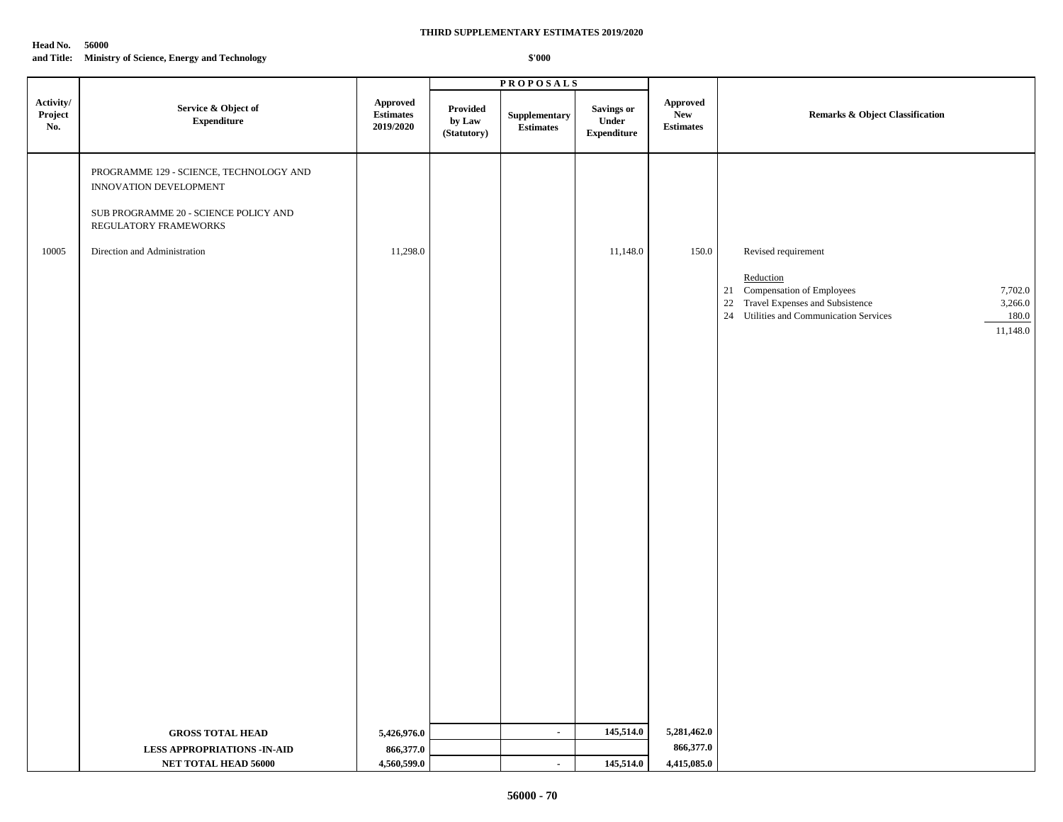#### **Head No. 56000**

## **THIRD SUPPLEMENTARY ESTIMATES 2019/2020**

#### **and Title: Ministry of Science, Energy and Technology**

|                             |                                                                                                                                                                     |                                                  |                                   | <b>PROPOSALS</b>                  |                                            |                                            |                                                                                                                                                                                              |
|-----------------------------|---------------------------------------------------------------------------------------------------------------------------------------------------------------------|--------------------------------------------------|-----------------------------------|-----------------------------------|--------------------------------------------|--------------------------------------------|----------------------------------------------------------------------------------------------------------------------------------------------------------------------------------------------|
| Activity/<br>Project<br>No. | Service & Object of<br>${\bf Expenditure}$                                                                                                                          | <b>Approved</b><br><b>Estimates</b><br>2019/2020 | Provided<br>by Law<br>(Statutory) | Supplementary<br><b>Estimates</b> | Savings or<br>Under<br>${\bf Expenditure}$ | <b>Approved</b><br>New<br><b>Estimates</b> | Remarks & Object Classification                                                                                                                                                              |
| 10005                       | PROGRAMME 129 - SCIENCE, TECHNOLOGY AND<br>INNOVATION DEVELOPMENT<br>SUB PROGRAMME 20 - SCIENCE POLICY AND<br>REGULATORY FRAMEWORKS<br>Direction and Administration | 11,298.0                                         |                                   |                                   | 11,148.0                                   | 150.0                                      | Revised requirement<br>Reduction<br>21 Compensation of Employees<br>7,702.0<br>22 Travel Expenses and Subsistence<br>3,266.0<br>24 Utilities and Communication Services<br>180.0<br>11,148.0 |
|                             | <b>GROSS TOTAL HEAD</b><br><b>LESS APPROPRIATIONS - IN-AID</b><br>NET TOTAL HEAD 56000                                                                              | 5,426,976.0<br>866,377.0<br>4,560,599.0          |                                   | $\blacksquare$<br>$\blacksquare$  | 145,514.0<br>145,514.0                     | 5,281,462.0<br>866,377.0<br>4,415,085.0    |                                                                                                                                                                                              |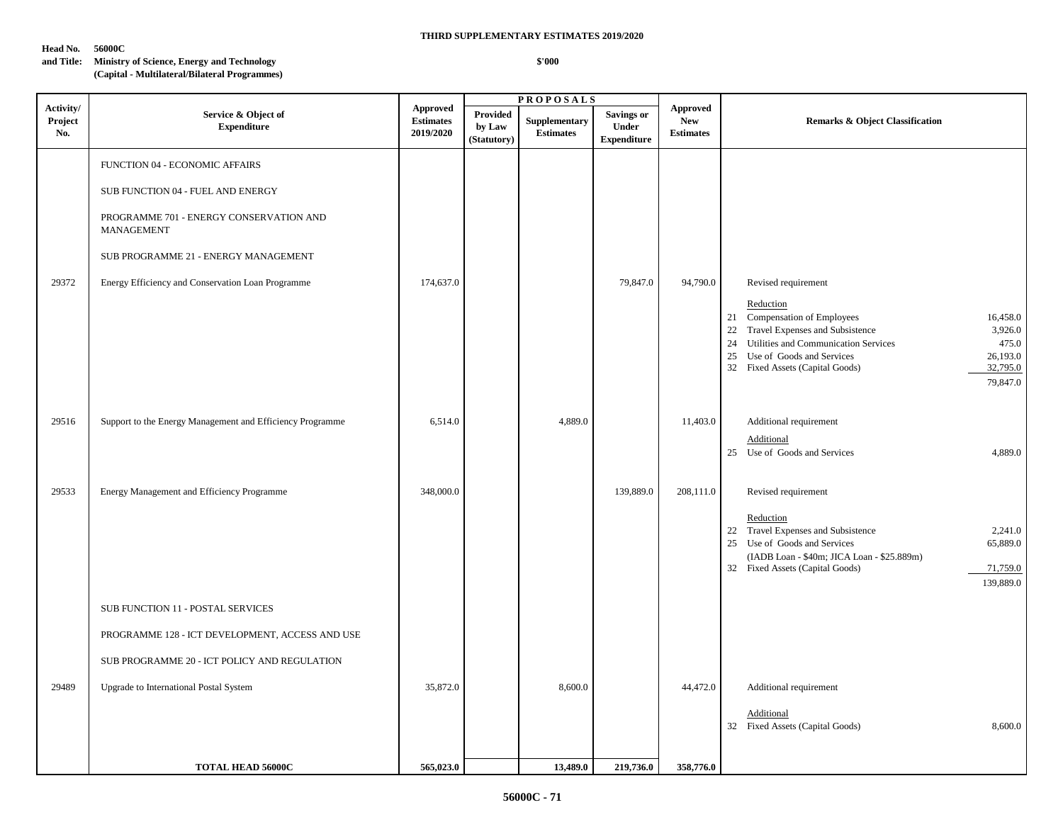## **Head No. 56000C**

#### **THIRD SUPPLEMENTARY ESTIMATES 2019/2020**

## **and Title: Ministry of Science, Energy and Technology (Capital - Multilateral/Bilateral Programmes)**

|                             |                                                                                                                                                                                                                           |                                                  |                                   | <b>PROPOSALS</b>                  |                                                         |                                            |                                                                                                                                                                                                                                                                                                      |  |
|-----------------------------|---------------------------------------------------------------------------------------------------------------------------------------------------------------------------------------------------------------------------|--------------------------------------------------|-----------------------------------|-----------------------------------|---------------------------------------------------------|--------------------------------------------|------------------------------------------------------------------------------------------------------------------------------------------------------------------------------------------------------------------------------------------------------------------------------------------------------|--|
| Activity/<br>Project<br>No. | Service & Object of<br><b>Expenditure</b>                                                                                                                                                                                 | <b>Approved</b><br><b>Estimates</b><br>2019/2020 | Provided<br>by Law<br>(Statutory) | Supplementary<br><b>Estimates</b> | <b>Savings or</b><br><b>Under</b><br><b>Expenditure</b> | Approved<br><b>New</b><br><b>Estimates</b> | <b>Remarks &amp; Object Classification</b>                                                                                                                                                                                                                                                           |  |
| 29372                       | FUNCTION 04 - ECONOMIC AFFAIRS<br>SUB FUNCTION 04 - FUEL AND ENERGY<br>PROGRAMME 701 - ENERGY CONSERVATION AND<br>MANAGEMENT<br>SUB PROGRAMME 21 - ENERGY MANAGEMENT<br>Energy Efficiency and Conservation Loan Programme | 174,637.0                                        |                                   |                                   | 79,847.0                                                | 94,790.0                                   | Revised requirement<br>Reduction<br>Compensation of Employees<br>16,458.0<br>21<br>Travel Expenses and Subsistence<br>22<br>3,926.0<br>24<br>Utilities and Communication Services<br>475.0<br>26,193.0<br>25<br>Use of Goods and Services<br>32 Fixed Assets (Capital Goods)<br>32,795.0<br>79,847.0 |  |
| 29516                       | Support to the Energy Management and Efficiency Programme                                                                                                                                                                 | 6,514.0                                          |                                   | 4,889.0                           |                                                         | 11,403.0                                   | Additional requirement<br>Additional<br>25 Use of Goods and Services<br>4,889.0                                                                                                                                                                                                                      |  |
| 29533                       | Energy Management and Efficiency Programme                                                                                                                                                                                | 348,000.0                                        |                                   |                                   | 139,889.0                                               | 208,111.0                                  | Revised requirement<br>Reduction<br>22 Travel Expenses and Subsistence<br>2,241.0<br>25<br>Use of Goods and Services<br>65,889.0<br>(IADB Loan - \$40m; JICA Loan - \$25.889m)<br>32 Fixed Assets (Capital Goods)<br>71,759.0<br>139,889.0                                                           |  |
| 29489                       | SUB FUNCTION 11 - POSTAL SERVICES<br>PROGRAMME 128 - ICT DEVELOPMENT, ACCESS AND USE<br>SUB PROGRAMME 20 - ICT POLICY AND REGULATION<br>Upgrade to International Postal System                                            | 35,872.0                                         |                                   | 8,600.0                           |                                                         | 44,472.0                                   | Additional requirement                                                                                                                                                                                                                                                                               |  |
|                             | <b>TOTAL HEAD 56000C</b>                                                                                                                                                                                                  | 565,023.0                                        |                                   | 13,489.0                          | 219,736.0                                               | 358,776.0                                  | Additional<br>32 Fixed Assets (Capital Goods)<br>8,600.0                                                                                                                                                                                                                                             |  |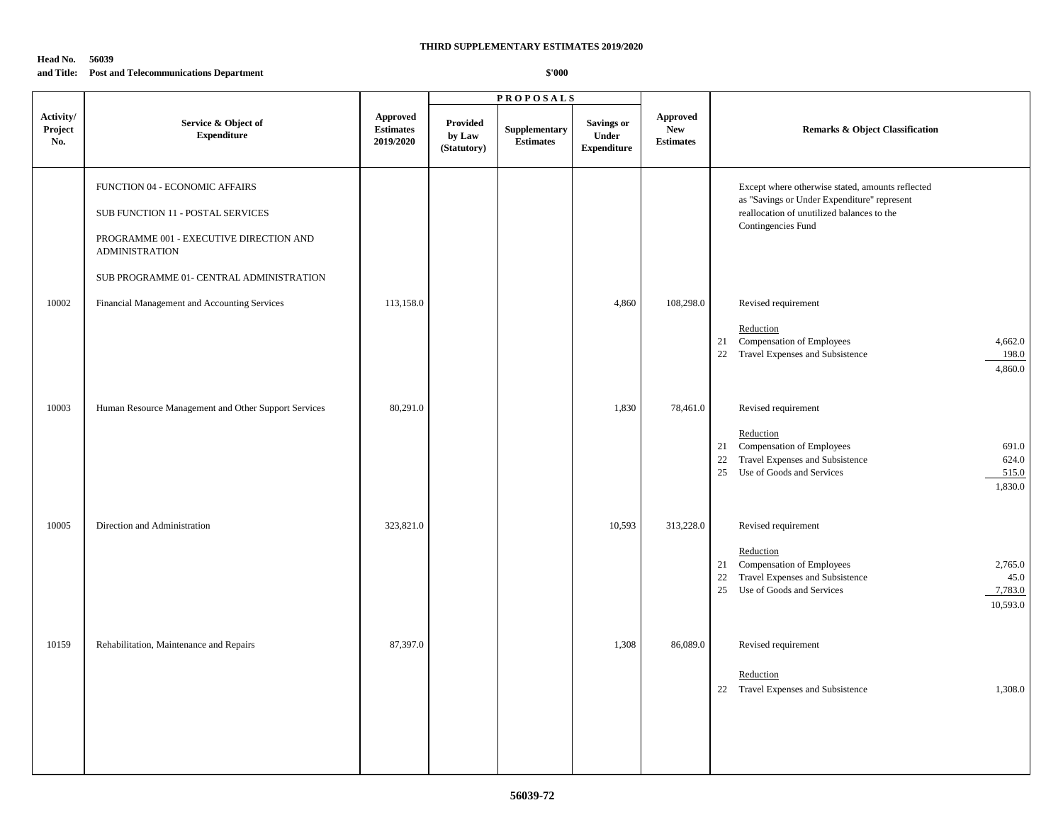#### **Head No. 56039 and Title: Post and Telecommunications Department**

|                             |                                                                  |                                           | <b>PROPOSALS</b>                         |                                   |                                                  |                                                   |                                                                                                                                                              |
|-----------------------------|------------------------------------------------------------------|-------------------------------------------|------------------------------------------|-----------------------------------|--------------------------------------------------|---------------------------------------------------|--------------------------------------------------------------------------------------------------------------------------------------------------------------|
| Activity/<br>Project<br>No. | Service & Object of<br><b>Expenditure</b>                        | Approved<br><b>Estimates</b><br>2019/2020 | <b>Provided</b><br>by Law<br>(Statutory) | Supplementary<br><b>Estimates</b> | <b>Savings or</b><br>Under<br><b>Expenditure</b> | <b>Approved</b><br><b>New</b><br><b>Estimates</b> | <b>Remarks &amp; Object Classification</b>                                                                                                                   |
|                             | FUNCTION 04 - ECONOMIC AFFAIRS                                   |                                           |                                          |                                   |                                                  |                                                   | Except where otherwise stated, amounts reflected<br>as "Savings or Under Expenditure" represent                                                              |
|                             | SUB FUNCTION 11 - POSTAL SERVICES                                |                                           |                                          |                                   |                                                  |                                                   | reallocation of unutilized balances to the<br>Contingencies Fund                                                                                             |
|                             | PROGRAMME 001 - EXECUTIVE DIRECTION AND<br><b>ADMINISTRATION</b> |                                           |                                          |                                   |                                                  |                                                   |                                                                                                                                                              |
|                             | SUB PROGRAMME 01- CENTRAL ADMINISTRATION                         |                                           |                                          |                                   |                                                  |                                                   |                                                                                                                                                              |
| 10002                       | Financial Management and Accounting Services                     | 113,158.0                                 |                                          |                                   | 4,860                                            | 108,298.0                                         | Revised requirement                                                                                                                                          |
|                             |                                                                  |                                           |                                          |                                   |                                                  |                                                   | Reduction<br>21 Compensation of Employees<br>4,662.0<br>22 Travel Expenses and Subsistence<br>198.0<br>4,860.0                                               |
| 10003                       | Human Resource Management and Other Support Services             | 80,291.0                                  |                                          |                                   | 1,830                                            | 78,461.0                                          | Revised requirement                                                                                                                                          |
|                             |                                                                  |                                           |                                          |                                   |                                                  |                                                   | Reduction<br>21 Compensation of Employees<br>691.0<br>22 Travel Expenses and Subsistence<br>624.0<br>Use of Goods and Services<br>25<br>515.0<br>1,830.0     |
| 10005                       | Direction and Administration                                     | 323,821.0                                 |                                          |                                   | 10,593                                           | 313,228.0                                         | Revised requirement                                                                                                                                          |
|                             |                                                                  |                                           |                                          |                                   |                                                  |                                                   | Reduction<br>21 Compensation of Employees<br>2,765.0<br>22 Travel Expenses and Subsistence<br>45.0<br>Use of Goods and Services<br>7,783.0<br>25<br>10,593.0 |
| 10159                       | Rehabilitation, Maintenance and Repairs                          | 87,397.0                                  |                                          |                                   | 1,308                                            | 86,089.0                                          | Revised requirement                                                                                                                                          |
|                             |                                                                  |                                           |                                          |                                   |                                                  |                                                   | Reduction<br>22 Travel Expenses and Subsistence<br>1,308.0                                                                                                   |
|                             |                                                                  |                                           |                                          |                                   |                                                  |                                                   |                                                                                                                                                              |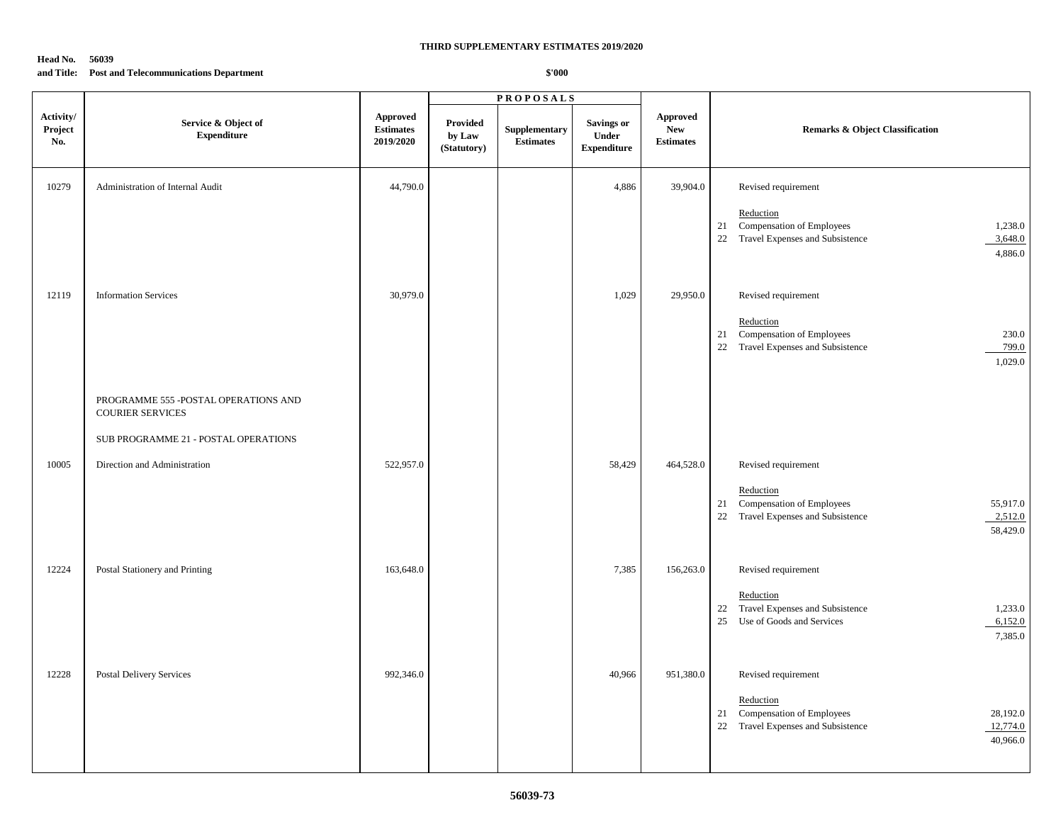### **Head No. 56039 and Title: Post and Telecommunications Department**

|                             |                                                                  | <b>PROPOSALS</b>                                 |                                          |                                   |                                                  |                                                   |                                                                                                                        |
|-----------------------------|------------------------------------------------------------------|--------------------------------------------------|------------------------------------------|-----------------------------------|--------------------------------------------------|---------------------------------------------------|------------------------------------------------------------------------------------------------------------------------|
| Activity/<br>Project<br>No. | Service & Object of<br><b>Expenditure</b>                        | <b>Approved</b><br><b>Estimates</b><br>2019/2020 | <b>Provided</b><br>by Law<br>(Statutory) | Supplementary<br><b>Estimates</b> | <b>Savings or</b><br>Under<br><b>Expenditure</b> | <b>Approved</b><br><b>New</b><br><b>Estimates</b> | <b>Remarks &amp; Object Classification</b>                                                                             |
| 10279                       | Administration of Internal Audit                                 | 44,790.0                                         |                                          |                                   | 4,886                                            | 39,904.0                                          | Revised requirement                                                                                                    |
|                             |                                                                  |                                                  |                                          |                                   |                                                  |                                                   | Reduction<br>Compensation of Employees<br>21<br>1,238.0<br>22 Travel Expenses and Subsistence<br>3,648.0<br>4,886.0    |
| 12119                       | <b>Information Services</b>                                      | 30,979.0                                         |                                          |                                   | 1,029                                            | 29,950.0                                          | Revised requirement                                                                                                    |
|                             |                                                                  |                                                  |                                          |                                   |                                                  |                                                   | Reduction<br>Compensation of Employees<br>230.0<br>21<br>22 Travel Expenses and Subsistence<br>799.0<br>1,029.0        |
|                             | PROGRAMME 555 - POSTAL OPERATIONS AND<br><b>COURIER SERVICES</b> |                                                  |                                          |                                   |                                                  |                                                   |                                                                                                                        |
|                             | SUB PROGRAMME 21 - POSTAL OPERATIONS                             |                                                  |                                          |                                   |                                                  |                                                   |                                                                                                                        |
| 10005                       | Direction and Administration                                     | 522,957.0                                        |                                          |                                   | 58,429                                           | 464,528.0                                         | Revised requirement                                                                                                    |
|                             |                                                                  |                                                  |                                          |                                   |                                                  |                                                   | Reduction<br>21 Compensation of Employees<br>55,917.0<br>22 Travel Expenses and Subsistence<br>2,512.0<br>58,429.0     |
| 12224                       | Postal Stationery and Printing                                   | 163,648.0                                        |                                          |                                   | 7,385                                            | 156,263.0                                         | Revised requirement                                                                                                    |
|                             |                                                                  |                                                  |                                          |                                   |                                                  |                                                   | Reduction<br>Travel Expenses and Subsistence<br>1,233.0<br>22<br>25 Use of Goods and Services<br>6,152.0<br>7,385.0    |
| 12228                       | Postal Delivery Services                                         | 992,346.0                                        |                                          |                                   | 40,966                                           | 951,380.0                                         | Revised requirement                                                                                                    |
|                             |                                                                  |                                                  |                                          |                                   |                                                  |                                                   | Reduction<br>Compensation of Employees<br>28,192.0<br>21<br>22 Travel Expenses and Subsistence<br>12,774.0<br>40,966.0 |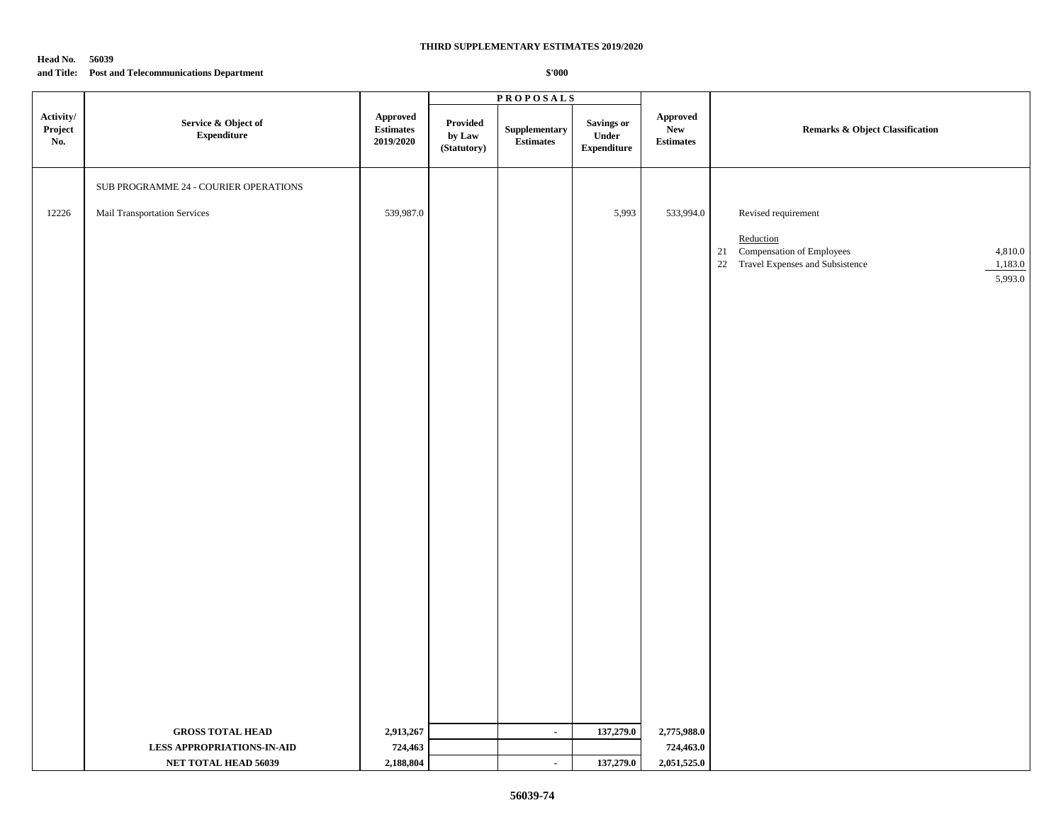### **Head No. 56039 and Title: Post and Telecommunications Department**

|                             |                                           |                                                         | <b>PROPOSALS</b>                          |                                   |                                           |                                                                      |                                                                                                                     |
|-----------------------------|-------------------------------------------|---------------------------------------------------------|-------------------------------------------|-----------------------------------|-------------------------------------------|----------------------------------------------------------------------|---------------------------------------------------------------------------------------------------------------------|
| Activity/<br>Project<br>No. | Service & Object of<br><b>Expenditure</b> | ${\Large\bf Approved}$<br><b>Estimates</b><br>2019/2020 | Provided<br>by ${\bf Law}$<br>(Statutory) | Supplementary<br><b>Estimates</b> | Savings or<br>Under<br><b>Expenditure</b> | ${\Large\bf\large A} {\bf proved}$<br><b>New</b><br><b>Estimates</b> | Remarks & Object Classification                                                                                     |
|                             | SUB PROGRAMME 24 - COURIER OPERATIONS     |                                                         |                                           |                                   |                                           |                                                                      |                                                                                                                     |
| 12226                       | Mail Transportation Services              | 539,987.0                                               |                                           |                                   | 5,993                                     | 533,994.0                                                            | Revised requirement                                                                                                 |
|                             |                                           |                                                         |                                           |                                   |                                           |                                                                      | Reduction<br>Compensation of Employees<br>21<br>4,810.0<br>22 Travel Expenses and Subsistence<br>1,183.0<br>5,993.0 |
|                             |                                           |                                                         |                                           |                                   |                                           |                                                                      |                                                                                                                     |
|                             |                                           |                                                         |                                           |                                   |                                           |                                                                      |                                                                                                                     |
|                             |                                           |                                                         |                                           |                                   |                                           |                                                                      |                                                                                                                     |
|                             |                                           |                                                         |                                           |                                   |                                           |                                                                      |                                                                                                                     |
|                             |                                           |                                                         |                                           |                                   |                                           |                                                                      |                                                                                                                     |
|                             |                                           |                                                         |                                           |                                   |                                           |                                                                      |                                                                                                                     |
|                             |                                           |                                                         |                                           |                                   |                                           |                                                                      |                                                                                                                     |
|                             |                                           |                                                         |                                           |                                   |                                           |                                                                      |                                                                                                                     |
|                             | <b>GROSS TOTAL HEAD</b>                   | 2,913,267                                               |                                           | $\blacksquare$                    | 137,279.0                                 | 2,775,988.0                                                          |                                                                                                                     |
|                             | <b>LESS APPROPRIATIONS-IN-AID</b>         | 724,463                                                 |                                           |                                   |                                           | 724,463.0                                                            |                                                                                                                     |
|                             | NET TOTAL HEAD 56039                      | 2,188,804                                               |                                           | $\blacksquare$                    | 137,279.0                                 | 2,051,525.0                                                          |                                                                                                                     |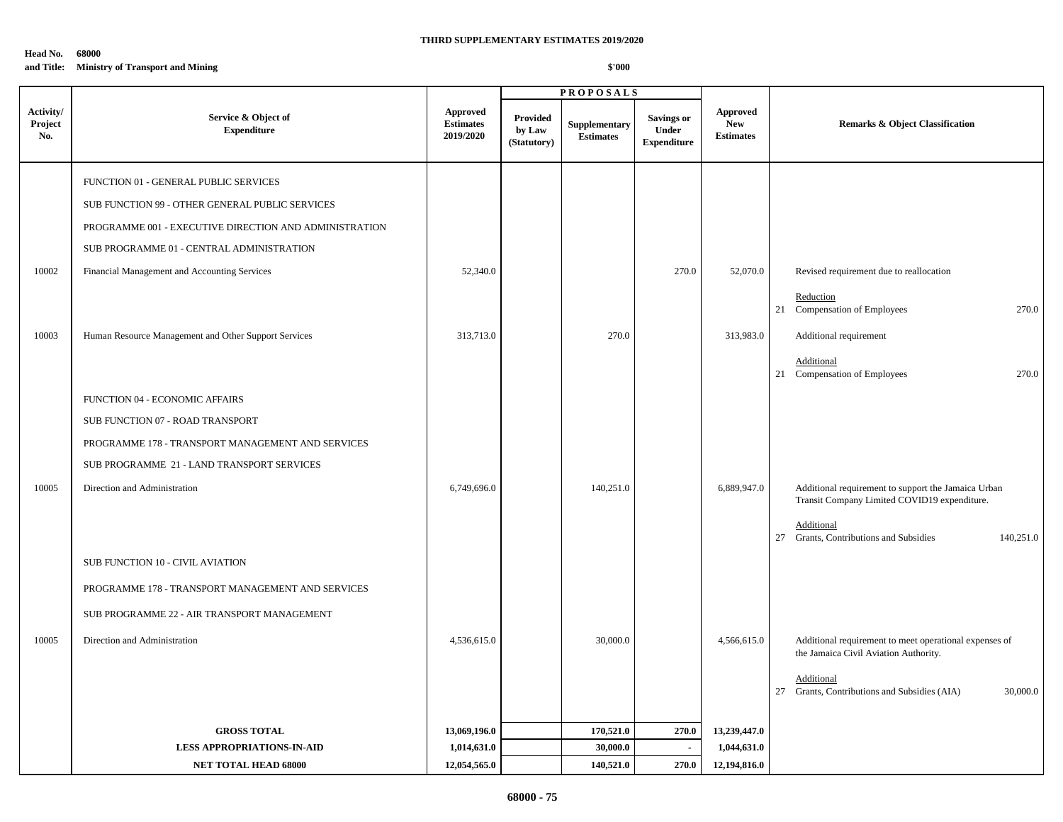# **Head No. 68000 and Title: Ministry of Transport and Mining**

|                             |                                                        |                                           |                                          | <b>PROPOSALS</b>                  |                                                  |                                                   |                                                                                                     |
|-----------------------------|--------------------------------------------------------|-------------------------------------------|------------------------------------------|-----------------------------------|--------------------------------------------------|---------------------------------------------------|-----------------------------------------------------------------------------------------------------|
| Activity/<br>Project<br>No. | Service & Object of<br><b>Expenditure</b>              | Approved<br><b>Estimates</b><br>2019/2020 | <b>Provided</b><br>by Law<br>(Statutory) | Supplementary<br><b>Estimates</b> | <b>Savings or</b><br>Under<br><b>Expenditure</b> | <b>Approved</b><br><b>New</b><br><b>Estimates</b> | <b>Remarks &amp; Object Classification</b>                                                          |
|                             | FUNCTION 01 - GENERAL PUBLIC SERVICES                  |                                           |                                          |                                   |                                                  |                                                   |                                                                                                     |
|                             | SUB FUNCTION 99 - OTHER GENERAL PUBLIC SERVICES        |                                           |                                          |                                   |                                                  |                                                   |                                                                                                     |
|                             | PROGRAMME 001 - EXECUTIVE DIRECTION AND ADMINISTRATION |                                           |                                          |                                   |                                                  |                                                   |                                                                                                     |
|                             | SUB PROGRAMME 01 - CENTRAL ADMINISTRATION              |                                           |                                          |                                   |                                                  |                                                   |                                                                                                     |
| 10002                       | Financial Management and Accounting Services           | 52,340.0                                  |                                          |                                   | 270.0                                            | 52,070.0                                          | Revised requirement due to reallocation                                                             |
|                             |                                                        |                                           |                                          |                                   |                                                  |                                                   | Reduction<br>270.0<br>21 Compensation of Employees                                                  |
| 10003                       | Human Resource Management and Other Support Services   | 313,713.0                                 |                                          | 270.0                             |                                                  | 313,983.0                                         | Additional requirement                                                                              |
|                             |                                                        |                                           |                                          |                                   |                                                  |                                                   | Additional<br>21 Compensation of Employees<br>270.0                                                 |
|                             | FUNCTION 04 - ECONOMIC AFFAIRS                         |                                           |                                          |                                   |                                                  |                                                   |                                                                                                     |
|                             | SUB FUNCTION 07 - ROAD TRANSPORT                       |                                           |                                          |                                   |                                                  |                                                   |                                                                                                     |
|                             | PROGRAMME 178 - TRANSPORT MANAGEMENT AND SERVICES      |                                           |                                          |                                   |                                                  |                                                   |                                                                                                     |
|                             | SUB PROGRAMME 21 - LAND TRANSPORT SERVICES             |                                           |                                          |                                   |                                                  |                                                   |                                                                                                     |
| 10005                       | Direction and Administration                           | 6,749,696.0                               |                                          | 140,251.0                         |                                                  | 6,889,947.0                                       | Additional requirement to support the Jamaica Urban<br>Transit Company Limited COVID19 expenditure. |
|                             |                                                        |                                           |                                          |                                   |                                                  |                                                   | Additional<br>27 Grants, Contributions and Subsidies<br>140,251.0                                   |
|                             | SUB FUNCTION 10 - CIVIL AVIATION                       |                                           |                                          |                                   |                                                  |                                                   |                                                                                                     |
|                             | PROGRAMME 178 - TRANSPORT MANAGEMENT AND SERVICES      |                                           |                                          |                                   |                                                  |                                                   |                                                                                                     |
|                             | SUB PROGRAMME 22 - AIR TRANSPORT MANAGEMENT            |                                           |                                          |                                   |                                                  |                                                   |                                                                                                     |
| 10005                       | Direction and Administration                           | 4,536,615.0                               |                                          | 30,000.0                          |                                                  | 4,566,615.0                                       | Additional requirement to meet operational expenses of<br>the Jamaica Civil Aviation Authority.     |
|                             |                                                        |                                           |                                          |                                   |                                                  |                                                   | Additional<br>27 Grants, Contributions and Subsidies (AIA)<br>30,000.0                              |
|                             | <b>GROSS TOTAL</b>                                     | 13,069,196.0                              |                                          | 170,521.0                         | 270.0                                            | 13,239,447.0                                      |                                                                                                     |
|                             | <b>LESS APPROPRIATIONS-IN-AID</b>                      | 1,014,631.0                               |                                          | 30,000.0                          | $\sim$                                           | 1,044,631.0                                       |                                                                                                     |
|                             | <b>NET TOTAL HEAD 68000</b>                            | 12,054,565.0                              |                                          | 140,521.0                         | 270.0                                            | 12,194,816.0                                      |                                                                                                     |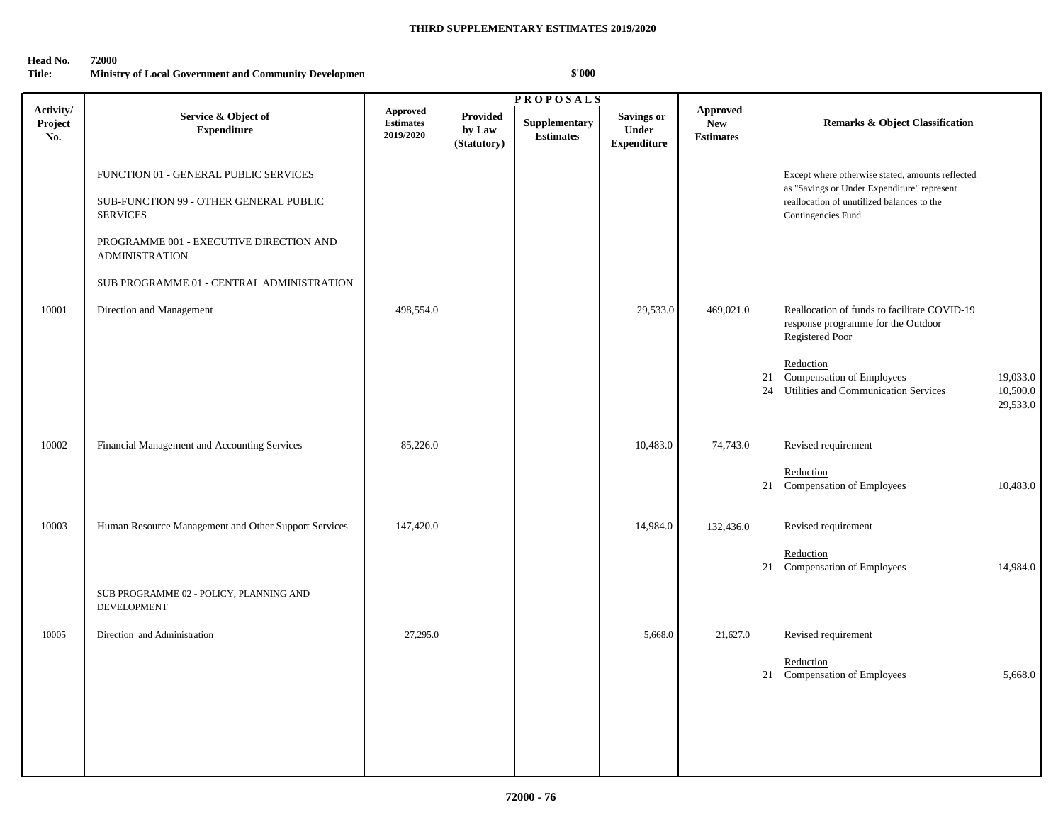### **Head No. 72000**

# **Title:** Ministry of Local Government and Community Developmen

|                             |                                                                                                                                                                                                                     | <b>PROPOSALS</b>                          |                                   |                                   |                                                  |                                            |                                                                                                                                                                                                                                                |
|-----------------------------|---------------------------------------------------------------------------------------------------------------------------------------------------------------------------------------------------------------------|-------------------------------------------|-----------------------------------|-----------------------------------|--------------------------------------------------|--------------------------------------------|------------------------------------------------------------------------------------------------------------------------------------------------------------------------------------------------------------------------------------------------|
| Activity/<br>Project<br>No. | Service & Object of<br><b>Expenditure</b>                                                                                                                                                                           | Approved<br><b>Estimates</b><br>2019/2020 | Provided<br>by Law<br>(Statutory) | Supplementary<br><b>Estimates</b> | <b>Savings or</b><br>Under<br><b>Expenditure</b> | Approved<br><b>New</b><br><b>Estimates</b> | <b>Remarks &amp; Object Classification</b>                                                                                                                                                                                                     |
|                             | FUNCTION 01 - GENERAL PUBLIC SERVICES<br>SUB-FUNCTION 99 - OTHER GENERAL PUBLIC<br><b>SERVICES</b><br>PROGRAMME 001 - EXECUTIVE DIRECTION AND<br><b>ADMINISTRATION</b><br>SUB PROGRAMME 01 - CENTRAL ADMINISTRATION |                                           |                                   |                                   |                                                  |                                            | Except where otherwise stated, amounts reflected<br>as "Savings or Under Expenditure" represent<br>reallocation of unutilized balances to the<br>Contingencies Fund                                                                            |
| 10001                       | Direction and Management                                                                                                                                                                                            | 498,554.0                                 |                                   |                                   | 29,533.0                                         | 469,021.0                                  | Reallocation of funds to facilitate COVID-19<br>response programme for the Outdoor<br>Registered Poor<br>Reduction<br><b>Compensation of Employees</b><br>21<br>19,033.0<br>Utilities and Communication Services<br>10,500.0<br>24<br>29,533.0 |
| 10002                       | Financial Management and Accounting Services                                                                                                                                                                        | 85,226.0                                  |                                   |                                   | 10,483.0                                         | 74,743.0                                   | Revised requirement<br>Reduction<br>21 Compensation of Employees<br>10,483.0                                                                                                                                                                   |
| 10003                       | Human Resource Management and Other Support Services<br>SUB PROGRAMME 02 - POLICY, PLANNING AND<br><b>DEVELOPMENT</b>                                                                                               | 147,420.0                                 |                                   |                                   | 14,984.0                                         | 132,436.0                                  | Revised requirement<br>Reduction<br>21 Compensation of Employees<br>14,984.0                                                                                                                                                                   |
| 10005                       | Direction and Administration                                                                                                                                                                                        | 27,295.0                                  |                                   |                                   | 5,668.0                                          | 21,627.0                                   | Revised requirement<br>Reduction<br>21 Compensation of Employees<br>5,668.0                                                                                                                                                                    |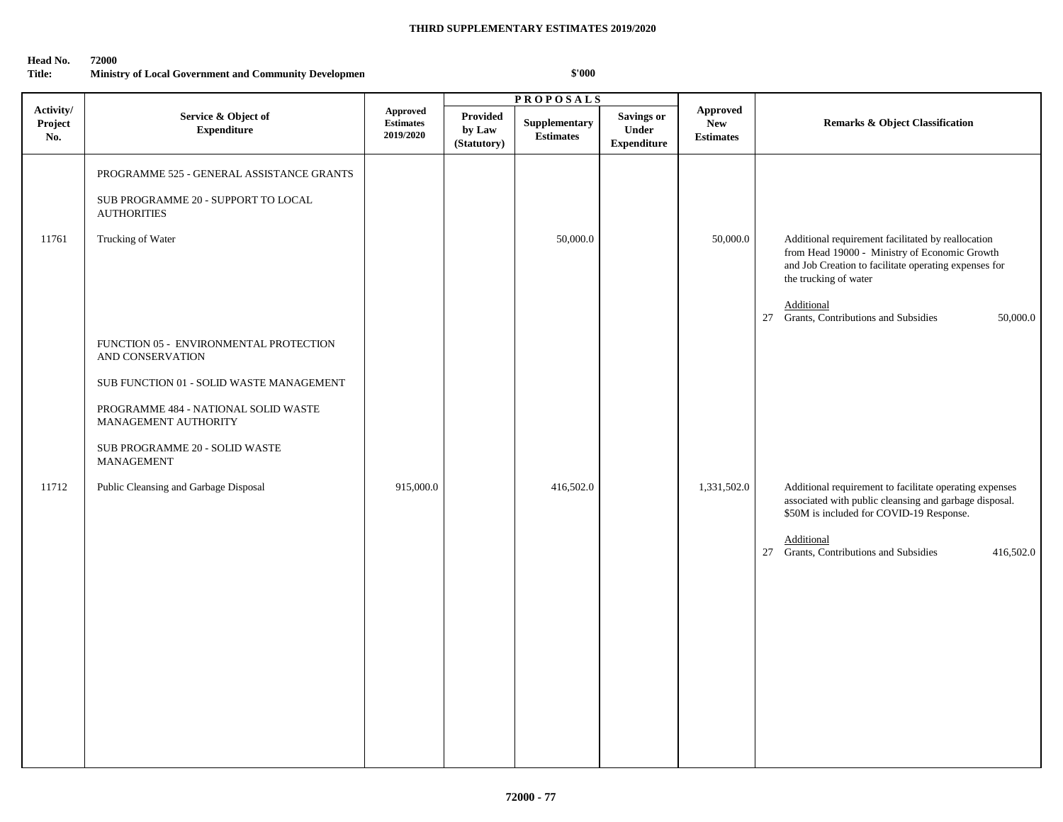### **Head No. 72000**

# **Title:** Ministry of Local Government and Community Developmen

|                             |                                                                                                                                                                                                                                                                 |                                                  | <b>PROPOSALS</b>                         |                                   |                                                  |                                            |                                                                                                                                                                                                                                                              |
|-----------------------------|-----------------------------------------------------------------------------------------------------------------------------------------------------------------------------------------------------------------------------------------------------------------|--------------------------------------------------|------------------------------------------|-----------------------------------|--------------------------------------------------|--------------------------------------------|--------------------------------------------------------------------------------------------------------------------------------------------------------------------------------------------------------------------------------------------------------------|
| Activity/<br>Project<br>No. | Service & Object of<br><b>Expenditure</b>                                                                                                                                                                                                                       | <b>Approved</b><br><b>Estimates</b><br>2019/2020 | <b>Provided</b><br>by Law<br>(Statutory) | Supplementary<br><b>Estimates</b> | <b>Savings or</b><br>Under<br><b>Expenditure</b> | Approved<br><b>New</b><br><b>Estimates</b> | <b>Remarks &amp; Object Classification</b>                                                                                                                                                                                                                   |
| 11761                       | PROGRAMME 525 - GENERAL ASSISTANCE GRANTS<br>SUB PROGRAMME 20 - SUPPORT TO LOCAL<br><b>AUTHORITIES</b><br>Trucking of Water                                                                                                                                     |                                                  |                                          | 50,000.0                          |                                                  | 50,000.0                                   | Additional requirement facilitated by reallocation<br>from Head 19000 - Ministry of Economic Growth<br>and Job Creation to facilitate operating expenses for<br>the trucking of water<br>Additional<br>Grants, Contributions and Subsidies<br>27<br>50,000.0 |
| 11712                       | FUNCTION 05 - ENVIRONMENTAL PROTECTION<br>AND CONSERVATION<br>SUB FUNCTION 01 - SOLID WASTE MANAGEMENT<br>PROGRAMME 484 - NATIONAL SOLID WASTE<br>MANAGEMENT AUTHORITY<br>SUB PROGRAMME 20 - SOLID WASTE<br>MANAGEMENT<br>Public Cleansing and Garbage Disposal | 915,000.0                                        |                                          | 416,502.0                         |                                                  | 1,331,502.0                                | Additional requirement to facilitate operating expenses<br>associated with public cleansing and garbage disposal.<br>\$50M is included for COVID-19 Response.<br>Additional<br>Grants, Contributions and Subsidies<br>27<br>416,502.0                        |
|                             |                                                                                                                                                                                                                                                                 |                                                  |                                          |                                   |                                                  |                                            |                                                                                                                                                                                                                                                              |